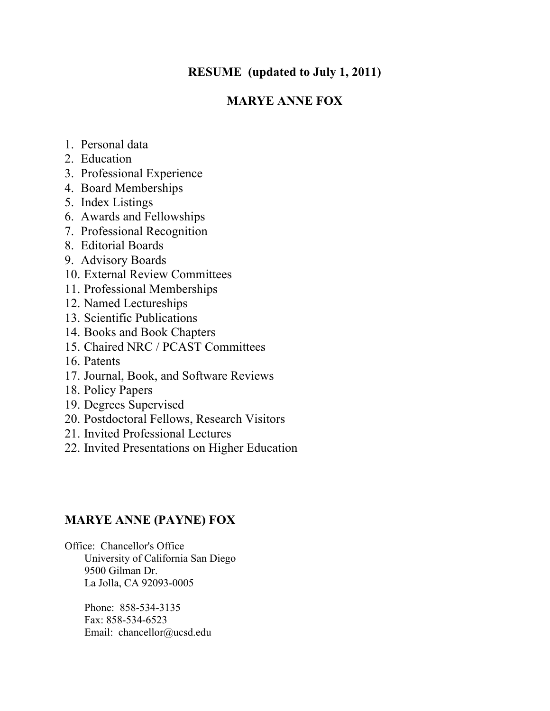# **RESUME (updated to July 1, 2011)**

# **MARYE ANNE FOX**

- 1. Personal data
- 2. Education
- 3. Professional Experience
- 4. Board Memberships
- 5. Index Listings
- 6. Awards and Fellowships
- 7. Professional Recognition
- 8. Editorial Boards
- 9. Advisory Boards
- 10. External Review Committees
- 11. Professional Memberships
- 12. Named Lectureships
- 13. Scientific Publications
- 14. Books and Book Chapters
- 15. Chaired NRC / PCAST Committees
- 16. Patents
- 17. Journal, Book, and Software Reviews
- 18. Policy Papers
- 19. Degrees Supervised
- 20. Postdoctoral Fellows, Research Visitors
- 21. Invited Professional Lectures
- 22. Invited Presentations on Higher Education

# **MARYE ANNE (PAYNE) FOX**

Office: Chancellor's Office University of California San Diego 9500 Gilman Dr. La Jolla, CA 92093-0005

> Phone: 858-534-3135 Fax: 858-534-6523 Email: chancellor@ucsd.edu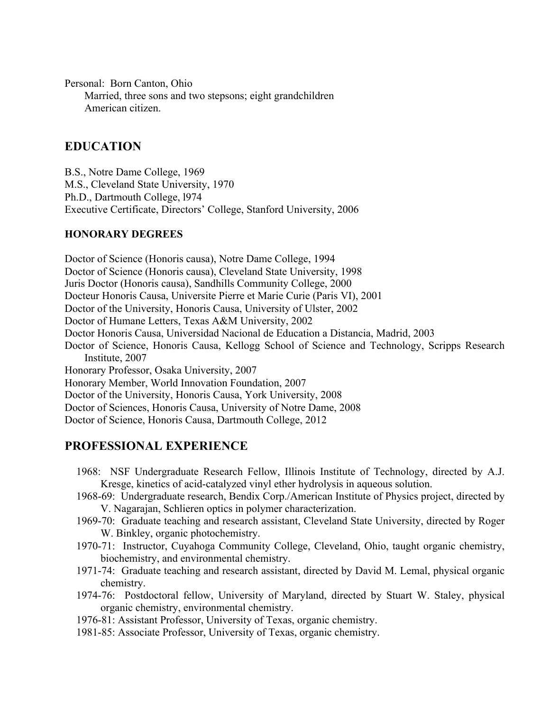Personal: Born Canton, Ohio Married, three sons and two stepsons; eight grandchildren American citizen.

# **EDUCATION**

B.S., Notre Dame College, 1969 M.S., Cleveland State University, 1970 Ph.D., Dartmouth College, l974 Executive Certificate, Directors' College, Stanford University, 2006

### **HONORARY DEGREES**

Doctor of Science (Honoris causa), Notre Dame College, 1994 Doctor of Science (Honoris causa), Cleveland State University, 1998 Juris Doctor (Honoris causa), Sandhills Community College, 2000 Docteur Honoris Causa, Universite Pierre et Marie Curie (Paris VI), 2001 Doctor of the University, Honoris Causa, University of Ulster, 2002 Doctor of Humane Letters, Texas A&M University, 2002 Doctor Honoris Causa, Universidad Nacional de Education a Distancia, Madrid, 2003 Doctor of Science, Honoris Causa, Kellogg School of Science and Technology, Scripps Research Institute, 2007 Honorary Professor, Osaka University, 2007 Honorary Member, World Innovation Foundation, 2007 Doctor of the University, Honoris Causa, York University, 2008 Doctor of Sciences, Honoris Causa, University of Notre Dame, 2008 Doctor of Science, Honoris Causa, Dartmouth College, 2012

# **PROFESSIONAL EXPERIENCE**

- 1968: NSF Undergraduate Research Fellow, Illinois Institute of Technology, directed by A.J. Kresge, kinetics of acid-catalyzed vinyl ether hydrolysis in aqueous solution.
- 1968-69: Undergraduate research, Bendix Corp./American Institute of Physics project, directed by V. Nagarajan, Schlieren optics in polymer characterization.
- 1969-70: Graduate teaching and research assistant, Cleveland State University, directed by Roger W. Binkley, organic photochemistry.
- 1970-71: Instructor, Cuyahoga Community College, Cleveland, Ohio, taught organic chemistry, biochemistry, and environmental chemistry.
- 1971-74: Graduate teaching and research assistant, directed by David M. Lemal, physical organic chemistry.
- 1974-76: Postdoctoral fellow, University of Maryland, directed by Stuart W. Staley, physical organic chemistry, environmental chemistry.
- 1976-81: Assistant Professor, University of Texas, organic chemistry.
- 1981-85: Associate Professor, University of Texas, organic chemistry.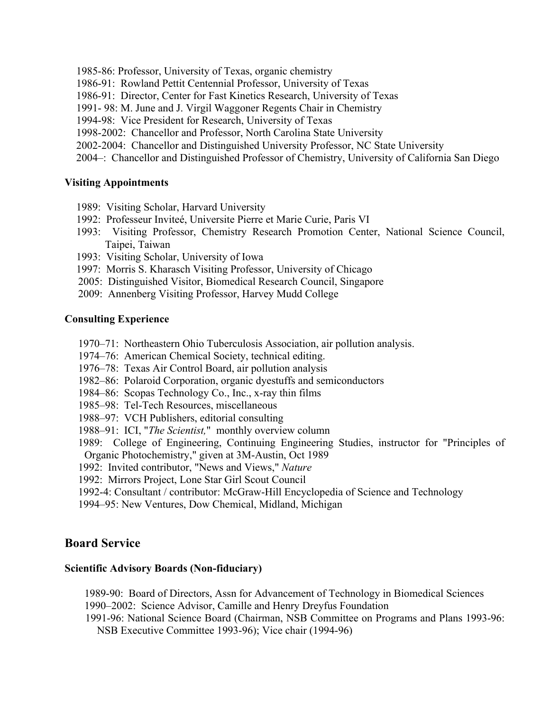- 1985-86: Professor, University of Texas, organic chemistry
- 1986-91: Rowland Pettit Centennial Professor, University of Texas
- 1986-91: Director, Center for Fast Kinetics Research, University of Texas
- 1991- 98: M. June and J. Virgil Waggoner Regents Chair in Chemistry
- 1994-98: Vice President for Research, University of Texas
- 1998-2002: Chancellor and Professor, North Carolina State University
- 2002-2004: Chancellor and Distinguished University Professor, NC State University
- 2004–: Chancellor and Distinguished Professor of Chemistry, University of California San Diego

#### **Visiting Appointments**

- 1989: Visiting Scholar, Harvard University
- 1992: Professeur Inviteé, Universite Pierre et Marie Curie, Paris VI
- 1993: Visiting Professor, Chemistry Research Promotion Center, National Science Council, Taipei, Taiwan
- 1993: Visiting Scholar, University of Iowa
- 1997: Morris S. Kharasch Visiting Professor, University of Chicago
- 2005: Distinguished Visitor, Biomedical Research Council, Singapore
- 2009: Annenberg Visiting Professor, Harvey Mudd College

#### **Consulting Experience**

- 1970–71: Northeastern Ohio Tuberculosis Association, air pollution analysis.
- 1974–76: American Chemical Society, technical editing.
- 1976–78: Texas Air Control Board, air pollution analysis
- 1982–86: Polaroid Corporation, organic dyestuffs and semiconductors
- 1984–86: Scopas Technology Co., Inc., x-ray thin films
- 1985–98: Tel-Tech Resources, miscellaneous
- 1988–97: VCH Publishers, editorial consulting
- 1988–91: ICI, "*The Scientist,*" monthly overview column
- 1989: College of Engineering, Continuing Engineering Studies, instructor for "Principles of Organic Photochemistry," given at 3M-Austin, Oct 1989
- 1992: Invited contributor, "News and Views," *Nature*
- 1992: Mirrors Project, Lone Star Girl Scout Council
- 1992-4: Consultant / contributor: McGraw-Hill Encyclopedia of Science and Technology
- 1994–95: New Ventures, Dow Chemical, Midland, Michigan

## **Board Service**

#### **Scientific Advisory Boards (Non-fiduciary)**

- 1989-90: Board of Directors, Assn for Advancement of Technology in Biomedical Sciences 1990–2002: Science Advisor, Camille and Henry Dreyfus Foundation
- 
- 1991-96: National Science Board (Chairman, NSB Committee on Programs and Plans 1993-96: NSB Executive Committee 1993-96); Vice chair (1994-96)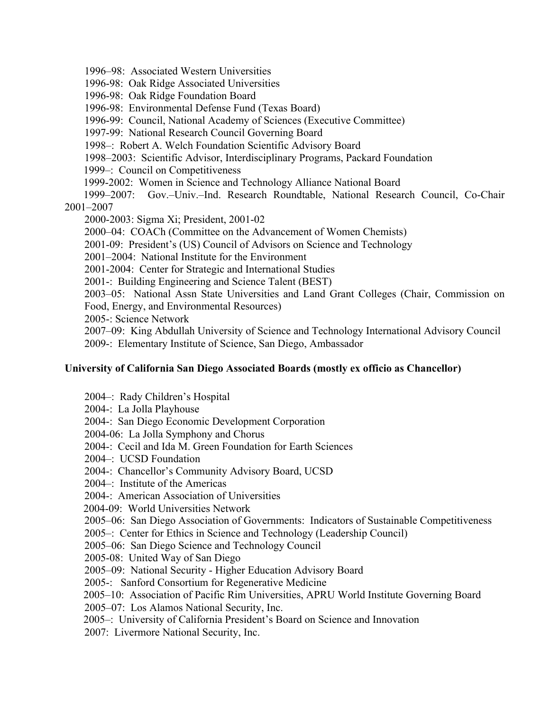1996–98: Associated Western Universities

1996-98: Oak Ridge Associated Universities

1996-98: Oak Ridge Foundation Board

1996-98: Environmental Defense Fund (Texas Board)

1996-99: Council, National Academy of Sciences (Executive Committee)

1997-99: National Research Council Governing Board

1998–: Robert A. Welch Foundation Scientific Advisory Board

1998–2003: Scientific Advisor, Interdisciplinary Programs, Packard Foundation

1999–: Council on Competitiveness

1999-2002: Women in Science and Technology Alliance National Board

 1999–2007: Gov.–Univ.–Ind. Research Roundtable, National Research Council, Co-Chair 2001–2007

2000-2003: Sigma Xi; President, 2001-02

2000–04: COACh (Committee on the Advancement of Women Chemists)

2001-09: President's (US) Council of Advisors on Science and Technology

2001–2004: National Institute for the Environment

2001-2004: Center for Strategic and International Studies

2001-: Building Engineering and Science Talent (BEST)

2003–05: National Assn State Universities and Land Grant Colleges (Chair, Commission on

Food, Energy, and Environmental Resources)

2005-: Science Network

2007–09: King Abdullah University of Science and Technology International Advisory Council 2009-: Elementary Institute of Science, San Diego, Ambassador

## **University of California San Diego Associated Boards (mostly ex officio as Chancellor)**

- 2004–: Rady Children's Hospital
- 2004-: La Jolla Playhouse
- 2004-: San Diego Economic Development Corporation

2004-06: La Jolla Symphony and Chorus

2004-: Cecil and Ida M. Green Foundation for Earth Sciences

2004–: UCSD Foundation

2004-: Chancellor's Community Advisory Board, UCSD

2004–: Institute of the Americas

2004-: American Association of Universities

2004-09: World Universities Network

2005–06: San Diego Association of Governments: Indicators of Sustainable Competitiveness

2005–: Center for Ethics in Science and Technology (Leadership Council)

2005–06: San Diego Science and Technology Council

2005-08: United Way of San Diego

2005–09: National Security - Higher Education Advisory Board

2005-: Sanford Consortium for Regenerative Medicine

2005–10: Association of Pacific Rim Universities, APRU World Institute Governing Board

2005–07: Los Alamos National Security, Inc.

2005–: University of California President's Board on Science and Innovation

2007: Livermore National Security, Inc.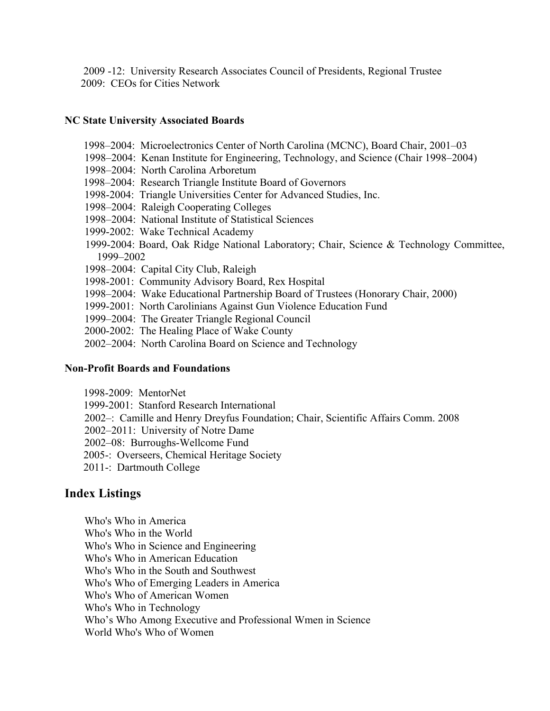2009 -12: University Research Associates Council of Presidents, Regional Trustee 2009: CEOs for Cities Network

### **NC State University Associated Boards**

- 1998–2004: Microelectronics Center of North Carolina (MCNC), Board Chair, 2001–03
- 1998–2004: Kenan Institute for Engineering, Technology, and Science (Chair 1998–2004)
- 1998–2004: North Carolina Arboretum
- 1998–2004: Research Triangle Institute Board of Governors
- 1998-2004: Triangle Universities Center for Advanced Studies, Inc.
- 1998–2004: Raleigh Cooperating Colleges
- 1998–2004: National Institute of Statistical Sciences
- 1999-2002: Wake Technical Academy
- 1999-2004: Board, Oak Ridge National Laboratory; Chair, Science & Technology Committee, 1999–2002
- 1998–2004: Capital City Club, Raleigh
- 1998-2001: Community Advisory Board, Rex Hospital
- 1998–2004: Wake Educational Partnership Board of Trustees (Honorary Chair, 2000)
- 1999-2001: North Carolinians Against Gun Violence Education Fund
- 1999–2004: The Greater Triangle Regional Council
- 2000-2002: The Healing Place of Wake County
- 2002–2004: North Carolina Board on Science and Technology

#### **Non-Profit Boards and Foundations**

- 1998-2009: MentorNet
- 1999-2001: Stanford Research International
- 2002–: Camille and Henry Dreyfus Foundation; Chair, Scientific Affairs Comm. 2008
- 2002–2011: University of Notre Dame
- 2002–08: Burroughs-Wellcome Fund
- 2005-: Overseers, Chemical Heritage Society
- 2011-: Dartmouth College

## **Index Listings**

Who's Who in America Who's Who in the World Who's Who in Science and Engineering Who's Who in American Education Who's Who in the South and Southwest Who's Who of Emerging Leaders in America Who's Who of American Women Who's Who in Technology Who's Who Among Executive and Professional Wmen in Science World Who's Who of Women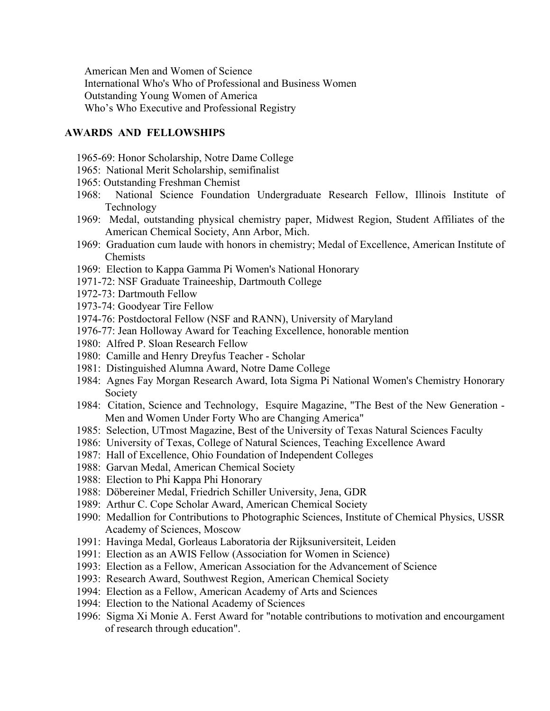American Men and Women of Science International Who's Who of Professional and Business Women Outstanding Young Women of America Who's Who Executive and Professional Registry

#### **AWARDS AND FELLOWSHIPS**

- 1965-69: Honor Scholarship, Notre Dame College
- 1965: National Merit Scholarship, semifinalist
- 1965: Outstanding Freshman Chemist
- 1968: National Science Foundation Undergraduate Research Fellow, Illinois Institute of Technology
- 1969: Medal, outstanding physical chemistry paper, Midwest Region, Student Affiliates of the American Chemical Society, Ann Arbor, Mich.
- 1969: Graduation cum laude with honors in chemistry; Medal of Excellence, American Institute of Chemists
- 1969: Election to Kappa Gamma Pi Women's National Honorary
- 1971-72: NSF Graduate Traineeship, Dartmouth College
- 1972-73: Dartmouth Fellow
- 1973-74: Goodyear Tire Fellow
- 1974-76: Postdoctoral Fellow (NSF and RANN), University of Maryland
- 1976-77: Jean Holloway Award for Teaching Excellence, honorable mention
- 1980: Alfred P. Sloan Research Fellow
- 1980: Camille and Henry Dreyfus Teacher Scholar
- 1981: Distinguished Alumna Award, Notre Dame College
- 1984: Agnes Fay Morgan Research Award, Iota Sigma Pi National Women's Chemistry Honorary Society
- 1984: Citation, Science and Technology, Esquire Magazine, "The Best of the New Generation Men and Women Under Forty Who are Changing America"
- 1985: Selection, UTmost Magazine, Best of the University of Texas Natural Sciences Faculty
- 1986: University of Texas, College of Natural Sciences, Teaching Excellence Award
- 1987: Hall of Excellence, Ohio Foundation of Independent Colleges
- 1988: Garvan Medal, American Chemical Society
- 1988: Election to Phi Kappa Phi Honorary
- 1988: Döbereiner Medal, Friedrich Schiller University, Jena, GDR
- 1989: Arthur C. Cope Scholar Award, American Chemical Society
- 1990: Medallion for Contributions to Photographic Sciences, Institute of Chemical Physics, USSR Academy of Sciences, Moscow
- 1991: Havinga Medal, Gorleaus Laboratoria der Rijksuniversiteit, Leiden
- 1991: Election as an AWIS Fellow (Association for Women in Science)
- 1993: Election as a Fellow, American Association for the Advancement of Science
- 1993: Research Award, Southwest Region, American Chemical Society
- 1994: Election as a Fellow, American Academy of Arts and Sciences
- 1994: Election to the National Academy of Sciences
- 1996: Sigma Xi Monie A. Ferst Award for "notable contributions to motivation and encourgament of research through education".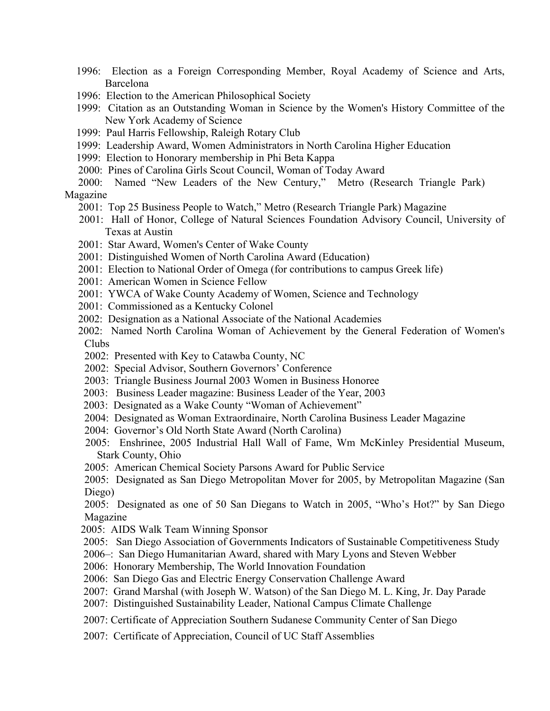- 1996: Election as a Foreign Corresponding Member, Royal Academy of Science and Arts, Barcelona
- 1996: Election to the American Philosophical Society
- 1999: Citation as an Outstanding Woman in Science by the Women's History Committee of the New York Academy of Science
- 1999: Paul Harris Fellowship, Raleigh Rotary Club
- 1999: Leadership Award, Women Administrators in North Carolina Higher Education
- 1999: Election to Honorary membership in Phi Beta Kappa
- 2000: Pines of Carolina Girls Scout Council, Woman of Today Award

 2000: Named "New Leaders of the New Century," Metro (Research Triangle Park) Magazine

- 2001: Top 25 Business People to Watch," Metro (Research Triangle Park) Magazine
- 2001: Hall of Honor, College of Natural Sciences Foundation Advisory Council, University of Texas at Austin
- 2001: Star Award, Women's Center of Wake County
- 2001: Distinguished Women of North Carolina Award (Education)
- 2001: Election to National Order of Omega (for contributions to campus Greek life)
- 2001: American Women in Science Fellow
- 2001: YWCA of Wake County Academy of Women, Science and Technology
- 2001: Commissioned as a Kentucky Colonel
- 2002: Designation as a National Associate of the National Academies
- 2002: Named North Carolina Woman of Achievement by the General Federation of Women's Clubs
- 2002: Presented with Key to Catawba County, NC
- 2002: Special Advisor, Southern Governors' Conference
- 2003: Triangle Business Journal 2003 Women in Business Honoree
- 2003: Business Leader magazine: Business Leader of the Year, 2003
- 2003: Designated as a Wake County "Woman of Achievement"
- 2004: Designated as Woman Extraordinaire, North Carolina Business Leader Magazine
- 2004: Governor's Old North State Award (North Carolina)
- 2005: Enshrinee, 2005 Industrial Hall Wall of Fame, Wm McKinley Presidential Museum, Stark County, Ohio
- 2005: American Chemical Society Parsons Award for Public Service
- 2005: Designated as San Diego Metropolitan Mover for 2005, by Metropolitan Magazine (San Diego)

2005: Designated as one of 50 San Diegans to Watch in 2005, "Who's Hot?" by San Diego Magazine

- 2005: AIDS Walk Team Winning Sponsor
- 2005: San Diego Association of Governments Indicators of Sustainable Competitiveness Study
- 2006–: San Diego Humanitarian Award, shared with Mary Lyons and Steven Webber
- 2006: Honorary Membership, The World Innovation Foundation
- 2006: San Diego Gas and Electric Energy Conservation Challenge Award
- 2007: Grand Marshal (with Joseph W. Watson) of the San Diego M. L. King, Jr. Day Parade
- 2007: Distinguished Sustainability Leader, National Campus Climate Challenge
- 2007: Certificate of Appreciation Southern Sudanese Community Center of San Diego
- 2007: Certificate of Appreciation, Council of UC Staff Assemblies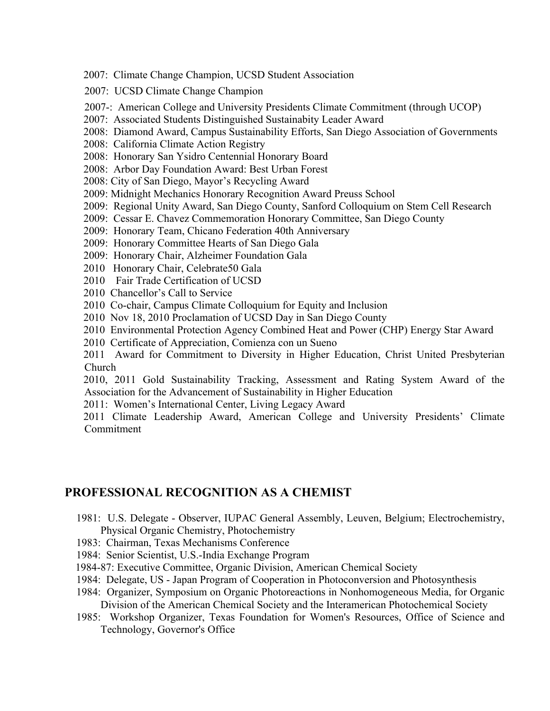- 2007: Climate Change Champion, UCSD Student Association
- 2007: UCSD Climate Change Champion
- 2007-: American College and University Presidents Climate Commitment (through UCOP)
- 2007: Associated Students Distinguished Sustainabity Leader Award
- 2008: Diamond Award, Campus Sustainability Efforts, San Diego Association of Governments
- 2008: California Climate Action Registry
- 2008: Honorary San Ysidro Centennial Honorary Board
- 2008: Arbor Day Foundation Award: Best Urban Forest
- 2008: City of San Diego, Mayor's Recycling Award
- 2009: Midnight Mechanics Honorary Recognition Award Preuss School
- 2009: Regional Unity Award, San Diego County, Sanford Colloquium on Stem Cell Research
- 2009: Cessar E. Chavez Commemoration Honorary Committee, San Diego County
- 2009: Honorary Team, Chicano Federation 40th Anniversary
- 2009: Honorary Committee Hearts of San Diego Gala
- 2009: Honorary Chair, Alzheimer Foundation Gala
- 2010 Honorary Chair, Celebrate50 Gala
- 2010 Fair Trade Certification of UCSD
- 2010 Chancellor's Call to Service
- 2010 Co-chair, Campus Climate Colloquium for Equity and Inclusion
- 2010 Nov 18, 2010 Proclamation of UCSD Day in San Diego County
- 2010 Environmental Protection Agency Combined Heat and Power (CHP) Energy Star Award
- 2010 Certificate of Appreciation, Comienza con un Sueno

 2011 Award for Commitment to Diversity in Higher Education, Christ United Presbyterian Church

 2010, 2011 Gold Sustainability Tracking, Assessment and Rating System Award of the Association for the Advancement of Sustainability in Higher Education

2011: Women's International Center, Living Legacy Award

 2011 Climate Leadership Award, American College and University Presidents' Climate Commitment

## **PROFESSIONAL RECOGNITION AS A CHEMIST**

- 1981: U.S. Delegate Observer, IUPAC General Assembly, Leuven, Belgium; Electrochemistry, Physical Organic Chemistry, Photochemistry
- 1983: Chairman, Texas Mechanisms Conference
- 1984: Senior Scientist, U.S.-India Exchange Program
- 1984-87: Executive Committee, Organic Division, American Chemical Society
- 1984: Delegate, US Japan Program of Cooperation in Photoconversion and Photosynthesis
- 1984: Organizer, Symposium on Organic Photoreactions in Nonhomogeneous Media, for Organic Division of the American Chemical Society and the Interamerican Photochemical Society
- 1985: Workshop Organizer, Texas Foundation for Women's Resources, Office of Science and Technology, Governor's Office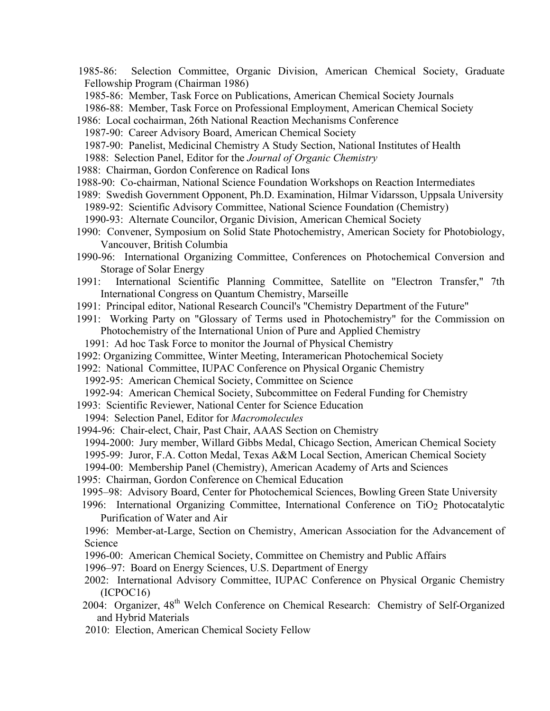- 1985-86: Selection Committee, Organic Division, American Chemical Society, Graduate Fellowship Program (Chairman 1986)
	- 1985-86: Member, Task Force on Publications, American Chemical Society Journals
- 1986-88: Member, Task Force on Professional Employment, American Chemical Society
- 1986: Local cochairman, 26th National Reaction Mechanisms Conference
	- 1987-90: Career Advisory Board, American Chemical Society
	- 1987-90: Panelist, Medicinal Chemistry A Study Section, National Institutes of Health
	- 1988: Selection Panel, Editor for the *Journal of Organic Chemistry*
- 1988: Chairman, Gordon Conference on Radical Ions
- 1988-90: Co-chairman, National Science Foundation Workshops on Reaction Intermediates
- 1989: Swedish Government Opponent, Ph.D. Examination, Hilmar Vidarsson, Uppsala University
	- 1989-92: Scientific Advisory Committee, National Science Foundation (Chemistry)
	- 1990-93: Alternate Councilor, Organic Division, American Chemical Society
- 1990: Convener, Symposium on Solid State Photochemistry, American Society for Photobiology, Vancouver, British Columbia
- 1990-96: International Organizing Committee, Conferences on Photochemical Conversion and Storage of Solar Energy
- 1991: International Scientific Planning Committee, Satellite on "Electron Transfer," 7th International Congress on Quantum Chemistry, Marseille
- 1991: Principal editor, National Research Council's "Chemistry Department of the Future"
- 1991: Working Party on "Glossary of Terms used in Photochemistry" for the Commission on Photochemistry of the International Union of Pure and Applied Chemistry
- 1991: Ad hoc Task Force to monitor the Journal of Physical Chemistry
- 1992: Organizing Committee, Winter Meeting, Interamerican Photochemical Society
- 1992: National Committee, IUPAC Conference on Physical Organic Chemistry
	- 1992-95: American Chemical Society, Committee on Science
	- 1992-94: American Chemical Society, Subcommittee on Federal Funding for Chemistry
- 1993: Scientific Reviewer, National Center for Science Education
- 1994: Selection Panel, Editor for *Macromolecules*
- 1994-96: Chair-elect, Chair, Past Chair, AAAS Section on Chemistry
- 1994-2000: Jury member, Willard Gibbs Medal, Chicago Section, American Chemical Society
- 1995-99: Juror, F.A. Cotton Medal, Texas A&M Local Section, American Chemical Society
- 1994-00: Membership Panel (Chemistry), American Academy of Arts and Sciences
- 1995: Chairman, Gordon Conference on Chemical Education
- 1995–98: Advisory Board, Center for Photochemical Sciences, Bowling Green State University
- 1996: International Organizing Committee, International Conference on TiO<sub>2</sub> Photocatalytic Purification of Water and Air
- 1996: Member-at-Large, Section on Chemistry, American Association for the Advancement of Science
- 1996-00: American Chemical Society, Committee on Chemistry and Public Affairs
- 1996–97: Board on Energy Sciences, U.S. Department of Energy
- 2002: International Advisory Committee, IUPAC Conference on Physical Organic Chemistry (ICPOC16)
- 2004: Organizer, 48<sup>th</sup> Welch Conference on Chemical Research: Chemistry of Self-Organized and Hybrid Materials
- 2010: Election, American Chemical Society Fellow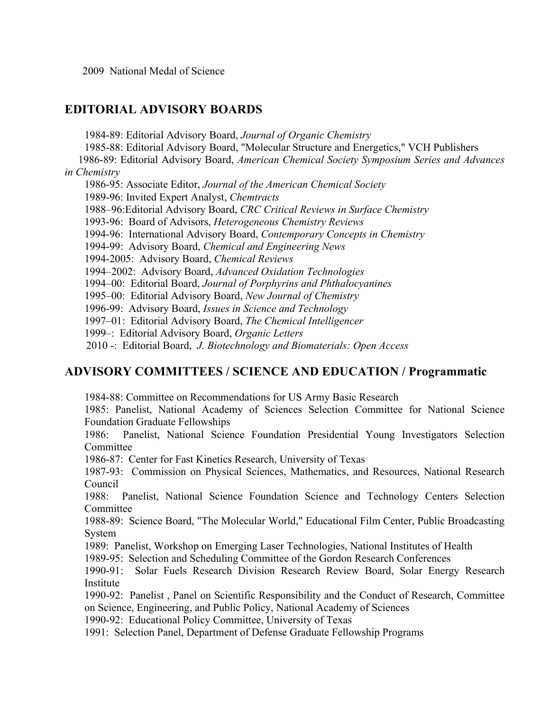2009 National Medal of Science

# **EDITORIAL ADVISORY BOARDS**

1984-89: Editorial Advisory Board, *Journal of Organic Chemistry*

1985-88: Editorial Advisory Board, "Molecular Structure and Energetics," VCH Publishers

 1986-89: Editorial Advisory Board, *American Chemical Society Symposium Series and Advances in Chemistry*

1986-95: Associate Editor, *Journal of the American Chemical Society*

1989-96: Invited Expert Analyst, *Chemtracts*

1988–96:Editorial Advisory Board, *CRC Critical Reviews in Surface Chemistry*

1993-96: Board of Advisors, *Heterogeneous Chemistry Reviews*

1994-96: International Advisory Board, *Contemporary Concepts in Chemistry*

1994-99: Advisory Board, *Chemical and Engineering News*

1994-2005: Advisory Board, *Chemical Reviews*

1994–2002: Advisory Board, *Advanced Oxidation Technologies*

1994–00: Editorial Board, *Journal of Porphyrins and Phthalocyanines*

1995–00: Editorial Advisory Board, *New Journal of Chemistry*

1996-99: Advisory Board, *Issues in Science and Technology*

1997–01: Editorial Advisory Board, *The Chemical Intelligencer*

1999–: Editorial Advisory Board, *Organic Letters*

2010 -: Editorial Board, *J. Biotechnology and Biomaterials: Open Access*

# **ADVISORY COMMITTEES / SCIENCE AND EDUCATION / Programmatic**

1984-88: Committee on Recommendations for US Army Basic Research

1985: Panelist, National Academy of Sciences Selection Committee for National Science Foundation Graduate Fellowships

1986: Panelist, National Science Foundation Presidential Young Investigators Selection Committee

1986-87: Center for Fast Kinetics Research, University of Texas

1987-93: Commission on Physical Sciences, Mathematics, and Resources, National Research Council

1988: Panelist, National Science Foundation Science and Technology Centers Selection Committee

1988-89: Science Board, "The Molecular World," Educational Film Center, Public Broadcasting System

1989: Panelist, Workshop on Emerging Laser Technologies, National Institutes of Health

1989-95: Selection and Scheduling Committee of the Gordon Research Conferences

1990-91: Solar Fuels Research Division Research Review Board, Solar Energy Research Institute

1990-92: Panelist , Panel on Scientific Responsibility and the Conduct of Research, Committee on Science, Engineering, and Public Policy, National Academy of Sciences

1990-92: Educational Policy Committee, University of Texas

1991: Selection Panel, Department of Defense Graduate Fellowship Programs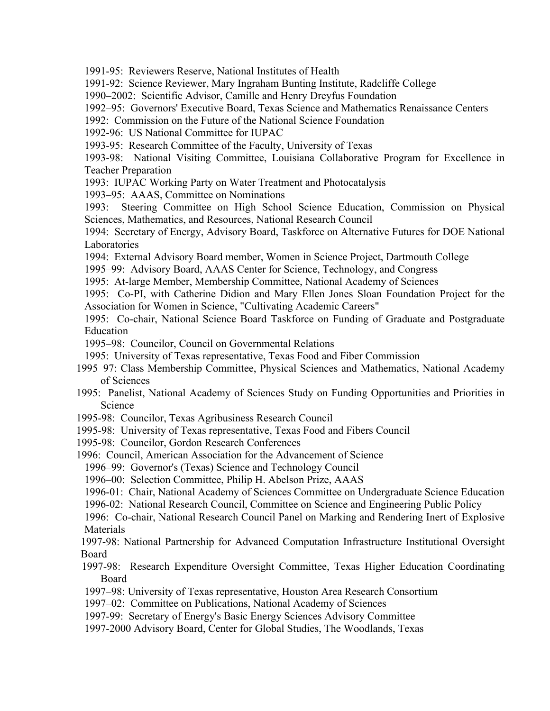1991-95: Reviewers Reserve, National Institutes of Health

1991-92: Science Reviewer, Mary Ingraham Bunting Institute, Radcliffe College

1990–2002: Scientific Advisor, Camille and Henry Dreyfus Foundation

1992–95: Governors' Executive Board, Texas Science and Mathematics Renaissance Centers

1992: Commission on the Future of the National Science Foundation

1992-96: US National Committee for IUPAC

1993-95: Research Committee of the Faculty, University of Texas

1993-98: National Visiting Committee, Louisiana Collaborative Program for Excellence in Teacher Preparation

1993: IUPAC Working Party on Water Treatment and Photocatalysis

1993–95: AAAS, Committee on Nominations

1993: Steering Committee on High School Science Education, Commission on Physical Sciences, Mathematics, and Resources, National Research Council

1994: Secretary of Energy, Advisory Board, Taskforce on Alternative Futures for DOE National Laboratories

1994: External Advisory Board member, Women in Science Project, Dartmouth College

1995–99: Advisory Board, AAAS Center for Science, Technology, and Congress

1995: At-large Member, Membership Committee, National Academy of Sciences

1995: Co-PI, with Catherine Didion and Mary Ellen Jones Sloan Foundation Project for the Association for Women in Science, "Cultivating Academic Careers"

1995: Co-chair, National Science Board Taskforce on Funding of Graduate and Postgraduate Education

- 1995–98: Councilor, Council on Governmental Relations
- 1995: University of Texas representative, Texas Food and Fiber Commission
- 1995–97: Class Membership Committee, Physical Sciences and Mathematics, National Academy of Sciences
- 1995: Panelist, National Academy of Sciences Study on Funding Opportunities and Priorities in Science
- 1995-98: Councilor, Texas Agribusiness Research Council
- 1995-98: University of Texas representative, Texas Food and Fibers Council
- 1995-98: Councilor, Gordon Research Conferences
- 1996: Council, American Association for the Advancement of Science

1996–99: Governor's (Texas) Science and Technology Council

- 1996–00: Selection Committee, Philip H. Abelson Prize, AAAS
- 1996-01: Chair, National Academy of Sciences Committee on Undergraduate Science Education
- 1996-02: National Research Council, Committee on Science and Engineering Public Policy

1996: Co-chair, National Research Council Panel on Marking and Rendering Inert of Explosive Materials

1997-98: National Partnership for Advanced Computation Infrastructure Institutional Oversight Board

- 1997-98: Research Expenditure Oversight Committee, Texas Higher Education Coordinating Board
- 1997–98: University of Texas representative, Houston Area Research Consortium

1997–02: Committee on Publications, National Academy of Sciences

- 1997-99: Secretary of Energy's Basic Energy Sciences Advisory Committee
- 1997-2000 Advisory Board, Center for Global Studies, The Woodlands, Texas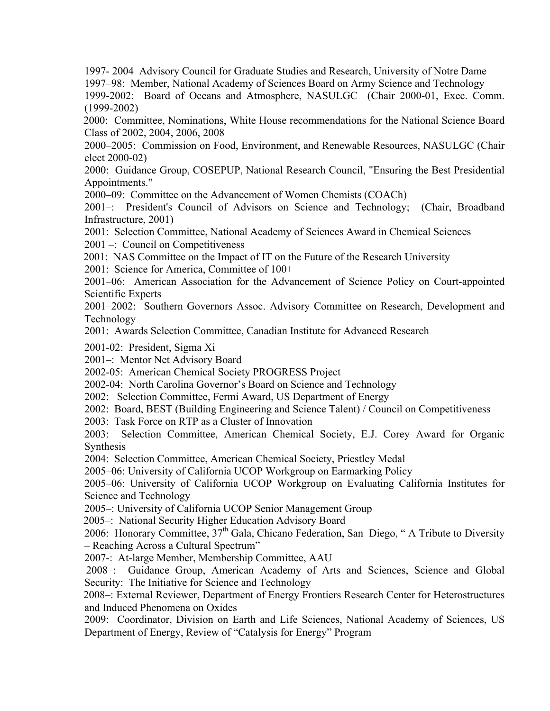1997- 2004 Advisory Council for Graduate Studies and Research, University of Notre Dame 1997–98: Member, National Academy of Sciences Board on Army Science and Technology

1999-2002: Board of Oceans and Atmosphere, NASULGC (Chair 2000-01, Exec. Comm. (1999-2002)

 2000: Committee, Nominations, White House recommendations for the National Science Board Class of 2002, 2004, 2006, 2008

2000–2005: Commission on Food, Environment, and Renewable Resources, NASULGC (Chair elect 2000-02)

2000: Guidance Group, COSEPUP, National Research Council, "Ensuring the Best Presidential Appointments."

2000–09: Committee on the Advancement of Women Chemists (COACh)

2001–: President's Council of Advisors on Science and Technology; (Chair, Broadband Infrastructure, 2001)

2001: Selection Committee, National Academy of Sciences Award in Chemical Sciences 2001 –: Council on Competitiveness

2001: NAS Committee on the Impact of IT on the Future of the Research University

2001: Science for America, Committee of 100+

2001–06: American Association for the Advancement of Science Policy on Court-appointed Scientific Experts

2001–2002: Southern Governors Assoc. Advisory Committee on Research, Development and Technology

2001: Awards Selection Committee, Canadian Institute for Advanced Research

2001-02: President, Sigma Xi

2001–: Mentor Net Advisory Board

2002-05: American Chemical Society PROGRESS Project

2002-04: North Carolina Governor's Board on Science and Technology

2002: Selection Committee, Fermi Award, US Department of Energy

2002: Board, BEST (Building Engineering and Science Talent) / Council on Competitiveness

2003: Task Force on RTP as a Cluster of Innovation

2003: Selection Committee, American Chemical Society, E.J. Corey Award for Organic Synthesis

2004: Selection Committee, American Chemical Society, Priestley Medal

2005–06: University of California UCOP Workgroup on Earmarking Policy

2005–06: University of California UCOP Workgroup on Evaluating California Institutes for Science and Technology

2005–: University of California UCOP Senior Management Group

2005–: National Security Higher Education Advisory Board

2006: Honorary Committee,  $37<sup>th</sup>$  Gala, Chicano Federation, San Diego, "A Tribute to Diversity – Reaching Across a Cultural Spectrum"

2007-: At-large Member, Membership Committee, AAU

 2008–: Guidance Group, American Academy of Arts and Sciences, Science and Global Security: The Initiative for Science and Technology

 2008–: External Reviewer, Department of Energy Frontiers Research Center for Heterostructures and Induced Phenomena on Oxides

2009: Coordinator, Division on Earth and Life Sciences, National Academy of Sciences, US Department of Energy, Review of "Catalysis for Energy" Program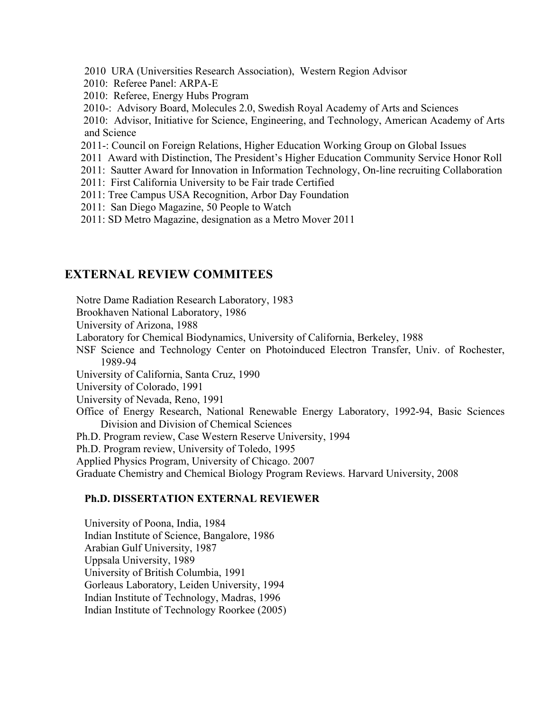- 2010 URA (Universities Research Association), Western Region Advisor
- 2010: Referee Panel: ARPA-E
- 2010: Referee, Energy Hubs Program
- 2010-: Advisory Board, Molecules 2.0, Swedish Royal Academy of Arts and Sciences

 2010: Advisor, Initiative for Science, Engineering, and Technology, American Academy of Arts and Science

- 2011-: Council on Foreign Relations, Higher Education Working Group on Global Issues
- 2011 Award with Distinction, The President's Higher Education Community Service Honor Roll
- 2011: Sautter Award for Innovation in Information Technology, On-line recruiting Collaboration
- 2011: First California University to be Fair trade Certified
- 2011: Tree Campus USA Recognition, Arbor Day Foundation
- 2011: San Diego Magazine, 50 People to Watch
- 2011: SD Metro Magazine, designation as a Metro Mover 2011

# **EXTERNAL REVIEW COMMITEES**

Notre Dame Radiation Research Laboratory, 1983

Brookhaven National Laboratory, 1986

University of Arizona, 1988

Laboratory for Chemical Biodynamics, University of California, Berkeley, 1988

NSF Science and Technology Center on Photoinduced Electron Transfer, Univ. of Rochester, 1989-94

University of California, Santa Cruz, 1990

University of Colorado, 1991

University of Nevada, Reno, 1991

Office of Energy Research, National Renewable Energy Laboratory, 1992-94, Basic Sciences Division and Division of Chemical Sciences

Ph.D. Program review, Case Western Reserve University, 1994

Ph.D. Program review, University of Toledo, 1995

Applied Physics Program, University of Chicago. 2007

Graduate Chemistry and Chemical Biology Program Reviews. Harvard University, 2008

## **Ph.D. DISSERTATION EXTERNAL REVIEWER**

University of Poona, India, 1984 Indian Institute of Science, Bangalore, 1986 Arabian Gulf University, 1987 Uppsala University, 1989 University of British Columbia, 1991 Gorleaus Laboratory, Leiden University, 1994 Indian Institute of Technology, Madras, 1996 Indian Institute of Technology Roorkee (2005)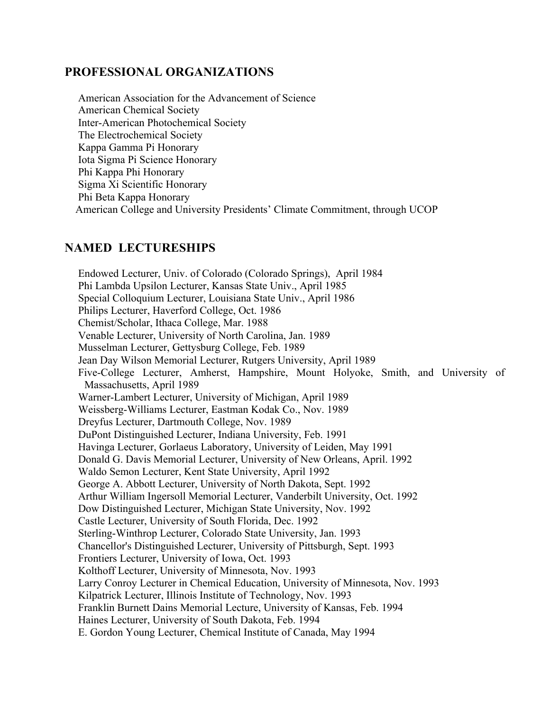## **PROFESSIONAL ORGANIZATIONS**

 American Association for the Advancement of Science American Chemical Society Inter-American Photochemical Society The Electrochemical Society Kappa Gamma Pi Honorary Iota Sigma Pi Science Honorary Phi Kappa Phi Honorary Sigma Xi Scientific Honorary Phi Beta Kappa Honorary American College and University Presidents' Climate Commitment, through UCOP

## **NAMED LECTURESHIPS**

 Endowed Lecturer, Univ. of Colorado (Colorado Springs), April 1984 Phi Lambda Upsilon Lecturer, Kansas State Univ., April 1985 Special Colloquium Lecturer, Louisiana State Univ., April 1986 Philips Lecturer, Haverford College, Oct. 1986 Chemist/Scholar, Ithaca College, Mar. 1988 Venable Lecturer, University of North Carolina, Jan. 1989 Musselman Lecturer, Gettysburg College, Feb. 1989 Jean Day Wilson Memorial Lecturer, Rutgers University, April 1989 Five-College Lecturer, Amherst, Hampshire, Mount Holyoke, Smith, and University of Massachusetts, April 1989 Warner-Lambert Lecturer, University of Michigan, April 1989 Weissberg-Williams Lecturer, Eastman Kodak Co., Nov. 1989 Dreyfus Lecturer, Dartmouth College, Nov. 1989 DuPont Distinguished Lecturer, Indiana University, Feb. 1991 Havinga Lecturer, Gorlaeus Laboratory, University of Leiden, May 1991 Donald G. Davis Memorial Lecturer, University of New Orleans, April. 1992 Waldo Semon Lecturer, Kent State University, April 1992 George A. Abbott Lecturer, University of North Dakota, Sept. 1992 Arthur William Ingersoll Memorial Lecturer, Vanderbilt University, Oct. 1992 Dow Distinguished Lecturer, Michigan State University, Nov. 1992 Castle Lecturer, University of South Florida, Dec. 1992 Sterling-Winthrop Lecturer, Colorado State University, Jan. 1993 Chancellor's Distinguished Lecturer, University of Pittsburgh, Sept. 1993 Frontiers Lecturer, University of Iowa, Oct. 1993 Kolthoff Lecturer, University of Minnesota, Nov. 1993 Larry Conroy Lecturer in Chemical Education, University of Minnesota, Nov. 1993 Kilpatrick Lecturer, Illinois Institute of Technology, Nov. 1993 Franklin Burnett Dains Memorial Lecture, University of Kansas, Feb. 1994 Haines Lecturer, University of South Dakota, Feb. 1994 E. Gordon Young Lecturer, Chemical Institute of Canada, May 1994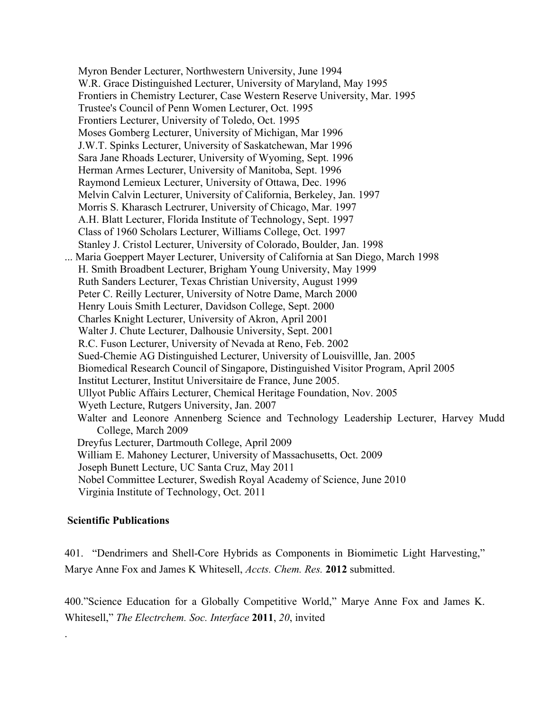Myron Bender Lecturer, Northwestern University, June 1994 W.R. Grace Distinguished Lecturer, University of Maryland, May 1995 Frontiers in Chemistry Lecturer, Case Western Reserve University, Mar. 1995 Trustee's Council of Penn Women Lecturer, Oct. 1995 Frontiers Lecturer, University of Toledo, Oct. 1995 Moses Gomberg Lecturer, University of Michigan, Mar 1996 J.W.T. Spinks Lecturer, University of Saskatchewan, Mar 1996 Sara Jane Rhoads Lecturer, University of Wyoming, Sept. 1996 Herman Armes Lecturer, University of Manitoba, Sept. 1996 Raymond Lemieux Lecturer, University of Ottawa, Dec. 1996 Melvin Calvin Lecturer, University of California, Berkeley, Jan. 1997 Morris S. Kharasch Lectrurer, University of Chicago, Mar. 1997 A.H. Blatt Lecturer, Florida Institute of Technology, Sept. 1997 Class of 1960 Scholars Lecturer, Williams College, Oct. 1997 Stanley J. Cristol Lecturer, University of Colorado, Boulder, Jan. 1998 ... Maria Goeppert Mayer Lecturer, University of California at San Diego, March 1998 H. Smith Broadbent Lecturer, Brigham Young University, May 1999 Ruth Sanders Lecturer, Texas Christian University, August 1999 Peter C. Reilly Lecturer, University of Notre Dame, March 2000 Henry Louis Smith Lecturer, Davidson College, Sept. 2000 Charles Knight Lecturer, University of Akron, April 2001 Walter J. Chute Lecturer, Dalhousie University, Sept. 2001 R.C. Fuson Lecturer, University of Nevada at Reno, Feb. 2002 Sued-Chemie AG Distinguished Lecturer, University of Louisvillle, Jan. 2005 Biomedical Research Council of Singapore, Distinguished Visitor Program, April 2005 Institut Lecturer, Institut Universitaire de France, June 2005. Ullyot Public Affairs Lecturer, Chemical Heritage Foundation, Nov. 2005 Wyeth Lecture, Rutgers University, Jan. 2007 Walter and Leonore Annenberg Science and Technology Leadership Lecturer, Harvey Mudd College, March 2009 Dreyfus Lecturer, Dartmouth College, April 2009 William E. Mahoney Lecturer, University of Massachusetts, Oct. 2009 Joseph Bunett Lecture, UC Santa Cruz, May 2011 Nobel Committee Lecturer, Swedish Royal Academy of Science, June 2010 Virginia Institute of Technology, Oct. 2011

### **Scientific Publications**

.

401. "Dendrimers and Shell-Core Hybrids as Components in Biomimetic Light Harvesting," Marye Anne Fox and James K Whitesell, *Accts. Chem. Res.* **2012** submitted.

400."Science Education for a Globally Competitive World," Marye Anne Fox and James K. Whitesell," *The Electrchem. Soc. Interface* **2011**, *20*, invited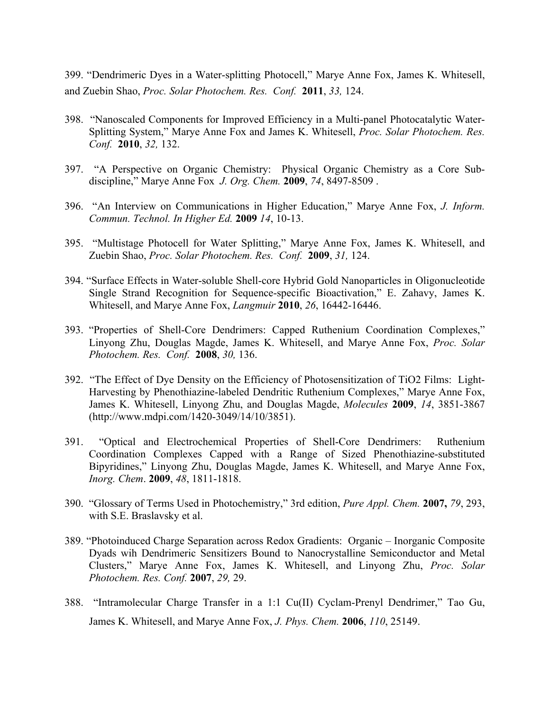399. "Dendrimeric Dyes in a Water-splitting Photocell," Marye Anne Fox, James K. Whitesell, and Zuebin Shao, *Proc. Solar Photochem. Res. Conf.* **2011**, *33,* 124.

- 398. "Nanoscaled Components for Improved Efficiency in a Multi-panel Photocatalytic Water-Splitting System," Marye Anne Fox and James K. Whitesell, *Proc. Solar Photochem. Res. Conf.* **2010**, *32,* 132.
- 397. "A Perspective on Organic Chemistry: Physical Organic Chemistry as a Core Subdiscipline," Marye Anne Fox *J. Org. Chem.* **2009**, *74*, 8497-8509 .
- 396. "An Interview on Communications in Higher Education," Marye Anne Fox, *J. Inform. Commun. Technol. In Higher Ed.* **2009** *14*, 10-13.
- 395. "Multistage Photocell for Water Splitting," Marye Anne Fox, James K. Whitesell, and Zuebin Shao, *Proc. Solar Photochem. Res. Conf.* **2009**, *31,* 124.
- 394. "Surface Effects in Water-soluble Shell-core Hybrid Gold Nanoparticles in Oligonucleotide Single Strand Recognition for Sequence-specific Bioactivation," E. Zahavy, James K. Whitesell, and Marye Anne Fox, *Langmuir* **2010**, *26*, 16442-16446.
- 393. "Properties of Shell-Core Dendrimers: Capped Ruthenium Coordination Complexes," Linyong Zhu, Douglas Magde, James K. Whitesell, and Marye Anne Fox, *Proc. Solar Photochem. Res. Conf.* **2008**, *30,* 136.
- 392. "The Effect of Dye Density on the Efficiency of Photosensitization of TiO2 Films: Light-Harvesting by Phenothiazine-labeled Dendritic Ruthenium Complexes," Marye Anne Fox, James K. Whitesell, Linyong Zhu, and Douglas Magde, *Molecules* **2009**, *14*, 3851-3867 (http://www.mdpi.com/1420-3049/14/10/3851).
- 391. "Optical and Electrochemical Properties of Shell-Core Dendrimers: Ruthenium Coordination Complexes Capped with a Range of Sized Phenothiazine-substituted Bipyridines," Linyong Zhu, Douglas Magde, James K. Whitesell, and Marye Anne Fox, *Inorg. Chem*. **2009**, *48*, 1811-1818.
- 390. "Glossary of Terms Used in Photochemistry," 3rd edition, *Pure Appl. Chem.* **2007,** *79*, 293, with S.E. Braslavsky et al.
- 389. "Photoinduced Charge Separation across Redox Gradients: Organic Inorganic Composite Dyads wih Dendrimeric Sensitizers Bound to Nanocrystalline Semiconductor and Metal Clusters," Marye Anne Fox, James K. Whitesell, and Linyong Zhu, *Proc. Solar Photochem. Res. Conf.* **2007**, *29,* 29.
- 388. "Intramolecular Charge Transfer in a 1:1 Cu(II) Cyclam-Prenyl Dendrimer," Tao Gu, James K. Whitesell, and Marye Anne Fox, *J. Phys. Chem.* **2006**, *110*, 25149.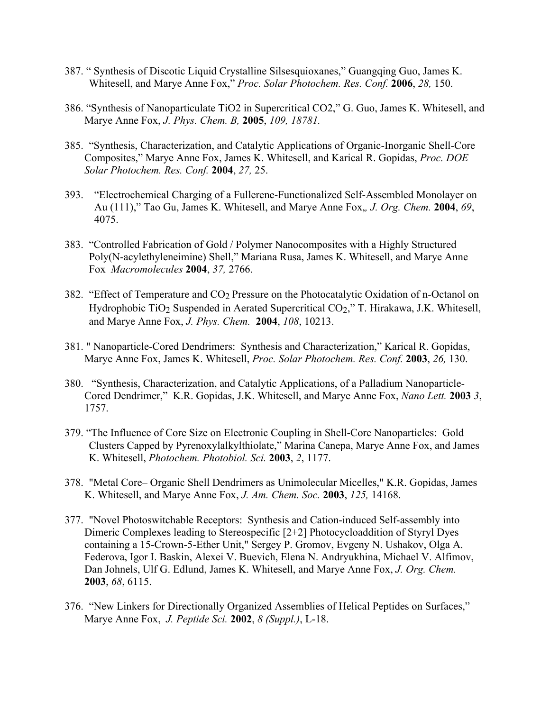- 387. " Synthesis of Discotic Liquid Crystalline Silsesquioxanes," Guangqing Guo, James K. Whitesell, and Marye Anne Fox," *Proc. Solar Photochem. Res. Conf.* **2006**, *28,* 150.
- 386. "Synthesis of Nanoparticulate TiO2 in Supercritical CO2," G. Guo, James K. Whitesell, and Marye Anne Fox, *J. Phys. Chem. B,* **2005**, *109, 18781.*
- 385. "Synthesis, Characterization, and Catalytic Applications of Organic-Inorganic Shell-Core Composites," Marye Anne Fox, James K. Whitesell, and Karical R. Gopidas, *Proc. DOE Solar Photochem. Res. Conf.* **2004**, *27,* 25.
- 393. "Electrochemical Charging of a Fullerene-Functionalized Self-Assembled Monolayer on Au (111)," Tao Gu, James K. Whitesell, and Marye Anne Fox,*, J. Org. Chem.* **2004**, *69*, 4075.
- 383. "Controlled Fabrication of Gold / Polymer Nanocomposites with a Highly Structured Poly(N-acylethyleneimine) Shell," Mariana Rusa, James K. Whitesell, and Marye Anne Fox *Macromolecules* **2004**, *37,* 2766.
- 382. "Effect of Temperature and  $CO<sub>2</sub>$  Pressure on the Photocatalytic Oxidation of n-Octanol on Hydrophobic TiO<sub>2</sub> Suspended in Aerated Supercritical CO<sub>2</sub>," T. Hirakawa, J.K. Whitesell, and Marye Anne Fox, *J. Phys. Chem.* **2004**, *108*, 10213.
- 381. " Nanoparticle-Cored Dendrimers: Synthesis and Characterization," Karical R. Gopidas, Marye Anne Fox, James K. Whitesell, *Proc. Solar Photochem. Res. Conf.* **2003**, *26,* 130.
- 380. "Synthesis, Characterization, and Catalytic Applications, of a Palladium Nanoparticle-Cored Dendrimer," K.R. Gopidas, J.K. Whitesell, and Marye Anne Fox, *Nano Lett.* **2003** *3*, 1757.
- 379. "The Influence of Core Size on Electronic Coupling in Shell-Core Nanoparticles: Gold Clusters Capped by Pyrenoxylalkylthiolate," Marina Canepa, Marye Anne Fox, and James K. Whitesell, *Photochem. Photobiol. Sci.* **2003**, *2*, 1177.
- 378. "Metal Core– Organic Shell Dendrimers as Unimolecular Micelles," K.R. Gopidas, James K. Whitesell, and Marye Anne Fox, *J. Am. Chem. Soc.* **2003**, *125,* 14168.
- 377. "Novel Photoswitchable Receptors: Synthesis and Cation-induced Self-assembly into Dimeric Complexes leading to Stereospecific [2+2] Photocycloaddition of Styryl Dyes containing a 15-Crown-5-Ether Unit," Sergey P. Gromov, Evgeny N. Ushakov, Olga A. Federova, Igor I. Baskin, Alexei V. Buevich, Elena N. Andryukhina, Michael V. Alfimov, Dan Johnels, Ulf G. Edlund, James K. Whitesell, and Marye Anne Fox, *J. Org. Chem.*  **2003**, *68*, 6115.
- 376. "New Linkers for Directionally Organized Assemblies of Helical Peptides on Surfaces," Marye Anne Fox, *J. Peptide Sci.* **2002**, *8 (Suppl.)*, L-18.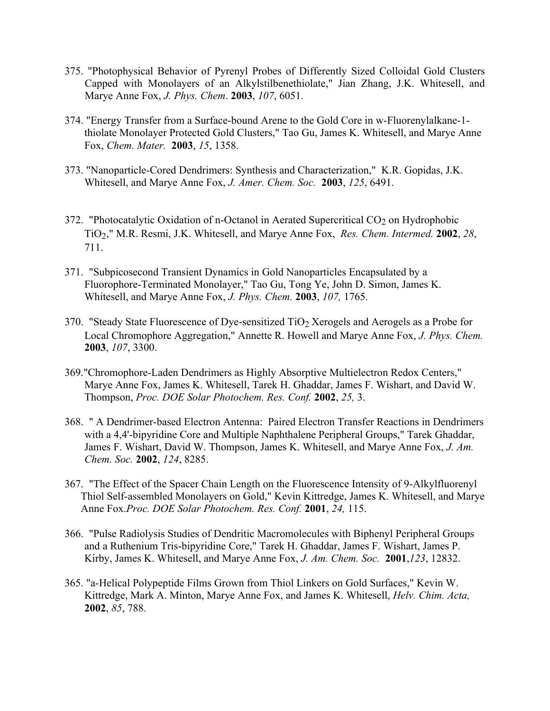- 375. "Photophysical Behavior of Pyrenyl Probes of Differently Sized Colloidal Gold Clusters Capped with Monolayers of an Alkylstilbenethiolate," Jian Zhang, J.K. Whitesell, and Marye Anne Fox, *J. Phys. Chem*. **2003**, *107*, 6051.
- 374. "Energy Transfer from a Surface-bound Arene to the Gold Core in w-Fluorenylalkane-1 thiolate Monolayer Protected Gold Clusters," Tao Gu, James K. Whitesell, and Marye Anne Fox, *Chem. Mater.* **2003**, *15*, 1358.
- 373. "Nanoparticle-Cored Dendrimers: Synthesis and Characterization," K.R. Gopidas, J.K. Whitesell, and Marye Anne Fox, *J. Amer. Chem. Soc.* **2003**, *125*, 6491.
- 372. "Photocatalytic Oxidation of n-Octanol in Aerated Supercritical  $CO<sub>2</sub>$  on Hydrophobic TiO2," M.R. Resmi, J.K. Whitesell, and Marye Anne Fox, *Res. Chem. Intermed.* **2002**, *28*, 711.
- 371. "Subpicosecond Transient Dynamics in Gold Nanoparticles Encapsulated by a Fluorophore-Terminated Monolayer," Tao Gu, Tong Ye, John D. Simon, James K. Whitesell, and Marye Anne Fox, *J. Phys. Chem.* **2003**, *107,* 1765.
- 370. "Steady State Fluorescence of Dye-sensitized TiO<sub>2</sub> Xerogels and Aerogels as a Probe for Local Chromophore Aggregation," Annette R. Howell and Marye Anne Fox, *J. Phys. Chem.*  **2003**, *107*, 3300.
- 369."Chromophore-Laden Dendrimers as Highly Absorptive Multielectron Redox Centers," Marye Anne Fox, James K. Whitesell, Tarek H. Ghaddar, James F. Wishart, and David W. Thompson, *Proc. DOE Solar Photochem. Res. Conf.* **2002**, *25,* 3.
- 368. " A Dendrimer-based Electron Antenna: Paired Electron Transfer Reactions in Dendrimers with a 4,4'-bipyridine Core and Multiple Naphthalene Peripheral Groups," Tarek Ghaddar, James F. Wishart, David W. Thompson, James K. Whitesell, and Marye Anne Fox, *J. Am. Chem. Soc.* **2002**, *124*, 8285.
- 367. "The Effect of the Spacer Chain Length on the Fluorescence Intensity of 9-Alkylfluorenyl Thiol Self-assembled Monolayers on Gold," Kevin Kittredge, James K. Whitesell, and Marye Anne Fox.*Proc. DOE Solar Photochem. Res. Conf.* **2001**, *24,* 115.
- 366. "Pulse Radiolysis Studies of Dendritic Macromolecules with Biphenyl Peripheral Groups and a Ruthenium Tris-bipyridine Core," Tarek H. Ghaddar, James F. Wishart, James P. Kirby, James K. Whitesell, and Marye Anne Fox, *J. Am. Chem. Soc.* **2001**,*123*, 12832.
- 365. "a-Helical Polypeptide Films Grown from Thiol Linkers on Gold Surfaces," Kevin W. Kittredge, Mark A. Minton, Marye Anne Fox, and James K. Whitesell, *Helv. Chim. Acta,*  **2002**, *85*, 788.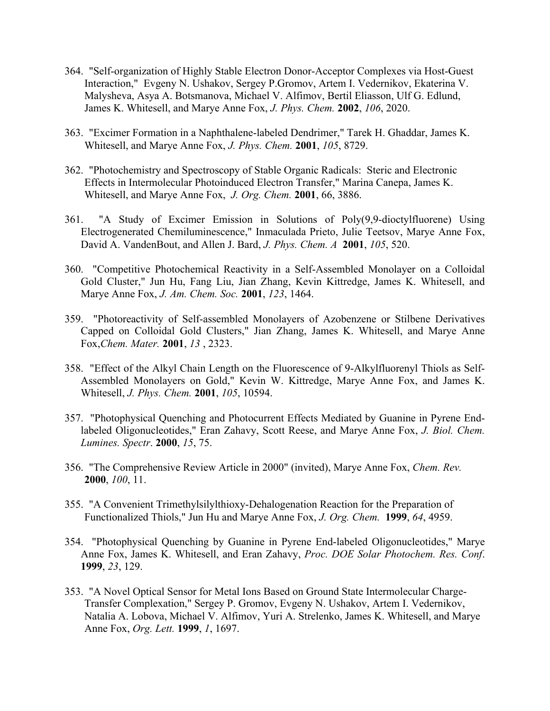- 364. "Self-organization of Highly Stable Electron Donor-Acceptor Complexes via Host-Guest Interaction," Evgeny N. Ushakov, Sergey P.Gromov, Artem I. Vedernikov, Ekaterina V. Malysheva, Asya A. Botsmanova, Michael V. Alfimov, Bertil Eliasson, Ulf G. Edlund, James K. Whitesell, and Marye Anne Fox, *J. Phys. Chem.* **2002**, *106*, 2020.
- 363. "Excimer Formation in a Naphthalene-labeled Dendrimer," Tarek H. Ghaddar, James K. Whitesell, and Marye Anne Fox, *J. Phys. Chem.* **2001**, *105*, 8729.
- 362. "Photochemistry and Spectroscopy of Stable Organic Radicals: Steric and Electronic Effects in Intermolecular Photoinduced Electron Transfer," Marina Canepa, James K. Whitesell, and Marye Anne Fox, *J. Org. Chem.* **2001**, 66, 3886.
- 361. "A Study of Excimer Emission in Solutions of Poly(9,9-dioctylfluorene) Using Electrogenerated Chemiluminescence," Inmaculada Prieto, Julie Teetsov, Marye Anne Fox, David A. VandenBout, and Allen J. Bard, *J. Phys. Chem. A* **2001**, *105*, 520.
- 360. "Competitive Photochemical Reactivity in a Self-Assembled Monolayer on a Colloidal Gold Cluster," Jun Hu, Fang Liu, Jian Zhang, Kevin Kittredge, James K. Whitesell, and Marye Anne Fox, *J. Am. Chem. Soc.* **2001**, *123*, 1464.
- 359. "Photoreactivity of Self-assembled Monolayers of Azobenzene or Stilbene Derivatives Capped on Colloidal Gold Clusters," Jian Zhang, James K. Whitesell, and Marye Anne Fox,*Chem. Mater.* **2001**, *13* , 2323.
- 358. "Effect of the Alkyl Chain Length on the Fluorescence of 9-Alkylfluorenyl Thiols as Self-Assembled Monolayers on Gold," Kevin W. Kittredge, Marye Anne Fox, and James K. Whitesell, *J. Phys. Chem.* **2001**, *105*, 10594.
- 357. "Photophysical Quenching and Photocurrent Effects Mediated by Guanine in Pyrene Endlabeled Oligonucleotides," Eran Zahavy, Scott Reese, and Marye Anne Fox, *J. Biol. Chem. Lumines. Spectr*. **2000**, *15*, 75.
- 356. "The Comprehensive Review Article in 2000" (invited), Marye Anne Fox, *Chem. Rev.*  **2000**, *100*, 11.
- 355. "A Convenient Trimethylsilylthioxy-Dehalogenation Reaction for the Preparation of Functionalized Thiols," Jun Hu and Marye Anne Fox, *J. Org. Chem.* **1999**, *64*, 4959.
- 354. "Photophysical Quenching by Guanine in Pyrene End-labeled Oligonucleotides," Marye Anne Fox, James K. Whitesell, and Eran Zahavy, *Proc. DOE Solar Photochem. Res. Conf*. **1999**, *23*, 129.
- 353. "A Novel Optical Sensor for Metal Ions Based on Ground State Intermolecular Charge-Transfer Complexation," Sergey P. Gromov, Evgeny N. Ushakov, Artem I. Vedernikov, Natalia A. Lobova, Michael V. Alfimov, Yuri A. Strelenko, James K. Whitesell, and Marye Anne Fox, *Org. Lett.* **1999**, *1*, 1697.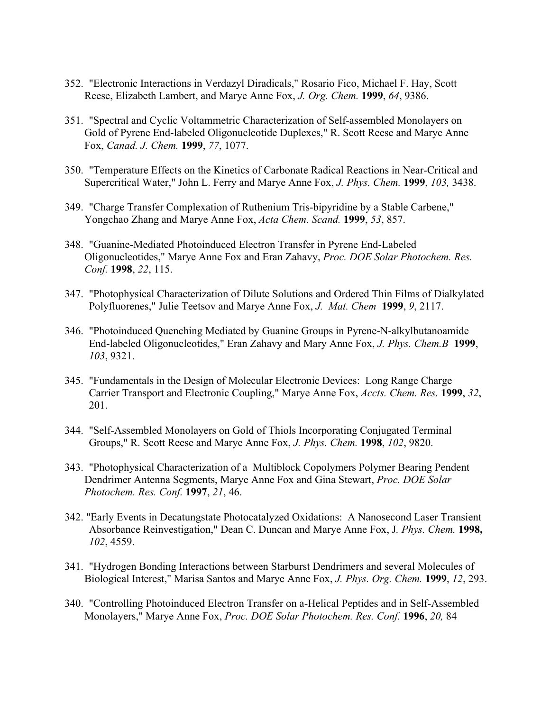- 352. "Electronic Interactions in Verdazyl Diradicals," Rosario Fico, Michael F. Hay, Scott Reese, Elizabeth Lambert, and Marye Anne Fox, *J. Org. Chem.* **1999**, *64*, 9386.
- 351. "Spectral and Cyclic Voltammetric Characterization of Self-assembled Monolayers on Gold of Pyrene End-labeled Oligonucleotide Duplexes," R. Scott Reese and Marye Anne Fox, *Canad. J. Chem.* **1999**, *77*, 1077.
- 350. "Temperature Effects on the Kinetics of Carbonate Radical Reactions in Near-Critical and Supercritical Water," John L. Ferry and Marye Anne Fox, *J. Phys. Chem.* **1999**, *103,* 3438.
- 349. "Charge Transfer Complexation of Ruthenium Tris-bipyridine by a Stable Carbene," Yongchao Zhang and Marye Anne Fox, *Acta Chem. Scand.* **1999**, *53*, 857.
- 348. "Guanine-Mediated Photoinduced Electron Transfer in Pyrene End-Labeled Oligonucleotides," Marye Anne Fox and Eran Zahavy, *Proc. DOE Solar Photochem. Res. Conf.* **1998**, *22*, 115.
- 347. "Photophysical Characterization of Dilute Solutions and Ordered Thin Films of Dialkylated Polyfluorenes," Julie Teetsov and Marye Anne Fox, *J. Mat. Chem* **1999**, *9*, 2117.
- 346. "Photoinduced Quenching Mediated by Guanine Groups in Pyrene-N-alkylbutanoamide End-labeled Oligonucleotides," Eran Zahavy and Mary Anne Fox, *J. Phys. Chem.B* **1999**, *103*, 9321.
- 345. "Fundamentals in the Design of Molecular Electronic Devices: Long Range Charge Carrier Transport and Electronic Coupling," Marye Anne Fox, *Accts. Chem. Res.* **1999**, *32*, 201.
- 344. "Self-Assembled Monolayers on Gold of Thiols Incorporating Conjugated Terminal Groups," R. Scott Reese and Marye Anne Fox, *J. Phys. Chem.* **1998**, *102*, 9820.
- 343. "Photophysical Characterization of a Multiblock Copolymers Polymer Bearing Pendent Dendrimer Antenna Segments, Marye Anne Fox and Gina Stewart, *Proc. DOE Solar Photochem. Res. Conf.* **1997**, *21*, 46.
- 342. "Early Events in Decatungstate Photocatalyzed Oxidations: A Nanosecond Laser Transient Absorbance Reinvestigation," Dean C. Duncan and Marye Anne Fox, J*. Phys. Chem.* **1998,** *102*, 4559.
- 341. "Hydrogen Bonding Interactions between Starburst Dendrimers and several Molecules of Biological Interest," Marisa Santos and Marye Anne Fox, *J. Phys. Org. Chem.* **1999**, *12*, 293.
- 340. "Controlling Photoinduced Electron Transfer on a-Helical Peptides and in Self-Assembled Monolayers," Marye Anne Fox, *Proc. DOE Solar Photochem. Res. Conf.* **1996**, *20,* 84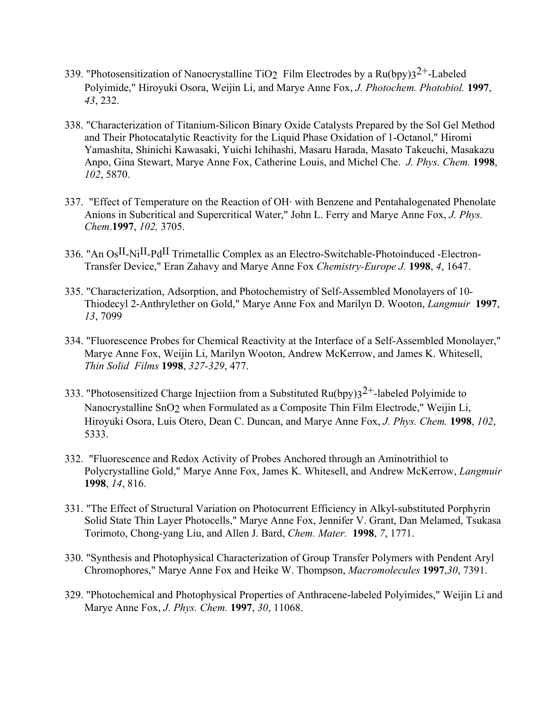- 339. "Photosensitization of Nanocrystalline TiO<sub>2</sub> Film Electrodes by a Ru(bpy)3<sup>2+</sup>-Labeled Polyimide," Hiroyuki Osora, Weijin Li, and Marye Anne Fox, *J. Photochem. Photobiol.* **1997**, *43*, 232.
- 338. "Characterization of Titanium-Silicon Binary Oxide Catalysts Prepared by the Sol Gel Method and Their Photocatalytic Reactivity for the Liquid Phase Oxidation of 1-Octanol," Hiromi Yamashita, Shinichi Kawasaki, Yuichi Ichihashi, Masaru Harada, Masato Takeuchi, Masakazu Anpo, Gina Stewart, Marye Anne Fox, Catherine Louis, and Michel Che. *J. Phys. Chem.* **1998**, *102*, 5870.
- 337. "Effect of Temperature on the Reaction of OH. with Benzene and Pentahalogenated Phenolate Anions in Subcritical and Supercritical Water," John L. Ferry and Marye Anne Fox, *J. Phys. Chem*.**1997**, *102,* 3705.
- 336. "An OsII-NiII-PdII Trimetallic Complex as an Electro-Switchable-Photoinduced -Electron-Transfer Device," Eran Zahavy and Marye Anne Fox *Chemistry-Europe J.* **1998**, *4*, 1647.
- 335. "Characterization, Adsorption, and Photochemistry of Self-Assembled Monolayers of 10- Thiodecyl 2-Anthrylether on Gold," Marye Anne Fox and Marilyn D. Wooton, *Langmuir* **1997**, *13*, 7099
- 334. "Fluorescence Probes for Chemical Reactivity at the Interface of a Self-Assembled Monolayer," Marye Anne Fox, Weijin Li, Marilyn Wooton, Andrew McKerrow, and James K. Whitesell, *Thin Solid Films* **1998**, *327-329*, 477.
- 333. "Photosensitized Charge Injectiion from a Substituted Ru(bpy) $3^{2+}$ -labeled Polyimide to Nanocrystalline SnO2 when Formulated as a Composite Thin Film Electrode," Weijin Li, Hiroyuki Osora, Luis Otero, Dean C. Duncan, and Marye Anne Fox, *J. Phys. Chem.* **1998**, *102*, 5333.
- 332. "Fluorescence and Redox Activity of Probes Anchored through an Aminotrithiol to Polycrystalline Gold," Marye Anne Fox, James K. Whitesell, and Andrew McKerrow, *Langmuir* **1998**, *14*, 816.
- 331. "The Effect of Structural Variation on Photocurrent Efficiency in Alkyl-substituted Porphyrin Solid State Thin Layer Photocells," Marye Anne Fox, Jennifer V. Grant, Dan Melamed, Tsukasa Torimoto, Chong-yang Liu, and Allen J. Bard, *Chem. Mater.* **1998**, *7*, 1771.
- 330. "Synthesis and Photophysical Characterization of Group Transfer Polymers with Pendent Aryl Chromophores," Marye Anne Fox and Heike W. Thompson, *Macromolecules* **1997**,*30*, 7391.
- 329. "Photochemical and Photophysical Properties of Anthracene-labeled Polyimides," Weijin Li and Marye Anne Fox, *J. Phys. Chem.* **1997**, *30*, 11068.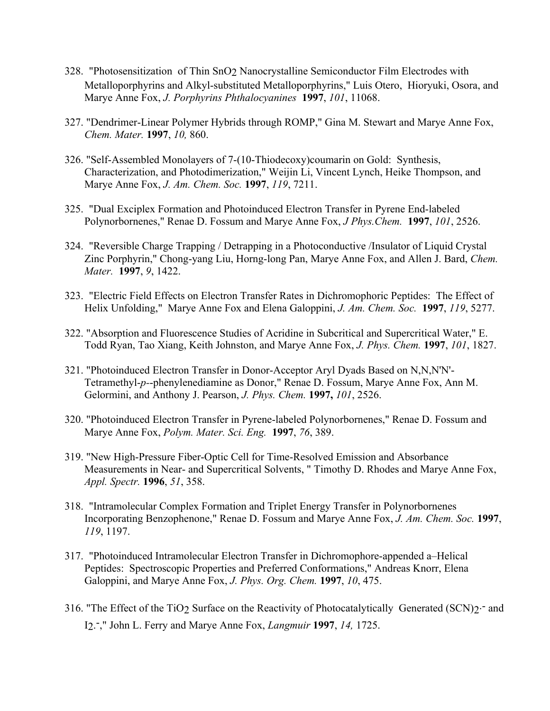- 328. "Photosensitization of Thin SnO2 Nanocrystalline Semiconductor Film Electrodes with Metalloporphyrins and Alkyl-substituted Metalloporphyrins," Luis Otero, Hioryuki, Osora, and Marye Anne Fox, *J. Porphyrins Phthalocyanines* **1997**, *101*, 11068.
- 327. "Dendrimer-Linear Polymer Hybrids through ROMP," Gina M. Stewart and Marye Anne Fox, *Chem. Mater.* **1997**, *10,* 860.
- 326. "Self-Assembled Monolayers of 7-(10-Thiodecoxy)coumarin on Gold: Synthesis, Characterization, and Photodimerization," Weijin Li, Vincent Lynch, Heike Thompson, and Marye Anne Fox, *J. Am. Chem. Soc.* **1997**, *119*, 7211.
- 325. "Dual Exciplex Formation and Photoinduced Electron Transfer in Pyrene End-labeled Polynorbornenes," Renae D. Fossum and Marye Anne Fox, *J Phys.Chem.* **1997**, *101*, 2526.
- 324. "Reversible Charge Trapping / Detrapping in a Photoconductive /Insulator of Liquid Crystal Zinc Porphyrin," Chong-yang Liu, Horng-long Pan, Marye Anne Fox, and Allen J. Bard, *Chem. Mater.* **1997**, *9*, 1422.
- 323. "Electric Field Effects on Electron Transfer Rates in Dichromophoric Peptides: The Effect of Helix Unfolding," Marye Anne Fox and Elena Galoppini, *J. Am. Chem. Soc.* **1997**, *119*, 5277.
- 322. "Absorption and Fluorescence Studies of Acridine in Subcritical and Supercritical Water," E. Todd Ryan, Tao Xiang, Keith Johnston, and Marye Anne Fox, *J. Phys. Chem.* **1997**, *101*, 1827.
- 321. "Photoinduced Electron Transfer in Donor-Acceptor Aryl Dyads Based on N,N,N'N'- Tetramethyl-*p-*-phenylenediamine as Donor," Renae D. Fossum, Marye Anne Fox, Ann M. Gelormini, and Anthony J. Pearson, *J. Phys. Chem.* **1997,** *101*, 2526.
- 320. "Photoinduced Electron Transfer in Pyrene-labeled Polynorbornenes," Renae D. Fossum and Marye Anne Fox, *Polym. Mater. Sci. Eng.* **1997**, *76*, 389.
- 319. "New High-Pressure Fiber-Optic Cell for Time-Resolved Emission and Absorbance Measurements in Near- and Supercritical Solvents, " Timothy D. Rhodes and Marye Anne Fox, *Appl. Spectr.* **1996**, *51*, 358.
- 318. "Intramolecular Complex Formation and Triplet Energy Transfer in Polynorbornenes Incorporating Benzophenone," Renae D. Fossum and Marye Anne Fox, *J. Am. Chem. Soc.* **1997**, *119*, 1197.
- 317. "Photoinduced Intramolecular Electron Transfer in Dichromophore-appended a–Helical Peptides: Spectroscopic Properties and Preferred Conformations," Andreas Knorr, Elena Galoppini, and Marye Anne Fox, *J. Phys. Org. Chem.* **1997**, *10*, 475.
- 316. "The Effect of the TiO<sub>2</sub> Surface on the Reactivity of Photocatalytically Generated (SCN) $2$ <sup>-</sup> and I2. -," John L. Ferry and Marye Anne Fox, *Langmuir* **1997**, *14,* 1725.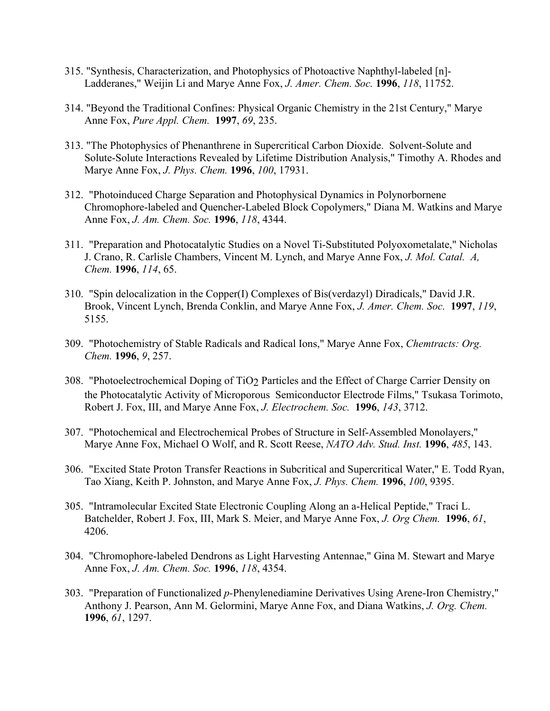- 315. "Synthesis, Characterization, and Photophysics of Photoactive Naphthyl-labeled [n]- Ladderanes," Weijin Li and Marye Anne Fox, *J. Amer. Chem. Soc.* **1996**, *118*, 11752.
- 314. "Beyond the Traditional Confines: Physical Organic Chemistry in the 21st Century," Marye Anne Fox, *Pure Appl. Chem.* **1997**, *69*, 235.
- 313. "The Photophysics of Phenanthrene in Supercritical Carbon Dioxide. Solvent-Solute and Solute-Solute Interactions Revealed by Lifetime Distribution Analysis," Timothy A. Rhodes and Marye Anne Fox, *J. Phys. Chem.* **1996**, *100*, 17931.
- 312. "Photoinduced Charge Separation and Photophysical Dynamics in Polynorbornene Chromophore-labeled and Quencher-Labeled Block Copolymers," Diana M. Watkins and Marye Anne Fox, *J. Am. Chem. Soc.* **1996**, *118*, 4344.
- 311. "Preparation and Photocatalytic Studies on a Novel Ti-Substituted Polyoxometalate," Nicholas J. Crano, R. Carlisle Chambers, Vincent M. Lynch, and Marye Anne Fox, *J. Mol. Catal. A, Chem.* **1996**, *114*, 65.
- 310. "Spin delocalization in the Copper(I) Complexes of Bis(verdazyl) Diradicals," David J.R. Brook, Vincent Lynch, Brenda Conklin, and Marye Anne Fox, *J. Amer. Chem. Soc.* **1997**, *119*, 5155.
- 309. "Photochemistry of Stable Radicals and Radical Ions," Marye Anne Fox, *Chemtracts: Org. Chem.* **1996**, *9*, 257.
- 308. "Photoelectrochemical Doping of TiO2 Particles and the Effect of Charge Carrier Density on the Photocatalytic Activity of Microporous Semiconductor Electrode Films," Tsukasa Torimoto, Robert J. Fox, III, and Marye Anne Fox, *J. Electrochem. Soc.* **1996**, *143*, 3712.
- 307. "Photochemical and Electrochemical Probes of Structure in Self-Assembled Monolayers," Marye Anne Fox, Michael O Wolf, and R. Scott Reese, *NATO Adv. Stud. Inst.* **1996**, *485*, 143.
- 306. "Excited State Proton Transfer Reactions in Subcritical and Supercritical Water," E. Todd Ryan, Tao Xiang, Keith P. Johnston, and Marye Anne Fox, *J. Phys. Chem.* **1996**, *100*, 9395.
- 305. "Intramolecular Excited State Electronic Coupling Along an a-Helical Peptide," Traci L. Batchelder, Robert J. Fox, III, Mark S. Meier, and Marye Anne Fox, *J. Org Chem.* **1996**, *61*, 4206.
- 304. "Chromophore-labeled Dendrons as Light Harvesting Antennae," Gina M. Stewart and Marye Anne Fox, *J. Am. Chem. Soc.* **1996**, *118*, 4354.
- 303. "Preparation of Functionalized *p-*Phenylenediamine Derivatives Using Arene-Iron Chemistry," Anthony J. Pearson, Ann M. Gelormini, Marye Anne Fox, and Diana Watkins, *J. Org. Chem.*  **1996**, *61*, 1297.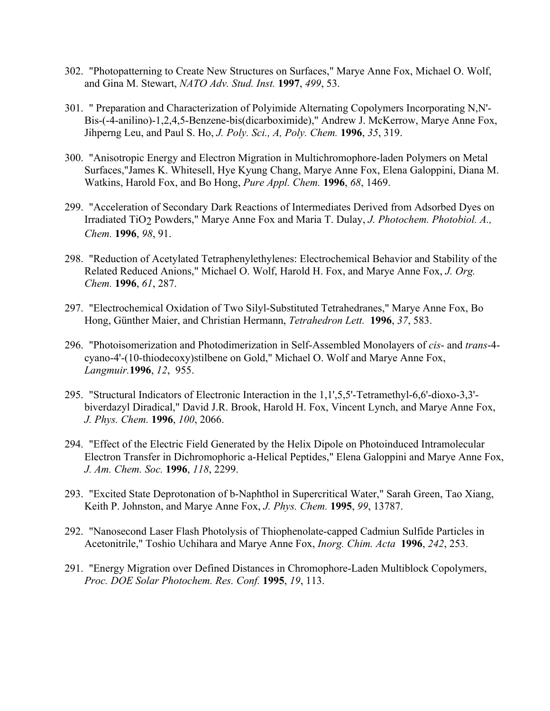- 302. "Photopatterning to Create New Structures on Surfaces," Marye Anne Fox, Michael O. Wolf, and Gina M. Stewart, *NATO Adv. Stud. Inst.* **1997**, *499*, 53.
- 301. " Preparation and Characterization of Polyimide Alternating Copolymers Incorporating N,N'- Bis-(-4-anilino)-1,2,4,5-Benzene-bis(dicarboximide)," Andrew J. McKerrow, Marye Anne Fox, Jihperng Leu, and Paul S. Ho, *J. Poly. Sci., A, Poly. Chem.* **1996**, *35*, 319.
- 300. "Anisotropic Energy and Electron Migration in Multichromophore-laden Polymers on Metal Surfaces,"James K. Whitesell, Hye Kyung Chang, Marye Anne Fox, Elena Galoppini, Diana M. Watkins, Harold Fox, and Bo Hong, *Pure Appl. Chem.* **1996**, *68*, 1469.
- 299. "Acceleration of Secondary Dark Reactions of Intermediates Derived from Adsorbed Dyes on Irradiated TiO2 Powders," Marye Anne Fox and Maria T. Dulay, *J. Photochem. Photobiol. A., Chem.* **1996**, *98*, 91.
- 298. "Reduction of Acetylated Tetraphenylethylenes: Electrochemical Behavior and Stability of the Related Reduced Anions," Michael O. Wolf, Harold H. Fox, and Marye Anne Fox, *J. Org. Chem.* **1996**, *61*, 287.
- 297. "Electrochemical Oxidation of Two Silyl-Substituted Tetrahedranes," Marye Anne Fox, Bo Hong, Günther Maier, and Christian Hermann, *Tetrahedron Lett.* **1996**, *37*, 583.
- 296. "Photoisomerization and Photodimerization in Self-Assembled Monolayers of *cis* and *trans*-4 cyano-4'-(10-thiodecoxy)stilbene on Gold," Michael O. Wolf and Marye Anne Fox, *Langmuir.***1996**, *12*, 955.
- 295. "Structural Indicators of Electronic Interaction in the 1,1',5,5'-Tetramethyl-6,6'-dioxo-3,3' biverdazyl Diradical," David J.R. Brook, Harold H. Fox, Vincent Lynch, and Marye Anne Fox, *J. Phys. Chem.* **1996**, *100*, 2066.
- 294. "Effect of the Electric Field Generated by the Helix Dipole on Photoinduced Intramolecular Electron Transfer in Dichromophoric a-Helical Peptides," Elena Galoppini and Marye Anne Fox, *J. Am. Chem. Soc.* **1996**, *118*, 2299.
- 293. "Excited State Deprotonation of b-Naphthol in Supercritical Water," Sarah Green, Tao Xiang, Keith P. Johnston, and Marye Anne Fox, *J. Phys. Chem.* **1995**, *99*, 13787.
- 292. "Nanosecond Laser Flash Photolysis of Thiophenolate-capped Cadmiun Sulfide Particles in Acetonitrile," Toshio Uchihara and Marye Anne Fox, *Inorg. Chim. Acta* **1996**, *242*, 253.
- 291. "Energy Migration over Defined Distances in Chromophore-Laden Multiblock Copolymers, *Proc. DOE Solar Photochem. Res. Conf.* **1995**, *19*, 113.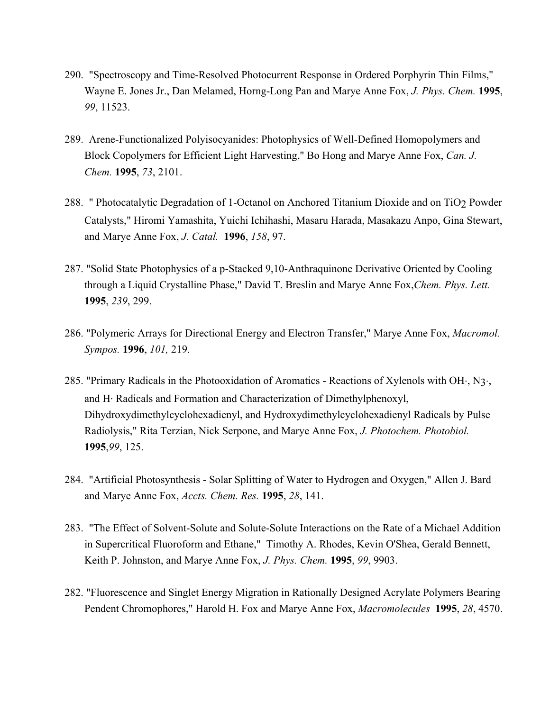- 290. "Spectroscopy and Time-Resolved Photocurrent Response in Ordered Porphyrin Thin Films," Wayne E. Jones Jr., Dan Melamed, Horng-Long Pan and Marye Anne Fox, *J. Phys. Chem.* **1995**, *99*, 11523.
- 289. Arene-Functionalized Polyisocyanides: Photophysics of Well-Defined Homopolymers and Block Copolymers for Efficient Light Harvesting," Bo Hong and Marye Anne Fox, *Can. J. Chem.* **1995**, *73*, 2101.
- 288. " Photocatalytic Degradation of 1-Octanol on Anchored Titanium Dioxide and on TiO2 Powder Catalysts," Hiromi Yamashita, Yuichi Ichihashi, Masaru Harada, Masakazu Anpo, Gina Stewart, and Marye Anne Fox, *J. Catal.* **1996**, *158*, 97.
- 287. "Solid State Photophysics of a p-Stacked 9,10-Anthraquinone Derivative Oriented by Cooling through a Liquid Crystalline Phase," David T. Breslin and Marye Anne Fox,*Chem. Phys. Lett.* **1995**, *239*, 299.
- 286. "Polymeric Arrays for Directional Energy and Electron Transfer," Marye Anne Fox, *Macromol. Sympos.* **1996**, *101,* 219.
- 285. "Primary Radicals in the Photooxidation of Aromatics Reactions of Xylenols with OH·, N3·, and H. Radicals and Formation and Characterization of Dimethylphenoxyl, Dihydroxydimethylcyclohexadienyl, and Hydroxydimethylcyclohexadienyl Radicals by Pulse Radiolysis," Rita Terzian, Nick Serpone, and Marye Anne Fox, *J. Photochem. Photobiol.*  **1995**,*99*, 125.
- 284. "Artificial Photosynthesis Solar Splitting of Water to Hydrogen and Oxygen," Allen J. Bard and Marye Anne Fox, *Accts. Chem. Res.* **1995**, *28*, 141.
- 283. "The Effect of Solvent-Solute and Solute-Solute Interactions on the Rate of a Michael Addition in Supercritical Fluoroform and Ethane," Timothy A. Rhodes, Kevin O'Shea, Gerald Bennett, Keith P. Johnston, and Marye Anne Fox, *J. Phys. Chem.* **1995**, *99*, 9903.
- 282. "Fluorescence and Singlet Energy Migration in Rationally Designed Acrylate Polymers Bearing Pendent Chromophores," Harold H. Fox and Marye Anne Fox, *Macromolecules* **1995**, *28*, 4570.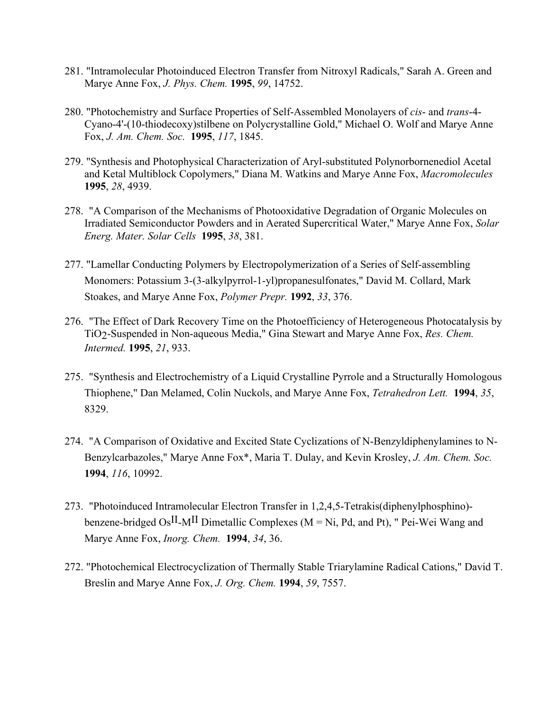- 281. "Intramolecular Photoinduced Electron Transfer from Nitroxyl Radicals," Sarah A. Green and Marye Anne Fox, *J. Phys. Chem.* **1995**, *99*, 14752.
- 280. "Photochemistry and Surface Properties of Self-Assembled Monolayers of *cis* and *trans*-4- Cyano-4'-(10-thiodecoxy)stilbene on Polycrystalline Gold," Michael O. Wolf and Marye Anne Fox, *J. Am. Chem. Soc.* **1995**, *117*, 1845.
- 279. "Synthesis and Photophysical Characterization of Aryl-substituted Polynorbornenediol Acetal and Ketal Multiblock Copolymers," Diana M. Watkins and Marye Anne Fox, *Macromolecules*  **1995**, *28*, 4939.
- 278. "A Comparison of the Mechanisms of Photooxidative Degradation of Organic Molecules on Irradiated Semiconductor Powders and in Aerated Supercritical Water," Marye Anne Fox, *Solar Energ. Mater. Solar Cells* **1995**, *38*, 381.
- 277. "Lamellar Conducting Polymers by Electropolymerization of a Series of Self-assembling Monomers: Potassium 3-(3-alkylpyrrol-1-yl)propanesulfonates," David M. Collard, Mark Stoakes, and Marye Anne Fox, *Polymer Prepr.* **1992**, *33*, 376.
- 276. "The Effect of Dark Recovery Time on the Photoefficiency of Heterogeneous Photocatalysis by TiO2-Suspended in Non-aqueous Media," Gina Stewart and Marye Anne Fox, *Res. Chem. Intermed.* **1995**, *21*, 933.
- 275. "Synthesis and Electrochemistry of a Liquid Crystalline Pyrrole and a Structurally Homologous Thiophene," Dan Melamed, Colin Nuckols, and Marye Anne Fox, *Tetrahedron Lett.* **1994**, *35*, 8329.
- 274. "A Comparison of Oxidative and Excited State Cyclizations of N-Benzyldiphenylamines to N-Benzylcarbazoles," Marye Anne Fox\*, Maria T. Dulay, and Kevin Krosley, *J. Am. Chem. Soc.*  **1994**, *116*, 10992.
- 273. "Photoinduced Intramolecular Electron Transfer in 1,2,4,5-Tetrakis(diphenylphosphino) benzene-bridged OsII-MII Dimetallic Complexes (M = Ni, Pd, and Pt), " Pei-Wei Wang and Marye Anne Fox, *Inorg. Chem.* **1994**, *34*, 36.
- 272. "Photochemical Electrocyclization of Thermally Stable Triarylamine Radical Cations," David T. Breslin and Marye Anne Fox, *J. Org. Chem.* **1994**, *59*, 7557.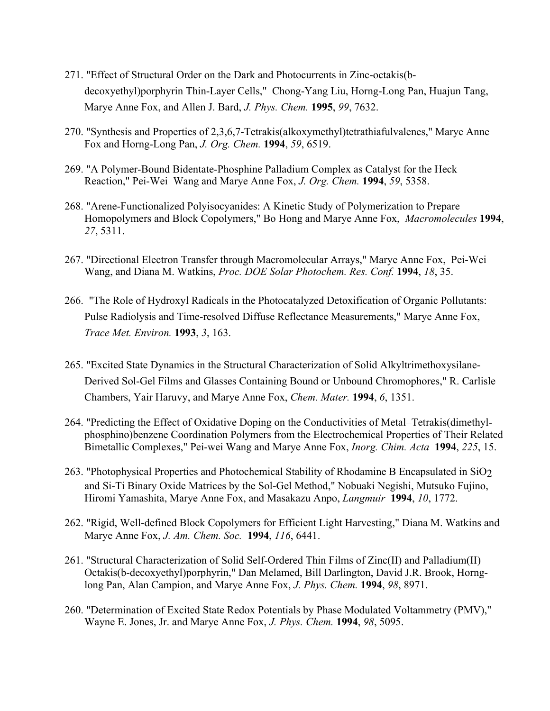- 271. "Effect of Structural Order on the Dark and Photocurrents in Zinc-octakis(bdecoxyethyl)porphyrin Thin-Layer Cells," Chong-Yang Liu, Horng-Long Pan, Huajun Tang, Marye Anne Fox, and Allen J. Bard, *J. Phys. Chem.* **1995**, *99*, 7632.
- 270. "Synthesis and Properties of 2,3,6,7-Tetrakis(alkoxymethyl)tetrathiafulvalenes," Marye Anne Fox and Horng-Long Pan, *J. Org. Chem.* **1994**, *59*, 6519.
- 269. "A Polymer-Bound Bidentate-Phosphine Palladium Complex as Catalyst for the Heck Reaction," Pei-Wei Wang and Marye Anne Fox, *J. Org. Chem.* **1994**, *59*, 5358.
- 268. "Arene-Functionalized Polyisocyanides: A Kinetic Study of Polymerization to Prepare Homopolymers and Block Copolymers," Bo Hong and Marye Anne Fox, *Macromolecules* **1994**, *27*, 5311.
- 267. "Directional Electron Transfer through Macromolecular Arrays," Marye Anne Fox, Pei-Wei Wang, and Diana M. Watkins, *Proc. DOE Solar Photochem. Res. Conf.* **1994**, *18*, 35.
- 266. "The Role of Hydroxyl Radicals in the Photocatalyzed Detoxification of Organic Pollutants: Pulse Radiolysis and Time-resolved Diffuse Reflectance Measurements," Marye Anne Fox, *Trace Met. Environ.* **1993**, *3*, 163.
- 265. "Excited State Dynamics in the Structural Characterization of Solid Alkyltrimethoxysilane-Derived Sol-Gel Films and Glasses Containing Bound or Unbound Chromophores," R. Carlisle Chambers, Yair Haruvy, and Marye Anne Fox, *Chem. Mater.* **1994**, *6*, 1351.
- 264. "Predicting the Effect of Oxidative Doping on the Conductivities of Metal–Tetrakis(dimethylphosphino)benzene Coordination Polymers from the Electrochemical Properties of Their Related Bimetallic Complexes," Pei-wei Wang and Marye Anne Fox, *Inorg. Chim. Acta* **1994**, *225*, 15.
- 263. "Photophysical Properties and Photochemical Stability of Rhodamine B Encapsulated in SiO2 and Si-Ti Binary Oxide Matrices by the Sol-Gel Method," Nobuaki Negishi, Mutsuko Fujino, Hiromi Yamashita, Marye Anne Fox, and Masakazu Anpo, *Langmuir* **1994**, *10*, 1772.
- 262. "Rigid, Well-defined Block Copolymers for Efficient Light Harvesting," Diana M. Watkins and Marye Anne Fox, *J. Am. Chem. Soc.* **1994**, *116*, 6441.
- 261. "Structural Characterization of Solid Self-Ordered Thin Films of Zinc(II) and Palladium(II) Octakis(b-decoxyethyl)porphyrin," Dan Melamed, Bill Darlington, David J.R. Brook, Hornglong Pan, Alan Campion, and Marye Anne Fox, *J. Phys. Chem.* **1994**, *98*, 8971.
- 260. "Determination of Excited State Redox Potentials by Phase Modulated Voltammetry (PMV)," Wayne E. Jones, Jr. and Marye Anne Fox, *J. Phys. Chem.* **1994**, *98*, 5095.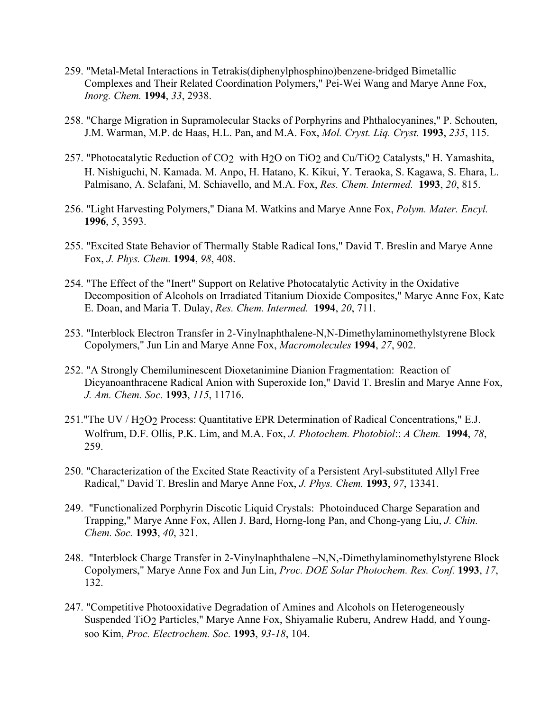- 259. "Metal-Metal Interactions in Tetrakis(diphenylphosphino)benzene-bridged Bimetallic Complexes and Their Related Coordination Polymers," Pei-Wei Wang and Marye Anne Fox, *Inorg. Chem.* **1994**, *33*, 2938.
- 258. "Charge Migration in Supramolecular Stacks of Porphyrins and Phthalocyanines," P. Schouten, J.M. Warman, M.P. de Haas, H.L. Pan, and M.A. Fox, *Mol. Cryst. Liq. Cryst.* **1993**, *235*, 115.
- 257. "Photocatalytic Reduction of CO2 with H2O on TiO2 and Cu/TiO2 Catalysts," H. Yamashita, H. Nishiguchi, N. Kamada. M. Anpo, H. Hatano, K. Kikui, Y. Teraoka, S. Kagawa, S. Ehara, L. Palmisano, A. Sclafani, M. Schiavello, and M.A. Fox, *Res. Chem. Intermed.* **1993**, *20*, 815.
- 256. "Light Harvesting Polymers," Diana M. Watkins and Marye Anne Fox, *Polym. Mater. Encyl.*  **1996**, *5*, 3593.
- 255. "Excited State Behavior of Thermally Stable Radical Ions," David T. Breslin and Marye Anne Fox, *J. Phys. Chem.* **1994**, *98*, 408.
- 254. "The Effect of the "Inert" Support on Relative Photocatalytic Activity in the Oxidative Decomposition of Alcohols on Irradiated Titanium Dioxide Composites," Marye Anne Fox, Kate E. Doan, and Maria T. Dulay, *Res. Chem. Intermed.* **1994**, *20*, 711.
- 253. "Interblock Electron Transfer in 2-Vinylnaphthalene-N,N-Dimethylaminomethylstyrene Block Copolymers," Jun Lin and Marye Anne Fox, *Macromolecules* **1994**, *27*, 902.
- 252. "A Strongly Chemiluminescent Dioxetanimine Dianion Fragmentation: Reaction of Dicyanoanthracene Radical Anion with Superoxide Ion," David T. Breslin and Marye Anne Fox, *J. Am. Chem. Soc.* **1993**, *115*, 11716.
- 251."The UV / H2O2 Process: Quantitative EPR Determination of Radical Concentrations," E.J. Wolfrum, D.F. Ollis, P.K. Lim, and M.A. Fox, *J. Photochem. Photobiol*:: *A Chem.* **1994**, *78*, 259.
- 250. "Characterization of the Excited State Reactivity of a Persistent Aryl-substituted Allyl Free Radical," David T. Breslin and Marye Anne Fox, *J. Phys. Chem.* **1993**, *97*, 13341.
- 249. "Functionalized Porphyrin Discotic Liquid Crystals: Photoinduced Charge Separation and Trapping," Marye Anne Fox, Allen J. Bard, Horng-long Pan, and Chong-yang Liu, *J. Chin. Chem. Soc.* **1993**, *40*, 321.
- 248. "Interblock Charge Transfer in 2-Vinylnaphthalene –N,N,-Dimethylaminomethylstyrene Block Copolymers," Marye Anne Fox and Jun Lin, *Proc. DOE Solar Photochem. Res. Conf.* **1993**, *17*, 132.
- 247. "Competitive Photooxidative Degradation of Amines and Alcohols on Heterogeneously Suspended TiO2 Particles," Marye Anne Fox, Shiyamalie Ruberu, Andrew Hadd, and Youngsoo Kim, *Proc. Electrochem. Soc.* **1993**, *93-18*, 104.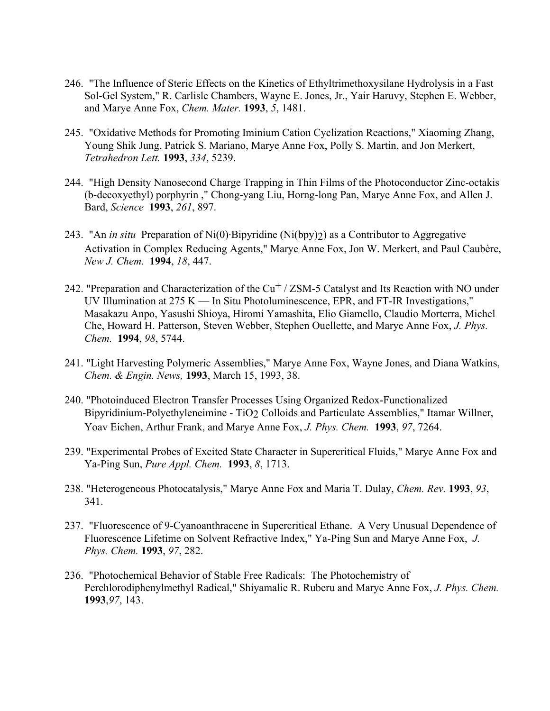- 246. "The Influence of Steric Effects on the Kinetics of Ethyltrimethoxysilane Hydrolysis in a Fast Sol-Gel System," R. Carlisle Chambers, Wayne E. Jones, Jr., Yair Haruvy, Stephen E. Webber, and Marye Anne Fox, *Chem. Mater.* **1993**, *5*, 1481.
- 245. "Oxidative Methods for Promoting Iminium Cation Cyclization Reactions," Xiaoming Zhang, Young Shik Jung, Patrick S. Mariano, Marye Anne Fox, Polly S. Martin, and Jon Merkert, *Tetrahedron Lett.* **1993**, *334*, 5239.
- 244. "High Density Nanosecond Charge Trapping in Thin Films of the Photoconductor Zinc-octakis (b-decoxyethyl) porphyrin ," Chong-yang Liu, Horng-long Pan, Marye Anne Fox, and Allen J. Bard, *Science* **1993**, *261*, 897.
- 243. "An *in situ* Preparation of Ni(0). Bipyridine (Ni(bpy)2) as a Contributor to Aggregative Activation in Complex Reducing Agents," Marye Anne Fox, Jon W. Merkert, and Paul Caubère, *New J. Chem.* **1994**, *18*, 447.
- 242. "Preparation and Characterization of the  $Cu<sup>+</sup>$  / ZSM-5 Catalyst and Its Reaction with NO under UV Illumination at 275 K — In Situ Photoluminescence, EPR, and FT-IR Investigations," Masakazu Anpo, Yasushi Shioya, Hiromi Yamashita, Elio Giamello, Claudio Morterra, Michel Che, Howard H. Patterson, Steven Webber, Stephen Ouellette, and Marye Anne Fox, *J. Phys. Chem.* **1994**, *98*, 5744.
- 241. "Light Harvesting Polymeric Assemblies," Marye Anne Fox, Wayne Jones, and Diana Watkins, *Chem. & Engin. News,* **1993**, March 15, 1993, 38.
- 240. "Photoinduced Electron Transfer Processes Using Organized Redox-Functionalized Bipyridinium-Polyethyleneimine - TiO2 Colloids and Particulate Assemblies," Itamar Willner, Yoav Eichen, Arthur Frank, and Marye Anne Fox, *J. Phys. Chem.* **1993**, *97*, 7264.
- 239. "Experimental Probes of Excited State Character in Supercritical Fluids," Marye Anne Fox and Ya-Ping Sun, *Pure Appl. Chem.* **1993**, *8*, 1713.
- 238. "Heterogeneous Photocatalysis," Marye Anne Fox and Maria T. Dulay, *Chem. Rev.* **1993**, *93*, 341.
- 237. "Fluorescence of 9-Cyanoanthracene in Supercritical Ethane. A Very Unusual Dependence of Fluorescence Lifetime on Solvent Refractive Index," Ya-Ping Sun and Marye Anne Fox, *J. Phys. Chem.* **1993**, *97*, 282.
- 236. "Photochemical Behavior of Stable Free Radicals: The Photochemistry of Perchlorodiphenylmethyl Radical," Shiyamalie R. Ruberu and Marye Anne Fox, *J. Phys. Chem.* **1993**,*97*, 143.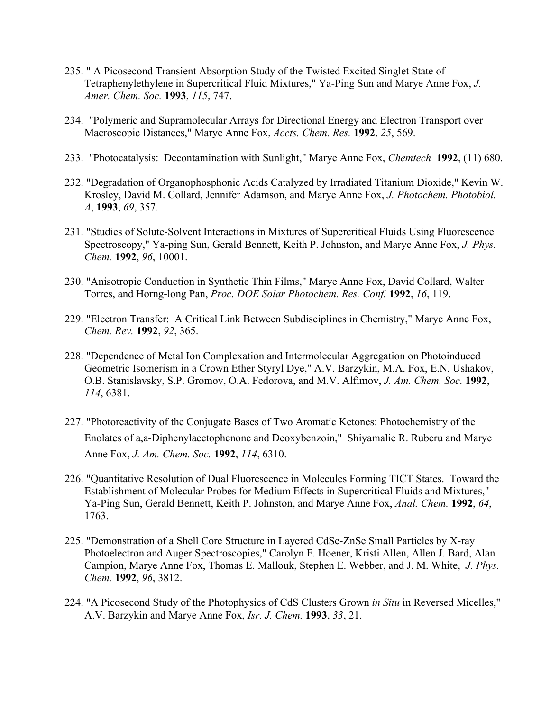- 235. " A Picosecond Transient Absorption Study of the Twisted Excited Singlet State of Tetraphenylethylene in Supercritical Fluid Mixtures," Ya-Ping Sun and Marye Anne Fox, *J. Amer. Chem. Soc.* **1993**, *115*, 747.
- 234. "Polymeric and Supramolecular Arrays for Directional Energy and Electron Transport over Macroscopic Distances," Marye Anne Fox, *Accts. Chem. Res.* **1992**, *25*, 569.
- 233. "Photocatalysis: Decontamination with Sunlight," Marye Anne Fox, *Chemtech* **1992**, (11) 680.
- 232. "Degradation of Organophosphonic Acids Catalyzed by Irradiated Titanium Dioxide," Kevin W. Krosley, David M. Collard, Jennifer Adamson, and Marye Anne Fox, *J. Photochem. Photobiol. A*, **1993**, *69*, 357.
- 231. "Studies of Solute-Solvent Interactions in Mixtures of Supercritical Fluids Using Fluorescence Spectroscopy," Ya-ping Sun, Gerald Bennett, Keith P. Johnston, and Marye Anne Fox, *J. Phys. Chem.* **1992**, *96*, 10001.
- 230. "Anisotropic Conduction in Synthetic Thin Films," Marye Anne Fox, David Collard, Walter Torres, and Horng-long Pan, *Proc. DOE Solar Photochem. Res. Conf.* **1992**, *16*, 119.
- 229. "Electron Transfer: A Critical Link Between Subdisciplines in Chemistry," Marye Anne Fox, *Chem. Rev.* **1992**, *92*, 365.
- 228. "Dependence of Metal Ion Complexation and Intermolecular Aggregation on Photoinduced Geometric Isomerism in a Crown Ether Styryl Dye," A.V. Barzykin, M.A. Fox, E.N. Ushakov, O.B. Stanislavsky, S.P. Gromov, O.A. Fedorova, and M.V. Alfimov, *J. Am. Chem. Soc.* **1992**, *114*, 6381.
- 227. "Photoreactivity of the Conjugate Bases of Two Aromatic Ketones: Photochemistry of the Enolates of a,a-Diphenylacetophenone and Deoxybenzoin," Shiyamalie R. Ruberu and Marye Anne Fox, *J. Am. Chem. Soc.* **1992**, *114*, 6310.
- 226. "Quantitative Resolution of Dual Fluorescence in Molecules Forming TICT States. Toward the Establishment of Molecular Probes for Medium Effects in Supercritical Fluids and Mixtures," Ya-Ping Sun, Gerald Bennett, Keith P. Johnston, and Marye Anne Fox, *Anal. Chem.* **1992**, *64*, 1763.
- 225. "Demonstration of a Shell Core Structure in Layered CdSe-ZnSe Small Particles by X-ray Photoelectron and Auger Spectroscopies," Carolyn F. Hoener, Kristi Allen, Allen J. Bard, Alan Campion, Marye Anne Fox, Thomas E. Mallouk, Stephen E. Webber, and J. M. White, *J. Phys. Chem.* **1992**, *96*, 3812.
- 224. "A Picosecond Study of the Photophysics of CdS Clusters Grown *in Situ* in Reversed Micelles," A.V. Barzykin and Marye Anne Fox, *Isr. J. Chem.* **1993**, *33*, 21.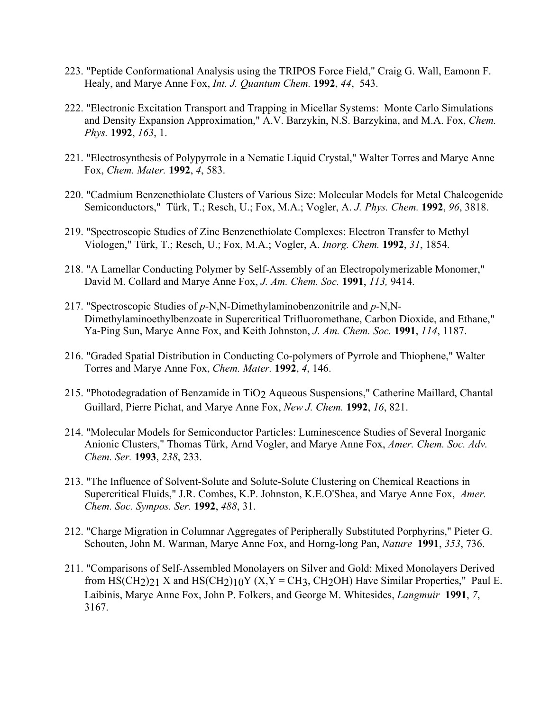- 223. "Peptide Conformational Analysis using the TRIPOS Force Field," Craig G. Wall, Eamonn F. Healy, and Marye Anne Fox, *Int. J. Quantum Chem.* **1992**, *44*, 543.
- 222. "Electronic Excitation Transport and Trapping in Micellar Systems: Monte Carlo Simulations and Density Expansion Approximation," A.V. Barzykin, N.S. Barzykina, and M.A. Fox, *Chem. Phys.* **1992**, *163*, 1.
- 221. "Electrosynthesis of Polypyrrole in a Nematic Liquid Crystal," Walter Torres and Marye Anne Fox, *Chem. Mater.* **1992**, *4*, 583.
- 220. "Cadmium Benzenethiolate Clusters of Various Size: Molecular Models for Metal Chalcogenide Semiconductors," Türk, T.; Resch, U.; Fox, M.A.; Vogler, A. *J. Phys. Chem.* **1992**, *96*, 3818.
- 219. "Spectroscopic Studies of Zinc Benzenethiolate Complexes: Electron Transfer to Methyl Viologen," Türk, T.; Resch, U.; Fox, M.A.; Vogler, A. *Inorg. Chem.* **1992**, *31*, 1854.
- 218. "A Lamellar Conducting Polymer by Self-Assembly of an Electropolymerizable Monomer," David M. Collard and Marye Anne Fox, *J. Am. Chem. Soc.* **1991**, *113,* 9414.
- 217. "Spectroscopic Studies of *p*-N,N-Dimethylaminobenzonitrile and *p*-N,N-Dimethylaminoethylbenzoate in Supercritical Trifluoromethane, Carbon Dioxide, and Ethane," Ya-Ping Sun, Marye Anne Fox, and Keith Johnston, *J. Am. Chem. Soc.* **1991**, *114*, 1187.
- 216. "Graded Spatial Distribution in Conducting Co-polymers of Pyrrole and Thiophene," Walter Torres and Marye Anne Fox, *Chem. Mater.* **1992**, *4*, 146.
- 215. "Photodegradation of Benzamide in TiO2 Aqueous Suspensions," Catherine Maillard, Chantal Guillard, Pierre Pichat, and Marye Anne Fox, *New J. Chem.* **1992**, *16*, 821.
- 214. "Molecular Models for Semiconductor Particles: Luminescence Studies of Several Inorganic Anionic Clusters," Thomas Türk, Arnd Vogler, and Marye Anne Fox, *Amer. Chem. Soc. Adv. Chem. Ser.* **1993**, *238*, 233.
- 213. "The Influence of Solvent-Solute and Solute-Solute Clustering on Chemical Reactions in Supercritical Fluids," J.R. Combes, K.P. Johnston, K.E.O'Shea, and Marye Anne Fox, *Amer. Chem. Soc. Sympos. Ser.* **1992**, *488*, 31.
- 212. "Charge Migration in Columnar Aggregates of Peripherally Substituted Porphyrins," Pieter G. Schouten, John M. Warman, Marye Anne Fox, and Horng-long Pan, *Nature* **1991**, *353*, 736.
- 211. "Comparisons of Self-Assembled Monolayers on Silver and Gold: Mixed Monolayers Derived from  $HS(CH_2)_{21}$  X and  $HS(CH_2)_{10}Y(X, Y = CH_3, CH_2OH)$  Have Similar Properties," Paul E. Laibinis, Marye Anne Fox, John P. Folkers, and George M. Whitesides, *Langmuir* **1991**, *7*, 3167.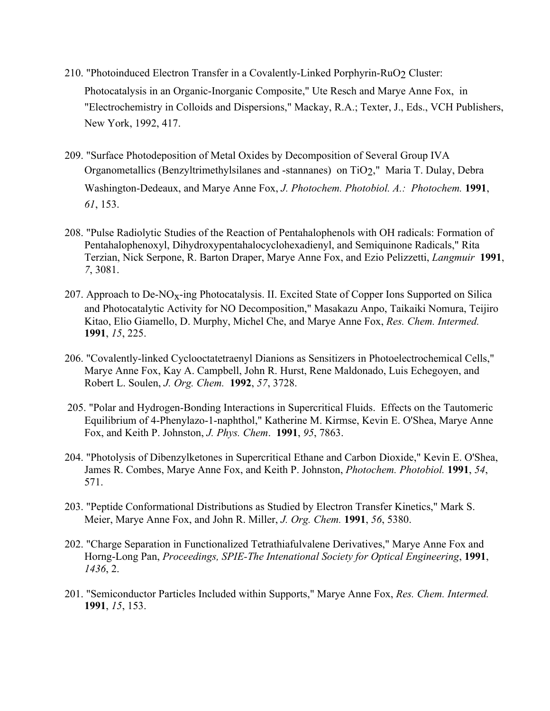- 210. "Photoinduced Electron Transfer in a Covalently-Linked Porphyrin-RuO2 Cluster: Photocatalysis in an Organic-Inorganic Composite," Ute Resch and Marye Anne Fox, in "Electrochemistry in Colloids and Dispersions," Mackay, R.A.; Texter, J., Eds., VCH Publishers, New York, 1992, 417.
- 209. "Surface Photodeposition of Metal Oxides by Decomposition of Several Group IVA Organometallics (Benzyltrimethylsilanes and -stannanes) on TiO2," Maria T. Dulay, Debra Washington-Dedeaux, and Marye Anne Fox, *J. Photochem. Photobiol. A.: Photochem.* **1991**, *61*, 153.
- 208. "Pulse Radiolytic Studies of the Reaction of Pentahalophenols with OH radicals: Formation of Pentahalophenoxyl, Dihydroxypentahalocyclohexadienyl, and Semiquinone Radicals," Rita Terzian, Nick Serpone, R. Barton Draper, Marye Anne Fox, and Ezio Pelizzetti, *Langmuir* **1991**, *7*, 3081.
- 207. Approach to De- $NO<sub>X</sub>$ -ing Photocatalysis. II. Excited State of Copper Ions Supported on Silica and Photocatalytic Activity for NO Decomposition," Masakazu Anpo, Taikaiki Nomura, Teijiro Kitao, Elio Giamello, D. Murphy, Michel Che, and Marye Anne Fox, *Res. Chem. Intermed.*  **1991**, *15*, 225.
- 206. "Covalently-linked Cyclooctatetraenyl Dianions as Sensitizers in Photoelectrochemical Cells," Marye Anne Fox, Kay A. Campbell, John R. Hurst, Rene Maldonado, Luis Echegoyen, and Robert L. Soulen, *J. Org. Chem.* **1992**, *57*, 3728.
- 205. "Polar and Hydrogen-Bonding Interactions in Supercritical Fluids. Effects on the Tautomeric Equilibrium of 4-Phenylazo-1-naphthol," Katherine M. Kirmse, Kevin E. O'Shea, Marye Anne Fox, and Keith P. Johnston, *J. Phys. Chem*. **1991**, *95*, 7863.
- 204. "Photolysis of Dibenzylketones in Supercritical Ethane and Carbon Dioxide," Kevin E. O'Shea, James R. Combes, Marye Anne Fox, and Keith P. Johnston, *Photochem. Photobiol.* **1991**, *54*, 571.
- 203. "Peptide Conformational Distributions as Studied by Electron Transfer Kinetics," Mark S. Meier, Marye Anne Fox, and John R. Miller, *J. Org. Chem.* **1991**, *56*, 5380.
- 202. "Charge Separation in Functionalized Tetrathiafulvalene Derivatives," Marye Anne Fox and Horng-Long Pan, *Proceedings, SPIE-The Intenational Society for Optical Engineering*, **1991**, *1436*, 2.
- 201. "Semiconductor Particles Included within Supports," Marye Anne Fox, *Res. Chem. Intermed.* **1991**, *15*, 153.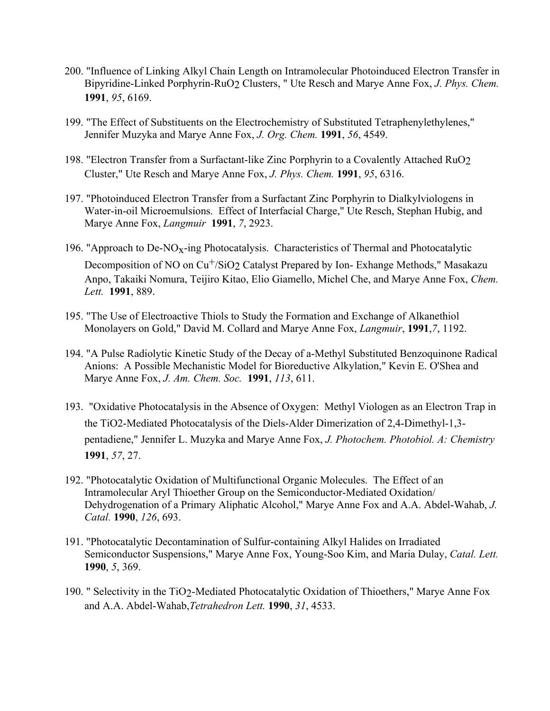- 200. "Influence of Linking Alkyl Chain Length on Intramolecular Photoinduced Electron Transfer in Bipyridine-Linked Porphyrin-RuO2 Clusters, " Ute Resch and Marye Anne Fox, *J. Phys. Chem.* **1991**, *95*, 6169.
- 199. "The Effect of Substituents on the Electrochemistry of Substituted Tetraphenylethylenes," Jennifer Muzyka and Marye Anne Fox, *J. Org. Chem.* **1991**, *56*, 4549.
- 198. "Electron Transfer from a Surfactant-like Zinc Porphyrin to a Covalently Attached RuO2 Cluster," Ute Resch and Marye Anne Fox, *J. Phys. Chem.* **1991**, *95*, 6316.
- 197. "Photoinduced Electron Transfer from a Surfactant Zinc Porphyrin to Dialkylviologens in Water-in-oil Microemulsions. Effect of Interfacial Charge," Ute Resch, Stephan Hubig, and Marye Anne Fox, *Langmuir* **1991**, *7*, 2923.
- 196. "Approach to De- $NO<sub>x</sub>$ -ing Photocatalysis. Characteristics of Thermal and Photocatalytic Decomposition of NO on Cu<sup>+</sup>/SiO<sub>2</sub> Catalyst Prepared by Ion-Exhange Methods," Masakazu Anpo, Takaiki Nomura, Teijiro Kitao, Elio Giamello, Michel Che, and Marye Anne Fox, *Chem. Lett.* **1991**, 889.
- 195. "The Use of Electroactive Thiols to Study the Formation and Exchange of Alkanethiol Monolayers on Gold," David M. Collard and Marye Anne Fox, *Langmuir*, **1991**,*7*, 1192.
- 194. "A Pulse Radiolytic Kinetic Study of the Decay of a-Methyl Substituted Benzoquinone Radical Anions: A Possible Mechanistic Model for Bioreductive Alkylation," Kevin E. O'Shea and Marye Anne Fox, *J. Am. Chem. Soc.* **1991**, *113*, 611.
- 193. "Oxidative Photocatalysis in the Absence of Oxygen: Methyl Viologen as an Electron Trap in the TiO2-Mediated Photocatalysis of the Diels-Alder Dimerization of 2,4-Dimethyl-1,3 pentadiene," Jennifer L. Muzyka and Marye Anne Fox, *J. Photochem. Photobiol. A: Chemistry*  **1991**, *57*, 27.
- 192. "Photocatalytic Oxidation of Multifunctional Organic Molecules. The Effect of an Intramolecular Aryl Thioether Group on the Semiconductor-Mediated Oxidation/ Dehydrogenation of a Primary Aliphatic Alcohol," Marye Anne Fox and A.A. Abdel-Wahab, *J. Catal.* **1990**, *126*, 693.
- 191. "Photocatalytic Decontamination of Sulfur-containing Alkyl Halides on Irradiated Semiconductor Suspensions," Marye Anne Fox, Young-Soo Kim, and Maria Dulay, *Catal. Lett.*  **1990**, *5*, 369.
- 190. " Selectivity in the TiO2-Mediated Photocatalytic Oxidation of Thioethers," Marye Anne Fox and A.A. Abdel-Wahab,*Tetrahedron Lett.* **1990**, *31*, 4533.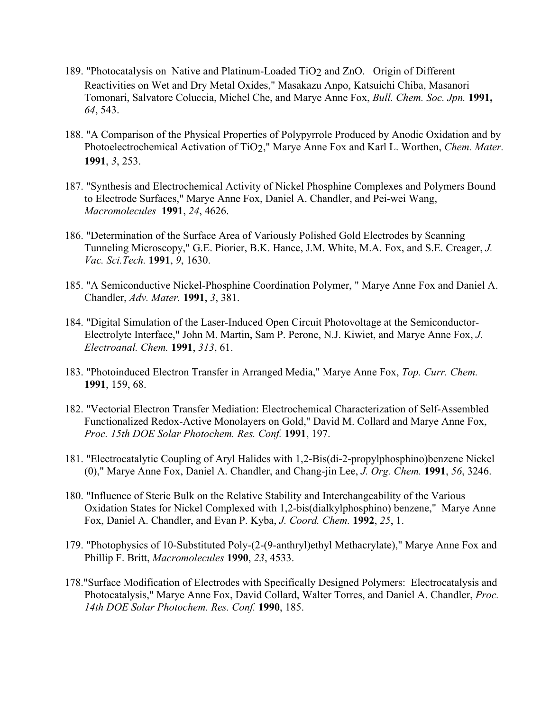- 189. "Photocatalysis on Native and Platinum-Loaded TiO<sub>2</sub> and ZnO. Origin of Different Reactivities on Wet and Dry Metal Oxides," Masakazu Anpo, Katsuichi Chiba, Masanori Tomonari, Salvatore Coluccia, Michel Che, and Marye Anne Fox, *Bull. Chem. Soc. Jpn.* **1991,** *64*, 543.
- 188. "A Comparison of the Physical Properties of Polypyrrole Produced by Anodic Oxidation and by Photoelectrochemical Activation of TiO2," Marye Anne Fox and Karl L. Worthen, *Chem. Mater.* **1991**, *3*, 253.
- 187. "Synthesis and Electrochemical Activity of Nickel Phosphine Complexes and Polymers Bound to Electrode Surfaces," Marye Anne Fox, Daniel A. Chandler, and Pei-wei Wang, *Macromolecules* **1991**, *24*, 4626.
- 186. "Determination of the Surface Area of Variously Polished Gold Electrodes by Scanning Tunneling Microscopy," G.E. Piorier, B.K. Hance, J.M. White, M.A. Fox, and S.E. Creager, *J. Vac. Sci.Tech.* **1991**, *9*, 1630.
- 185. "A Semiconductive Nickel-Phosphine Coordination Polymer, " Marye Anne Fox and Daniel A. Chandler, *Adv. Mater.* **1991**, *3*, 381.
- 184. "Digital Simulation of the Laser-Induced Open Circuit Photovoltage at the Semiconductor-Electrolyte Interface," John M. Martin, Sam P. Perone, N.J. Kiwiet, and Marye Anne Fox, *J. Electroanal. Chem.* **1991**, *313*, 61.
- 183. "Photoinduced Electron Transfer in Arranged Media," Marye Anne Fox, *Top. Curr. Chem.*  **1991**, 159, 68.
- 182. "Vectorial Electron Transfer Mediation: Electrochemical Characterization of Self-Assembled Functionalized Redox-Active Monolayers on Gold," David M. Collard and Marye Anne Fox, *Proc. 15th DOE Solar Photochem. Res. Conf.* **1991**, 197.
- 181. "Electrocatalytic Coupling of Aryl Halides with 1,2-Bis(di-2-propylphosphino)benzene Nickel (0)," Marye Anne Fox, Daniel A. Chandler, and Chang-jin Lee, *J. Org. Chem.* **1991**, *56*, 3246.
- 180. "Influence of Steric Bulk on the Relative Stability and Interchangeability of the Various Oxidation States for Nickel Complexed with 1,2-bis(dialkylphosphino) benzene," Marye Anne Fox, Daniel A. Chandler, and Evan P. Kyba, *J. Coord. Chem.* **1992**, *25*, 1.
- 179. "Photophysics of 10-Substituted Poly-(2-(9-anthryl)ethyl Methacrylate)," Marye Anne Fox and Phillip F. Britt, *Macromolecules* **1990**, *23*, 4533.
- 178."Surface Modification of Electrodes with Specifically Designed Polymers: Electrocatalysis and Photocatalysis," Marye Anne Fox, David Collard, Walter Torres, and Daniel A. Chandler, *Proc. 14th DOE Solar Photochem. Res. Conf.* **1990**, 185.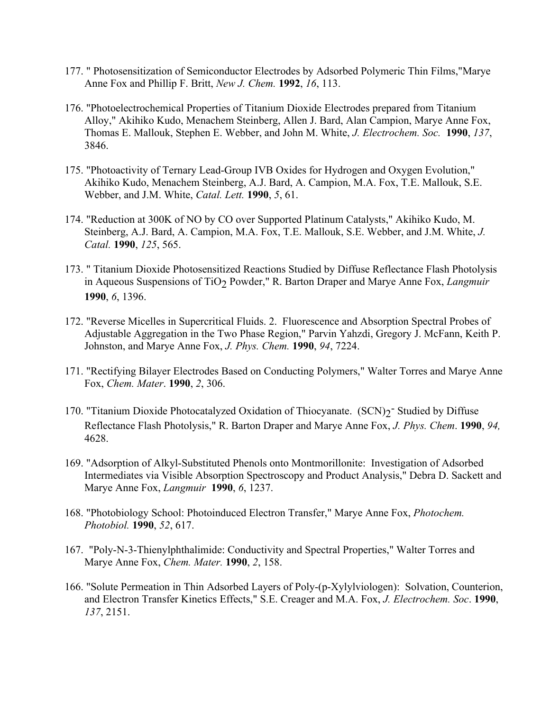- 177. " Photosensitization of Semiconductor Electrodes by Adsorbed Polymeric Thin Films,"Marye Anne Fox and Phillip F. Britt, *New J. Chem.* **1992**, *16*, 113.
- 176. "Photoelectrochemical Properties of Titanium Dioxide Electrodes prepared from Titanium Alloy," Akihiko Kudo, Menachem Steinberg, Allen J. Bard, Alan Campion, Marye Anne Fox, Thomas E. Mallouk, Stephen E. Webber, and John M. White, *J. Electrochem. Soc.* **1990**, *137*, 3846.
- 175. "Photoactivity of Ternary Lead-Group IVB Oxides for Hydrogen and Oxygen Evolution," Akihiko Kudo, Menachem Steinberg, A.J. Bard, A. Campion, M.A. Fox, T.E. Mallouk, S.E. Webber, and J.M. White, *Catal. Lett.* **1990**, *5*, 61.
- 174. "Reduction at 300K of NO by CO over Supported Platinum Catalysts," Akihiko Kudo, M. Steinberg, A.J. Bard, A. Campion, M.A. Fox, T.E. Mallouk, S.E. Webber, and J.M. White, *J. Catal.* **1990**, *125*, 565.
- 173. " Titanium Dioxide Photosensitized Reactions Studied by Diffuse Reflectance Flash Photolysis in Aqueous Suspensions of TiO<sub>2</sub> Powder," R. Barton Draper and Marye Anne Fox, *Langmuir* **1990**, *6*, 1396.
- 172. "Reverse Micelles in Supercritical Fluids. 2. Fluorescence and Absorption Spectral Probes of Adjustable Aggregation in the Two Phase Region," Parvin Yahzdi, Gregory J. McFann, Keith P. Johnston, and Marye Anne Fox, *J. Phys. Chem.* **1990**, *94*, 7224.
- 171. "Rectifying Bilayer Electrodes Based on Conducting Polymers," Walter Torres and Marye Anne Fox, *Chem. Mater*. **1990**, *2*, 306.
- 170. "Titanium Dioxide Photocatalyzed Oxidation of Thiocyanate. (SCN)<sub>2</sub><sup>-</sup> Studied by Diffuse Reflectance Flash Photolysis," R. Barton Draper and Marye Anne Fox, *J. Phys. Chem*. **1990**, *94,*  4628.
- 169. "Adsorption of Alkyl-Substituted Phenols onto Montmorillonite: Investigation of Adsorbed Intermediates via Visible Absorption Spectroscopy and Product Analysis," Debra D. Sackett and Marye Anne Fox, *Langmuir* **1990**, *6*, 1237.
- 168. "Photobiology School: Photoinduced Electron Transfer," Marye Anne Fox, *Photochem. Photobiol.* **1990**, *52*, 617.
- 167. "Poly-N-3-Thienylphthalimide: Conductivity and Spectral Properties," Walter Torres and Marye Anne Fox, *Chem. Mater.* **1990**, *2*, 158.
- 166. "Solute Permeation in Thin Adsorbed Layers of Poly-(p-Xylylviologen): Solvation, Counterion, and Electron Transfer Kinetics Effects," S.E. Creager and M.A. Fox, *J. Electrochem. Soc*. **1990**, *137*, 2151.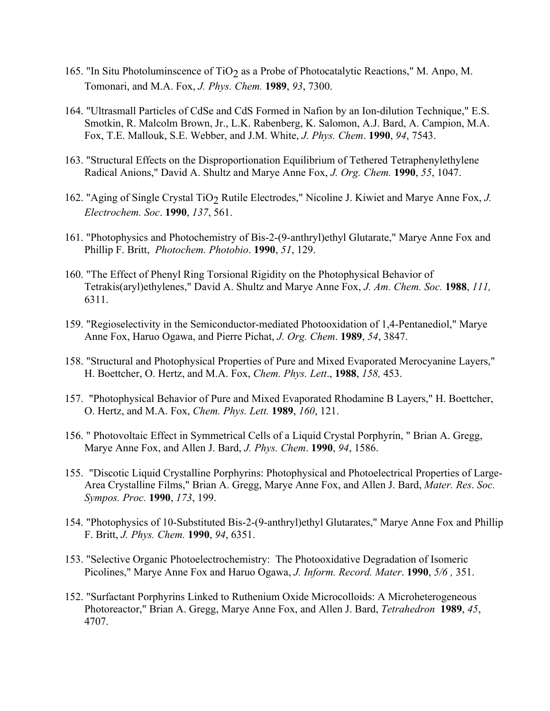- 165. "In Situ Photoluminscence of TiO<sub>2</sub> as a Probe of Photocatalytic Reactions," M. Anpo, M. Tomonari, and M.A. Fox, *J. Phys. Chem.* **1989**, *93*, 7300.
- 164. "Ultrasmall Particles of CdSe and CdS Formed in Nafion by an Ion-dilution Technique," E.S. Smotkin, R. Malcolm Brown, Jr., L.K. Rabenberg, K. Salomon, A.J. Bard, A. Campion, M.A. Fox, T.E. Mallouk, S.E. Webber, and J.M. White, *J. Phys. Chem*. **1990**, *94*, 7543.
- 163. "Structural Effects on the Disproportionation Equilibrium of Tethered Tetraphenylethylene Radical Anions," David A. Shultz and Marye Anne Fox, *J. Org. Chem.* **1990**, *55*, 1047.
- 162. "Aging of Single Crystal TiO2 Rutile Electrodes," Nicoline J. Kiwiet and Marye Anne Fox, *J. Electrochem. Soc*. **1990**, *137*, 561.
- 161. "Photophysics and Photochemistry of Bis-2-(9-anthryl)ethyl Glutarate," Marye Anne Fox and Phillip F. Britt, *Photochem. Photobio*. **1990**, *51*, 129.
- 160. "The Effect of Phenyl Ring Torsional Rigidity on the Photophysical Behavior of Tetrakis(aryl)ethylenes," David A. Shultz and Marye Anne Fox, *J. Am. Chem. Soc.* **1988**, *111,* 6311.
- 159. "Regioselectivity in the Semiconductor-mediated Photooxidation of 1,4-Pentanediol," Marye Anne Fox, Haruo Ogawa, and Pierre Pichat, *J. Org. Chem*. **1989**, *54*, 3847.
- 158. "Structural and Photophysical Properties of Pure and Mixed Evaporated Merocyanine Layers," H. Boettcher, O. Hertz, and M.A. Fox, *Chem. Phys. Lett*., **1988**, *158,* 453.
- 157. "Photophysical Behavior of Pure and Mixed Evaporated Rhodamine B Layers," H. Boettcher, O. Hertz, and M.A. Fox, *Chem. Phys. Lett.* **1989**, *160*, 121.
- 156. " Photovoltaic Effect in Symmetrical Cells of a Liquid Crystal Porphyrin, " Brian A. Gregg, Marye Anne Fox, and Allen J. Bard, *J. Phys. Chem*. **1990**, *94*, 1586.
- 155. "Discotic Liquid Crystalline Porphyrins: Photophysical and Photoelectrical Properties of Large-Area Crystalline Films," Brian A. Gregg, Marye Anne Fox, and Allen J. Bard, *Mater. Res*. *Soc. Sympos. Proc.* **1990**, *173*, 199.
- 154. "Photophysics of 10-Substituted Bis-2-(9-anthryl)ethyl Glutarates," Marye Anne Fox and Phillip F. Britt, *J. Phys. Chem.* **1990**, *94*, 6351.
- 153. "Selective Organic Photoelectrochemistry: The Photooxidative Degradation of Isomeric Picolines," Marye Anne Fox and Haruo Ogawa, *J. Inform. Record. Mater*. **1990**, *5/6 ,* 351.
- 152. "Surfactant Porphyrins Linked to Ruthenium Oxide Microcolloids: A Microheterogeneous Photoreactor," Brian A. Gregg, Marye Anne Fox, and Allen J. Bard, *Tetrahedron* **1989**, *45*, 4707.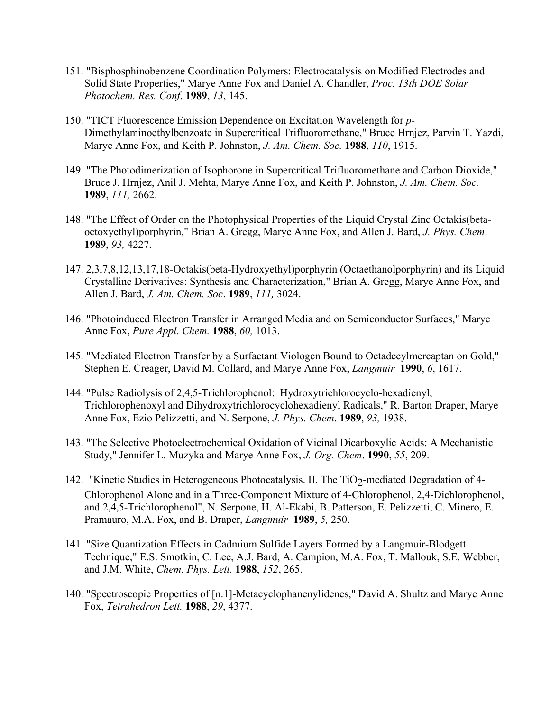- 151. "Bisphosphinobenzene Coordination Polymers: Electrocatalysis on Modified Electrodes and Solid State Properties," Marye Anne Fox and Daniel A. Chandler, *Proc. 13th DOE Solar Photochem. Res. Conf*. **1989**, *13*, 145.
- 150. "TICT Fluorescence Emission Dependence on Excitation Wavelength for *p*-Dimethylaminoethylbenzoate in Supercritical Trifluoromethane," Bruce Hrnjez, Parvin T. Yazdi, Marye Anne Fox, and Keith P. Johnston, *J. Am. Chem. Soc.* **1988**, *110*, 1915.
- 149. "The Photodimerization of Isophorone in Supercritical Trifluoromethane and Carbon Dioxide," Bruce J. Hrnjez, Anil J. Mehta, Marye Anne Fox, and Keith P. Johnston, *J. Am. Chem. Soc.* **1989**, *111,* 2662.
- 148. "The Effect of Order on the Photophysical Properties of the Liquid Crystal Zinc Octakis(betaoctoxyethyl)porphyrin," Brian A. Gregg, Marye Anne Fox, and Allen J. Bard, *J. Phys. Chem*. **1989**, *93,* 4227.
- 147. 2,3,7,8,12,13,17,18-Octakis(beta-Hydroxyethyl)porphyrin (Octaethanolporphyrin) and its Liquid Crystalline Derivatives: Synthesis and Characterization," Brian A. Gregg, Marye Anne Fox, and Allen J. Bard, *J. Am. Chem. Soc*. **1989**, *111,* 3024.
- 146. "Photoinduced Electron Transfer in Arranged Media and on Semiconductor Surfaces," Marye Anne Fox, *Pure Appl. Chem.* **1988**, *60,* 1013.
- 145. "Mediated Electron Transfer by a Surfactant Viologen Bound to Octadecylmercaptan on Gold," Stephen E. Creager, David M. Collard, and Marye Anne Fox, *Langmuir* **1990**, *6*, 1617.
- 144. "Pulse Radiolysis of 2,4,5-Trichlorophenol: Hydroxytrichlorocyclo-hexadienyl, Trichlorophenoxyl and Dihydroxytrichlorocyclohexadienyl Radicals," R. Barton Draper, Marye Anne Fox, Ezio Pelizzetti, and N. Serpone, *J. Phys. Chem*. **1989**, *93,* 1938.
- 143. "The Selective Photoelectrochemical Oxidation of Vicinal Dicarboxylic Acids: A Mechanistic Study," Jennifer L. Muzyka and Marye Anne Fox, *J. Org. Chem*. **1990**, *55*, 209.
- 142. "Kinetic Studies in Heterogeneous Photocatalysis. II. The TiO<sub>2</sub>-mediated Degradation of 4-Chlorophenol Alone and in a Three-Component Mixture of 4-Chlorophenol, 2,4-Dichlorophenol, and 2,4,5-Trichlorophenol", N. Serpone, H. Al-Ekabi, B. Patterson, E. Pelizzetti, C. Minero, E. Pramauro, M.A. Fox, and B. Draper, *Langmuir* **1989**, *5,* 250.
- 141. "Size Quantization Effects in Cadmium Sulfide Layers Formed by a Langmuir-Blodgett Technique," E.S. Smotkin, C. Lee, A.J. Bard, A. Campion, M.A. Fox, T. Mallouk, S.E. Webber, and J.M. White, *Chem. Phys. Lett.* **1988**, *152*, 265.
- 140. "Spectroscopic Properties of [n.1]-Metacyclophanenylidenes," David A. Shultz and Marye Anne Fox, *Tetrahedron Lett.* **1988**, *29*, 4377.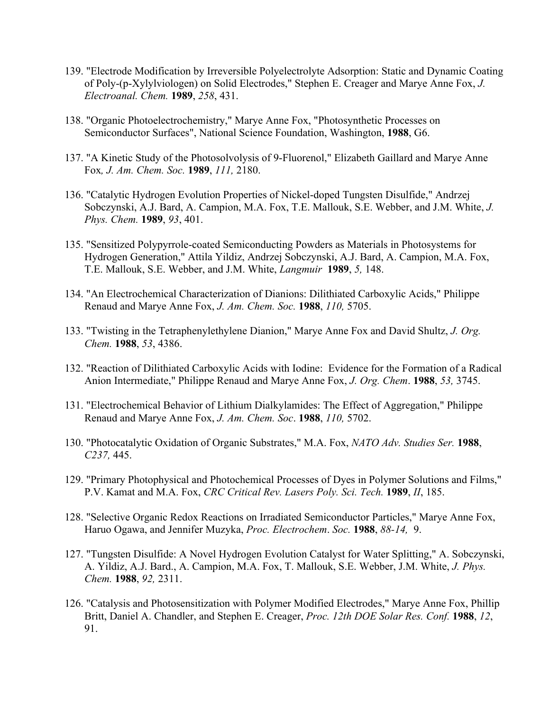- 139. "Electrode Modification by Irreversible Polyelectrolyte Adsorption: Static and Dynamic Coating of Poly-(p-Xylylviologen) on Solid Electrodes," Stephen E. Creager and Marye Anne Fox, *J. Electroanal. Chem.* **1989**, *258*, 431.
- 138. "Organic Photoelectrochemistry," Marye Anne Fox, "Photosynthetic Processes on Semiconductor Surfaces", National Science Foundation, Washington, **1988**, G6.
- 137. "A Kinetic Study of the Photosolvolysis of 9-Fluorenol," Elizabeth Gaillard and Marye Anne Fox*, J. Am. Chem. Soc.* **1989**, *111,* 2180.
- 136. "Catalytic Hydrogen Evolution Properties of Nickel-doped Tungsten Disulfide," Andrzej Sobczynski, A.J. Bard, A. Campion, M.A. Fox, T.E. Mallouk, S.E. Webber, and J.M. White, *J. Phys. Chem.* **1989**, *93*, 401.
- 135. "Sensitized Polypyrrole-coated Semiconducting Powders as Materials in Photosystems for Hydrogen Generation," Attila Yildiz, Andrzej Sobczynski, A.J. Bard, A. Campion, M.A. Fox, T.E. Mallouk, S.E. Webber, and J.M. White, *Langmuir* **1989**, *5,* 148.
- 134. "An Electrochemical Characterization of Dianions: Dilithiated Carboxylic Acids," Philippe Renaud and Marye Anne Fox, *J. Am. Chem. Soc.* **1988**, *110,* 5705.
- 133. "Twisting in the Tetraphenylethylene Dianion," Marye Anne Fox and David Shultz, *J. Org. Chem.* **1988**, *53*, 4386.
- 132. "Reaction of Dilithiated Carboxylic Acids with Iodine: Evidence for the Formation of a Radical Anion Intermediate," Philippe Renaud and Marye Anne Fox, *J. Org. Chem*. **1988**, *53,* 3745.
- 131. "Electrochemical Behavior of Lithium Dialkylamides: The Effect of Aggregation," Philippe Renaud and Marye Anne Fox, *J. Am. Chem. Soc*. **1988**, *110,* 5702.
- 130. "Photocatalytic Oxidation of Organic Substrates," M.A. Fox, *NATO Adv. Studies Ser.* **1988**, *C237,* 445.
- 129. "Primary Photophysical and Photochemical Processes of Dyes in Polymer Solutions and Films," P.V. Kamat and M.A. Fox, *CRC Critical Rev. Lasers Poly. Sci. Tech.* **1989**, *II*, 185.
- 128. "Selective Organic Redox Reactions on Irradiated Semiconductor Particles," Marye Anne Fox, Haruo Ogawa, and Jennifer Muzyka, *Proc. Electrochem*. *Soc.* **1988**, *88-14,* 9.
- 127. "Tungsten Disulfide: A Novel Hydrogen Evolution Catalyst for Water Splitting," A. Sobczynski, A. Yildiz, A.J. Bard., A. Campion, M.A. Fox, T. Mallouk, S.E. Webber, J.M. White, *J. Phys. Chem.* **1988**, *92,* 2311.
- 126. "Catalysis and Photosensitization with Polymer Modified Electrodes," Marye Anne Fox, Phillip Britt, Daniel A. Chandler, and Stephen E. Creager, *Proc. 12th DOE Solar Res. Conf.* **1988**, *12*, 91.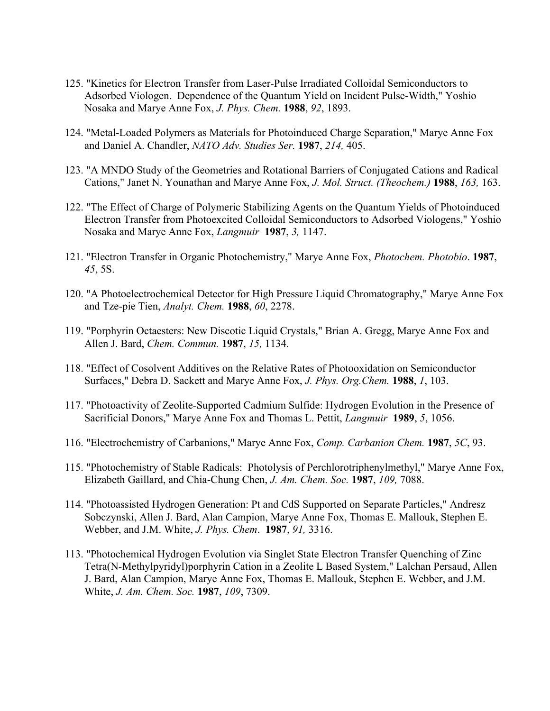- 125. "Kinetics for Electron Transfer from Laser-Pulse Irradiated Colloidal Semiconductors to Adsorbed Viologen. Dependence of the Quantum Yield on Incident Pulse-Width," Yoshio Nosaka and Marye Anne Fox, *J. Phys. Chem.* **1988**, *92*, 1893.
- 124. "Metal-Loaded Polymers as Materials for Photoinduced Charge Separation," Marye Anne Fox and Daniel A. Chandler, *NATO Adv. Studies Ser.* **1987**, *214,* 405.
- 123. "A MNDO Study of the Geometries and Rotational Barriers of Conjugated Cations and Radical Cations," Janet N. Younathan and Marye Anne Fox, *J. Mol. Struct. (Theochem.)* **1988**, *163,* 163.
- 122. "The Effect of Charge of Polymeric Stabilizing Agents on the Quantum Yields of Photoinduced Electron Transfer from Photoexcited Colloidal Semiconductors to Adsorbed Viologens," Yoshio Nosaka and Marye Anne Fox, *Langmuir* **1987**, *3,* 1147.
- 121. "Electron Transfer in Organic Photochemistry," Marye Anne Fox, *Photochem. Photobio*. **1987**, *45*, 5S.
- 120. "A Photoelectrochemical Detector for High Pressure Liquid Chromatography," Marye Anne Fox and Tze-pie Tien, *Analyt. Chem.* **1988**, *60*, 2278.
- 119. "Porphyrin Octaesters: New Discotic Liquid Crystals," Brian A. Gregg, Marye Anne Fox and Allen J. Bard, *Chem. Commun.* **1987**, *15,* 1134.
- 118. "Effect of Cosolvent Additives on the Relative Rates of Photooxidation on Semiconductor Surfaces," Debra D. Sackett and Marye Anne Fox, *J. Phys. Org.Chem.* **1988**, *1*, 103.
- 117. "Photoactivity of Zeolite-Supported Cadmium Sulfide: Hydrogen Evolution in the Presence of Sacrificial Donors," Marye Anne Fox and Thomas L. Pettit, *Langmuir* **1989**, *5*, 1056.
- 116. "Electrochemistry of Carbanions," Marye Anne Fox, *Comp. Carbanion Chem.* **1987**, *5C*, 93.
- 115. "Photochemistry of Stable Radicals: Photolysis of Perchlorotriphenylmethyl," Marye Anne Fox, Elizabeth Gaillard, and Chia-Chung Chen, *J. Am. Chem. Soc.* **1987**, *109,* 7088.
- 114. "Photoassisted Hydrogen Generation: Pt and CdS Supported on Separate Particles," Andresz Sobczynski, Allen J. Bard, Alan Campion, Marye Anne Fox, Thomas E. Mallouk, Stephen E. Webber, and J.M. White, *J. Phys. Chem*. **1987**, *91,* 3316.
- 113. "Photochemical Hydrogen Evolution via Singlet State Electron Transfer Quenching of Zinc Tetra(N-Methylpyridyl)porphyrin Cation in a Zeolite L Based System," Lalchan Persaud, Allen J. Bard, Alan Campion, Marye Anne Fox, Thomas E. Mallouk, Stephen E. Webber, and J.M. White, *J. Am. Chem. Soc.* **1987**, *109*, 7309.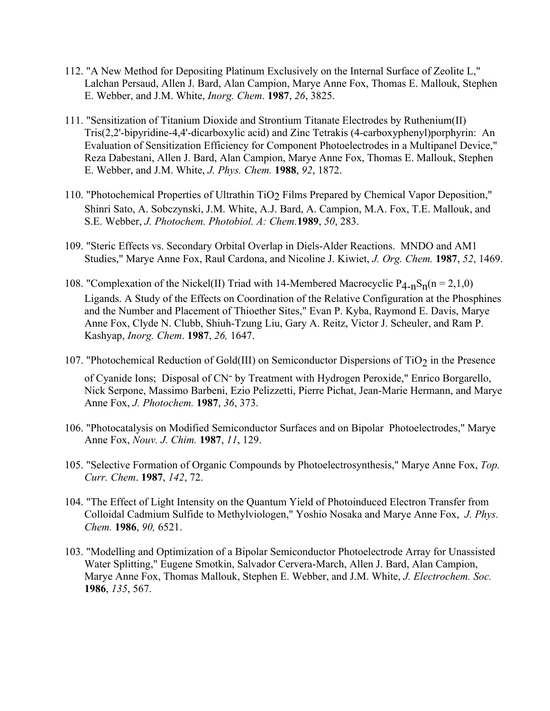- 112. "A New Method for Depositing Platinum Exclusively on the Internal Surface of Zeolite L," Lalchan Persaud, Allen J. Bard, Alan Campion, Marye Anne Fox, Thomas E. Mallouk, Stephen E. Webber, and J.M. White, *Inorg. Chem*. **1987**, *26*, 3825.
- 111. "Sensitization of Titanium Dioxide and Strontium Titanate Electrodes by Ruthenium(II) Tris(2,2'-bipyridine-4,4'-dicarboxylic acid) and Zinc Tetrakis (4-carboxyphenyl)porphyrin: An Evaluation of Sensitization Efficiency for Component Photoelectrodes in a Multipanel Device," Reza Dabestani, Allen J. Bard, Alan Campion, Marye Anne Fox, Thomas E. Mallouk, Stephen E. Webber, and J.M. White, *J. Phys. Chem.* **1988**, *92*, 1872.
- 110. "Photochemical Properties of Ultrathin TiO2 Films Prepared by Chemical Vapor Deposition," Shinri Sato, A. Sobczynski, J.M. White, A.J. Bard, A. Campion, M.A. Fox, T.E. Mallouk, and S.E. Webber, *J. Photochem. Photobiol. A: Chem.***1989**, *50*, 283.
- 109. "Steric Effects vs. Secondary Orbital Overlap in Diels-Alder Reactions. MNDO and AM1 Studies," Marye Anne Fox, Raul Cardona, and Nicoline J. Kiwiet, *J. Org. Chem.* **1987**, *52*, 1469.
- 108. "Complexation of the Nickel(II) Triad with 14-Membered Macrocyclic  $P_{4-n}S_n(n = 2,1,0)$ Ligands. A Study of the Effects on Coordination of the Relative Configuration at the Phosphines and the Number and Placement of Thioether Sites," Evan P. Kyba, Raymond E. Davis, Marye Anne Fox, Clyde N. Clubb, Shiuh-Tzung Liu, Gary A. Reitz, Victor J. Scheuler, and Ram P. Kashyap, *Inorg. Chem*. **1987**, *26,* 1647.
- 107. "Photochemical Reduction of Gold(III) on Semiconductor Dispersions of  $TiO<sub>2</sub>$  in the Presence of Cyanide Ions; Disposal of CN- by Treatment with Hydrogen Peroxide," Enrico Borgarello, Nick Serpone, Massimo Barbeni, Ezio Pelizzetti, Pierre Pichat, Jean-Marie Hermann, and Marye
- 106. "Photocatalysis on Modified Semiconductor Surfaces and on Bipolar Photoelectrodes," Marye Anne Fox, *Nouv. J. Chim.* **1987**, *11*, 129.

Anne Fox, *J. Photochem.* **1987**, *36*, 373.

- 105. "Selective Formation of Organic Compounds by Photoelectrosynthesis," Marye Anne Fox, *Top. Curr. Chem*. **1987**, *142*, 72.
- 104. "The Effect of Light Intensity on the Quantum Yield of Photoinduced Electron Transfer from Colloidal Cadmium Sulfide to Methylviologen," Yoshio Nosaka and Marye Anne Fox, *J. Phys. Chem.* **1986**, *90,* 6521.
- 103. "Modelling and Optimization of a Bipolar Semiconductor Photoelectrode Array for Unassisted Water Splitting," Eugene Smotkin, Salvador Cervera-March, Allen J. Bard, Alan Campion, Marye Anne Fox, Thomas Mallouk, Stephen E. Webber, and J.M. White, *J. Electrochem. Soc.* **1986**, *135*, 567.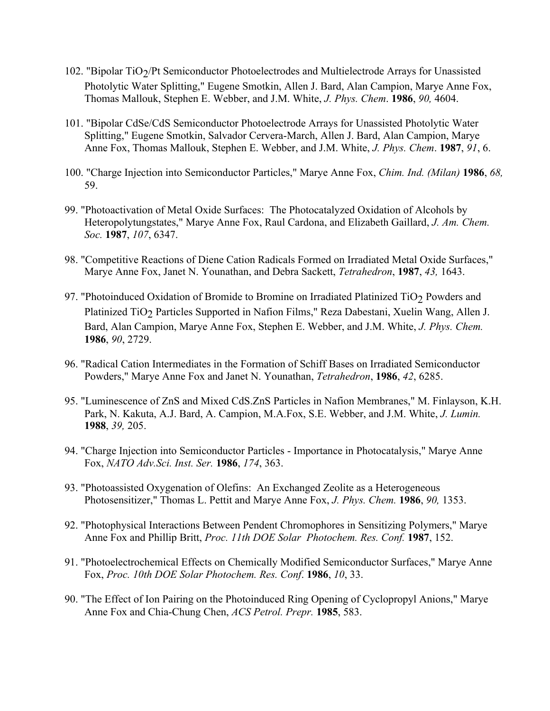- 102. "Bipolar TiO $\gamma$ Pt Semiconductor Photoelectrodes and Multielectrode Arrays for Unassisted Photolytic Water Splitting," Eugene Smotkin, Allen J. Bard, Alan Campion, Marye Anne Fox, Thomas Mallouk, Stephen E. Webber, and J.M. White, *J. Phys. Chem*. **1986**, *90,* 4604.
- 101. "Bipolar CdSe/CdS Semiconductor Photoelectrode Arrays for Unassisted Photolytic Water Splitting," Eugene Smotkin, Salvador Cervera-March, Allen J. Bard, Alan Campion, Marye Anne Fox, Thomas Mallouk, Stephen E. Webber, and J.M. White, *J. Phys. Chem*. **1987**, *91*, 6.
- 100. "Charge Injection into Semiconductor Particles," Marye Anne Fox, *Chim. Ind. (Milan)* **1986**, *68,* 59.
- 99. "Photoactivation of Metal Oxide Surfaces: The Photocatalyzed Oxidation of Alcohols by Heteropolytungstates," Marye Anne Fox, Raul Cardona, and Elizabeth Gaillard, *J. Am. Chem. Soc.* **1987**, *107*, 6347.
- 98. "Competitive Reactions of Diene Cation Radicals Formed on Irradiated Metal Oxide Surfaces," Marye Anne Fox, Janet N. Younathan, and Debra Sackett, *Tetrahedron*, **1987**, *43,* 1643.
- 97. "Photoinduced Oxidation of Bromide to Bromine on Irradiated Platinized TiO<sub>2</sub> Powders and Platinized TiO<sub>2</sub> Particles Supported in Nafion Films," Reza Dabestani, Xuelin Wang, Allen J. Bard, Alan Campion, Marye Anne Fox, Stephen E. Webber, and J.M. White, *J. Phys. Chem.* **1986**, *90*, 2729.
- 96. "Radical Cation Intermediates in the Formation of Schiff Bases on Irradiated Semiconductor Powders," Marye Anne Fox and Janet N. Younathan, *Tetrahedron*, **1986**, *42*, 6285.
- 95. "Luminescence of ZnS and Mixed CdS.ZnS Particles in Nafion Membranes," M. Finlayson, K.H. Park, N. Kakuta, A.J. Bard, A. Campion, M.A.Fox, S.E. Webber, and J.M. White, *J. Lumin.*  **1988**, *39,* 205.
- 94. "Charge Injection into Semiconductor Particles Importance in Photocatalysis," Marye Anne Fox, *NATO Adv.Sci. Inst. Ser.* **1986**, *174*, 363.
- 93. "Photoassisted Oxygenation of Olefins: An Exchanged Zeolite as a Heterogeneous Photosensitizer," Thomas L. Pettit and Marye Anne Fox, *J. Phys. Chem.* **1986**, *90,* 1353.
- 92. "Photophysical Interactions Between Pendent Chromophores in Sensitizing Polymers," Marye Anne Fox and Phillip Britt, *Proc. 11th DOE Solar Photochem. Res. Conf.* **1987**, 152.
- 91. "Photoelectrochemical Effects on Chemically Modified Semiconductor Surfaces," Marye Anne Fox, *Proc. 10th DOE Solar Photochem. Res. Conf*. **1986**, *10*, 33.
- 90. "The Effect of Ion Pairing on the Photoinduced Ring Opening of Cyclopropyl Anions," Marye Anne Fox and Chia-Chung Chen, *ACS Petrol. Prepr.* **1985**, 583.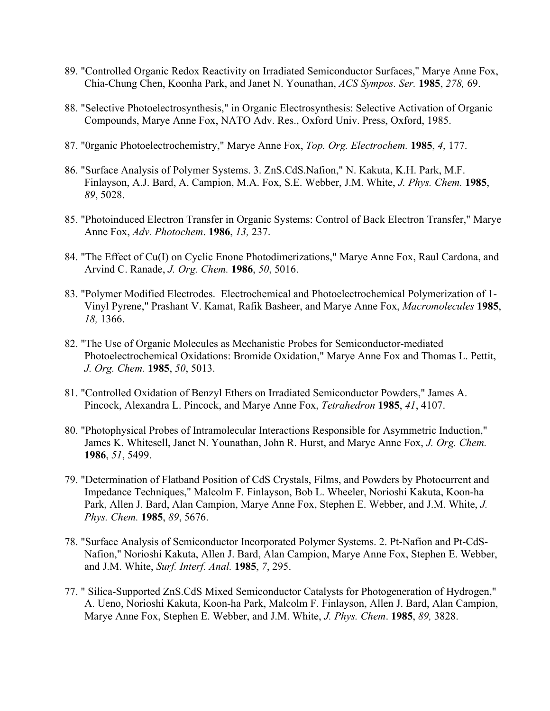- 89. "Controlled Organic Redox Reactivity on Irradiated Semiconductor Surfaces," Marye Anne Fox, Chia-Chung Chen, Koonha Park, and Janet N. Younathan, *ACS Sympos. Ser.* **1985**, *278,* 69.
- 88. "Selective Photoelectrosynthesis," in Organic Electrosynthesis: Selective Activation of Organic Compounds, Marye Anne Fox, NATO Adv. Res., Oxford Univ. Press, Oxford, 1985.
- 87. "0rganic Photoelectrochemistry," Marye Anne Fox, *Top. Org. Electrochem.* **1985**, *4*, 177.
- 86. "Surface Analysis of Polymer Systems. 3. ZnS.CdS.Nafion," N. Kakuta, K.H. Park, M.F. Finlayson, A.J. Bard, A. Campion, M.A. Fox, S.E. Webber, J.M. White, *J. Phys. Chem.* **1985**, *89*, 5028.
- 85. "Photoinduced Electron Transfer in Organic Systems: Control of Back Electron Transfer," Marye Anne Fox, *Adv. Photochem*. **1986**, *13,* 237.
- 84. "The Effect of Cu(I) on Cyclic Enone Photodimerizations," Marye Anne Fox, Raul Cardona, and Arvind C. Ranade, *J. Org. Chem.* **1986**, *50*, 5016.
- 83. "Polymer Modified Electrodes. Electrochemical and Photoelectrochemical Polymerization of 1- Vinyl Pyrene," Prashant V. Kamat, Rafik Basheer, and Marye Anne Fox, *Macromolecules* **1985**, *18,* 1366.
- 82. "The Use of Organic Molecules as Mechanistic Probes for Semiconductor-mediated Photoelectrochemical Oxidations: Bromide Oxidation," Marye Anne Fox and Thomas L. Pettit, *J. Org. Chem.* **1985**, *50*, 5013.
- 81. "Controlled Oxidation of Benzyl Ethers on Irradiated Semiconductor Powders," James A. Pincock, Alexandra L. Pincock, and Marye Anne Fox, *Tetrahedron* **1985**, *41*, 4107.
- 80. "Photophysical Probes of Intramolecular Interactions Responsible for Asymmetric Induction," James K. Whitesell, Janet N. Younathan, John R. Hurst, and Marye Anne Fox, *J. Org. Chem.* **1986**, *51*, 5499.
- 79. "Determination of Flatband Position of CdS Crystals, Films, and Powders by Photocurrent and Impedance Techniques," Malcolm F. Finlayson, Bob L. Wheeler, Norioshi Kakuta, Koon-ha Park, Allen J. Bard, Alan Campion, Marye Anne Fox, Stephen E. Webber, and J.M. White, *J. Phys. Chem.* **1985**, *89*, 5676.
- 78. "Surface Analysis of Semiconductor Incorporated Polymer Systems. 2. Pt-Nafion and Pt-CdS-Nafion," Norioshi Kakuta, Allen J. Bard, Alan Campion, Marye Anne Fox, Stephen E. Webber, and J.M. White, *Surf. Interf. Anal.* **1985**, *7*, 295.
- 77. " Silica-Supported ZnS.CdS Mixed Semiconductor Catalysts for Photogeneration of Hydrogen," A. Ueno, Norioshi Kakuta, Koon-ha Park, Malcolm F. Finlayson, Allen J. Bard, Alan Campion, Marye Anne Fox, Stephen E. Webber, and J.M. White, *J. Phys. Chem*. **1985**, *89,* 3828.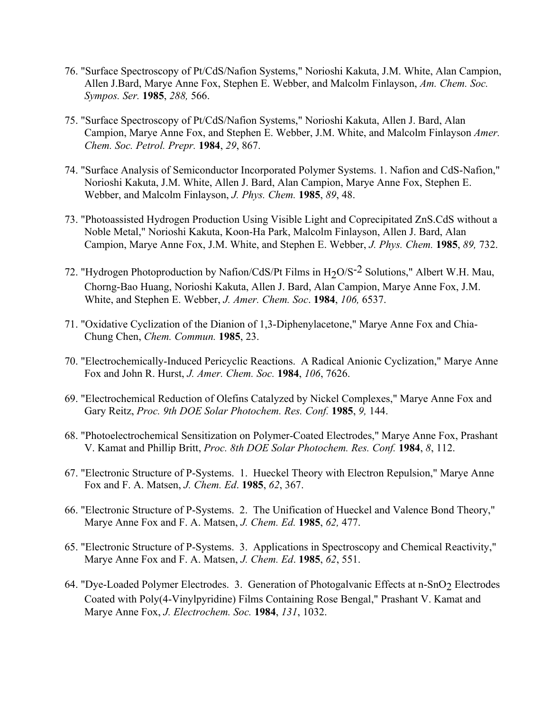- 76. "Surface Spectroscopy of Pt/CdS/Nafion Systems," Norioshi Kakuta, J.M. White, Alan Campion, Allen J.Bard, Marye Anne Fox, Stephen E. Webber, and Malcolm Finlayson, *Am. Chem. Soc. Sympos. Ser.* **1985**, *288,* 566.
- 75. "Surface Spectroscopy of Pt/CdS/Nafion Systems," Norioshi Kakuta, Allen J. Bard, Alan Campion, Marye Anne Fox, and Stephen E. Webber, J.M. White, and Malcolm Finlayson *Amer. Chem. Soc. Petrol. Prepr.* **1984**, *29*, 867.
- 74. "Surface Analysis of Semiconductor Incorporated Polymer Systems. 1. Nafion and CdS-Nafion," Norioshi Kakuta, J.M. White, Allen J. Bard, Alan Campion, Marye Anne Fox, Stephen E. Webber, and Malcolm Finlayson, *J. Phys. Chem.* **1985**, *89*, 48.
- 73. "Photoassisted Hydrogen Production Using Visible Light and Coprecipitated ZnS.CdS without a Noble Metal," Norioshi Kakuta, Koon-Ha Park, Malcolm Finlayson, Allen J. Bard, Alan Campion, Marye Anne Fox, J.M. White, and Stephen E. Webber, *J. Phys. Chem.* **1985**, *89,* 732.
- 72. "Hydrogen Photoproduction by Nafion/CdS/Pt Films in  $H_2O/S^{-2}$  Solutions," Albert W.H. Mau, Chorng-Bao Huang, Norioshi Kakuta, Allen J. Bard, Alan Campion, Marye Anne Fox, J.M. White, and Stephen E. Webber, *J. Amer. Chem. Soc*. **1984**, *106,* 6537.
- 71. "Oxidative Cyclization of the Dianion of 1,3-Diphenylacetone," Marye Anne Fox and Chia-Chung Chen, *Chem. Commun.* **1985**, 23.
- 70. "Electrochemically-Induced Pericyclic Reactions. A Radical Anionic Cyclization," Marye Anne Fox and John R. Hurst, *J. Amer. Chem. Soc.* **1984**, *106*, 7626.
- 69. "Electrochemical Reduction of Olefins Catalyzed by Nickel Complexes," Marye Anne Fox and Gary Reitz, *Proc. 9th DOE Solar Photochem. Res. Conf.* **1985**, *9,* 144.
- 68. "Photoelectrochemical Sensitization on Polymer-Coated Electrodes," Marye Anne Fox, Prashant V. Kamat and Phillip Britt, *Proc. 8th DOE Solar Photochem. Res. Conf.* **1984**, *8*, 112.
- 67. "Electronic Structure of P-Systems. 1. Hueckel Theory with Electron Repulsion," Marye Anne Fox and F. A. Matsen, *J. Chem. Ed*. **1985**, *62*, 367.
- 66. "Electronic Structure of P-Systems. 2. The Unification of Hueckel and Valence Bond Theory," Marye Anne Fox and F. A. Matsen, *J. Chem. Ed.* **1985**, *62,* 477.
- 65. "Electronic Structure of P-Systems. 3. Applications in Spectroscopy and Chemical Reactivity," Marye Anne Fox and F. A. Matsen, *J. Chem. Ed*. **1985**, *62*, 551.
- 64. "Dye-Loaded Polymer Electrodes. 3. Generation of Photogalvanic Effects at n-SnO<sub>2</sub> Electrodes Coated with Poly(4-Vinylpyridine) Films Containing Rose Bengal," Prashant V. Kamat and Marye Anne Fox, *J. Electrochem. Soc.* **1984**, *131*, 1032.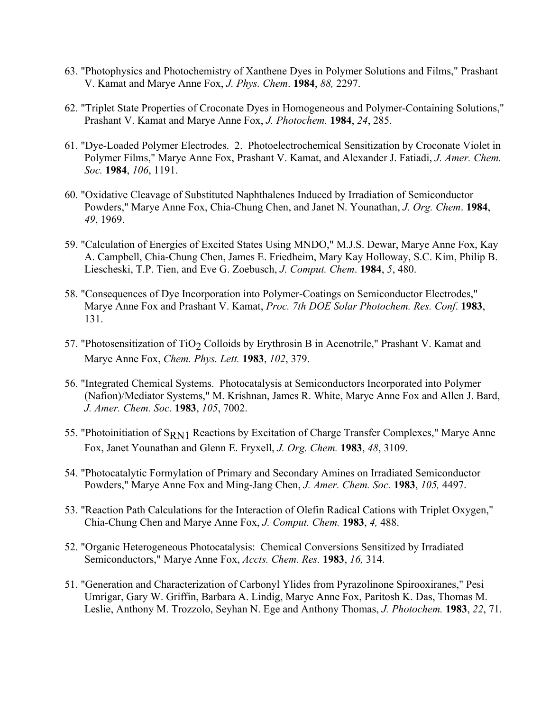- 63. "Photophysics and Photochemistry of Xanthene Dyes in Polymer Solutions and Films," Prashant V. Kamat and Marye Anne Fox, *J. Phys. Chem*. **1984**, *88,* 2297.
- 62. "Triplet State Properties of Croconate Dyes in Homogeneous and Polymer-Containing Solutions," Prashant V. Kamat and Marye Anne Fox, *J. Photochem.* **1984**, *24*, 285.
- 61. "Dye-Loaded Polymer Electrodes. 2. Photoelectrochemical Sensitization by Croconate Violet in Polymer Films," Marye Anne Fox, Prashant V. Kamat, and Alexander J. Fatiadi, *J. Amer. Chem. Soc.* **1984**, *106*, 1191.
- 60. "Oxidative Cleavage of Substituted Naphthalenes Induced by Irradiation of Semiconductor Powders," Marye Anne Fox, Chia-Chung Chen, and Janet N. Younathan, *J. Org. Chem*. **1984**, *49*, 1969.
- 59. "Calculation of Energies of Excited States Using MNDO," M.J.S. Dewar, Marye Anne Fox, Kay A. Campbell, Chia-Chung Chen, James E. Friedheim, Mary Kay Holloway, S.C. Kim, Philip B. Liescheski, T.P. Tien, and Eve G. Zoebusch, *J. Comput. Chem*. **1984**, *5*, 480.
- 58. "Consequences of Dye Incorporation into Polymer-Coatings on Semiconductor Electrodes," Marye Anne Fox and Prashant V. Kamat, *Proc. 7th DOE Solar Photochem. Res. Conf*. **1983**, 131.
- 57. "Photosensitization of TiO<sub>2</sub> Colloids by Erythrosin B in Acenotrile," Prashant V. Kamat and Marye Anne Fox, *Chem. Phys. Lett.* **1983**, *102*, 379.
- 56. "Integrated Chemical Systems. Photocatalysis at Semiconductors Incorporated into Polymer (Nafion)/Mediator Systems," M. Krishnan, James R. White, Marye Anne Fox and Allen J. Bard, *J. Amer. Chem. Soc*. **1983**, *105*, 7002.
- 55. "Photoinitiation of S<sub>RN1</sub> Reactions by Excitation of Charge Transfer Complexes," Marye Anne Fox, Janet Younathan and Glenn E. Fryxell, *J. Org. Chem.* **1983**, *48*, 3109.
- 54. "Photocatalytic Formylation of Primary and Secondary Amines on Irradiated Semiconductor Powders," Marye Anne Fox and Ming-Jang Chen, *J. Amer. Chem. Soc.* **1983**, *105,* 4497.
- 53. "Reaction Path Calculations for the Interaction of Olefin Radical Cations with Triplet Oxygen," Chia-Chung Chen and Marye Anne Fox, *J. Comput. Chem.* **1983**, *4,* 488.
- 52. "Organic Heterogeneous Photocatalysis: Chemical Conversions Sensitized by Irradiated Semiconductors," Marye Anne Fox, *Accts. Chem. Res.* **1983**, *16,* 314.
- 51. "Generation and Characterization of Carbonyl Ylides from Pyrazolinone Spirooxiranes," Pesi Umrigar, Gary W. Griffin, Barbara A. Lindig, Marye Anne Fox, Paritosh K. Das, Thomas M. Leslie, Anthony M. Trozzolo, Seyhan N. Ege and Anthony Thomas, *J. Photochem.* **1983**, *22*, 71.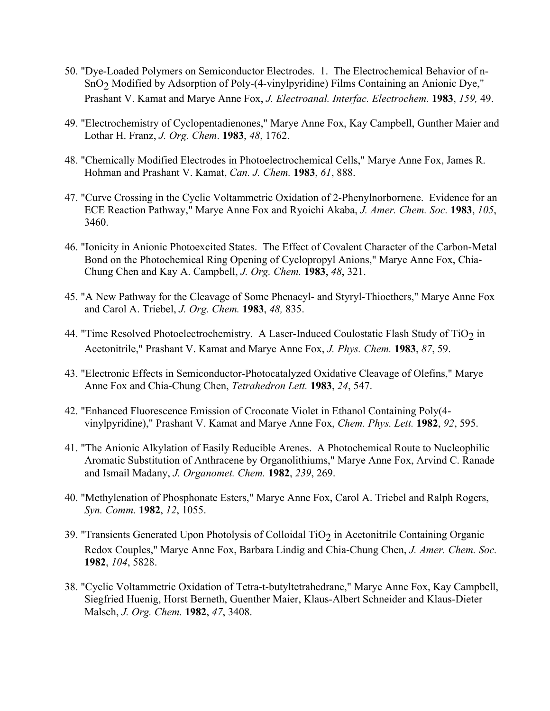- 50. "Dye-Loaded Polymers on Semiconductor Electrodes. 1. The Electrochemical Behavior of n-SnO2 Modified by Adsorption of Poly-(4-vinylpyridine) Films Containing an Anionic Dye," Prashant V. Kamat and Marye Anne Fox, *J. Electroanal. Interfac. Electrochem.* **1983**, *159,* 49.
- 49. "Electrochemistry of Cyclopentadienones," Marye Anne Fox, Kay Campbell, Gunther Maier and Lothar H. Franz, *J. Org. Chem*. **1983**, *48*, 1762.
- 48. "Chemically Modified Electrodes in Photoelectrochemical Cells," Marye Anne Fox, James R. Hohman and Prashant V. Kamat, *Can. J. Chem.* **1983**, *61*, 888.
- 47. "Curve Crossing in the Cyclic Voltammetric Oxidation of 2-Phenylnorbornene. Evidence for an ECE Reaction Pathway," Marye Anne Fox and Ryoichi Akaba, *J. Amer. Chem. Soc.* **1983**, *105*, 3460.
- 46. "Ionicity in Anionic Photoexcited States. The Effect of Covalent Character of the Carbon-Metal Bond on the Photochemical Ring Opening of Cyclopropyl Anions," Marye Anne Fox, Chia-Chung Chen and Kay A. Campbell, *J. Org. Chem.* **1983**, *48*, 321.
- 45. "A New Pathway for the Cleavage of Some Phenacyl- and Styryl-Thioethers," Marye Anne Fox and Carol A. Triebel, *J. Org. Chem.* **1983**, *48,* 835.
- 44. "Time Resolved Photoelectrochemistry. A Laser-Induced Coulostatic Flash Study of TiO<sub>2</sub> in Acetonitrile," Prashant V. Kamat and Marye Anne Fox, *J. Phys. Chem.* **1983**, *87*, 59.
- 43. "Electronic Effects in Semiconductor-Photocatalyzed Oxidative Cleavage of Olefins," Marye Anne Fox and Chia-Chung Chen, *Tetrahedron Lett.* **1983**, *24*, 547.
- 42. "Enhanced Fluorescence Emission of Croconate Violet in Ethanol Containing Poly(4 vinylpyridine)," Prashant V. Kamat and Marye Anne Fox, *Chem. Phys. Lett.* **1982**, *92*, 595.
- 41. "The Anionic Alkylation of Easily Reducible Arenes. A Photochemical Route to Nucleophilic Aromatic Substitution of Anthracene by Organolithiums," Marye Anne Fox, Arvind C. Ranade and Ismail Madany, *J. Organomet. Chem.* **1982**, *239*, 269.
- 40. "Methylenation of Phosphonate Esters," Marye Anne Fox, Carol A. Triebel and Ralph Rogers, *Syn. Comm.* **1982**, *12*, 1055.
- 39. "Transients Generated Upon Photolysis of Colloidal TiO<sub>2</sub> in Acetonitrile Containing Organic Redox Couples," Marye Anne Fox, Barbara Lindig and Chia-Chung Chen, *J. Amer. Chem. Soc.*  **1982**, *104*, 5828.
- 38. "Cyclic Voltammetric Oxidation of Tetra-t-butyltetrahedrane," Marye Anne Fox, Kay Campbell, Siegfried Huenig, Horst Berneth, Guenther Maier, Klaus-Albert Schneider and Klaus-Dieter Malsch, *J. Org. Chem.* **1982**, *47*, 3408.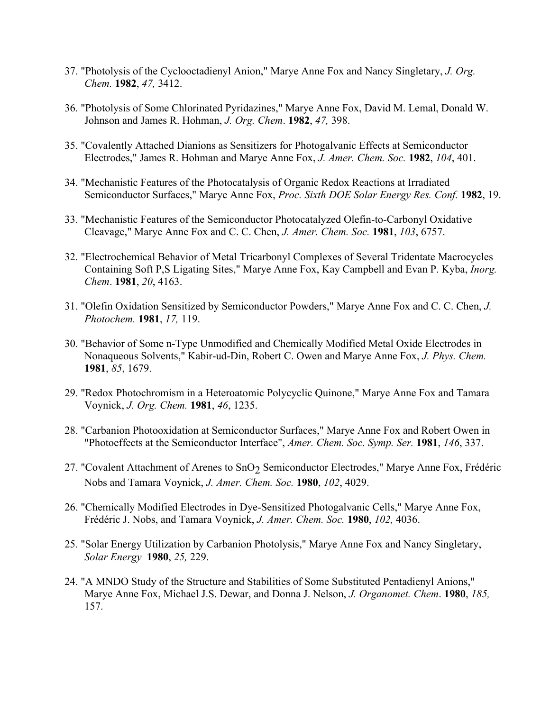- 37. "Photolysis of the Cyclooctadienyl Anion," Marye Anne Fox and Nancy Singletary, *J. Org. Chem.* **1982**, *47,* 3412.
- 36. "Photolysis of Some Chlorinated Pyridazines," Marye Anne Fox, David M. Lemal, Donald W. Johnson and James R. Hohman, *J. Org. Chem*. **1982**, *47,* 398.
- 35. "Covalently Attached Dianions as Sensitizers for Photogalvanic Effects at Semiconductor Electrodes," James R. Hohman and Marye Anne Fox, *J. Amer. Chem. Soc.* **1982**, *104*, 401.
- 34. "Mechanistic Features of the Photocatalysis of Organic Redox Reactions at Irradiated Semiconductor Surfaces," Marye Anne Fox, *Proc. Sixth DOE Solar Energy Res. Conf.* **1982**, 19.
- 33. "Mechanistic Features of the Semiconductor Photocatalyzed Olefin-to-Carbonyl Oxidative Cleavage," Marye Anne Fox and C. C. Chen, *J. Amer. Chem. Soc.* **1981**, *103*, 6757.
- 32. "Electrochemical Behavior of Metal Tricarbonyl Complexes of Several Tridentate Macrocycles Containing Soft P,S Ligating Sites," Marye Anne Fox, Kay Campbell and Evan P. Kyba, *Inorg. Chem*. **1981**, *20*, 4163.
- 31. "Olefin Oxidation Sensitized by Semiconductor Powders," Marye Anne Fox and C. C. Chen, *J. Photochem.* **1981**, *17,* 119.
- 30. "Behavior of Some n-Type Unmodified and Chemically Modified Metal Oxide Electrodes in Nonaqueous Solvents," Kabir-ud-Din, Robert C. Owen and Marye Anne Fox, *J. Phys. Chem.* **1981**, *85*, 1679.
- 29. "Redox Photochromism in a Heteroatomic Polycyclic Quinone," Marye Anne Fox and Tamara Voynick, *J. Org. Chem.* **1981**, *46*, 1235.
- 28. "Carbanion Photooxidation at Semiconductor Surfaces," Marye Anne Fox and Robert Owen in "Photoeffects at the Semiconductor Interface", *Amer. Chem. Soc. Symp. Ser.* **1981**, *146*, 337.
- 27. "Covalent Attachment of Arenes to SnO<sub>2</sub> Semiconductor Electrodes," Marye Anne Fox, Frédéric Nobs and Tamara Voynick, *J. Amer. Chem. Soc.* **1980**, *102*, 4029.
- 26. "Chemically Modified Electrodes in Dye-Sensitized Photogalvanic Cells," Marye Anne Fox, Frédéric J. Nobs, and Tamara Voynick, *J. Amer. Chem. Soc.* **1980**, *102,* 4036.
- 25. "Solar Energy Utilization by Carbanion Photolysis," Marye Anne Fox and Nancy Singletary, *Solar Energy* **1980**, *25,* 229.
- 24. "A MNDO Study of the Structure and Stabilities of Some Substituted Pentadienyl Anions," Marye Anne Fox, Michael J.S. Dewar, and Donna J. Nelson, *J. Organomet. Chem*. **1980**, *185,*  157.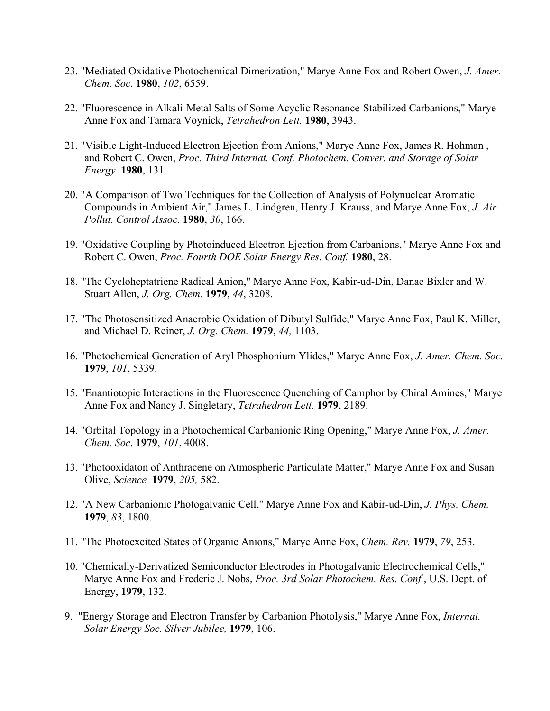- 23. "Mediated Oxidative Photochemical Dimerization," Marye Anne Fox and Robert Owen, *J. Amer. Chem. Soc*. **1980**, *102*, 6559.
- 22. "Fluorescence in Alkali-Metal Salts of Some Acyclic Resonance-Stabilized Carbanions," Marye Anne Fox and Tamara Voynick, *Tetrahedron Lett.* **1980**, 3943.
- 21. "Visible Light-Induced Electron Ejection from Anions," Marye Anne Fox, James R. Hohman , and Robert C. Owen, *Proc. Third Internat. Conf. Photochem. Conver. and Storage of Solar Energy* **1980**, 131.
- 20. "A Comparison of Two Techniques for the Collection of Analysis of Polynuclear Aromatic Compounds in Ambient Air," James L. Lindgren, Henry J. Krauss, and Marye Anne Fox, *J. Air Pollut. Control Assoc.* **1980**, *30*, 166.
- 19. "Oxidative Coupling by Photoinduced Electron Ejection from Carbanions," Marye Anne Fox and Robert C. Owen, *Proc. Fourth DOE Solar Energy Res. Conf.* **1980**, 28.
- 18. "The Cycloheptatriene Radical Anion," Marye Anne Fox, Kabir-ud-Din, Danae Bixler and W. Stuart Allen, *J. Org. Chem.* **1979**, *44*, 3208.
- 17. "The Photosensitized Anaerobic Oxidation of Dibutyl Sulfide," Marye Anne Fox, Paul K. Miller, and Michael D. Reiner, *J. Org. Chem.* **1979**, *44,* 1103.
- 16. "Photochemical Generation of Aryl Phosphonium Ylides," Marye Anne Fox, *J. Amer. Chem. Soc.* **1979**, *101*, 5339.
- 15. "Enantiotopic Interactions in the Fluorescence Quenching of Camphor by Chiral Amines," Marye Anne Fox and Nancy J. Singletary, *Tetrahedron Lett.* **1979**, 2189.
- 14. "Orbital Topology in a Photochemical Carbanionic Ring Opening," Marye Anne Fox, *J. Amer. Chem. Soc*. **1979**, *101*, 4008.
- 13. "Photooxidaton of Anthracene on Atmospheric Particulate Matter," Marye Anne Fox and Susan Olive, *Science* **1979**, *205,* 582.
- 12. "A New Carbanionic Photogalvanic Cell," Marye Anne Fox and Kabir-ud-Din, *J. Phys. Chem.*  **1979**, *83*, 1800.
- 11. "The Photoexcited States of Organic Anions," Marye Anne Fox, *Chem. Rev.* **1979**, *79*, 253.
- 10. "Chemically-Derivatized Semiconductor Electrodes in Photogalvanic Electrochemical Cells," Marye Anne Fox and Frederic J. Nobs, *Proc. 3rd Solar Photochem. Res. Conf.*, U.S. Dept. of Energy, **1979**, 132.
- 9. "Energy Storage and Electron Transfer by Carbanion Photolysis," Marye Anne Fox, *Internat. Solar Energy Soc. Silver Jubilee,* **1979**, 106.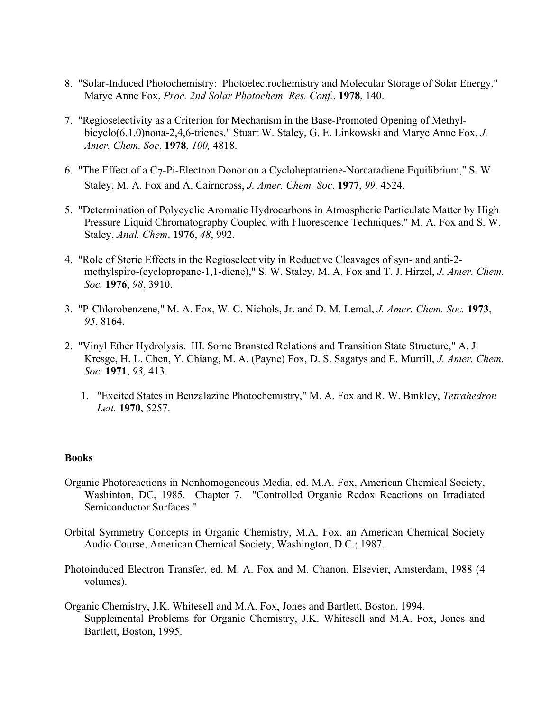- 8. "Solar-Induced Photochemistry: Photoelectrochemistry and Molecular Storage of Solar Energy," Marye Anne Fox, *Proc. 2nd Solar Photochem. Res. Conf.*, **1978**, 140.
- 7. "Regioselectivity as a Criterion for Mechanism in the Base-Promoted Opening of Methylbicyclo(6.1.0)nona-2,4,6-trienes," Stuart W. Staley, G. E. Linkowski and Marye Anne Fox, *J. Amer. Chem. Soc*. **1978**, *100,* 4818.
- 6. "The Effect of a C7-Pi-Electron Donor on a Cycloheptatriene-Norcaradiene Equilibrium," S. W. Staley, M. A. Fox and A. Cairncross, *J. Amer. Chem. Soc*. **1977**, *99,* 4524.
- 5. "Determination of Polycyclic Aromatic Hydrocarbons in Atmospheric Particulate Matter by High Pressure Liquid Chromatography Coupled with Fluorescence Techniques," M. A. Fox and S. W. Staley, *Anal. Chem*. **1976**, *48*, 992.
- 4. "Role of Steric Effects in the Regioselectivity in Reductive Cleavages of syn- and anti-2 methylspiro-(cyclopropane-1,1-diene)," S. W. Staley, M. A. Fox and T. J. Hirzel, *J. Amer. Chem. Soc.* **1976**, *98*, 3910.
- 3. "P-Chlorobenzene," M. A. Fox, W. C. Nichols, Jr. and D. M. Lemal, *J. Amer. Chem. Soc.* **1973**, *95*, 8164.
- 2. "Vinyl Ether Hydrolysis. III. Some Brønsted Relations and Transition State Structure," A. J. Kresge, H. L. Chen, Y. Chiang, M. A. (Payne) Fox, D. S. Sagatys and E. Murrill, *J. Amer. Chem. Soc.* **1971**, *93,* 413.
	- 1. "Excited States in Benzalazine Photochemistry," M. A. Fox and R. W. Binkley, *Tetrahedron Lett.* **1970**, 5257.

### **Books**

- Organic Photoreactions in Nonhomogeneous Media, ed. M.A. Fox, American Chemical Society, Washinton, DC, 1985. Chapter 7. "Controlled Organic Redox Reactions on Irradiated Semiconductor Surfaces."
- Orbital Symmetry Concepts in Organic Chemistry, M.A. Fox, an American Chemical Society Audio Course, American Chemical Society, Washington, D.C.; 1987.
- Photoinduced Electron Transfer, ed. M. A. Fox and M. Chanon, Elsevier, Amsterdam, 1988 (4 volumes).
- Organic Chemistry, J.K. Whitesell and M.A. Fox, Jones and Bartlett, Boston, 1994. Supplemental Problems for Organic Chemistry, J.K. Whitesell and M.A. Fox, Jones and Bartlett, Boston, 1995.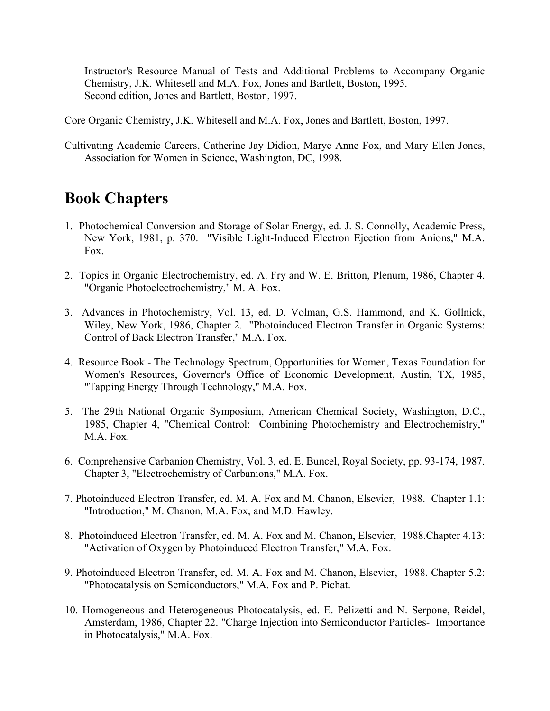Instructor's Resource Manual of Tests and Additional Problems to Accompany Organic Chemistry, J.K. Whitesell and M.A. Fox, Jones and Bartlett, Boston, 1995. Second edition, Jones and Bartlett, Boston, 1997.

Core Organic Chemistry, J.K. Whitesell and M.A. Fox, Jones and Bartlett, Boston, 1997.

Cultivating Academic Careers, Catherine Jay Didion, Marye Anne Fox, and Mary Ellen Jones, Association for Women in Science, Washington, DC, 1998.

## **Book Chapters**

- 1. Photochemical Conversion and Storage of Solar Energy, ed. J. S. Connolly, Academic Press, New York, 1981, p. 370. "Visible Light-Induced Electron Ejection from Anions," M.A. Fox.
- 2. Topics in Organic Electrochemistry, ed. A. Fry and W. E. Britton, Plenum, 1986, Chapter 4. "Organic Photoelectrochemistry," M. A. Fox.
- 3. Advances in Photochemistry, Vol. 13, ed. D. Volman, G.S. Hammond, and K. Gollnick, Wiley, New York, 1986, Chapter 2. "Photoinduced Electron Transfer in Organic Systems: Control of Back Electron Transfer," M.A. Fox.
- 4. Resource Book The Technology Spectrum, Opportunities for Women, Texas Foundation for Women's Resources, Governor's Office of Economic Development, Austin, TX, 1985, "Tapping Energy Through Technology," M.A. Fox.
- 5. The 29th National Organic Symposium, American Chemical Society, Washington, D.C., 1985, Chapter 4, "Chemical Control: Combining Photochemistry and Electrochemistry," M.A. Fox.
- 6. Comprehensive Carbanion Chemistry, Vol. 3, ed. E. Buncel, Royal Society, pp. 93-174, 1987. Chapter 3, "Electrochemistry of Carbanions," M.A. Fox.
- 7. Photoinduced Electron Transfer, ed. M. A. Fox and M. Chanon, Elsevier, 1988. Chapter 1.1: "Introduction," M. Chanon, M.A. Fox, and M.D. Hawley.
- 8. Photoinduced Electron Transfer, ed. M. A. Fox and M. Chanon, Elsevier, 1988.Chapter 4.13: "Activation of Oxygen by Photoinduced Electron Transfer," M.A. Fox.
- 9. Photoinduced Electron Transfer, ed. M. A. Fox and M. Chanon, Elsevier, 1988. Chapter 5.2: "Photocatalysis on Semiconductors," M.A. Fox and P. Pichat.
- 10. Homogeneous and Heterogeneous Photocatalysis, ed. E. Pelizetti and N. Serpone, Reidel, Amsterdam, 1986, Chapter 22. "Charge Injection into Semiconductor Particles- Importance in Photocatalysis," M.A. Fox.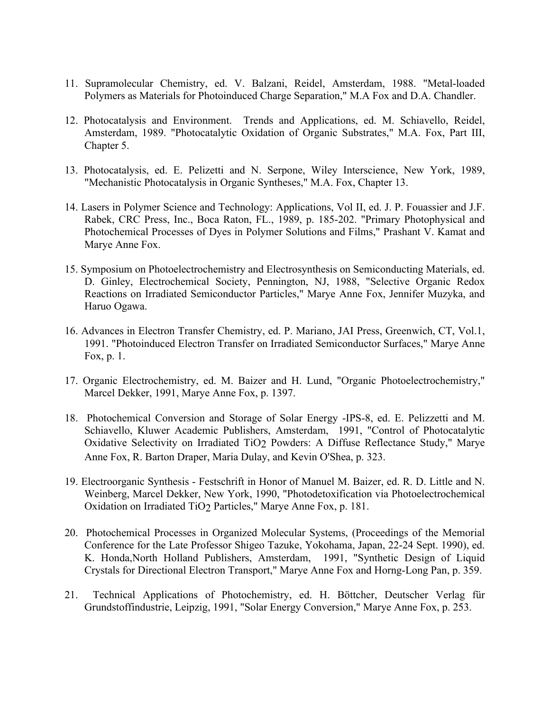- 11. Supramolecular Chemistry, ed. V. Balzani, Reidel, Amsterdam, 1988. "Metal-loaded Polymers as Materials for Photoinduced Charge Separation," M.A Fox and D.A. Chandler.
- 12. Photocatalysis and Environment. Trends and Applications, ed. M. Schiavello, Reidel, Amsterdam, 1989. "Photocatalytic Oxidation of Organic Substrates," M.A. Fox, Part III, Chapter 5.
- 13. Photocatalysis, ed. E. Pelizetti and N. Serpone, Wiley Interscience, New York, 1989, "Mechanistic Photocatalysis in Organic Syntheses," M.A. Fox, Chapter 13.
- 14. Lasers in Polymer Science and Technology: Applications, Vol II, ed. J. P. Fouassier and J.F. Rabek, CRC Press, Inc., Boca Raton, FL., 1989, p. 185-202. "Primary Photophysical and Photochemical Processes of Dyes in Polymer Solutions and Films," Prashant V. Kamat and Marye Anne Fox.
- 15. Symposium on Photoelectrochemistry and Electrosynthesis on Semiconducting Materials, ed. D. Ginley, Electrochemical Society, Pennington, NJ, 1988, "Selective Organic Redox Reactions on Irradiated Semiconductor Particles," Marye Anne Fox, Jennifer Muzyka, and Haruo Ogawa.
- 16. Advances in Electron Transfer Chemistry, ed. P. Mariano, JAI Press, Greenwich, CT, Vol.1, 1991. "Photoinduced Electron Transfer on Irradiated Semiconductor Surfaces," Marye Anne Fox, p. 1.
- 17. Organic Electrochemistry, ed. M. Baizer and H. Lund, "Organic Photoelectrochemistry," Marcel Dekker, 1991, Marye Anne Fox, p. 1397.
- 18. Photochemical Conversion and Storage of Solar Energy -IPS-8, ed. E. Pelizzetti and M. Schiavello, Kluwer Academic Publishers, Amsterdam, 1991, "Control of Photocatalytic Oxidative Selectivity on Irradiated TiO<sub>2</sub> Powders: A Diffuse Reflectance Study," Marye Anne Fox, R. Barton Draper, Maria Dulay, and Kevin O'Shea, p. 323.
- 19. Electroorganic Synthesis Festschrift in Honor of Manuel M. Baizer, ed. R. D. Little and N. Weinberg, Marcel Dekker, New York, 1990, "Photodetoxification via Photoelectrochemical Oxidation on Irradiated TiO2 Particles," Marye Anne Fox, p. 181.
- 20. Photochemical Processes in Organized Molecular Systems, (Proceedings of the Memorial Conference for the Late Professor Shigeo Tazuke, Yokohama, Japan, 22-24 Sept. 1990), ed. K. Honda,North Holland Publishers, Amsterdam, 1991, "Synthetic Design of Liquid Crystals for Directional Electron Transport," Marye Anne Fox and Horng-Long Pan, p. 359.
- 21. Technical Applications of Photochemistry, ed. H. Böttcher, Deutscher Verlag für Grundstoffindustrie, Leipzig, 1991, "Solar Energy Conversion," Marye Anne Fox, p. 253.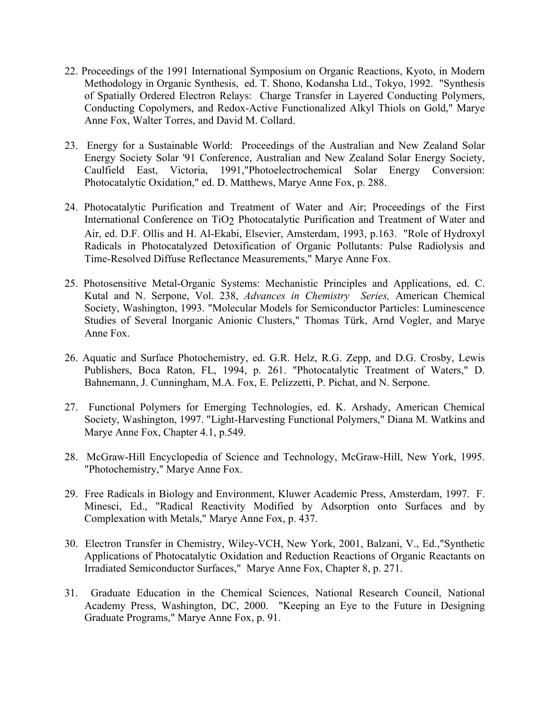- 22. Proceedings of the 1991 International Symposium on Organic Reactions, Kyoto, in Modern Methodology in Organic Synthesis, ed. T. Shono, Kodansha Ltd., Tokyo, 1992. "Synthesis of Spatially Ordered Electron Relays: Charge Transfer in Layered Conducting Polymers, Conducting Copolymers, and Redox-Active Functionalized Alkyl Thiols on Gold," Marye Anne Fox, Walter Torres, and David M. Collard.
- 23. Energy for a Sustainable World: Proceedings of the Australian and New Zealand Solar Energy Society Solar '91 Conference, Australian and New Zealand Solar Energy Society, Caulfield East, Victoria, 1991,"Photoelectrochemical Solar Energy Conversion: Photocatalytic Oxidation," ed. D. Matthews, Marye Anne Fox, p. 288.
- 24. Photocatalytic Purification and Treatment of Water and Air; Proceedings of the First International Conference on TiO2 Photocatalytic Purification and Treatment of Water and Air, ed. D.F. Ollis and H. Al-Ekabi, Elsevier, Amsterdam, 1993, p.163. "Role of Hydroxyl Radicals in Photocatalyzed Detoxification of Organic Pollutants: Pulse Radiolysis and Time-Resolved Diffuse Reflectance Measurements," Marye Anne Fox.
- 25. Photosensitive Metal-Organic Systems: Mechanistic Principles and Applications, ed. C. Kutal and N. Serpone, Vol. 238, *Advances in Chemistry Series,* American Chemical Society, Washington, 1993. "Molecular Models for Semiconductor Particles: Luminescence Studies of Several Inorganic Anionic Clusters," Thomas Türk, Arnd Vogler, and Marye Anne Fox.
- 26. Aquatic and Surface Photochemistry, ed. G.R. Helz, R.G. Zepp, and D.G. Crosby, Lewis Publishers, Boca Raton, FL, 1994, p. 261. "Photocatalytic Treatment of Waters," D. Bahnemann, J. Cunningham, M.A. Fox, E. Pelizzetti, P. Pichat, and N. Serpone.
- 27. Functional Polymers for Emerging Technologies, ed. K. Arshady, American Chemical Society, Washington, 1997. "Light-Harvesting Functional Polymers," Diana M. Watkins and Marye Anne Fox, Chapter 4.1, p.549.
- 28. McGraw-Hill Encyclopedia of Science and Technology, McGraw-Hill, New York, 1995. "Photochemistry," Marye Anne Fox.
- 29. Free Radicals in Biology and Environment, Kluwer Academic Press, Amsterdam, 1997. F. Minesci, Ed., "Radical Reactivity Modified by Adsorption onto Surfaces and by Complexation with Metals," Marye Anne Fox, p. 437.
- 30. Electron Transfer in Chemistry, Wiley-VCH, New York, 2001, Balzani, V., Ed.,"Synthetic Applications of Photocatalytic Oxidation and Reduction Reactions of Organic Reactants on Irradiated Semiconductor Surfaces," Marye Anne Fox, Chapter 8, p. 271.
- 31. Graduate Education in the Chemical Sciences, National Research Council, National Academy Press, Washington, DC, 2000. "Keeping an Eye to the Future in Designing Graduate Programs," Marye Anne Fox, p. 91.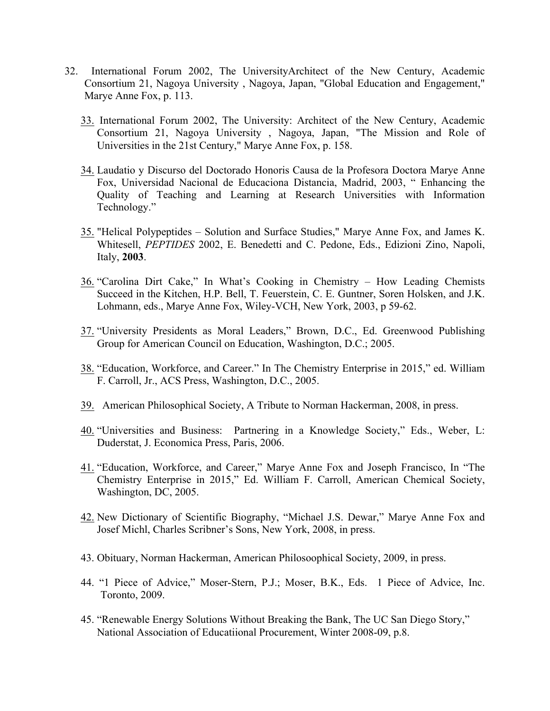- 32. International Forum 2002, The UniversityArchitect of the New Century, Academic Consortium 21, Nagoya University , Nagoya, Japan, "Global Education and Engagement," Marye Anne Fox, p. 113.
	- 33. International Forum 2002, The University: Architect of the New Century, Academic Consortium 21, Nagoya University , Nagoya, Japan, "The Mission and Role of Universities in the 21st Century," Marye Anne Fox, p. 158.
	- 34. Laudatio y Discurso del Doctorado Honoris Causa de la Profesora Doctora Marye Anne Fox, Universidad Nacional de Educaciona Distancia, Madrid, 2003, " Enhancing the Quality of Teaching and Learning at Research Universities with Information Technology."
	- 35. "Helical Polypeptides Solution and Surface Studies," Marye Anne Fox, and James K. Whitesell, *PEPTIDES* 2002, E. Benedetti and C. Pedone, Eds., Edizioni Zino, Napoli, Italy, **2003**.
	- 36. "Carolina Dirt Cake," In What's Cooking in Chemistry How Leading Chemists Succeed in the Kitchen, H.P. Bell, T. Feuerstein, C. E. Guntner, Soren Holsken, and J.K. Lohmann, eds., Marye Anne Fox, Wiley-VCH, New York, 2003, p 59-62.
	- 37. "University Presidents as Moral Leaders," Brown, D.C., Ed. Greenwood Publishing Group for American Council on Education, Washington, D.C.; 2005.
	- 38. "Education, Workforce, and Career." In The Chemistry Enterprise in 2015," ed. William F. Carroll, Jr., ACS Press, Washington, D.C., 2005.
	- 39. American Philosophical Society, A Tribute to Norman Hackerman, 2008, in press.
	- 40. "Universities and Business: Partnering in a Knowledge Society," Eds., Weber, L: Duderstat, J. Economica Press, Paris, 2006.
	- 41. "Education, Workforce, and Career," Marye Anne Fox and Joseph Francisco, In "The Chemistry Enterprise in 2015," Ed. William F. Carroll, American Chemical Society, Washington, DC, 2005.
	- 42. New Dictionary of Scientific Biography, "Michael J.S. Dewar," Marye Anne Fox and Josef Michl, Charles Scribner's Sons, New York, 2008, in press.
	- 43. Obituary, Norman Hackerman, American Philosoophical Society, 2009, in press.
	- 44. "1 Piece of Advice," Moser-Stern, P.J.; Moser, B.K., Eds. 1 Piece of Advice, Inc. Toronto, 2009.
	- 45. "Renewable Energy Solutions Without Breaking the Bank, The UC San Diego Story," National Association of Educatiional Procurement, Winter 2008-09, p.8.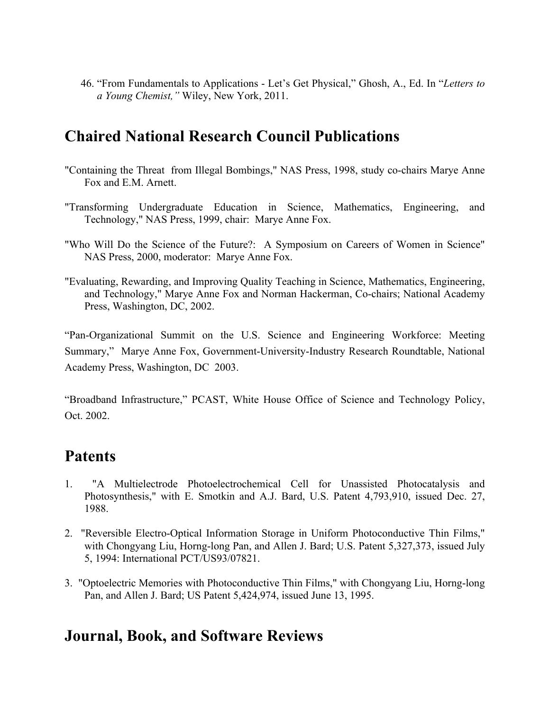46. "From Fundamentals to Applications - Let's Get Physical," Ghosh, A., Ed. In "*Letters to a Young Chemist,"* Wiley, New York, 2011.

# **Chaired National Research Council Publications**

- "Containing the Threat from Illegal Bombings," NAS Press, 1998, study co-chairs Marye Anne Fox and E.M. Arnett.
- "Transforming Undergraduate Education in Science, Mathematics, Engineering, and Technology," NAS Press, 1999, chair: Marye Anne Fox.
- "Who Will Do the Science of the Future?: A Symposium on Careers of Women in Science" NAS Press, 2000, moderator: Marye Anne Fox.
- "Evaluating, Rewarding, and Improving Quality Teaching in Science, Mathematics, Engineering, and Technology," Marye Anne Fox and Norman Hackerman, Co-chairs; National Academy Press, Washington, DC, 2002.

"Pan-Organizational Summit on the U.S. Science and Engineering Workforce: Meeting Summary," Marye Anne Fox, Government-University-Industry Research Roundtable, National Academy Press, Washington, DC 2003.

"Broadband Infrastructure," PCAST, White House Office of Science and Technology Policy, Oct. 2002.

# **Patents**

- 1. "A Multielectrode Photoelectrochemical Cell for Unassisted Photocatalysis and Photosynthesis," with E. Smotkin and A.J. Bard, U.S. Patent 4,793,910, issued Dec. 27, 1988.
- 2. "Reversible Electro-Optical Information Storage in Uniform Photoconductive Thin Films," with Chongyang Liu, Horng-long Pan, and Allen J. Bard; U.S. Patent 5,327,373, issued July 5, 1994: International PCT/US93/07821.
- 3. "Optoelectric Memories with Photoconductive Thin Films," with Chongyang Liu, Horng-long Pan, and Allen J. Bard; US Patent 5,424,974, issued June 13, 1995.

### **Journal, Book, and Software Reviews**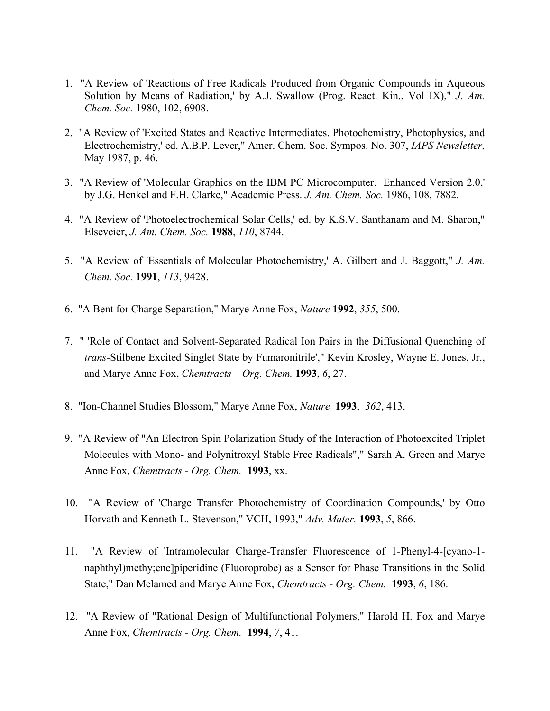- 1. "A Review of 'Reactions of Free Radicals Produced from Organic Compounds in Aqueous Solution by Means of Radiation,' by A.J. Swallow (Prog. React. Kin., Vol IX)," *J. Am. Chem. Soc.* 1980, 102, 6908.
- 2. "A Review of 'Excited States and Reactive Intermediates. Photochemistry, Photophysics, and Electrochemistry,' ed. A.B.P. Lever," Amer. Chem. Soc. Sympos. No. 307, *IAPS Newsletter,*  May 1987, p. 46.
- 3. "A Review of 'Molecular Graphics on the IBM PC Microcomputer. Enhanced Version 2.0,' by J.G. Henkel and F.H. Clarke," Academic Press. *J. Am. Chem. Soc.* 1986, 108, 7882.
- 4. "A Review of 'Photoelectrochemical Solar Cells,' ed. by K.S.V. Santhanam and M. Sharon," Elseveier, *J. Am. Chem. Soc.* **1988**, *110*, 8744.
- 5. "A Review of 'Essentials of Molecular Photochemistry,' A. Gilbert and J. Baggott," *J. Am. Chem. Soc.* **1991**, *113*, 9428.
- 6. "A Bent for Charge Separation," Marye Anne Fox, *Nature* **1992**, *355*, 500.
- 7. " 'Role of Contact and Solvent-Separated Radical Ion Pairs in the Diffusional Quenching of *trans-*Stilbene Excited Singlet State by Fumaronitrile'," Kevin Krosley, Wayne E. Jones, Jr., and Marye Anne Fox, *Chemtracts – Org. Chem.* **1993**, *6*, 27.
- 8. "Ion-Channel Studies Blossom," Marye Anne Fox, *Nature* **1993**, *362*, 413.
- 9. "A Review of "An Electron Spin Polarization Study of the Interaction of Photoexcited Triplet Molecules with Mono- and Polynitroxyl Stable Free Radicals"," Sarah A. Green and Marye Anne Fox, *Chemtracts - Org. Chem.* **1993**, xx.
- 10. "A Review of 'Charge Transfer Photochemistry of Coordination Compounds,' by Otto Horvath and Kenneth L. Stevenson," VCH, 1993," *Adv. Mater.* **1993**, *5*, 866.
- 11. "A Review of 'Intramolecular Charge-Transfer Fluorescence of 1-Phenyl-4-[cyano-1 naphthyl)methy;ene]piperidine (Fluoroprobe) as a Sensor for Phase Transitions in the Solid State," Dan Melamed and Marye Anne Fox, *Chemtracts - Org. Chem.* **1993**, *6*, 186.
- 12. "A Review of "Rational Design of Multifunctional Polymers," Harold H. Fox and Marye Anne Fox, *Chemtracts - Org. Chem.* **1994**, *7*, 41.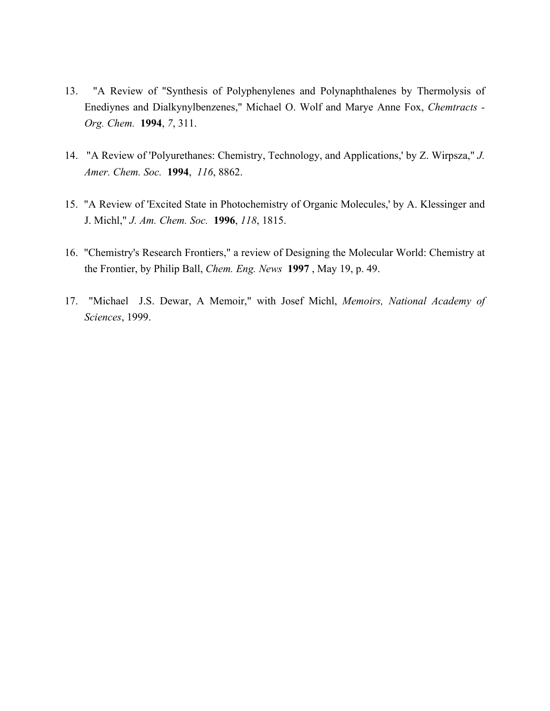- 13. "A Review of "Synthesis of Polyphenylenes and Polynaphthalenes by Thermolysis of Enediynes and Dialkynylbenzenes," Michael O. Wolf and Marye Anne Fox, *Chemtracts - Org. Chem.* **1994**, *7*, 311.
- 14. "A Review of 'Polyurethanes: Chemistry, Technology, and Applications,' by Z. Wirpsza," *J. Amer. Chem. Soc.* **1994**, *116*, 8862.
- 15. "A Review of 'Excited State in Photochemistry of Organic Molecules,' by A. Klessinger and J. Michl," *J. Am. Chem. Soc.* **1996**, *118*, 1815.
- 16. "Chemistry's Research Frontiers," a review of Designing the Molecular World: Chemistry at the Frontier, by Philip Ball, *Chem. Eng. News* **1997** , May 19, p. 49.
- 17. "Michael J.S. Dewar, A Memoir," with Josef Michl, *Memoirs, National Academy of Sciences*, 1999.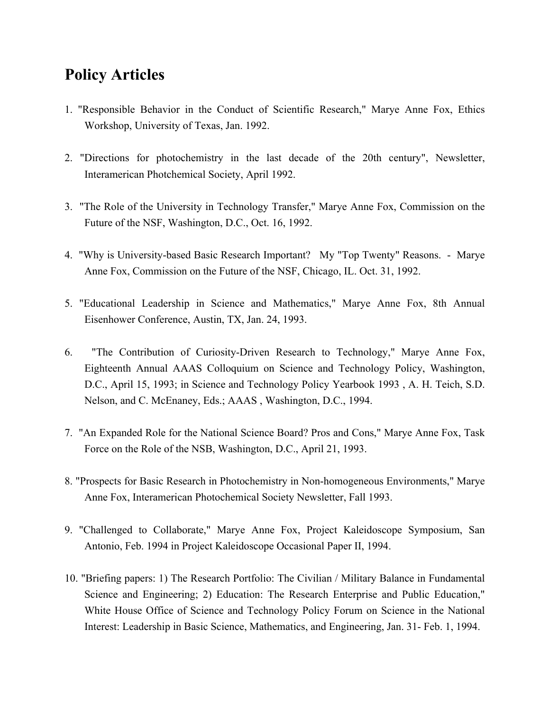# **Policy Articles**

- 1. "Responsible Behavior in the Conduct of Scientific Research," Marye Anne Fox, Ethics Workshop, University of Texas, Jan. 1992.
- 2. "Directions for photochemistry in the last decade of the 20th century", Newsletter, Interamerican Photchemical Society, April 1992.
- 3. "The Role of the University in Technology Transfer," Marye Anne Fox, Commission on the Future of the NSF, Washington, D.C., Oct. 16, 1992.
- 4. "Why is University-based Basic Research Important? My "Top Twenty" Reasons. Marye Anne Fox, Commission on the Future of the NSF, Chicago, IL. Oct. 31, 1992.
- 5. "Educational Leadership in Science and Mathematics," Marye Anne Fox, 8th Annual Eisenhower Conference, Austin, TX, Jan. 24, 1993.
- 6. "The Contribution of Curiosity-Driven Research to Technology," Marye Anne Fox, Eighteenth Annual AAAS Colloquium on Science and Technology Policy, Washington, D.C., April 15, 1993; in Science and Technology Policy Yearbook 1993 , A. H. Teich, S.D. Nelson, and C. McEnaney, Eds.; AAAS , Washington, D.C., 1994.
- 7. "An Expanded Role for the National Science Board? Pros and Cons," Marye Anne Fox, Task Force on the Role of the NSB, Washington, D.C., April 21, 1993.
- 8. "Prospects for Basic Research in Photochemistry in Non-homogeneous Environments," Marye Anne Fox, Interamerican Photochemical Society Newsletter, Fall 1993.
- 9. "Challenged to Collaborate," Marye Anne Fox, Project Kaleidoscope Symposium, San Antonio, Feb. 1994 in Project Kaleidoscope Occasional Paper II, 1994.
- 10. "Briefing papers: 1) The Research Portfolio: The Civilian / Military Balance in Fundamental Science and Engineering; 2) Education: The Research Enterprise and Public Education," White House Office of Science and Technology Policy Forum on Science in the National Interest: Leadership in Basic Science, Mathematics, and Engineering, Jan. 31- Feb. 1, 1994.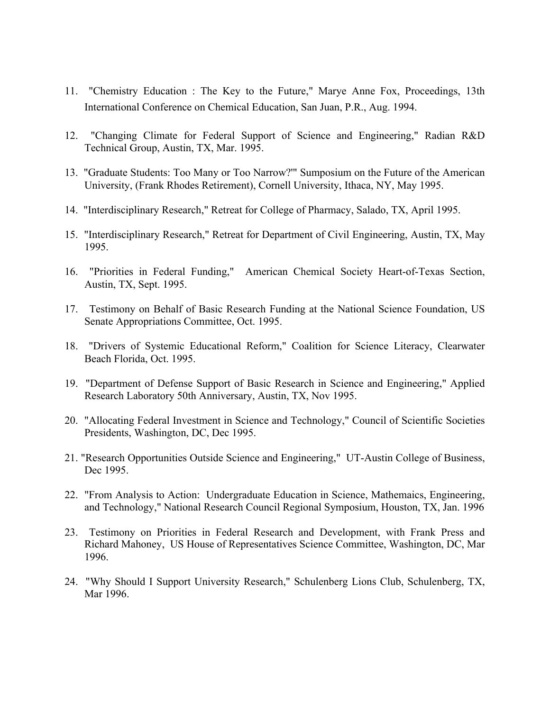- 11. "Chemistry Education : The Key to the Future," Marye Anne Fox, Proceedings, 13th International Conference on Chemical Education, San Juan, P.R., Aug. 1994.
- 12. "Changing Climate for Federal Support of Science and Engineering," Radian R&D Technical Group, Austin, TX, Mar. 1995.
- 13. "Graduate Students: Too Many or Too Narrow?'" Sumposium on the Future of the American University, (Frank Rhodes Retirement), Cornell University, Ithaca, NY, May 1995.
- 14. "Interdisciplinary Research," Retreat for College of Pharmacy, Salado, TX, April 1995.
- 15. "Interdisciplinary Research," Retreat for Department of Civil Engineering, Austin, TX, May 1995.
- 16. "Priorities in Federal Funding," American Chemical Society Heart-of-Texas Section, Austin, TX, Sept. 1995.
- 17. Testimony on Behalf of Basic Research Funding at the National Science Foundation, US Senate Appropriations Committee, Oct. 1995.
- 18. "Drivers of Systemic Educational Reform," Coalition for Science Literacy, Clearwater Beach Florida, Oct. 1995.
- 19. "Department of Defense Support of Basic Research in Science and Engineering," Applied Research Laboratory 50th Anniversary, Austin, TX, Nov 1995.
- 20. "Allocating Federal Investment in Science and Technology," Council of Scientific Societies Presidents, Washington, DC, Dec 1995.
- 21. "Research Opportunities Outside Science and Engineering," UT-Austin College of Business, Dec 1995.
- 22. "From Analysis to Action: Undergraduate Education in Science, Mathemaics, Engineering, and Technology," National Research Council Regional Symposium, Houston, TX, Jan. 1996
- 23. Testimony on Priorities in Federal Research and Development, with Frank Press and Richard Mahoney, US House of Representatives Science Committee, Washington, DC, Mar 1996.
- 24. "Why Should I Support University Research," Schulenberg Lions Club, Schulenberg, TX, Mar 1996.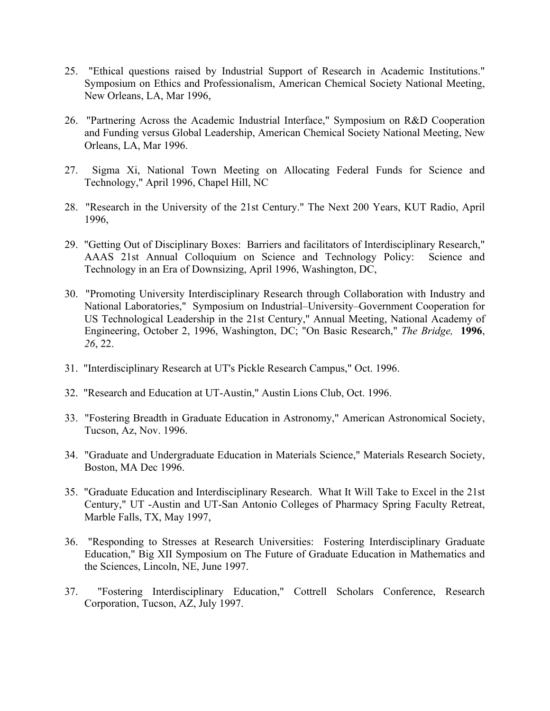- 25. "Ethical questions raised by Industrial Support of Research in Academic Institutions." Symposium on Ethics and Professionalism, American Chemical Society National Meeting, New Orleans, LA, Mar 1996,
- 26. "Partnering Across the Academic Industrial Interface," Symposium on R&D Cooperation and Funding versus Global Leadership, American Chemical Society National Meeting, New Orleans, LA, Mar 1996.
- 27. Sigma Xi, National Town Meeting on Allocating Federal Funds for Science and Technology," April 1996, Chapel Hill, NC
- 28. "Research in the University of the 21st Century." The Next 200 Years, KUT Radio, April 1996,
- 29. "Getting Out of Disciplinary Boxes: Barriers and facilitators of Interdisciplinary Research," AAAS 21st Annual Colloquium on Science and Technology Policy: Science and Technology in an Era of Downsizing, April 1996, Washington, DC,
- 30. "Promoting University Interdisciplinary Research through Collaboration with Industry and National Laboratories," Symposium on Industrial–University–Government Cooperation for US Technological Leadership in the 21st Century," Annual Meeting, National Academy of Engineering, October 2, 1996, Washington, DC; "On Basic Research," *The Bridge,* **1996**, *26*, 22.
- 31. "Interdisciplinary Research at UT's Pickle Research Campus," Oct. 1996.
- 32. "Research and Education at UT-Austin," Austin Lions Club, Oct. 1996.
- 33. "Fostering Breadth in Graduate Education in Astronomy," American Astronomical Society, Tucson, Az, Nov. 1996.
- 34. "Graduate and Undergraduate Education in Materials Science," Materials Research Society, Boston, MA Dec 1996.
- 35. "Graduate Education and Interdisciplinary Research. What It Will Take to Excel in the 21st Century," UT -Austin and UT-San Antonio Colleges of Pharmacy Spring Faculty Retreat, Marble Falls, TX, May 1997,
- 36. "Responding to Stresses at Research Universities: Fostering Interdisciplinary Graduate Education," Big XII Symposium on The Future of Graduate Education in Mathematics and the Sciences, Lincoln, NE, June 1997.
- 37. "Fostering Interdisciplinary Education," Cottrell Scholars Conference, Research Corporation, Tucson, AZ, July 1997.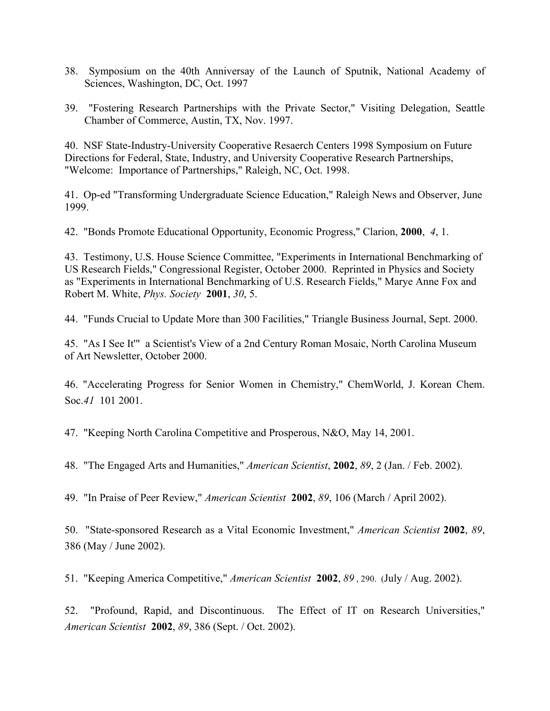- 38. Symposium on the 40th Anniversay of the Launch of Sputnik, National Academy of Sciences, Washington, DC, Oct. 1997
- 39. "Fostering Research Partnerships with the Private Sector," Visiting Delegation, Seattle Chamber of Commerce, Austin, TX, Nov. 1997.

40. NSF State-Industry-University Cooperative Resaerch Centers 1998 Symposium on Future Directions for Federal, State, Industry, and University Cooperative Research Partnerships, "Welcome: Importance of Partnerships," Raleigh, NC, Oct. 1998.

41. Op-ed "Transforming Undergraduate Science Education," Raleigh News and Observer, June 1999.

42. "Bonds Promote Educational Opportunity, Economic Progress," Clarion, **2000**, *4*, 1.

43. Testimony, U.S. House Science Committee, "Experiments in International Benchmarking of US Research Fields," Congressional Register, October 2000. Reprinted in Physics and Society as "Experiments in International Benchmarking of U.S. Research Fields," Marye Anne Fox and Robert M. White, *Phys. Society* **2001**, *30*, 5.

44. "Funds Crucial to Update More than 300 Facilities," Triangle Business Journal, Sept. 2000.

45. "As I See It'" a Scientist's View of a 2nd Century Roman Mosaic, North Carolina Museum of Art Newsletter, October 2000.

46. "Accelerating Progress for Senior Women in Chemistry," ChemWorld, J. Korean Chem. Soc.*41* 101 2001.

47. "Keeping North Carolina Competitive and Prosperous, N&O, May 14, 2001.

48. "The Engaged Arts and Humanities," *American Scientist*, **2002**, *89*, 2 (Jan. / Feb. 2002).

49. "In Praise of Peer Review," *American Scientist* **2002**, *89*, 106 (March / April 2002).

50. "State-sponsored Research as a Vital Economic Investment," *American Scientist* **2002**, *89*, 386 (May / June 2002).

51. "Keeping America Competitive," *American Scientist* **2002**, *89* , 290. (July / Aug. 2002).

52. "Profound, Rapid, and Discontinuous. The Effect of IT on Research Universities," *American Scientist* **2002**, *89*, 386 (Sept. / Oct. 2002).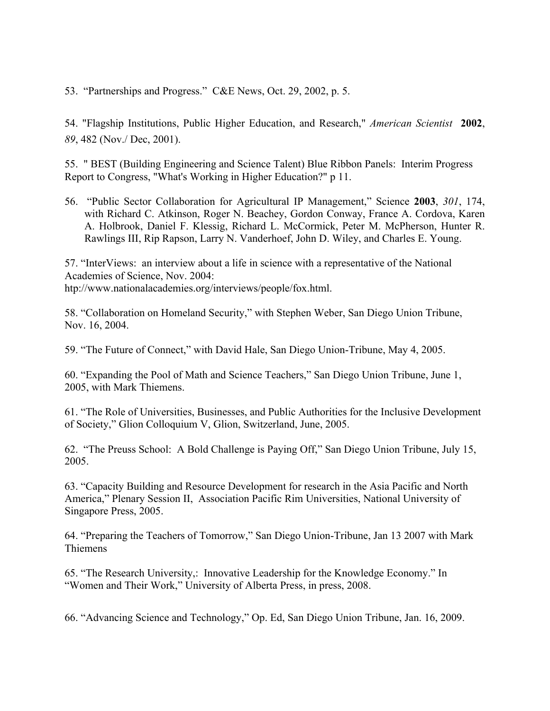53. "Partnerships and Progress." C&E News, Oct. 29, 2002, p. 5.

54. "Flagship Institutions, Public Higher Education, and Research," *American Scientist* **2002**, *89*, 482 (Nov./ Dec, 2001).

55. " BEST (Building Engineering and Science Talent) Blue Ribbon Panels: Interim Progress Report to Congress, "What's Working in Higher Education?" p 11.

56. "Public Sector Collaboration for Agricultural IP Management," Science **2003**, *301*, 174, with Richard C. Atkinson, Roger N. Beachey, Gordon Conway, France A. Cordova, Karen A. Holbrook, Daniel F. Klessig, Richard L. McCormick, Peter M. McPherson, Hunter R. Rawlings III, Rip Rapson, Larry N. Vanderhoef, John D. Wiley, and Charles E. Young.

57. "InterViews: an interview about a life in science with a representative of the National Academies of Science, Nov. 2004: htp://www.nationalacademies.org/interviews/people/fox.html.

58. "Collaboration on Homeland Security," with Stephen Weber, San Diego Union Tribune, Nov. 16, 2004.

59. "The Future of Connect," with David Hale, San Diego Union-Tribune, May 4, 2005.

60. "Expanding the Pool of Math and Science Teachers," San Diego Union Tribune, June 1, 2005, with Mark Thiemens.

61. "The Role of Universities, Businesses, and Public Authorities for the Inclusive Development of Society," Glion Colloquium V, Glion, Switzerland, June, 2005.

62. "The Preuss School: A Bold Challenge is Paying Off," San Diego Union Tribune, July 15, 2005.

63. "Capacity Building and Resource Development for research in the Asia Pacific and North America," Plenary Session II, Association Pacific Rim Universities, National University of Singapore Press, 2005.

64. "Preparing the Teachers of Tomorrow," San Diego Union-Tribune, Jan 13 2007 with Mark Thiemens

65. "The Research University,: Innovative Leadership for the Knowledge Economy." In "Women and Their Work," University of Alberta Press, in press, 2008.

66. "Advancing Science and Technology," Op. Ed, San Diego Union Tribune, Jan. 16, 2009.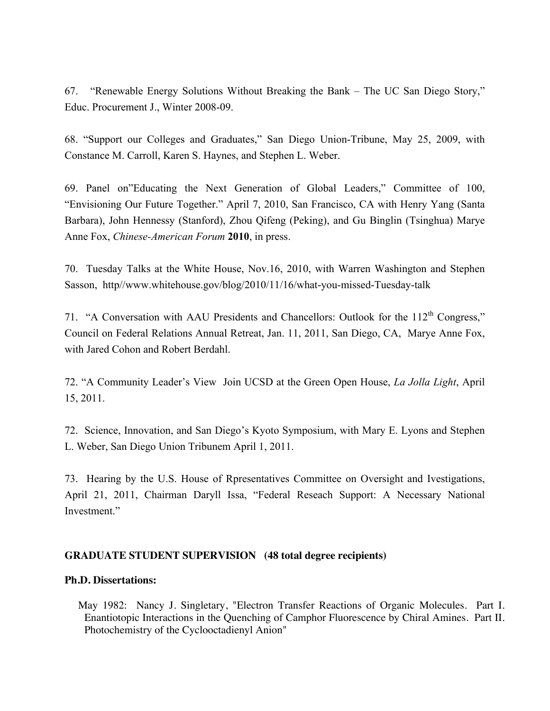67. "Renewable Energy Solutions Without Breaking the Bank – The UC San Diego Story," Educ. Procurement J., Winter 2008-09.

68. "Support our Colleges and Graduates," San Diego Union-Tribune, May 25, 2009, with Constance M. Carroll, Karen S. Haynes, and Stephen L. Weber.

69. Panel on"Educating the Next Generation of Global Leaders," Committee of 100, "Envisioning Our Future Together." April 7, 2010, San Francisco, CA with Henry Yang (Santa Barbara), John Hennessy (Stanford), Zhou Qifeng (Peking), and Gu Binglin (Tsinghua) Marye Anne Fox, *Chinese-American Forum* **2010**, in press.

70. Tuesday Talks at the White House, Nov.16, 2010, with Warren Washington and Stephen Sasson, http//www.whitehouse.gov/blog/2010/11/16/what-you-missed-Tuesday-talk

71. "A Conversation with AAU Presidents and Chancellors: Outlook for the 112<sup>th</sup> Congress." Council on Federal Relations Annual Retreat, Jan. 11, 2011, San Diego, CA, Marye Anne Fox, with Jared Cohon and Robert Berdahl.

72. "A Community Leader's View Join UCSD at the Green Open House, *La Jolla Light*, April 15, 2011.

72. Science, Innovation, and San Diego's Kyoto Symposium, with Mary E. Lyons and Stephen L. Weber, San Diego Union Tribunem April 1, 2011.

73. Hearing by the U.S. House of Rpresentatives Committee on Oversight and Ivestigations, April 21, 2011, Chairman Daryll Issa, "Federal Reseach Support: A Necessary National Investment<sup>"</sup>

### **GRADUATE STUDENT SUPERVISION (48 total degree recipients)**

### **Ph.D. Dissertations:**

 May 1982: Nancy J. Singletary, "Electron Transfer Reactions of Organic Molecules. Part I. Enantiotopic Interactions in the Quenching of Camphor Fluorescence by Chiral Amines. Part II. Photochemistry of the Cyclooctadienyl Anion"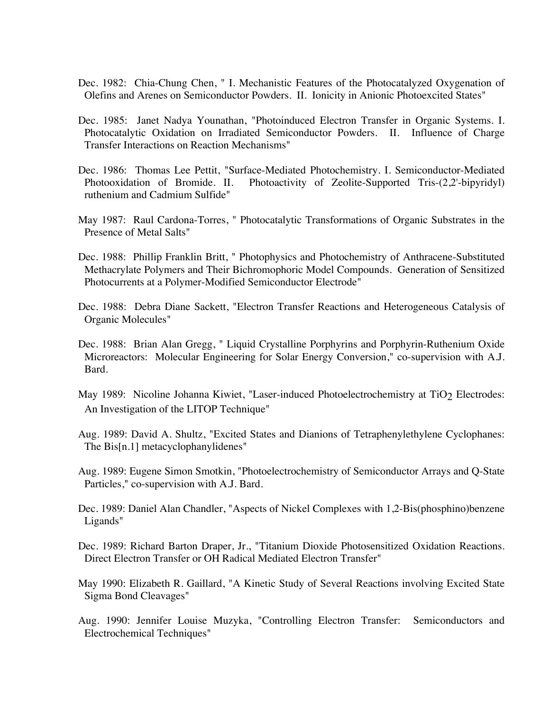- Dec. 1982: Chia-Chung Chen, " I. Mechanistic Features of the Photocatalyzed Oxygenation of Olefins and Arenes on Semiconductor Powders. II. Ionicity in Anionic Photoexcited States"
- Dec. 1985: Janet Nadya Younathan, "Photoinduced Electron Transfer in Organic Systems. I. Photocatalytic Oxidation on Irradiated Semiconductor Powders. II. Influence of Charge Transfer Interactions on Reaction Mechanisms"
- Dec. 1986: Thomas Lee Pettit, "Surface-Mediated Photochemistry. I. Semiconductor-Mediated Photooxidation of Bromide. II. Photoactivity of Zeolite-Supported Tris-(2,2'-bipyridyl) ruthenium and Cadmium Sulfide"
- May 1987: Raul Cardona-Torres, " Photocatalytic Transformations of Organic Substrates in the Presence of Metal Salts"
- Dec. 1988: Phillip Franklin Britt, " Photophysics and Photochemistry of Anthracene-Substituted Methacrylate Polymers and Their Bichromophoric Model Compounds. Generation of Sensitized Photocurrents at a Polymer-Modified Semiconductor Electrode"
- Dec. 1988: Debra Diane Sackett, "Electron Transfer Reactions and Heterogeneous Catalysis of Organic Molecules"
- Dec. 1988: Brian Alan Gregg, " Liquid Crystalline Porphyrins and Porphyrin-Ruthenium Oxide Microreactors: Molecular Engineering for Solar Energy Conversion," co-supervision with A.J. Bard.
- May 1989: Nicoline Johanna Kiwiet, "Laser-induced Photoelectrochemistry at TiO<sub>2</sub> Electrodes: An Investigation of the LITOP Technique"
- Aug. 1989: David A. Shultz, "Excited States and Dianions of Tetraphenylethylene Cyclophanes: The Bis[n.1] metacyclophanylidenes"
- Aug. 1989: Eugene Simon Smotkin, "Photoelectrochemistry of Semiconductor Arrays and Q-State Particles," co-supervision with A.J. Bard.
- Dec. 1989: Daniel Alan Chandler, "Aspects of Nickel Complexes with 1,2-Bis(phosphino)benzene Ligands"
- Dec. 1989: Richard Barton Draper, Jr., "Titanium Dioxide Photosensitized Oxidation Reactions. Direct Electron Transfer or OH Radical Mediated Electron Transfer"
- May 1990: Elizabeth R. Gaillard, "A Kinetic Study of Several Reactions involving Excited State Sigma Bond Cleavages"
- Aug. 1990: Jennifer Louise Muzyka, "Controlling Electron Transfer: Semiconductors and Electrochemical Techniques"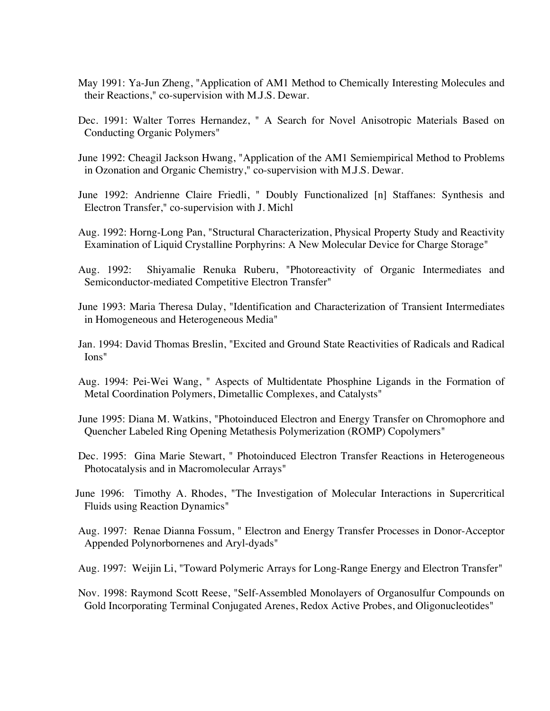- May 1991: Ya-Jun Zheng, "Application of AM1 Method to Chemically Interesting Molecules and their Reactions," co-supervision with M.J.S. Dewar.
- Dec. 1991: Walter Torres Hernandez, " A Search for Novel Anisotropic Materials Based on Conducting Organic Polymers"
- June 1992: Cheagil Jackson Hwang, "Application of the AM1 Semiempirical Method to Problems in Ozonation and Organic Chemistry," co-supervision with M.J.S. Dewar.
- June 1992: Andrienne Claire Friedli, " Doubly Functionalized [n] Staffanes: Synthesis and Electron Transfer," co-supervision with J. Michl
- Aug. 1992: Horng-Long Pan, "Structural Characterization, Physical Property Study and Reactivity Examination of Liquid Crystalline Porphyrins: A New Molecular Device for Charge Storage"
- Aug. 1992: Shiyamalie Renuka Ruberu, "Photoreactivity of Organic Intermediates and Semiconductor-mediated Competitive Electron Transfer"
- June 1993: Maria Theresa Dulay, "Identification and Characterization of Transient Intermediates in Homogeneous and Heterogeneous Media"
- Jan. 1994: David Thomas Breslin, "Excited and Ground State Reactivities of Radicals and Radical Ions"
- Aug. 1994: Pei-Wei Wang, " Aspects of Multidentate Phosphine Ligands in the Formation of Metal Coordination Polymers, Dimetallic Complexes, and Catalysts"
- June 1995: Diana M. Watkins, "Photoinduced Electron and Energy Transfer on Chromophore and Quencher Labeled Ring Opening Metathesis Polymerization (ROMP) Copolymers"
- Dec. 1995: Gina Marie Stewart, " Photoinduced Electron Transfer Reactions in Heterogeneous Photocatalysis and in Macromolecular Arrays"
- June 1996: Timothy A. Rhodes, "The Investigation of Molecular Interactions in Supercritical Fluids using Reaction Dynamics"
- Aug. 1997: Renae Dianna Fossum, " Electron and Energy Transfer Processes in Donor-Acceptor Appended Polynorbornenes and Aryl-dyads"
- Aug. 1997: Weijin Li, "Toward Polymeric Arrays for Long-Range Energy and Electron Transfer"
- Nov. 1998: Raymond Scott Reese, "Self-Assembled Monolayers of Organosulfur Compounds on Gold Incorporating Terminal Conjugated Arenes, Redox Active Probes, and Oligonucleotides"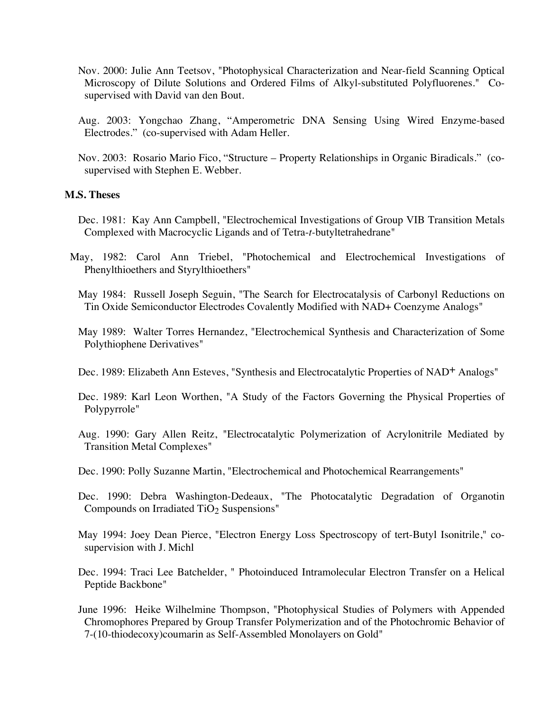- Nov. 2000: Julie Ann Teetsov, "Photophysical Characterization and Near-field Scanning Optical Microscopy of Dilute Solutions and Ordered Films of Alkyl-substituted Polyfluorenes." Cosupervised with David van den Bout.
- Aug. 2003: Yongchao Zhang, "Amperometric DNA Sensing Using Wired Enzyme-based Electrodes." (co-supervised with Adam Heller.
- Nov. 2003: Rosario Mario Fico, "Structure Property Relationships in Organic Biradicals." (cosupervised with Stephen E. Webber.

#### **M.S. Theses**

- Dec. 1981: Kay Ann Campbell, "Electrochemical Investigations of Group VIB Transition Metals Complexed with Macrocyclic Ligands and of Tetra-*t-*butyltetrahedrane"
- May, 1982: Carol Ann Triebel, "Photochemical and Electrochemical Investigations of Phenylthioethers and Styrylthioethers"
	- May 1984: Russell Joseph Seguin, "The Search for Electrocatalysis of Carbonyl Reductions on Tin Oxide Semiconductor Electrodes Covalently Modified with NAD+ Coenzyme Analogs"
	- May 1989: Walter Torres Hernandez, "Electrochemical Synthesis and Characterization of Some Polythiophene Derivatives"
	- Dec. 1989: Elizabeth Ann Esteves, "Synthesis and Electrocatalytic Properties of NAD+ Analogs"
	- Dec. 1989: Karl Leon Worthen, "A Study of the Factors Governing the Physical Properties of Polypyrrole"
	- Aug. 1990: Gary Allen Reitz, "Electrocatalytic Polymerization of Acrylonitrile Mediated by Transition Metal Complexes"
	- Dec. 1990: Polly Suzanne Martin, "Electrochemical and Photochemical Rearrangements"
	- Dec. 1990: Debra Washington-Dedeaux, "The Photocatalytic Degradation of Organotin Compounds on Irradiated TiO<sub>2</sub> Suspensions"
	- May 1994: Joey Dean Pierce, "Electron Energy Loss Spectroscopy of tert-Butyl Isonitrile," cosupervision with J. Michl
	- Dec. 1994: Traci Lee Batchelder, " Photoinduced Intramolecular Electron Transfer on a Helical Peptide Backbone"
	- June 1996: Heike Wilhelmine Thompson, "Photophysical Studies of Polymers with Appended Chromophores Prepared by Group Transfer Polymerization and of the Photochromic Behavior of 7-(10-thiodecoxy)coumarin as Self-Assembled Monolayers on Gold"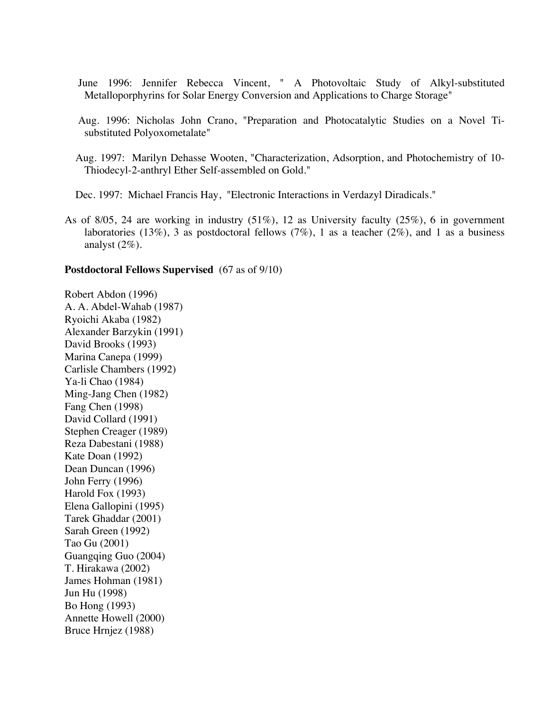- June 1996: Jennifer Rebecca Vincent, " A Photovoltaic Study of Alkyl-substituted Metalloporphyrins for Solar Energy Conversion and Applications to Charge Storage"
- Aug. 1996: Nicholas John Crano, "Preparation and Photocatalytic Studies on a Novel Tisubstituted Polyoxometalate"
- Aug. 1997: Marilyn Dehasse Wooten, "Characterization, Adsorption, and Photochemistry of 10- Thiodecyl-2-anthryl Ether Self-assembled on Gold."

Dec. 1997: Michael Francis Hay, "Electronic Interactions in Verdazyl Diradicals."

As of 8/05, 24 are working in industry (51%), 12 as University faculty (25%), 6 in government laboratories (13%), 3 as postdoctoral fellows (7%), 1 as a teacher (2%), and 1 as a business analyst (2%).

#### **Postdoctoral Fellows Supervised** (67 as of 9/10)

Robert Abdon (1996) A. A. Abdel-Wahab (1987) Ryoichi Akaba (1982) Alexander Barzykin (1991) David Brooks (1993) Marina Canepa (1999) Carlisle Chambers (1992) Ya-li Chao (1984) Ming-Jang Chen (1982) Fang Chen (1998) David Collard (1991) Stephen Creager (1989) Reza Dabestani (1988) Kate Doan (1992) Dean Duncan (1996) John Ferry (1996) Harold Fox (1993) Elena Gallopini (1995) Tarek Ghaddar (2001) Sarah Green (1992) Tao Gu (2001) Guangqing Guo (2004) T. Hirakawa (2002) James Hohman (1981) Jun Hu (1998) Bo Hong (1993) Annette Howell (2000) Bruce Hrnjez (1988)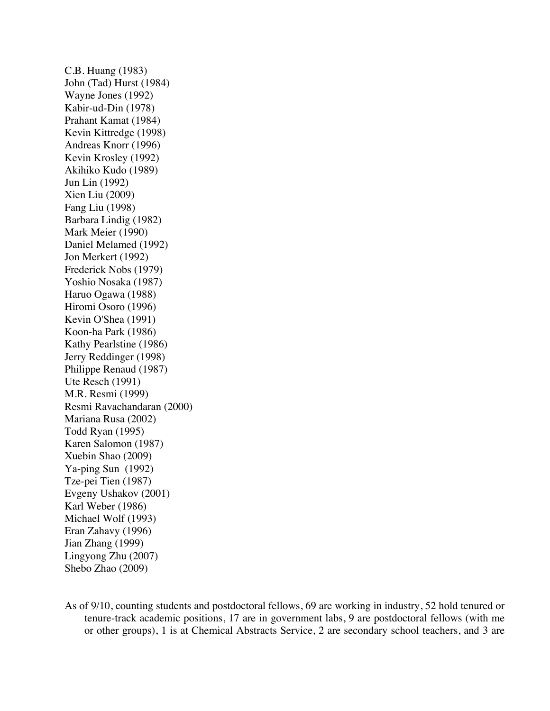C.B. Huang (1983) John (Tad) Hurst (1984) Wayne Jones (1992) Kabir-ud-Din (1978) Prahant Kamat (1984) Kevin Kittredge (1998) Andreas Knorr (1996) Kevin Krosley (1992) Akihiko Kudo (1989) Jun Lin (1992) Xien Liu (2009) Fang Liu (1998) Barbara Lindig (1982) Mark Meier (1990) Daniel Melamed (1992) Jon Merkert (1992) Frederick Nobs (1979) Yoshio Nosaka (1987) Haruo Ogawa (1988) Hiromi Osoro (1996) Kevin O'Shea (1991) Koon-ha Park (1986) Kathy Pearlstine (1986) Jerry Reddinger (1998) Philippe Renaud (1987) Ute Resch (1991) M.R. Resmi (1999) Resmi Ravachandaran (2000) Mariana Rusa (2002) Todd Ryan (1995) Karen Salomon (1987) Xuebin Shao (2009) Ya-ping Sun (1992) Tze-pei Tien (1987) Evgeny Ushakov (2001) Karl Weber (1986) Michael Wolf (1993) Eran Zahavy (1996) Jian Zhang (1999) Lingyong Zhu (2007) Shebo Zhao (2009)

As of 9/10, counting students and postdoctoral fellows, 69 are working in industry, 52 hold tenured or tenure-track academic positions, 17 are in government labs, 9 are postdoctoral fellows (with me or other groups), 1 is at Chemical Abstracts Service, 2 are secondary school teachers, and 3 are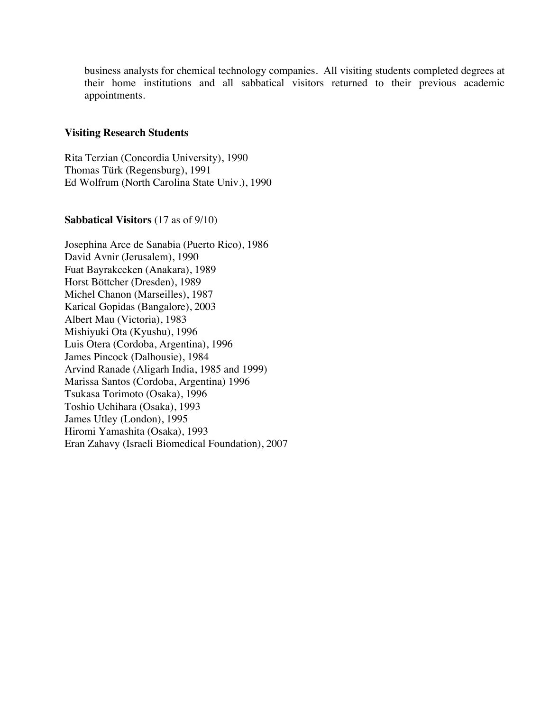business analysts for chemical technology companies. All visiting students completed degrees at their home institutions and all sabbatical visitors returned to their previous academic appointments.

#### **Visiting Research Students**

Rita Terzian (Concordia University), 1990 Thomas Türk (Regensburg), 1991 Ed Wolfrum (North Carolina State Univ.), 1990

#### **Sabbatical Visitors** (17 as of 9/10)

Josephina Arce de Sanabia (Puerto Rico), 1986 David Avnir (Jerusalem), 1990 Fuat Bayrakceken (Anakara), 1989 Horst Böttcher (Dresden), 1989 Michel Chanon (Marseilles), 1987 Karical Gopidas (Bangalore), 2003 Albert Mau (Victoria), 1983 Mishiyuki Ota (Kyushu), 1996 Luis Otera (Cordoba, Argentina), 1996 James Pincock (Dalhousie), 1984 Arvind Ranade (Aligarh India, 1985 and 1999) Marissa Santos (Cordoba, Argentina) 1996 Tsukasa Torimoto (Osaka), 1996 Toshio Uchihara (Osaka), 1993 James Utley (London), 1995 Hiromi Yamashita (Osaka), 1993 Eran Zahavy (Israeli Biomedical Foundation), 2007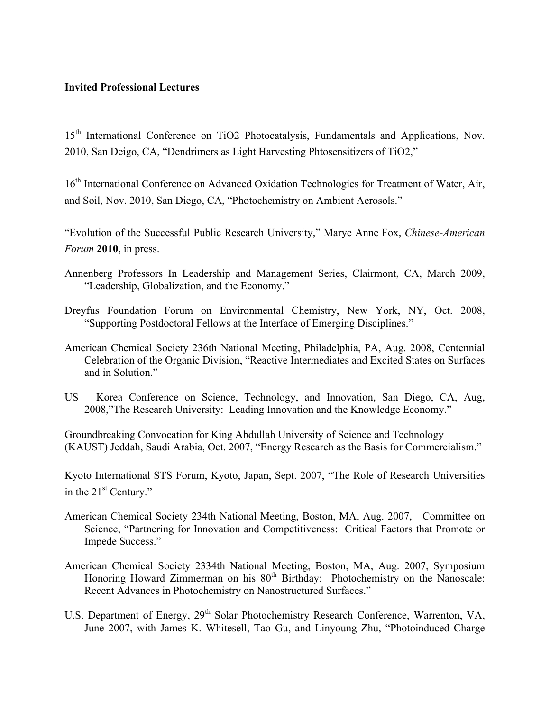### **Invited Professional Lectures**

15<sup>th</sup> International Conference on TiO2 Photocatalysis, Fundamentals and Applications, Nov. 2010, San Deigo, CA, "Dendrimers as Light Harvesting Phtosensitizers of TiO2,"

16<sup>th</sup> International Conference on Advanced Oxidation Technologies for Treatment of Water, Air, and Soil, Nov. 2010, San Diego, CA, "Photochemistry on Ambient Aerosols."

"Evolution of the Successful Public Research University," Marye Anne Fox, *Chinese-American Forum* **2010**, in press.

- Annenberg Professors In Leadership and Management Series, Clairmont, CA, March 2009, "Leadership, Globalization, and the Economy."
- Dreyfus Foundation Forum on Environmental Chemistry, New York, NY, Oct. 2008, "Supporting Postdoctoral Fellows at the Interface of Emerging Disciplines."
- American Chemical Society 236th National Meeting, Philadelphia, PA, Aug. 2008, Centennial Celebration of the Organic Division, "Reactive Intermediates and Excited States on Surfaces and in Solution."
- US Korea Conference on Science, Technology, and Innovation, San Diego, CA, Aug, 2008,"The Research University: Leading Innovation and the Knowledge Economy."

Groundbreaking Convocation for King Abdullah University of Science and Technology (KAUST) Jeddah, Saudi Arabia, Oct. 2007, "Energy Research as the Basis for Commercialism."

Kyoto International STS Forum, Kyoto, Japan, Sept. 2007, "The Role of Research Universities in the 21<sup>st</sup> Century."

- American Chemical Society 234th National Meeting, Boston, MA, Aug. 2007, Committee on Science, "Partnering for Innovation and Competitiveness: Critical Factors that Promote or Impede Success."
- American Chemical Society 2334th National Meeting, Boston, MA, Aug. 2007, Symposium Honoring Howard Zimmerman on his 80<sup>th</sup> Birthday: Photochemistry on the Nanoscale: Recent Advances in Photochemistry on Nanostructured Surfaces."
- U.S. Department of Energy, 29<sup>th</sup> Solar Photochemistry Research Conference, Warrenton, VA, June 2007, with James K. Whitesell, Tao Gu, and Linyoung Zhu, "Photoinduced Charge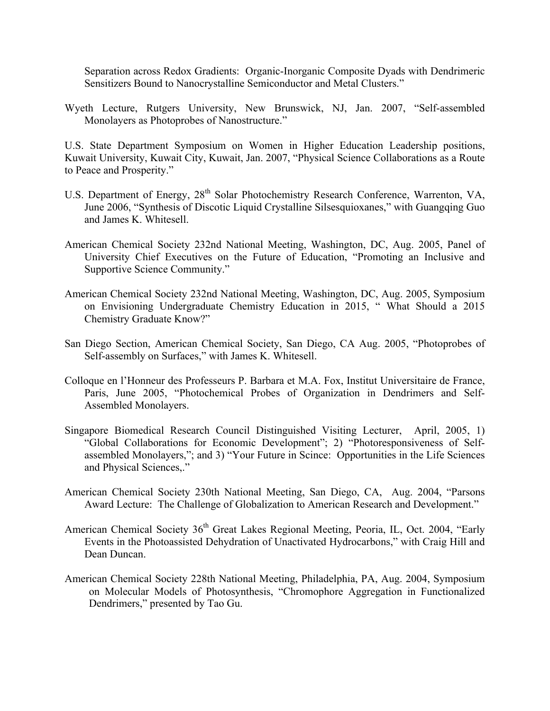Separation across Redox Gradients: Organic-Inorganic Composite Dyads with Dendrimeric Sensitizers Bound to Nanocrystalline Semiconductor and Metal Clusters."

Wyeth Lecture, Rutgers University, New Brunswick, NJ, Jan. 2007, "Self-assembled Monolayers as Photoprobes of Nanostructure."

U.S. State Department Symposium on Women in Higher Education Leadership positions, Kuwait University, Kuwait City, Kuwait, Jan. 2007, "Physical Science Collaborations as a Route to Peace and Prosperity."

- U.S. Department of Energy, 28<sup>th</sup> Solar Photochemistry Research Conference, Warrenton, VA, June 2006, "Synthesis of Discotic Liquid Crystalline Silsesquioxanes," with Guangqing Guo and James K. Whitesell.
- American Chemical Society 232nd National Meeting, Washington, DC, Aug. 2005, Panel of University Chief Executives on the Future of Education, "Promoting an Inclusive and Supportive Science Community."
- American Chemical Society 232nd National Meeting, Washington, DC, Aug. 2005, Symposium on Envisioning Undergraduate Chemistry Education in 2015, " What Should a 2015 Chemistry Graduate Know?"
- San Diego Section, American Chemical Society, San Diego, CA Aug. 2005, "Photoprobes of Self-assembly on Surfaces," with James K. Whitesell.
- Colloque en l'Honneur des Professeurs P. Barbara et M.A. Fox, Institut Universitaire de France, Paris, June 2005, "Photochemical Probes of Organization in Dendrimers and Self-Assembled Monolayers.
- Singapore Biomedical Research Council Distinguished Visiting Lecturer, April, 2005, 1) "Global Collaborations for Economic Development"; 2) "Photoresponsiveness of Selfassembled Monolayers,"; and 3) "Your Future in Scince: Opportunities in the Life Sciences and Physical Sciences,."
- American Chemical Society 230th National Meeting, San Diego, CA, Aug. 2004, "Parsons Award Lecture: The Challenge of Globalization to American Research and Development."
- American Chemical Society 36<sup>th</sup> Great Lakes Regional Meeting, Peoria, IL, Oct. 2004, "Early Events in the Photoassisted Dehydration of Unactivated Hydrocarbons," with Craig Hill and Dean Duncan.
- American Chemical Society 228th National Meeting, Philadelphia, PA, Aug. 2004, Symposium on Molecular Models of Photosynthesis, "Chromophore Aggregation in Functionalized Dendrimers," presented by Tao Gu.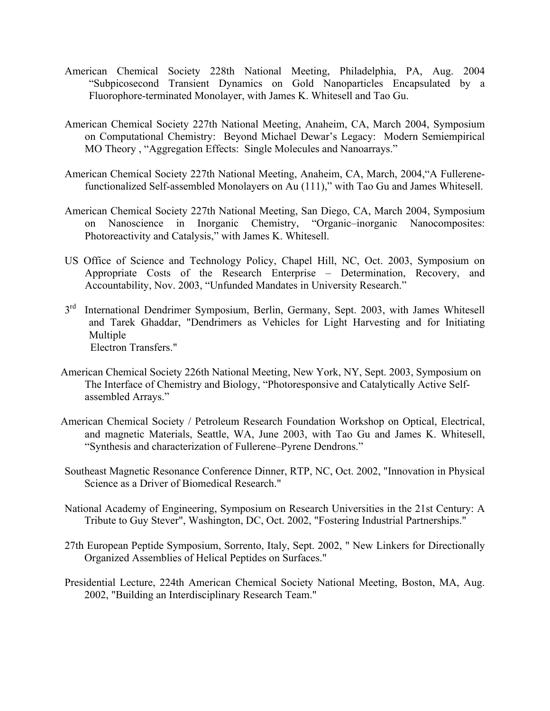- American Chemical Society 228th National Meeting, Philadelphia, PA, Aug. 2004 "Subpicosecond Transient Dynamics on Gold Nanoparticles Encapsulated by a Fluorophore-terminated Monolayer, with James K. Whitesell and Tao Gu.
- American Chemical Society 227th National Meeting, Anaheim, CA, March 2004, Symposium on Computational Chemistry: Beyond Michael Dewar's Legacy: Modern Semiempirical MO Theory , "Aggregation Effects: Single Molecules and Nanoarrays."
- American Chemical Society 227th National Meeting, Anaheim, CA, March, 2004,"A Fullerenefunctionalized Self-assembled Monolayers on Au (111)," with Tao Gu and James Whitesell.
- American Chemical Society 227th National Meeting, San Diego, CA, March 2004, Symposium on Nanoscience in Inorganic Chemistry, "Organic–inorganic Nanocomposites: Photoreactivity and Catalysis," with James K. Whitesell.
- US Office of Science and Technology Policy, Chapel Hill, NC, Oct. 2003, Symposium on Appropriate Costs of the Research Enterprise – Determination, Recovery, and Accountability, Nov. 2003, "Unfunded Mandates in University Research."
- 3<sup>rd</sup> International Dendrimer Symposium, Berlin, Germany, Sept. 2003, with James Whitesell and Tarek Ghaddar, "Dendrimers as Vehicles for Light Harvesting and for Initiating Multiple Electron Transfers."
- American Chemical Society 226th National Meeting, New York, NY, Sept. 2003, Symposium on The Interface of Chemistry and Biology, "Photoresponsive and Catalytically Active Selfassembled Arrays."
- American Chemical Society / Petroleum Research Foundation Workshop on Optical, Electrical, and magnetic Materials, Seattle, WA, June 2003, with Tao Gu and James K. Whitesell, "Synthesis and characterization of Fullerene–Pyrene Dendrons."
- Southeast Magnetic Resonance Conference Dinner, RTP, NC, Oct. 2002, "Innovation in Physical Science as a Driver of Biomedical Research."
- National Academy of Engineering, Symposium on Research Universities in the 21st Century: A Tribute to Guy Stever", Washington, DC, Oct. 2002, "Fostering Industrial Partnerships."
- 27th European Peptide Symposium, Sorrento, Italy, Sept. 2002, " New Linkers for Directionally Organized Assemblies of Helical Peptides on Surfaces."
- Presidential Lecture, 224th American Chemical Society National Meeting, Boston, MA, Aug. 2002, "Building an Interdisciplinary Research Team."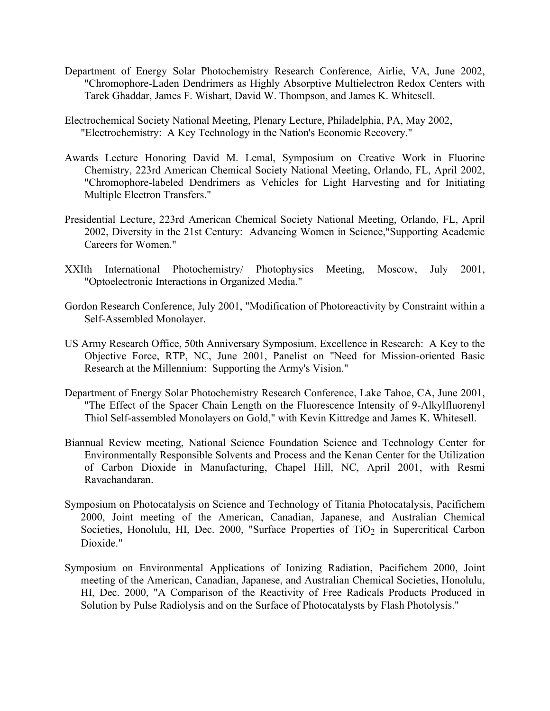- Department of Energy Solar Photochemistry Research Conference, Airlie, VA, June 2002, "Chromophore-Laden Dendrimers as Highly Absorptive Multielectron Redox Centers with Tarek Ghaddar, James F. Wishart, David W. Thompson, and James K. Whitesell.
- Electrochemical Society National Meeting, Plenary Lecture, Philadelphia, PA, May 2002, "Electrochemistry: A Key Technology in the Nation's Economic Recovery."
- Awards Lecture Honoring David M. Lemal, Symposium on Creative Work in Fluorine Chemistry, 223rd American Chemical Society National Meeting, Orlando, FL, April 2002, "Chromophore-labeled Dendrimers as Vehicles for Light Harvesting and for Initiating Multiple Electron Transfers."
- Presidential Lecture, 223rd American Chemical Society National Meeting, Orlando, FL, April 2002, Diversity in the 21st Century: Advancing Women in Science,"Supporting Academic Careers for Women."
- XXIth International Photochemistry/ Photophysics Meeting, Moscow, July 2001, "Optoelectronic Interactions in Organized Media."
- Gordon Research Conference, July 2001, "Modification of Photoreactivity by Constraint within a Self-Assembled Monolayer.
- US Army Research Office, 50th Anniversary Symposium, Excellence in Research: A Key to the Objective Force, RTP, NC, June 2001, Panelist on "Need for Mission-oriented Basic Research at the Millennium: Supporting the Army's Vision."
- Department of Energy Solar Photochemistry Research Conference, Lake Tahoe, CA, June 2001, "The Effect of the Spacer Chain Length on the Fluorescence Intensity of 9-Alkylfluorenyl Thiol Self-assembled Monolayers on Gold," with Kevin Kittredge and James K. Whitesell.
- Biannual Review meeting, National Science Foundation Science and Technology Center for Environmentally Responsible Solvents and Process and the Kenan Center for the Utilization of Carbon Dioxide in Manufacturing, Chapel Hill, NC, April 2001, with Resmi Ravachandaran.
- Symposium on Photocatalysis on Science and Technology of Titania Photocatalysis, Pacifichem 2000, Joint meeting of the American, Canadian, Japanese, and Australian Chemical Societies, Honolulu, HI, Dec.  $2000$ , "Surface Properties of TiO<sub>2</sub> in Supercritical Carbon Dioxide."
- Symposium on Environmental Applications of Ionizing Radiation, Pacifichem 2000, Joint meeting of the American, Canadian, Japanese, and Australian Chemical Societies, Honolulu, HI, Dec. 2000, "A Comparison of the Reactivity of Free Radicals Products Produced in Solution by Pulse Radiolysis and on the Surface of Photocatalysts by Flash Photolysis."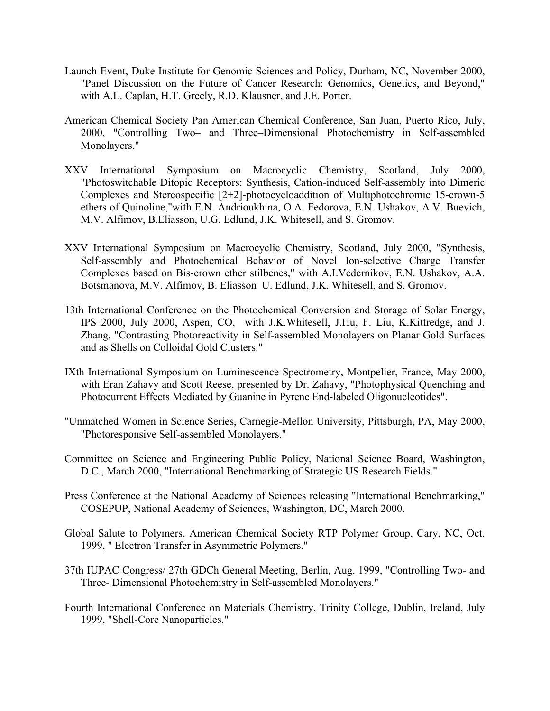- Launch Event, Duke Institute for Genomic Sciences and Policy, Durham, NC, November 2000, "Panel Discussion on the Future of Cancer Research: Genomics, Genetics, and Beyond," with A.L. Caplan, H.T. Greely, R.D. Klausner, and J.E. Porter.
- American Chemical Society Pan American Chemical Conference, San Juan, Puerto Rico, July, 2000, "Controlling Two– and Three–Dimensional Photochemistry in Self-assembled Monolayers."
- XXV International Symposium on Macrocyclic Chemistry, Scotland, July 2000, "Photoswitchable Ditopic Receptors: Synthesis, Cation-induced Self-assembly into Dimeric Complexes and Stereospecific [2+2]-photocycloaddition of Multiphotochromic 15-crown-5 ethers of Quinoline,"with E.N. Andrioukhina, O.A. Fedorova, E.N. Ushakov, A.V. Buevich, M.V. Alfimov, B.Eliasson, U.G. Edlund, J.K. Whitesell, and S. Gromov.
- XXV International Symposium on Macrocyclic Chemistry, Scotland, July 2000, "Synthesis, Self-assembly and Photochemical Behavior of Novel Ion-selective Charge Transfer Complexes based on Bis-crown ether stilbenes," with A.I.Vedernikov, E.N. Ushakov, A.A. Botsmanova, M.V. Alfimov, B. Eliasson U. Edlund, J.K. Whitesell, and S. Gromov.
- 13th International Conference on the Photochemical Conversion and Storage of Solar Energy, IPS 2000, July 2000, Aspen, CO, with J.K.Whitesell, J.Hu, F. Liu, K.Kittredge, and J. Zhang, "Contrasting Photoreactivity in Self-assembled Monolayers on Planar Gold Surfaces and as Shells on Colloidal Gold Clusters."
- IXth International Symposium on Luminescence Spectrometry, Montpelier, France, May 2000, with Eran Zahavy and Scott Reese, presented by Dr. Zahavy, "Photophysical Quenching and Photocurrent Effects Mediated by Guanine in Pyrene End-labeled Oligonucleotides".
- "Unmatched Women in Science Series, Carnegie-Mellon University, Pittsburgh, PA, May 2000, "Photoresponsive Self-assembled Monolayers."
- Committee on Science and Engineering Public Policy, National Science Board, Washington, D.C., March 2000, "International Benchmarking of Strategic US Research Fields."
- Press Conference at the National Academy of Sciences releasing "International Benchmarking," COSEPUP, National Academy of Sciences, Washington, DC, March 2000.
- Global Salute to Polymers, American Chemical Society RTP Polymer Group, Cary, NC, Oct. 1999, " Electron Transfer in Asymmetric Polymers."
- 37th IUPAC Congress/ 27th GDCh General Meeting, Berlin, Aug. 1999, "Controlling Two- and Three- Dimensional Photochemistry in Self-assembled Monolayers."
- Fourth International Conference on Materials Chemistry, Trinity College, Dublin, Ireland, July 1999, "Shell-Core Nanoparticles."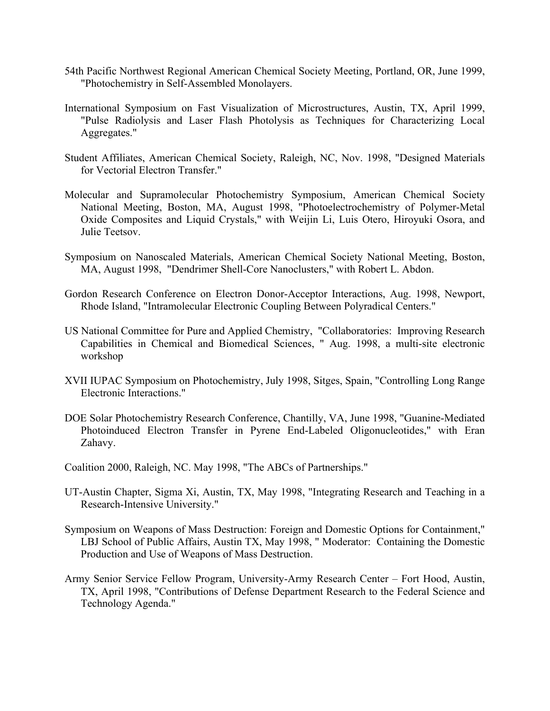- 54th Pacific Northwest Regional American Chemical Society Meeting, Portland, OR, June 1999, "Photochemistry in Self-Assembled Monolayers.
- International Symposium on Fast Visualization of Microstructures, Austin, TX, April 1999, "Pulse Radiolysis and Laser Flash Photolysis as Techniques for Characterizing Local Aggregates."
- Student Affiliates, American Chemical Society, Raleigh, NC, Nov. 1998, "Designed Materials for Vectorial Electron Transfer."
- Molecular and Supramolecular Photochemistry Symposium, American Chemical Society National Meeting, Boston, MA, August 1998, "Photoelectrochemistry of Polymer-Metal Oxide Composites and Liquid Crystals," with Weijin Li, Luis Otero, Hiroyuki Osora, and Julie Teetsov.
- Symposium on Nanoscaled Materials, American Chemical Society National Meeting, Boston, MA, August 1998, "Dendrimer Shell-Core Nanoclusters," with Robert L. Abdon.
- Gordon Research Conference on Electron Donor-Acceptor Interactions, Aug. 1998, Newport, Rhode Island, "Intramolecular Electronic Coupling Between Polyradical Centers."
- US National Committee for Pure and Applied Chemistry, "Collaboratories: Improving Research Capabilities in Chemical and Biomedical Sciences, " Aug. 1998, a multi-site electronic workshop
- XVII IUPAC Symposium on Photochemistry, July 1998, Sitges, Spain, "Controlling Long Range Electronic Interactions."
- DOE Solar Photochemistry Research Conference, Chantilly, VA, June 1998, "Guanine-Mediated Photoinduced Electron Transfer in Pyrene End-Labeled Oligonucleotides," with Eran Zahavy.
- Coalition 2000, Raleigh, NC. May 1998, "The ABCs of Partnerships."
- UT-Austin Chapter, Sigma Xi, Austin, TX, May 1998, "Integrating Research and Teaching in a Research-Intensive University."
- Symposium on Weapons of Mass Destruction: Foreign and Domestic Options for Containment," LBJ School of Public Affairs, Austin TX, May 1998, " Moderator: Containing the Domestic Production and Use of Weapons of Mass Destruction.
- Army Senior Service Fellow Program, University-Army Research Center Fort Hood, Austin, TX, April 1998, "Contributions of Defense Department Research to the Federal Science and Technology Agenda."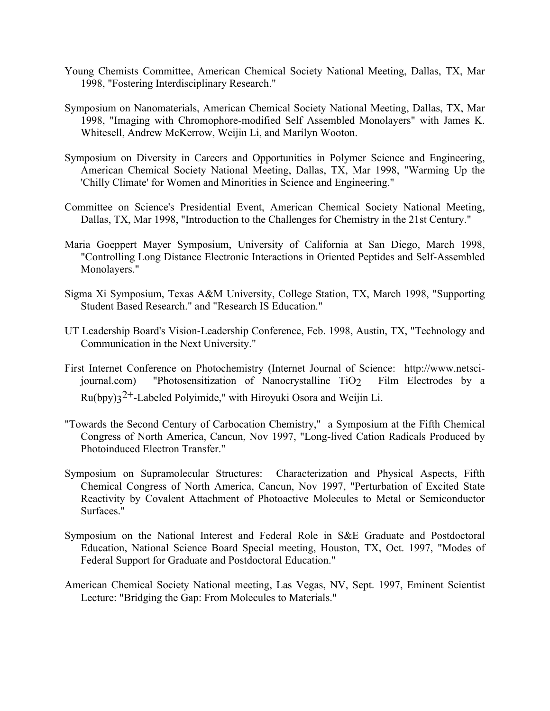- Young Chemists Committee, American Chemical Society National Meeting, Dallas, TX, Mar 1998, "Fostering Interdisciplinary Research."
- Symposium on Nanomaterials, American Chemical Society National Meeting, Dallas, TX, Mar 1998, "Imaging with Chromophore-modified Self Assembled Monolayers" with James K. Whitesell, Andrew McKerrow, Weijin Li, and Marilyn Wooton.
- Symposium on Diversity in Careers and Opportunities in Polymer Science and Engineering, American Chemical Society National Meeting, Dallas, TX, Mar 1998, "Warming Up the 'Chilly Climate' for Women and Minorities in Science and Engineering."
- Committee on Science's Presidential Event, American Chemical Society National Meeting, Dallas, TX, Mar 1998, "Introduction to the Challenges for Chemistry in the 21st Century."
- Maria Goeppert Mayer Symposium, University of California at San Diego, March 1998, "Controlling Long Distance Electronic Interactions in Oriented Peptides and Self-Assembled Monolayers."
- Sigma Xi Symposium, Texas A&M University, College Station, TX, March 1998, "Supporting Student Based Research." and "Research IS Education."
- UT Leadership Board's Vision-Leadership Conference, Feb. 1998, Austin, TX, "Technology and Communication in the Next University."
- First Internet Conference on Photochemistry (Internet Journal of Science: http://www.netscijournal.com) "Photosensitization of Nanocrystalline TiO2 Film Electrodes by a  $Ru(bpy)3^{2+}$ -Labeled Polyimide," with Hiroyuki Osora and Weijin Li.
- "Towards the Second Century of Carbocation Chemistry," a Symposium at the Fifth Chemical Congress of North America, Cancun, Nov 1997, "Long-lived Cation Radicals Produced by Photoinduced Electron Transfer."
- Symposium on Supramolecular Structures: Characterization and Physical Aspects, Fifth Chemical Congress of North America, Cancun, Nov 1997, "Perturbation of Excited State Reactivity by Covalent Attachment of Photoactive Molecules to Metal or Semiconductor Surfaces."
- Symposium on the National Interest and Federal Role in S&E Graduate and Postdoctoral Education, National Science Board Special meeting, Houston, TX, Oct. 1997, "Modes of Federal Support for Graduate and Postdoctoral Education."
- American Chemical Society National meeting, Las Vegas, NV, Sept. 1997, Eminent Scientist Lecture: "Bridging the Gap: From Molecules to Materials."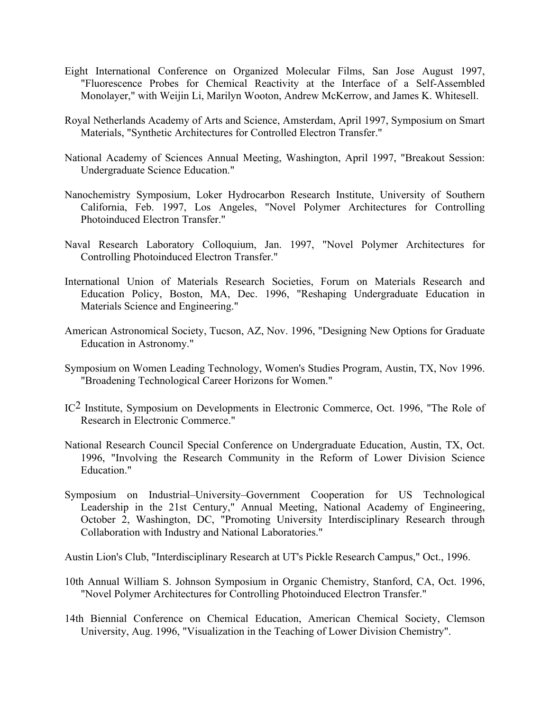- Eight International Conference on Organized Molecular Films, San Jose August 1997, "Fluorescence Probes for Chemical Reactivity at the Interface of a Self-Assembled Monolayer," with Weijin Li, Marilyn Wooton, Andrew McKerrow, and James K. Whitesell.
- Royal Netherlands Academy of Arts and Science, Amsterdam, April 1997, Symposium on Smart Materials, "Synthetic Architectures for Controlled Electron Transfer."
- National Academy of Sciences Annual Meeting, Washington, April 1997, "Breakout Session: Undergraduate Science Education."
- Nanochemistry Symposium, Loker Hydrocarbon Research Institute, University of Southern California, Feb. 1997, Los Angeles, "Novel Polymer Architectures for Controlling Photoinduced Electron Transfer."
- Naval Research Laboratory Colloquium, Jan. 1997, "Novel Polymer Architectures for Controlling Photoinduced Electron Transfer."
- International Union of Materials Research Societies, Forum on Materials Research and Education Policy, Boston, MA, Dec. 1996, "Reshaping Undergraduate Education in Materials Science and Engineering."
- American Astronomical Society, Tucson, AZ, Nov. 1996, "Designing New Options for Graduate Education in Astronomy."
- Symposium on Women Leading Technology, Women's Studies Program, Austin, TX, Nov 1996. "Broadening Technological Career Horizons for Women."
- IC2 Institute, Symposium on Developments in Electronic Commerce, Oct. 1996, "The Role of Research in Electronic Commerce."
- National Research Council Special Conference on Undergraduate Education, Austin, TX, Oct. 1996, "Involving the Research Community in the Reform of Lower Division Science Education."
- Symposium on Industrial–University–Government Cooperation for US Technological Leadership in the 21st Century," Annual Meeting, National Academy of Engineering, October 2, Washington, DC, "Promoting University Interdisciplinary Research through Collaboration with Industry and National Laboratories."
- Austin Lion's Club, "Interdisciplinary Research at UT's Pickle Research Campus," Oct., 1996.
- 10th Annual William S. Johnson Symposium in Organic Chemistry, Stanford, CA, Oct. 1996, "Novel Polymer Architectures for Controlling Photoinduced Electron Transfer."
- 14th Biennial Conference on Chemical Education, American Chemical Society, Clemson University, Aug. 1996, "Visualization in the Teaching of Lower Division Chemistry".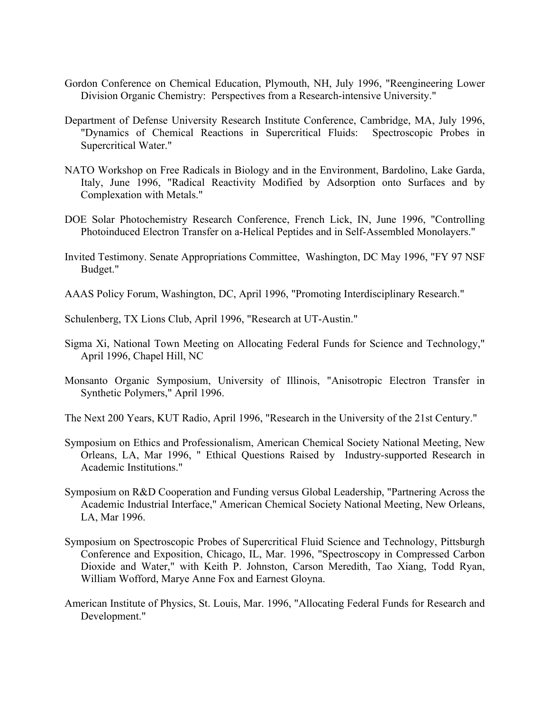- Gordon Conference on Chemical Education, Plymouth, NH, July 1996, "Reengineering Lower Division Organic Chemistry: Perspectives from a Research-intensive University."
- Department of Defense University Research Institute Conference, Cambridge, MA, July 1996, "Dynamics of Chemical Reactions in Supercritical Fluids: Spectroscopic Probes in Supercritical Water."
- NATO Workshop on Free Radicals in Biology and in the Environment, Bardolino, Lake Garda, Italy, June 1996, "Radical Reactivity Modified by Adsorption onto Surfaces and by Complexation with Metals."
- DOE Solar Photochemistry Research Conference, French Lick, IN, June 1996, "Controlling Photoinduced Electron Transfer on a-Helical Peptides and in Self-Assembled Monolayers."
- Invited Testimony. Senate Appropriations Committee, Washington, DC May 1996, "FY 97 NSF Budget."
- AAAS Policy Forum, Washington, DC, April 1996, "Promoting Interdisciplinary Research."
- Schulenberg, TX Lions Club, April 1996, "Research at UT-Austin."
- Sigma Xi, National Town Meeting on Allocating Federal Funds for Science and Technology," April 1996, Chapel Hill, NC
- Monsanto Organic Symposium, University of Illinois, "Anisotropic Electron Transfer in Synthetic Polymers," April 1996.
- The Next 200 Years, KUT Radio, April 1996, "Research in the University of the 21st Century."
- Symposium on Ethics and Professionalism, American Chemical Society National Meeting, New Orleans, LA, Mar 1996, " Ethical Questions Raised by Industry-supported Research in Academic Institutions."
- Symposium on R&D Cooperation and Funding versus Global Leadership, "Partnering Across the Academic Industrial Interface," American Chemical Society National Meeting, New Orleans, LA, Mar 1996.
- Symposium on Spectroscopic Probes of Supercritical Fluid Science and Technology, Pittsburgh Conference and Exposition, Chicago, IL, Mar. 1996, "Spectroscopy in Compressed Carbon Dioxide and Water," with Keith P. Johnston, Carson Meredith, Tao Xiang, Todd Ryan, William Wofford, Marye Anne Fox and Earnest Gloyna.
- American Institute of Physics, St. Louis, Mar. 1996, "Allocating Federal Funds for Research and Development."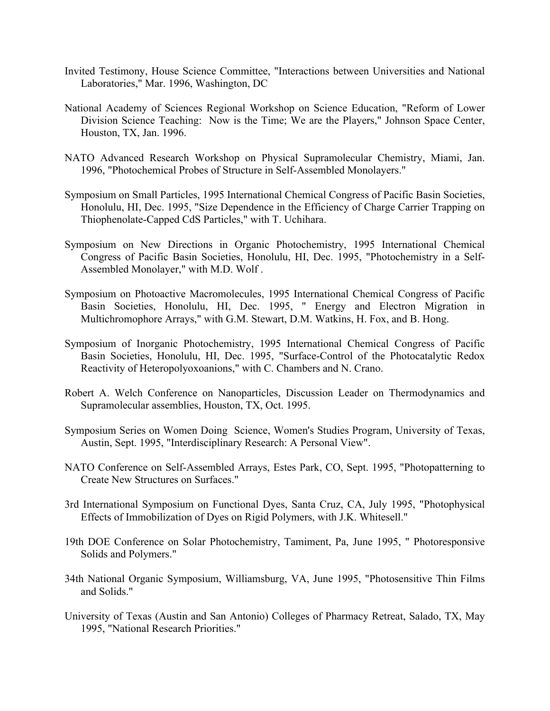- Invited Testimony, House Science Committee, "Interactions between Universities and National Laboratories," Mar. 1996, Washington, DC
- National Academy of Sciences Regional Workshop on Science Education, "Reform of Lower Division Science Teaching: Now is the Time; We are the Players," Johnson Space Center, Houston, TX, Jan. 1996.
- NATO Advanced Research Workshop on Physical Supramolecular Chemistry, Miami, Jan. 1996, "Photochemical Probes of Structure in Self-Assembled Monolayers."
- Symposium on Small Particles, 1995 International Chemical Congress of Pacific Basin Societies, Honolulu, HI, Dec. 1995, "Size Dependence in the Efficiency of Charge Carrier Trapping on Thiophenolate-Capped CdS Particles," with T. Uchihara.
- Symposium on New Directions in Organic Photochemistry, 1995 International Chemical Congress of Pacific Basin Societies, Honolulu, HI, Dec. 1995, "Photochemistry in a Self-Assembled Monolayer," with M.D. Wolf .
- Symposium on Photoactive Macromolecules, 1995 International Chemical Congress of Pacific Basin Societies, Honolulu, HI, Dec. 1995, " Energy and Electron Migration in Multichromophore Arrays," with G.M. Stewart, D.M. Watkins, H. Fox, and B. Hong.
- Symposium of Inorganic Photochemistry, 1995 International Chemical Congress of Pacific Basin Societies, Honolulu, HI, Dec. 1995, "Surface-Control of the Photocatalytic Redox Reactivity of Heteropolyoxoanions," with C. Chambers and N. Crano.
- Robert A. Welch Conference on Nanoparticles, Discussion Leader on Thermodynamics and Supramolecular assemblies, Houston, TX, Oct. 1995.
- Symposium Series on Women Doing Science, Women's Studies Program, University of Texas, Austin, Sept. 1995, "Interdisciplinary Research: A Personal View".
- NATO Conference on Self-Assembled Arrays, Estes Park, CO, Sept. 1995, "Photopatterning to Create New Structures on Surfaces."
- 3rd International Symposium on Functional Dyes, Santa Cruz, CA, July 1995, "Photophysical Effects of Immobilization of Dyes on Rigid Polymers, with J.K. Whitesell."
- 19th DOE Conference on Solar Photochemistry, Tamiment, Pa, June 1995, " Photoresponsive Solids and Polymers."
- 34th National Organic Symposium, Williamsburg, VA, June 1995, "Photosensitive Thin Films and Solids."
- University of Texas (Austin and San Antonio) Colleges of Pharmacy Retreat, Salado, TX, May 1995, "National Research Priorities."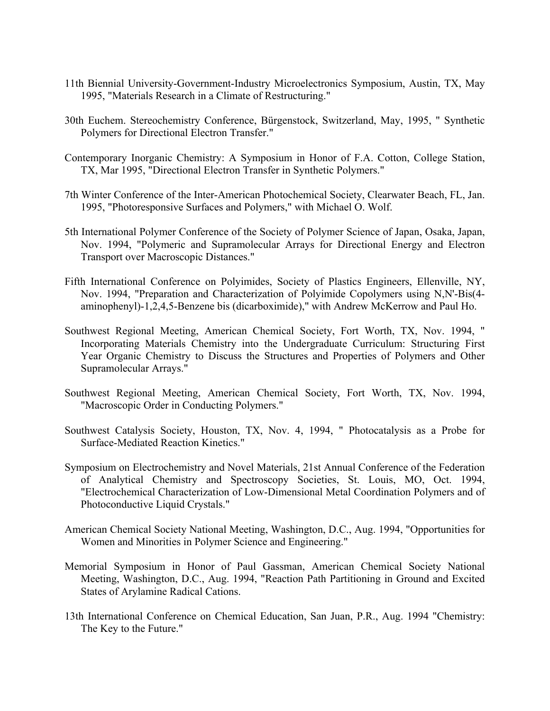- 11th Biennial University-Government-Industry Microelectronics Symposium, Austin, TX, May 1995, "Materials Research in a Climate of Restructuring."
- 30th Euchem. Stereochemistry Conference, Bürgenstock, Switzerland, May, 1995, " Synthetic Polymers for Directional Electron Transfer."
- Contemporary Inorganic Chemistry: A Symposium in Honor of F.A. Cotton, College Station, TX, Mar 1995, "Directional Electron Transfer in Synthetic Polymers."
- 7th Winter Conference of the Inter-American Photochemical Society, Clearwater Beach, FL, Jan. 1995, "Photoresponsive Surfaces and Polymers," with Michael O. Wolf.
- 5th International Polymer Conference of the Society of Polymer Science of Japan, Osaka, Japan, Nov. 1994, "Polymeric and Supramolecular Arrays for Directional Energy and Electron Transport over Macroscopic Distances."
- Fifth International Conference on Polyimides, Society of Plastics Engineers, Ellenville, NY, Nov. 1994, "Preparation and Characterization of Polyimide Copolymers using N,N'-Bis(4 aminophenyl)-1,2,4,5-Benzene bis (dicarboximide)," with Andrew McKerrow and Paul Ho.
- Southwest Regional Meeting, American Chemical Society, Fort Worth, TX, Nov. 1994, " Incorporating Materials Chemistry into the Undergraduate Curriculum: Structuring First Year Organic Chemistry to Discuss the Structures and Properties of Polymers and Other Supramolecular Arrays."
- Southwest Regional Meeting, American Chemical Society, Fort Worth, TX, Nov. 1994, "Macroscopic Order in Conducting Polymers."
- Southwest Catalysis Society, Houston, TX, Nov. 4, 1994, " Photocatalysis as a Probe for Surface-Mediated Reaction Kinetics."
- Symposium on Electrochemistry and Novel Materials, 21st Annual Conference of the Federation of Analytical Chemistry and Spectroscopy Societies, St. Louis, MO, Oct. 1994, "Electrochemical Characterization of Low-Dimensional Metal Coordination Polymers and of Photoconductive Liquid Crystals."
- American Chemical Society National Meeting, Washington, D.C., Aug. 1994, "Opportunities for Women and Minorities in Polymer Science and Engineering."
- Memorial Symposium in Honor of Paul Gassman, American Chemical Society National Meeting, Washington, D.C., Aug. 1994, "Reaction Path Partitioning in Ground and Excited States of Arylamine Radical Cations.
- 13th International Conference on Chemical Education, San Juan, P.R., Aug. 1994 "Chemistry: The Key to the Future."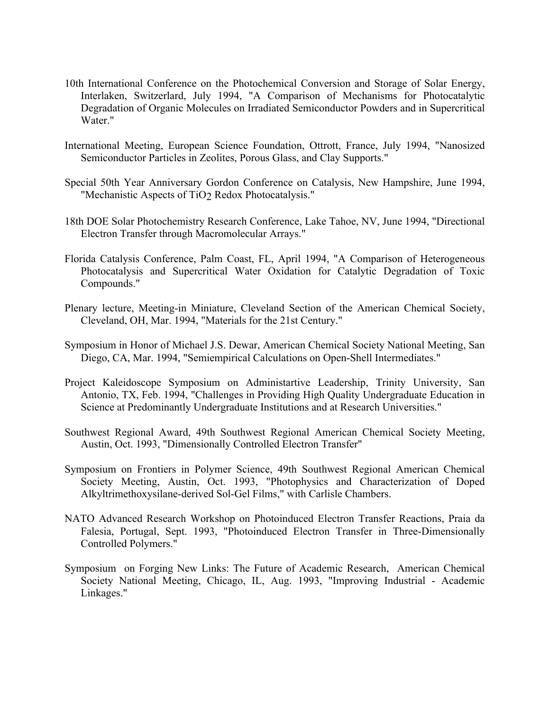- 10th International Conference on the Photochemical Conversion and Storage of Solar Energy, Interlaken, Switzerlard, July 1994, "A Comparison of Mechanisms for Photocatalytic Degradation of Organic Molecules on Irradiated Semiconductor Powders and in Supercritical Water."
- International Meeting, European Science Foundation, Ottrott, France, July 1994, "Nanosized Semiconductor Particles in Zeolites, Porous Glass, and Clay Supports."
- Special 50th Year Anniversary Gordon Conference on Catalysis, New Hampshire, June 1994, "Mechanistic Aspects of TiO<sub>2</sub> Redox Photocatalysis."
- 18th DOE Solar Photochemistry Research Conference, Lake Tahoe, NV, June 1994, "Directional Electron Transfer through Macromolecular Arrays."
- Florida Catalysis Conference, Palm Coast, FL, April 1994, "A Comparison of Heterogeneous Photocatalysis and Supercritical Water Oxidation for Catalytic Degradation of Toxic Compounds."
- Plenary lecture, Meeting-in Miniature, Cleveland Section of the American Chemical Society, Cleveland, OH, Mar. 1994, "Materials for the 21st Century."
- Symposium in Honor of Michael J.S. Dewar, American Chemical Society National Meeting, San Diego, CA, Mar. 1994, "Semiempirical Calculations on Open-Shell Intermediates."
- Project Kaleidoscope Symposium on Administartive Leadership, Trinity University, San Antonio, TX, Feb. 1994, "Challenges in Providing High Quality Undergraduate Education in Science at Predominantly Undergraduate Institutions and at Research Universities."
- Southwest Regional Award, 49th Southwest Regional American Chemical Society Meeting, Austin, Oct. 1993, "Dimensionally Controlled Electron Transfer"
- Symposium on Frontiers in Polymer Science, 49th Southwest Regional American Chemical Society Meeting, Austin, Oct. 1993, "Photophysics and Characterization of Doped Alkyltrimethoxysilane-derived Sol-Gel Films," with Carlisle Chambers.
- NATO Advanced Research Workshop on Photoinduced Electron Transfer Reactions, Praia da Falesia, Portugal, Sept. 1993, "Photoinduced Electron Transfer in Three-Dimensionally Controlled Polymers."
- Symposium on Forging New Links: The Future of Academic Research, American Chemical Society National Meeting, Chicago, IL, Aug. 1993, "Improving Industrial - Academic Linkages."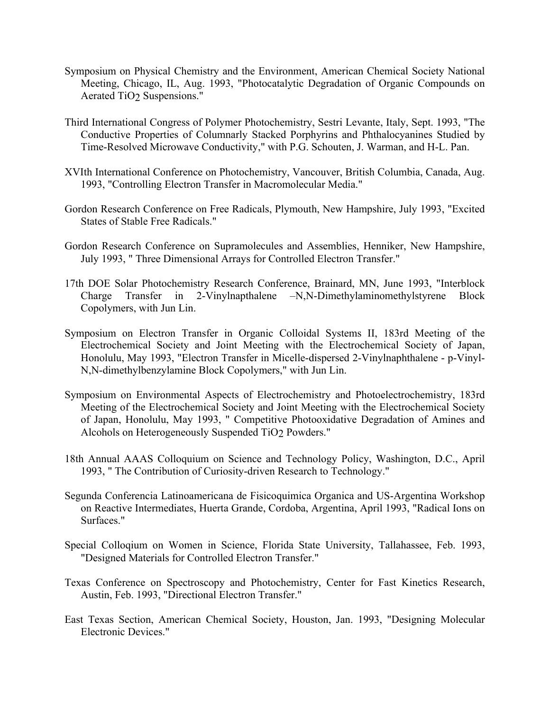- Symposium on Physical Chemistry and the Environment, American Chemical Society National Meeting, Chicago, IL, Aug. 1993, "Photocatalytic Degradation of Organic Compounds on Aerated TiO2 Suspensions."
- Third International Congress of Polymer Photochemistry, Sestri Levante, Italy, Sept. 1993, "The Conductive Properties of Columnarly Stacked Porphyrins and Phthalocyanines Studied by Time-Resolved Microwave Conductivity," with P.G. Schouten, J. Warman, and H-L. Pan.
- XVIth International Conference on Photochemistry, Vancouver, British Columbia, Canada, Aug. 1993, "Controlling Electron Transfer in Macromolecular Media."
- Gordon Research Conference on Free Radicals, Plymouth, New Hampshire, July 1993, "Excited States of Stable Free Radicals."
- Gordon Research Conference on Supramolecules and Assemblies, Henniker, New Hampshire, July 1993, " Three Dimensional Arrays for Controlled Electron Transfer."
- 17th DOE Solar Photochemistry Research Conference, Brainard, MN, June 1993, "Interblock Charge Transfer in 2-Vinylnapthalene –N,N-Dimethylaminomethylstyrene Block Copolymers, with Jun Lin.
- Symposium on Electron Transfer in Organic Colloidal Systems II, 183rd Meeting of the Electrochemical Society and Joint Meeting with the Electrochemical Society of Japan, Honolulu, May 1993, "Electron Transfer in Micelle-dispersed 2-Vinylnaphthalene - p-Vinyl-N,N-dimethylbenzylamine Block Copolymers," with Jun Lin.
- Symposium on Environmental Aspects of Electrochemistry and Photoelectrochemistry, 183rd Meeting of the Electrochemical Society and Joint Meeting with the Electrochemical Society of Japan, Honolulu, May 1993, " Competitive Photooxidative Degradation of Amines and Alcohols on Heterogeneously Suspended TiO<sub>2</sub> Powders."
- 18th Annual AAAS Colloquium on Science and Technology Policy, Washington, D.C., April 1993, " The Contribution of Curiosity-driven Research to Technology."
- Segunda Conferencia Latinoamericana de Fisicoquimica Organica and US-Argentina Workshop on Reactive Intermediates, Huerta Grande, Cordoba, Argentina, April 1993, "Radical Ions on Surfaces."
- Special Colloqium on Women in Science, Florida State University, Tallahassee, Feb. 1993, "Designed Materials for Controlled Electron Transfer."
- Texas Conference on Spectroscopy and Photochemistry, Center for Fast Kinetics Research, Austin, Feb. 1993, "Directional Electron Transfer."
- East Texas Section, American Chemical Society, Houston, Jan. 1993, "Designing Molecular Electronic Devices."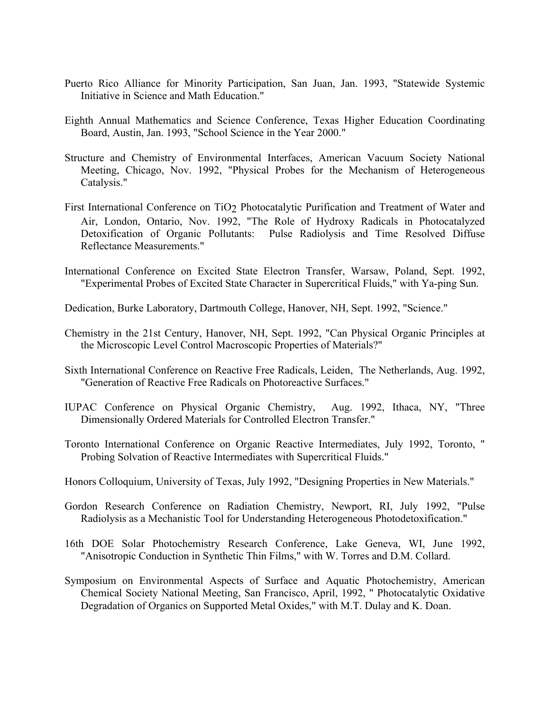- Puerto Rico Alliance for Minority Participation, San Juan, Jan. 1993, "Statewide Systemic Initiative in Science and Math Education."
- Eighth Annual Mathematics and Science Conference, Texas Higher Education Coordinating Board, Austin, Jan. 1993, "School Science in the Year 2000."
- Structure and Chemistry of Environmental Interfaces, American Vacuum Society National Meeting, Chicago, Nov. 1992, "Physical Probes for the Mechanism of Heterogeneous Catalysis."
- First International Conference on TiO2 Photocatalytic Purification and Treatment of Water and Air, London, Ontario, Nov. 1992, "The Role of Hydroxy Radicals in Photocatalyzed Detoxification of Organic Pollutants: Pulse Radiolysis and Time Resolved Diffuse Reflectance Measurements."
- International Conference on Excited State Electron Transfer, Warsaw, Poland, Sept. 1992, "Experimental Probes of Excited State Character in Supercritical Fluids," with Ya-ping Sun.
- Dedication, Burke Laboratory, Dartmouth College, Hanover, NH, Sept. 1992, "Science."
- Chemistry in the 21st Century, Hanover, NH, Sept. 1992, "Can Physical Organic Principles at the Microscopic Level Control Macroscopic Properties of Materials?"
- Sixth International Conference on Reactive Free Radicals, Leiden, The Netherlands, Aug. 1992, "Generation of Reactive Free Radicals on Photoreactive Surfaces."
- IUPAC Conference on Physical Organic Chemistry, Aug. 1992, Ithaca, NY, "Three Dimensionally Ordered Materials for Controlled Electron Transfer."
- Toronto International Conference on Organic Reactive Intermediates, July 1992, Toronto, " Probing Solvation of Reactive Intermediates with Supercritical Fluids."
- Honors Colloquium, University of Texas, July 1992, "Designing Properties in New Materials."
- Gordon Research Conference on Radiation Chemistry, Newport, RI, July 1992, "Pulse Radiolysis as a Mechanistic Tool for Understanding Heterogeneous Photodetoxification."
- 16th DOE Solar Photochemistry Research Conference, Lake Geneva, WI, June 1992, "Anisotropic Conduction in Synthetic Thin Films," with W. Torres and D.M. Collard.
- Symposium on Environmental Aspects of Surface and Aquatic Photochemistry, American Chemical Society National Meeting, San Francisco, April, 1992, " Photocatalytic Oxidative Degradation of Organics on Supported Metal Oxides," with M.T. Dulay and K. Doan.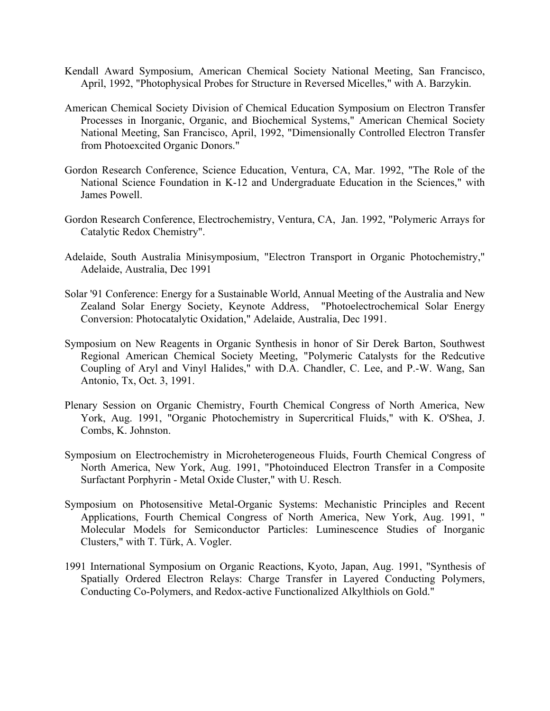- Kendall Award Symposium, American Chemical Society National Meeting, San Francisco, April, 1992, "Photophysical Probes for Structure in Reversed Micelles," with A. Barzykin.
- American Chemical Society Division of Chemical Education Symposium on Electron Transfer Processes in Inorganic, Organic, and Biochemical Systems," American Chemical Society National Meeting, San Francisco, April, 1992, "Dimensionally Controlled Electron Transfer from Photoexcited Organic Donors."
- Gordon Research Conference, Science Education, Ventura, CA, Mar. 1992, "The Role of the National Science Foundation in K-12 and Undergraduate Education in the Sciences," with James Powell.
- Gordon Research Conference, Electrochemistry, Ventura, CA, Jan. 1992, "Polymeric Arrays for Catalytic Redox Chemistry".
- Adelaide, South Australia Minisymposium, "Electron Transport in Organic Photochemistry," Adelaide, Australia, Dec 1991
- Solar '91 Conference: Energy for a Sustainable World, Annual Meeting of the Australia and New Zealand Solar Energy Society, Keynote Address, "Photoelectrochemical Solar Energy Conversion: Photocatalytic Oxidation," Adelaide, Australia, Dec 1991.
- Symposium on New Reagents in Organic Synthesis in honor of Sir Derek Barton, Southwest Regional American Chemical Society Meeting, "Polymeric Catalysts for the Redcutive Coupling of Aryl and Vinyl Halides," with D.A. Chandler, C. Lee, and P.-W. Wang, San Antonio, Tx, Oct. 3, 1991.
- Plenary Session on Organic Chemistry, Fourth Chemical Congress of North America, New York, Aug. 1991, "Organic Photochemistry in Supercritical Fluids," with K. O'Shea, J. Combs, K. Johnston.
- Symposium on Electrochemistry in Microheterogeneous Fluids, Fourth Chemical Congress of North America, New York, Aug. 1991, "Photoinduced Electron Transfer in a Composite Surfactant Porphyrin - Metal Oxide Cluster," with U. Resch.
- Symposium on Photosensitive Metal-Organic Systems: Mechanistic Principles and Recent Applications, Fourth Chemical Congress of North America, New York, Aug. 1991, " Molecular Models for Semiconductor Particles: Luminescence Studies of Inorganic Clusters," with T. Türk, A. Vogler.
- 1991 International Symposium on Organic Reactions, Kyoto, Japan, Aug. 1991, "Synthesis of Spatially Ordered Electron Relays: Charge Transfer in Layered Conducting Polymers, Conducting Co-Polymers, and Redox-active Functionalized Alkylthiols on Gold."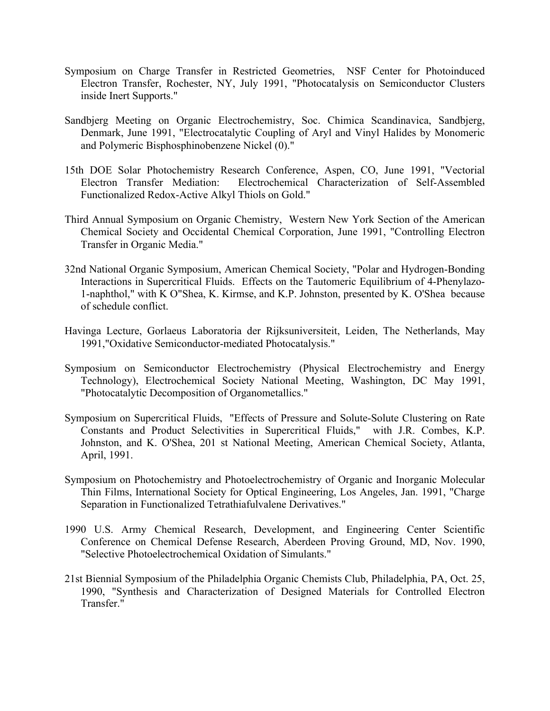- Symposium on Charge Transfer in Restricted Geometries, NSF Center for Photoinduced Electron Transfer, Rochester, NY, July 1991, "Photocatalysis on Semiconductor Clusters inside Inert Supports."
- Sandbjerg Meeting on Organic Electrochemistry, Soc. Chimica Scandinavica, Sandbjerg, Denmark, June 1991, "Electrocatalytic Coupling of Aryl and Vinyl Halides by Monomeric and Polymeric Bisphosphinobenzene Nickel (0)."
- 15th DOE Solar Photochemistry Research Conference, Aspen, CO, June 1991, "Vectorial Electron Transfer Mediation: Electrochemical Characterization of Self-Assembled Functionalized Redox-Active Alkyl Thiols on Gold."
- Third Annual Symposium on Organic Chemistry, Western New York Section of the American Chemical Society and Occidental Chemical Corporation, June 1991, "Controlling Electron Transfer in Organic Media."
- 32nd National Organic Symposium, American Chemical Society, "Polar and Hydrogen-Bonding Interactions in Supercritical Fluids. Effects on the Tautomeric Equilibrium of 4-Phenylazo-1-naphthol," with K O"Shea, K. Kirmse, and K.P. Johnston, presented by K. O'Shea because of schedule conflict.
- Havinga Lecture, Gorlaeus Laboratoria der Rijksuniversiteit, Leiden, The Netherlands, May 1991,"Oxidative Semiconductor-mediated Photocatalysis."
- Symposium on Semiconductor Electrochemistry (Physical Electrochemistry and Energy Technology), Electrochemical Society National Meeting, Washington, DC May 1991, "Photocatalytic Decomposition of Organometallics."
- Symposium on Supercritical Fluids, "Effects of Pressure and Solute-Solute Clustering on Rate Constants and Product Selectivities in Supercritical Fluids," with J.R. Combes, K.P. Johnston, and K. O'Shea, 201 st National Meeting, American Chemical Society, Atlanta, April, 1991.
- Symposium on Photochemistry and Photoelectrochemistry of Organic and Inorganic Molecular Thin Films, International Society for Optical Engineering, Los Angeles, Jan. 1991, "Charge Separation in Functionalized Tetrathiafulvalene Derivatives."
- 1990 U.S. Army Chemical Research, Development, and Engineering Center Scientific Conference on Chemical Defense Research, Aberdeen Proving Ground, MD, Nov. 1990, "Selective Photoelectrochemical Oxidation of Simulants."
- 21st Biennial Symposium of the Philadelphia Organic Chemists Club, Philadelphia, PA, Oct. 25, 1990, "Synthesis and Characterization of Designed Materials for Controlled Electron Transfer."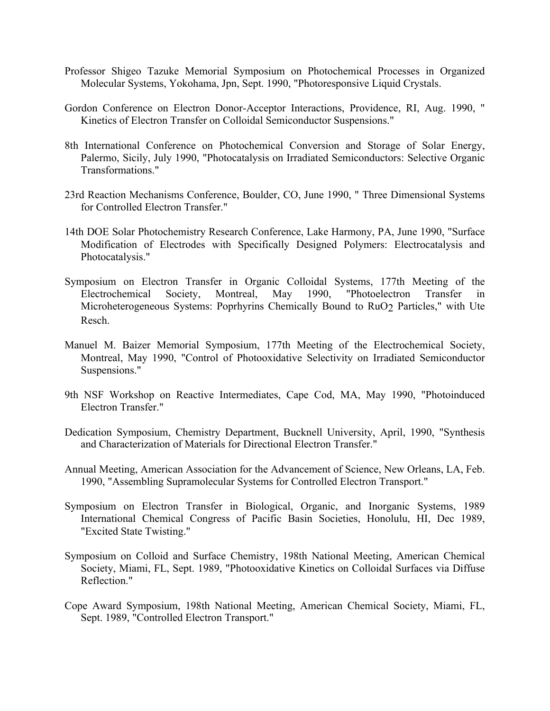- Professor Shigeo Tazuke Memorial Symposium on Photochemical Processes in Organized Molecular Systems, Yokohama, Jpn, Sept. 1990, "Photoresponsive Liquid Crystals.
- Gordon Conference on Electron Donor-Acceptor Interactions, Providence, RI, Aug. 1990, " Kinetics of Electron Transfer on Colloidal Semiconductor Suspensions."
- 8th International Conference on Photochemical Conversion and Storage of Solar Energy, Palermo, Sicily, July 1990, "Photocatalysis on Irradiated Semiconductors: Selective Organic Transformations."
- 23rd Reaction Mechanisms Conference, Boulder, CO, June 1990, " Three Dimensional Systems for Controlled Electron Transfer."
- 14th DOE Solar Photochemistry Research Conference, Lake Harmony, PA, June 1990, "Surface Modification of Electrodes with Specifically Designed Polymers: Electrocatalysis and Photocatalysis."
- Symposium on Electron Transfer in Organic Colloidal Systems, 177th Meeting of the Electrochemical Society, Montreal, May 1990, "Photoelectron Transfer in Microheterogeneous Systems: Poprhyrins Chemically Bound to RuO2 Particles," with Ute Resch.
- Manuel M. Baizer Memorial Symposium, 177th Meeting of the Electrochemical Society, Montreal, May 1990, "Control of Photooxidative Selectivity on Irradiated Semiconductor Suspensions."
- 9th NSF Workshop on Reactive Intermediates, Cape Cod, MA, May 1990, "Photoinduced Electron Transfer."
- Dedication Symposium, Chemistry Department, Bucknell University, April, 1990, "Synthesis and Characterization of Materials for Directional Electron Transfer."
- Annual Meeting, American Association for the Advancement of Science, New Orleans, LA, Feb. 1990, "Assembling Supramolecular Systems for Controlled Electron Transport."
- Symposium on Electron Transfer in Biological, Organic, and Inorganic Systems, 1989 International Chemical Congress of Pacific Basin Societies, Honolulu, HI, Dec 1989, "Excited State Twisting."
- Symposium on Colloid and Surface Chemistry, 198th National Meeting, American Chemical Society, Miami, FL, Sept. 1989, "Photooxidative Kinetics on Colloidal Surfaces via Diffuse Reflection."
- Cope Award Symposium, 198th National Meeting, American Chemical Society, Miami, FL, Sept. 1989, "Controlled Electron Transport."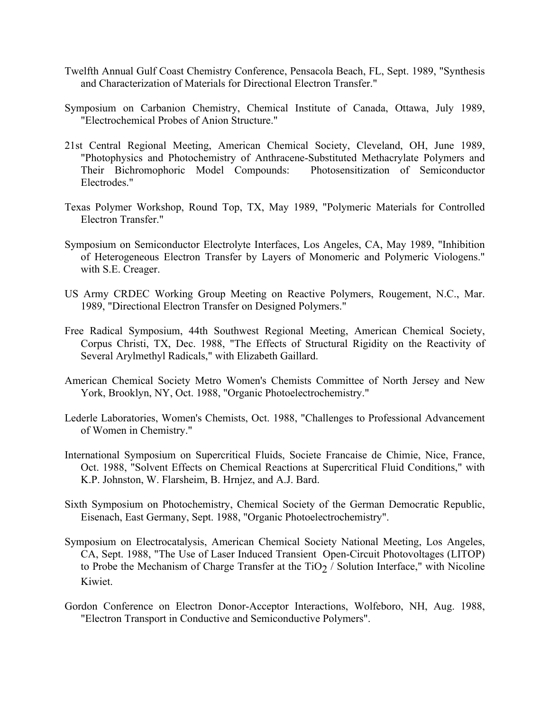- Twelfth Annual Gulf Coast Chemistry Conference, Pensacola Beach, FL, Sept. 1989, "Synthesis and Characterization of Materials for Directional Electron Transfer."
- Symposium on Carbanion Chemistry, Chemical Institute of Canada, Ottawa, July 1989, "Electrochemical Probes of Anion Structure."
- 21st Central Regional Meeting, American Chemical Society, Cleveland, OH, June 1989, "Photophysics and Photochemistry of Anthracene-Substituted Methacrylate Polymers and Their Bichromophoric Model Compounds: Photosensitization of Semiconductor Electrodes."
- Texas Polymer Workshop, Round Top, TX, May 1989, "Polymeric Materials for Controlled Electron Transfer."
- Symposium on Semiconductor Electrolyte Interfaces, Los Angeles, CA, May 1989, "Inhibition of Heterogeneous Electron Transfer by Layers of Monomeric and Polymeric Viologens." with S.E. Creager.
- US Army CRDEC Working Group Meeting on Reactive Polymers, Rougement, N.C., Mar. 1989, "Directional Electron Transfer on Designed Polymers."
- Free Radical Symposium, 44th Southwest Regional Meeting, American Chemical Society, Corpus Christi, TX, Dec. 1988, "The Effects of Structural Rigidity on the Reactivity of Several Arylmethyl Radicals," with Elizabeth Gaillard.
- American Chemical Society Metro Women's Chemists Committee of North Jersey and New York, Brooklyn, NY, Oct. 1988, "Organic Photoelectrochemistry."
- Lederle Laboratories, Women's Chemists, Oct. 1988, "Challenges to Professional Advancement of Women in Chemistry."
- International Symposium on Supercritical Fluids, Societe Francaise de Chimie, Nice, France, Oct. 1988, "Solvent Effects on Chemical Reactions at Supercritical Fluid Conditions," with K.P. Johnston, W. Flarsheim, B. Hrnjez, and A.J. Bard.
- Sixth Symposium on Photochemistry, Chemical Society of the German Democratic Republic, Eisenach, East Germany, Sept. 1988, "Organic Photoelectrochemistry".
- Symposium on Electrocatalysis, American Chemical Society National Meeting, Los Angeles, CA, Sept. 1988, "The Use of Laser Induced Transient Open-Circuit Photovoltages (LITOP) to Probe the Mechanism of Charge Transfer at the TiO<sub>2</sub> / Solution Interface," with Nicoline Kiwiet.
- Gordon Conference on Electron Donor-Acceptor Interactions, Wolfeboro, NH, Aug. 1988, "Electron Transport in Conductive and Semiconductive Polymers".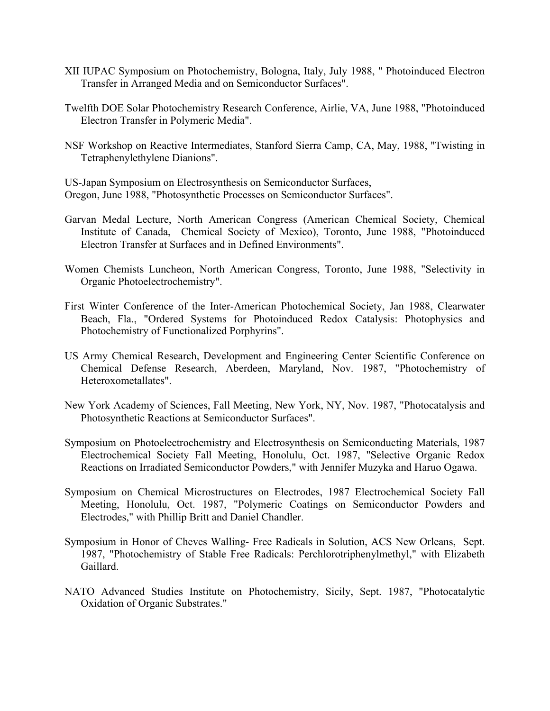- XII IUPAC Symposium on Photochemistry, Bologna, Italy, July 1988, " Photoinduced Electron Transfer in Arranged Media and on Semiconductor Surfaces".
- Twelfth DOE Solar Photochemistry Research Conference, Airlie, VA, June 1988, "Photoinduced Electron Transfer in Polymeric Media".
- NSF Workshop on Reactive Intermediates, Stanford Sierra Camp, CA, May, 1988, "Twisting in Tetraphenylethylene Dianions".

US-Japan Symposium on Electrosynthesis on Semiconductor Surfaces, Oregon, June 1988, "Photosynthetic Processes on Semiconductor Surfaces".

- Garvan Medal Lecture, North American Congress (American Chemical Society, Chemical Institute of Canada, Chemical Society of Mexico), Toronto, June 1988, "Photoinduced Electron Transfer at Surfaces and in Defined Environments".
- Women Chemists Luncheon, North American Congress, Toronto, June 1988, "Selectivity in Organic Photoelectrochemistry".
- First Winter Conference of the Inter-American Photochemical Society, Jan 1988, Clearwater Beach, Fla., "Ordered Systems for Photoinduced Redox Catalysis: Photophysics and Photochemistry of Functionalized Porphyrins".
- US Army Chemical Research, Development and Engineering Center Scientific Conference on Chemical Defense Research, Aberdeen, Maryland, Nov. 1987, "Photochemistry of Heteroxometallates".
- New York Academy of Sciences, Fall Meeting, New York, NY, Nov. 1987, "Photocatalysis and Photosynthetic Reactions at Semiconductor Surfaces".
- Symposium on Photoelectrochemistry and Electrosynthesis on Semiconducting Materials, 1987 Electrochemical Society Fall Meeting, Honolulu, Oct. 1987, "Selective Organic Redox Reactions on Irradiated Semiconductor Powders," with Jennifer Muzyka and Haruo Ogawa.
- Symposium on Chemical Microstructures on Electrodes, 1987 Electrochemical Society Fall Meeting, Honolulu, Oct. 1987, "Polymeric Coatings on Semiconductor Powders and Electrodes," with Phillip Britt and Daniel Chandler.
- Symposium in Honor of Cheves Walling- Free Radicals in Solution, ACS New Orleans, Sept. 1987, "Photochemistry of Stable Free Radicals: Perchlorotriphenylmethyl," with Elizabeth Gaillard.
- NATO Advanced Studies Institute on Photochemistry, Sicily, Sept. 1987, "Photocatalytic Oxidation of Organic Substrates."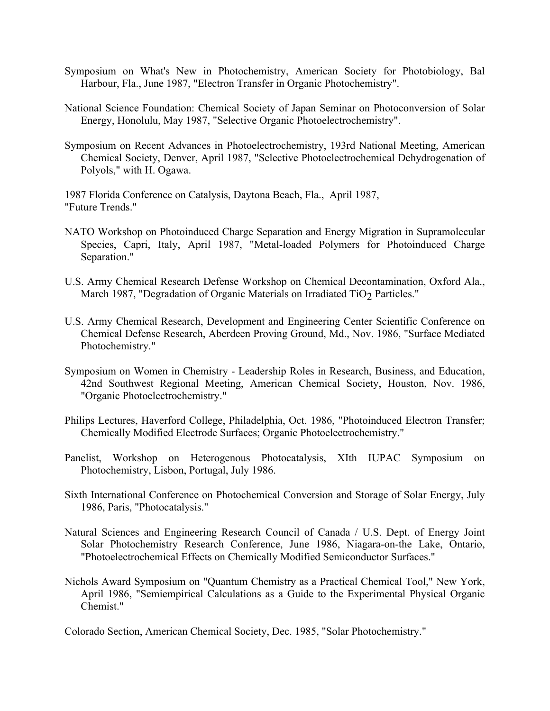- Symposium on What's New in Photochemistry, American Society for Photobiology, Bal Harbour, Fla., June 1987, "Electron Transfer in Organic Photochemistry".
- National Science Foundation: Chemical Society of Japan Seminar on Photoconversion of Solar Energy, Honolulu, May 1987, "Selective Organic Photoelectrochemistry".
- Symposium on Recent Advances in Photoelectrochemistry, 193rd National Meeting, American Chemical Society, Denver, April 1987, "Selective Photoelectrochemical Dehydrogenation of Polyols," with H. Ogawa.

1987 Florida Conference on Catalysis, Daytona Beach, Fla., April 1987, "Future Trends."

- NATO Workshop on Photoinduced Charge Separation and Energy Migration in Supramolecular Species, Capri, Italy, April 1987, "Metal-loaded Polymers for Photoinduced Charge Separation."
- U.S. Army Chemical Research Defense Workshop on Chemical Decontamination, Oxford Ala., March 1987, "Degradation of Organic Materials on Irradiated TiO<sub>2</sub> Particles."
- U.S. Army Chemical Research, Development and Engineering Center Scientific Conference on Chemical Defense Research, Aberdeen Proving Ground, Md., Nov. 1986, "Surface Mediated Photochemistry."
- Symposium on Women in Chemistry Leadership Roles in Research, Business, and Education, 42nd Southwest Regional Meeting, American Chemical Society, Houston, Nov. 1986, "Organic Photoelectrochemistry."
- Philips Lectures, Haverford College, Philadelphia, Oct. 1986, "Photoinduced Electron Transfer; Chemically Modified Electrode Surfaces; Organic Photoelectrochemistry."
- Panelist, Workshop on Heterogenous Photocatalysis, XIth IUPAC Symposium on Photochemistry, Lisbon, Portugal, July 1986.
- Sixth International Conference on Photochemical Conversion and Storage of Solar Energy, July 1986, Paris, "Photocatalysis."
- Natural Sciences and Engineering Research Council of Canada / U.S. Dept. of Energy Joint Solar Photochemistry Research Conference, June 1986, Niagara-on-the Lake, Ontario, "Photoelectrochemical Effects on Chemically Modified Semiconductor Surfaces."
- Nichols Award Symposium on "Quantum Chemistry as a Practical Chemical Tool," New York, April 1986, "Semiempirical Calculations as a Guide to the Experimental Physical Organic Chemist."

Colorado Section, American Chemical Society, Dec. 1985, "Solar Photochemistry."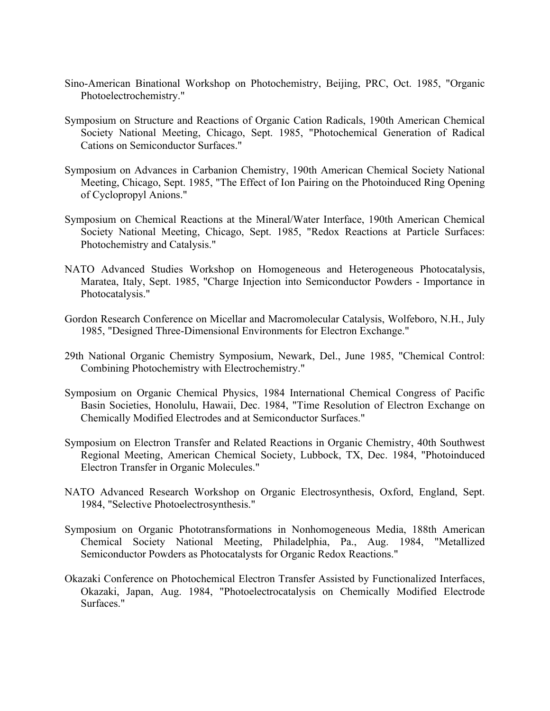- Sino-American Binational Workshop on Photochemistry, Beijing, PRC, Oct. 1985, "Organic Photoelectrochemistry."
- Symposium on Structure and Reactions of Organic Cation Radicals, 190th American Chemical Society National Meeting, Chicago, Sept. 1985, "Photochemical Generation of Radical Cations on Semiconductor Surfaces."
- Symposium on Advances in Carbanion Chemistry, 190th American Chemical Society National Meeting, Chicago, Sept. 1985, "The Effect of Ion Pairing on the Photoinduced Ring Opening of Cyclopropyl Anions."
- Symposium on Chemical Reactions at the Mineral/Water Interface, 190th American Chemical Society National Meeting, Chicago, Sept. 1985, "Redox Reactions at Particle Surfaces: Photochemistry and Catalysis."
- NATO Advanced Studies Workshop on Homogeneous and Heterogeneous Photocatalysis, Maratea, Italy, Sept. 1985, "Charge Injection into Semiconductor Powders - Importance in Photocatalysis."
- Gordon Research Conference on Micellar and Macromolecular Catalysis, Wolfeboro, N.H., July 1985, "Designed Three-Dimensional Environments for Electron Exchange."
- 29th National Organic Chemistry Symposium, Newark, Del., June 1985, "Chemical Control: Combining Photochemistry with Electrochemistry."
- Symposium on Organic Chemical Physics, 1984 International Chemical Congress of Pacific Basin Societies, Honolulu, Hawaii, Dec. 1984, "Time Resolution of Electron Exchange on Chemically Modified Electrodes and at Semiconductor Surfaces."
- Symposium on Electron Transfer and Related Reactions in Organic Chemistry, 40th Southwest Regional Meeting, American Chemical Society, Lubbock, TX, Dec. 1984, "Photoinduced Electron Transfer in Organic Molecules."
- NATO Advanced Research Workshop on Organic Electrosynthesis, Oxford, England, Sept. 1984, "Selective Photoelectrosynthesis."
- Symposium on Organic Phototransformations in Nonhomogeneous Media, 188th American Chemical Society National Meeting, Philadelphia, Pa., Aug. 1984, "Metallized Semiconductor Powders as Photocatalysts for Organic Redox Reactions."
- Okazaki Conference on Photochemical Electron Transfer Assisted by Functionalized Interfaces, Okazaki, Japan, Aug. 1984, "Photoelectrocatalysis on Chemically Modified Electrode Surfaces."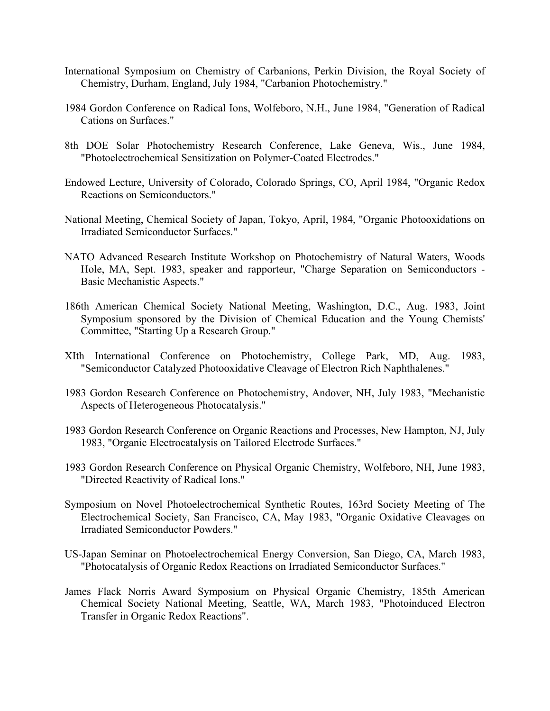- International Symposium on Chemistry of Carbanions, Perkin Division, the Royal Society of Chemistry, Durham, England, July 1984, "Carbanion Photochemistry."
- 1984 Gordon Conference on Radical Ions, Wolfeboro, N.H., June 1984, "Generation of Radical Cations on Surfaces."
- 8th DOE Solar Photochemistry Research Conference, Lake Geneva, Wis., June 1984, "Photoelectrochemical Sensitization on Polymer-Coated Electrodes."
- Endowed Lecture, University of Colorado, Colorado Springs, CO, April 1984, "Organic Redox Reactions on Semiconductors."
- National Meeting, Chemical Society of Japan, Tokyo, April, 1984, "Organic Photooxidations on Irradiated Semiconductor Surfaces."
- NATO Advanced Research Institute Workshop on Photochemistry of Natural Waters, Woods Hole, MA, Sept. 1983, speaker and rapporteur, "Charge Separation on Semiconductors - Basic Mechanistic Aspects."
- 186th American Chemical Society National Meeting, Washington, D.C., Aug. 1983, Joint Symposium sponsored by the Division of Chemical Education and the Young Chemists' Committee, "Starting Up a Research Group."
- XIth International Conference on Photochemistry, College Park, MD, Aug. 1983, "Semiconductor Catalyzed Photooxidative Cleavage of Electron Rich Naphthalenes."
- 1983 Gordon Research Conference on Photochemistry, Andover, NH, July 1983, "Mechanistic Aspects of Heterogeneous Photocatalysis."
- 1983 Gordon Research Conference on Organic Reactions and Processes, New Hampton, NJ, July 1983, "Organic Electrocatalysis on Tailored Electrode Surfaces."
- 1983 Gordon Research Conference on Physical Organic Chemistry, Wolfeboro, NH, June 1983, "Directed Reactivity of Radical Ions."
- Symposium on Novel Photoelectrochemical Synthetic Routes, 163rd Society Meeting of The Electrochemical Society, San Francisco, CA, May 1983, "Organic Oxidative Cleavages on Irradiated Semiconductor Powders."
- US-Japan Seminar on Photoelectrochemical Energy Conversion, San Diego, CA, March 1983, "Photocatalysis of Organic Redox Reactions on Irradiated Semiconductor Surfaces."
- James Flack Norris Award Symposium on Physical Organic Chemistry, 185th American Chemical Society National Meeting, Seattle, WA, March 1983, "Photoinduced Electron Transfer in Organic Redox Reactions".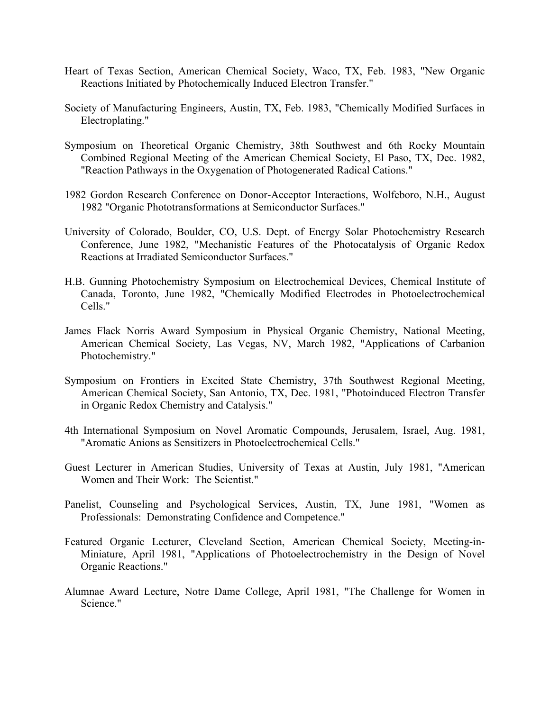- Heart of Texas Section, American Chemical Society, Waco, TX, Feb. 1983, "New Organic Reactions Initiated by Photochemically Induced Electron Transfer."
- Society of Manufacturing Engineers, Austin, TX, Feb. 1983, "Chemically Modified Surfaces in Electroplating."
- Symposium on Theoretical Organic Chemistry, 38th Southwest and 6th Rocky Mountain Combined Regional Meeting of the American Chemical Society, El Paso, TX, Dec. 1982, "Reaction Pathways in the Oxygenation of Photogenerated Radical Cations."
- 1982 Gordon Research Conference on Donor-Acceptor Interactions, Wolfeboro, N.H., August 1982 "Organic Phototransformations at Semiconductor Surfaces."
- University of Colorado, Boulder, CO, U.S. Dept. of Energy Solar Photochemistry Research Conference, June 1982, "Mechanistic Features of the Photocatalysis of Organic Redox Reactions at Irradiated Semiconductor Surfaces."
- H.B. Gunning Photochemistry Symposium on Electrochemical Devices, Chemical Institute of Canada, Toronto, June 1982, "Chemically Modified Electrodes in Photoelectrochemical Cells."
- James Flack Norris Award Symposium in Physical Organic Chemistry, National Meeting, American Chemical Society, Las Vegas, NV, March 1982, "Applications of Carbanion Photochemistry."
- Symposium on Frontiers in Excited State Chemistry, 37th Southwest Regional Meeting, American Chemical Society, San Antonio, TX, Dec. 1981, "Photoinduced Electron Transfer in Organic Redox Chemistry and Catalysis."
- 4th International Symposium on Novel Aromatic Compounds, Jerusalem, Israel, Aug. 1981, "Aromatic Anions as Sensitizers in Photoelectrochemical Cells."
- Guest Lecturer in American Studies, University of Texas at Austin, July 1981, "American Women and Their Work: The Scientist."
- Panelist, Counseling and Psychological Services, Austin, TX, June 1981, "Women as Professionals: Demonstrating Confidence and Competence."
- Featured Organic Lecturer, Cleveland Section, American Chemical Society, Meeting-in-Miniature, April 1981, "Applications of Photoelectrochemistry in the Design of Novel Organic Reactions."
- Alumnae Award Lecture, Notre Dame College, April 1981, "The Challenge for Women in Science."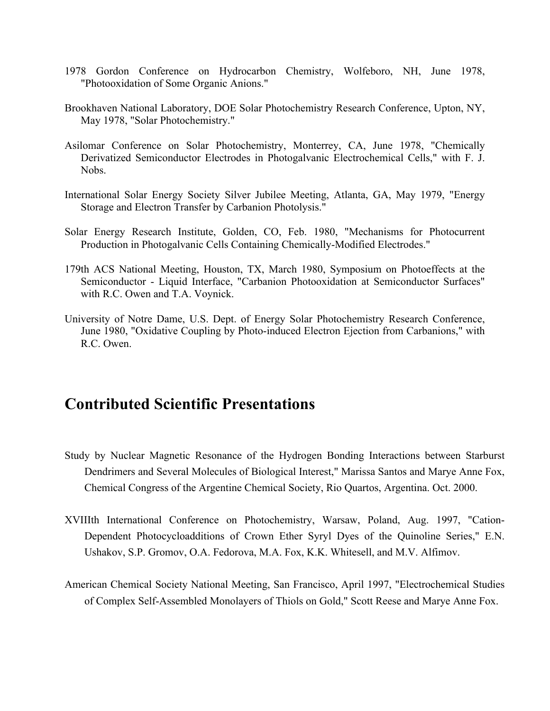- 1978 Gordon Conference on Hydrocarbon Chemistry, Wolfeboro, NH, June 1978, "Photooxidation of Some Organic Anions."
- Brookhaven National Laboratory, DOE Solar Photochemistry Research Conference, Upton, NY, May 1978, "Solar Photochemistry."
- Asilomar Conference on Solar Photochemistry, Monterrey, CA, June 1978, "Chemically Derivatized Semiconductor Electrodes in Photogalvanic Electrochemical Cells," with F. J. Nobs.
- International Solar Energy Society Silver Jubilee Meeting, Atlanta, GA, May 1979, "Energy Storage and Electron Transfer by Carbanion Photolysis."
- Solar Energy Research Institute, Golden, CO, Feb. 1980, "Mechanisms for Photocurrent Production in Photogalvanic Cells Containing Chemically-Modified Electrodes."
- 179th ACS National Meeting, Houston, TX, March 1980, Symposium on Photoeffects at the Semiconductor - Liquid Interface, "Carbanion Photooxidation at Semiconductor Surfaces" with R.C. Owen and T.A. Voynick.
- University of Notre Dame, U.S. Dept. of Energy Solar Photochemistry Research Conference, June 1980, "Oxidative Coupling by Photo-induced Electron Ejection from Carbanions," with R.C. Owen.

## **Contributed Scientific Presentations**

- Study by Nuclear Magnetic Resonance of the Hydrogen Bonding Interactions between Starburst Dendrimers and Several Molecules of Biological Interest," Marissa Santos and Marye Anne Fox, Chemical Congress of the Argentine Chemical Society, Rio Quartos, Argentina. Oct. 2000.
- XVIIIth International Conference on Photochemistry, Warsaw, Poland, Aug. 1997, "Cation-Dependent Photocycloadditions of Crown Ether Syryl Dyes of the Quinoline Series," E.N. Ushakov, S.P. Gromov, O.A. Fedorova, M.A. Fox, K.K. Whitesell, and M.V. Alfimov.
- American Chemical Society National Meeting, San Francisco, April 1997, "Electrochemical Studies of Complex Self-Assembled Monolayers of Thiols on Gold," Scott Reese and Marye Anne Fox.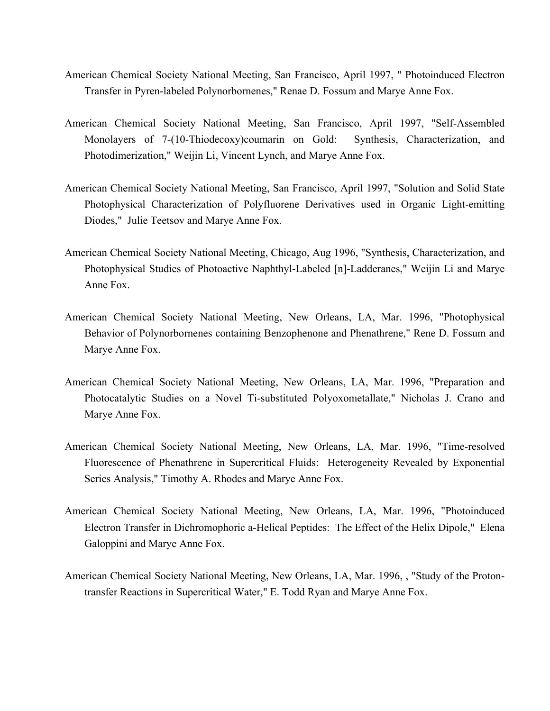- American Chemical Society National Meeting, San Francisco, April 1997, " Photoinduced Electron Transfer in Pyren-labeled Polynorbornenes," Renae D. Fossum and Marye Anne Fox.
- American Chemical Society National Meeting, San Francisco, April 1997, "Self-Assembled Monolayers of 7-(10-Thiodecoxy)coumarin on Gold: Synthesis, Characterization, and Photodimerization," Weijin Li, Vincent Lynch, and Marye Anne Fox.
- American Chemical Society National Meeting, San Francisco, April 1997, "Solution and Solid State Photophysical Characterization of Polyfluorene Derivatives used in Organic Light-emitting Diodes," Julie Teetsov and Marye Anne Fox.
- American Chemical Society National Meeting, Chicago, Aug 1996, "Synthesis, Characterization, and Photophysical Studies of Photoactive Naphthyl-Labeled [n]-Ladderanes," Weijin Li and Marye Anne Fox.
- American Chemical Society National Meeting, New Orleans, LA, Mar. 1996, "Photophysical Behavior of Polynorbornenes containing Benzophenone and Phenathrene," Rene D. Fossum and Marye Anne Fox.
- American Chemical Society National Meeting, New Orleans, LA, Mar. 1996, "Preparation and Photocatalytic Studies on a Novel Ti-substituted Polyoxometallate," Nicholas J. Crano and Marye Anne Fox.
- American Chemical Society National Meeting, New Orleans, LA, Mar. 1996, "Time-resolved Fluorescence of Phenathrene in Supercritical Fluids: Heterogeneity Revealed by Exponential Series Analysis," Timothy A. Rhodes and Marye Anne Fox.
- American Chemical Society National Meeting, New Orleans, LA, Mar. 1996, "Photoinduced Electron Transfer in Dichromophoric a-Helical Peptides: The Effect of the Helix Dipole," Elena Galoppini and Marye Anne Fox.
- American Chemical Society National Meeting, New Orleans, LA, Mar. 1996, , "Study of the Protontransfer Reactions in Supercritical Water," E. Todd Ryan and Marye Anne Fox.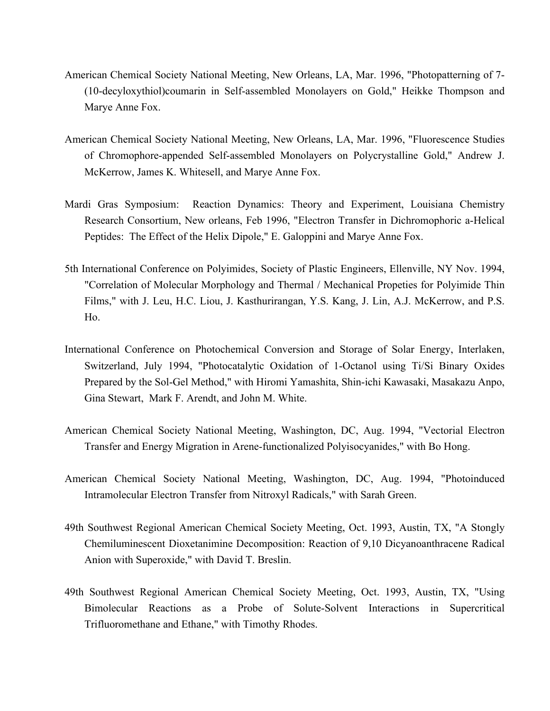- American Chemical Society National Meeting, New Orleans, LA, Mar. 1996, "Photopatterning of 7- (10-decyloxythiol)coumarin in Self-assembled Monolayers on Gold," Heikke Thompson and Marye Anne Fox.
- American Chemical Society National Meeting, New Orleans, LA, Mar. 1996, "Fluorescence Studies of Chromophore-appended Self-assembled Monolayers on Polycrystalline Gold," Andrew J. McKerrow, James K. Whitesell, and Marye Anne Fox.
- Mardi Gras Symposium: Reaction Dynamics: Theory and Experiment, Louisiana Chemistry Research Consortium, New orleans, Feb 1996, "Electron Transfer in Dichromophoric a-Helical Peptides: The Effect of the Helix Dipole," E. Galoppini and Marye Anne Fox.
- 5th International Conference on Polyimides, Society of Plastic Engineers, Ellenville, NY Nov. 1994, "Correlation of Molecular Morphology and Thermal / Mechanical Propeties for Polyimide Thin Films," with J. Leu, H.C. Liou, J. Kasthurirangan, Y.S. Kang, J. Lin, A.J. McKerrow, and P.S. Ho.
- International Conference on Photochemical Conversion and Storage of Solar Energy, Interlaken, Switzerland, July 1994, "Photocatalytic Oxidation of 1-Octanol using Ti/Si Binary Oxides Prepared by the Sol-Gel Method," with Hiromi Yamashita, Shin-ichi Kawasaki, Masakazu Anpo, Gina Stewart, Mark F. Arendt, and John M. White.
- American Chemical Society National Meeting, Washington, DC, Aug. 1994, "Vectorial Electron Transfer and Energy Migration in Arene-functionalized Polyisocyanides," with Bo Hong.
- American Chemical Society National Meeting, Washington, DC, Aug. 1994, "Photoinduced Intramolecular Electron Transfer from Nitroxyl Radicals," with Sarah Green.
- 49th Southwest Regional American Chemical Society Meeting, Oct. 1993, Austin, TX, "A Stongly Chemiluminescent Dioxetanimine Decomposition: Reaction of 9,10 Dicyanoanthracene Radical Anion with Superoxide," with David T. Breslin.
- 49th Southwest Regional American Chemical Society Meeting, Oct. 1993, Austin, TX, "Using Bimolecular Reactions as a Probe of Solute-Solvent Interactions in Supercritical Trifluoromethane and Ethane," with Timothy Rhodes.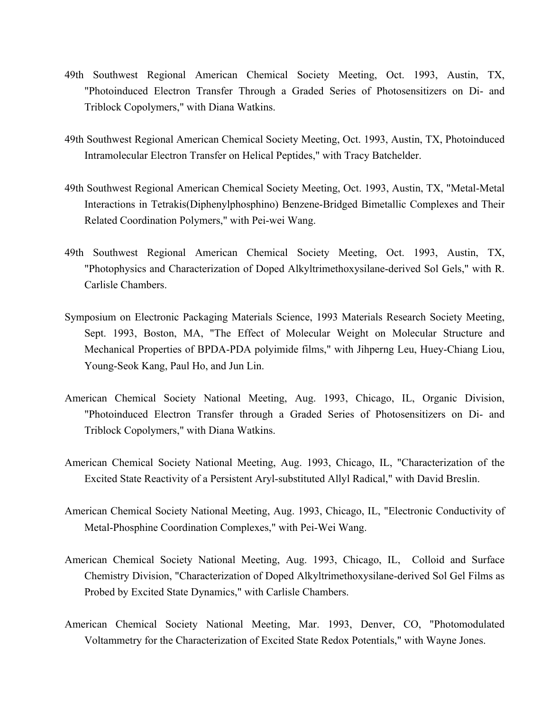- 49th Southwest Regional American Chemical Society Meeting, Oct. 1993, Austin, TX, "Photoinduced Electron Transfer Through a Graded Series of Photosensitizers on Di- and Triblock Copolymers," with Diana Watkins.
- 49th Southwest Regional American Chemical Society Meeting, Oct. 1993, Austin, TX, Photoinduced Intramolecular Electron Transfer on Helical Peptides," with Tracy Batchelder.
- 49th Southwest Regional American Chemical Society Meeting, Oct. 1993, Austin, TX, "Metal-Metal Interactions in Tetrakis(Diphenylphosphino) Benzene-Bridged Bimetallic Complexes and Their Related Coordination Polymers," with Pei-wei Wang.
- 49th Southwest Regional American Chemical Society Meeting, Oct. 1993, Austin, TX, "Photophysics and Characterization of Doped Alkyltrimethoxysilane-derived Sol Gels," with R. Carlisle Chambers.
- Symposium on Electronic Packaging Materials Science, 1993 Materials Research Society Meeting, Sept. 1993, Boston, MA, "The Effect of Molecular Weight on Molecular Structure and Mechanical Properties of BPDA-PDA polyimide films," with Jihperng Leu, Huey-Chiang Liou, Young-Seok Kang, Paul Ho, and Jun Lin.
- American Chemical Society National Meeting, Aug. 1993, Chicago, IL, Organic Division, "Photoinduced Electron Transfer through a Graded Series of Photosensitizers on Di- and Triblock Copolymers," with Diana Watkins.
- American Chemical Society National Meeting, Aug. 1993, Chicago, IL, "Characterization of the Excited State Reactivity of a Persistent Aryl-substituted Allyl Radical," with David Breslin.
- American Chemical Society National Meeting, Aug. 1993, Chicago, IL, "Electronic Conductivity of Metal-Phosphine Coordination Complexes," with Pei-Wei Wang.
- American Chemical Society National Meeting, Aug. 1993, Chicago, IL, Colloid and Surface Chemistry Division, "Characterization of Doped Alkyltrimethoxysilane-derived Sol Gel Films as Probed by Excited State Dynamics," with Carlisle Chambers.
- American Chemical Society National Meeting, Mar. 1993, Denver, CO, "Photomodulated Voltammetry for the Characterization of Excited State Redox Potentials," with Wayne Jones.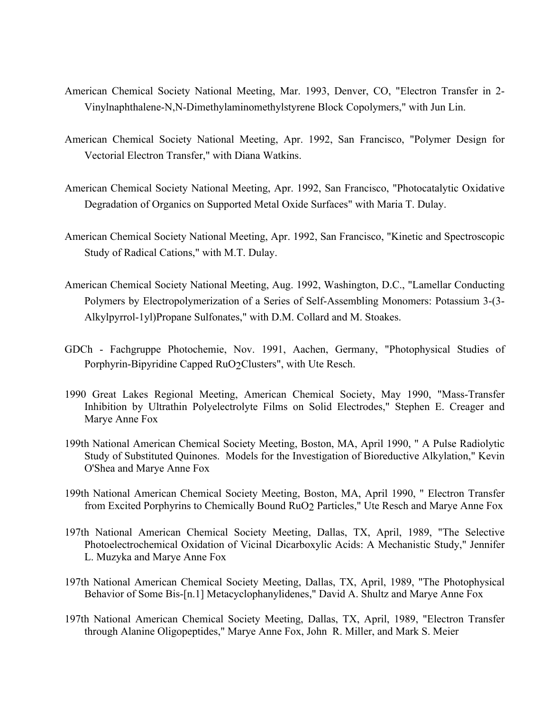- American Chemical Society National Meeting, Mar. 1993, Denver, CO, "Electron Transfer in 2- Vinylnaphthalene-N,N-Dimethylaminomethylstyrene Block Copolymers," with Jun Lin.
- American Chemical Society National Meeting, Apr. 1992, San Francisco, "Polymer Design for Vectorial Electron Transfer," with Diana Watkins.
- American Chemical Society National Meeting, Apr. 1992, San Francisco, "Photocatalytic Oxidative Degradation of Organics on Supported Metal Oxide Surfaces" with Maria T. Dulay.
- American Chemical Society National Meeting, Apr. 1992, San Francisco, "Kinetic and Spectroscopic Study of Radical Cations," with M.T. Dulay.
- American Chemical Society National Meeting, Aug. 1992, Washington, D.C., "Lamellar Conducting Polymers by Electropolymerization of a Series of Self-Assembling Monomers: Potassium 3-(3- Alkylpyrrol-1yl)Propane Sulfonates," with D.M. Collard and M. Stoakes.
- GDCh Fachgruppe Photochemie, Nov. 1991, Aachen, Germany, "Photophysical Studies of Porphyrin-Bipyridine Capped RuO2Clusters", with Ute Resch.
- 1990 Great Lakes Regional Meeting, American Chemical Society, May 1990, "Mass-Transfer Inhibition by Ultrathin Polyelectrolyte Films on Solid Electrodes," Stephen E. Creager and Marye Anne Fox
- 199th National American Chemical Society Meeting, Boston, MA, April 1990, " A Pulse Radiolytic Study of Substituted Quinones. Models for the Investigation of Bioreductive Alkylation," Kevin O'Shea and Marye Anne Fox
- 199th National American Chemical Society Meeting, Boston, MA, April 1990, " Electron Transfer from Excited Porphyrins to Chemically Bound RuO2 Particles," Ute Resch and Marye Anne Fox
- 197th National American Chemical Society Meeting, Dallas, TX, April, 1989, "The Selective Photoelectrochemical Oxidation of Vicinal Dicarboxylic Acids: A Mechanistic Study," Jennifer L. Muzyka and Marye Anne Fox
- 197th National American Chemical Society Meeting, Dallas, TX, April, 1989, "The Photophysical Behavior of Some Bis-[n.1] Metacyclophanylidenes," David A. Shultz and Marye Anne Fox
- 197th National American Chemical Society Meeting, Dallas, TX, April, 1989, "Electron Transfer through Alanine Oligopeptides," Marye Anne Fox, John R. Miller, and Mark S. Meier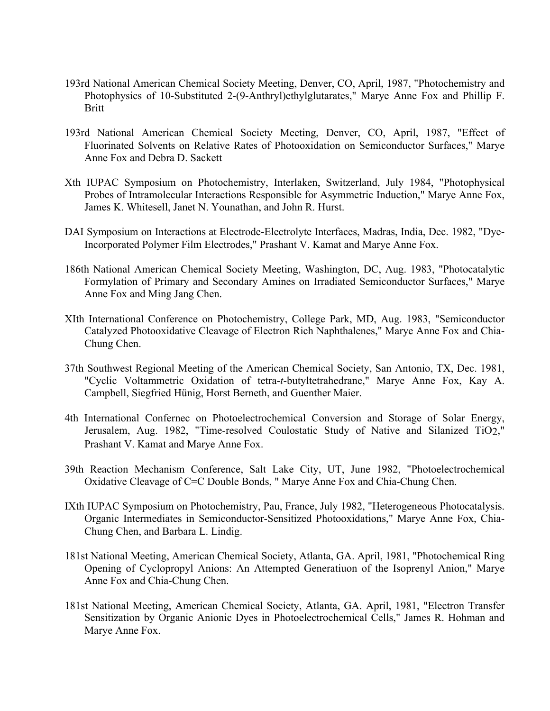- 193rd National American Chemical Society Meeting, Denver, CO, April, 1987, "Photochemistry and Photophysics of 10-Substituted 2-(9-Anthryl)ethylglutarates," Marye Anne Fox and Phillip F. Britt
- 193rd National American Chemical Society Meeting, Denver, CO, April, 1987, "Effect of Fluorinated Solvents on Relative Rates of Photooxidation on Semiconductor Surfaces," Marye Anne Fox and Debra D. Sackett
- Xth IUPAC Symposium on Photochemistry, Interlaken, Switzerland, July 1984, "Photophysical Probes of Intramolecular Interactions Responsible for Asymmetric Induction," Marye Anne Fox, James K. Whitesell, Janet N. Younathan, and John R. Hurst.
- DAI Symposium on Interactions at Electrode-Electrolyte Interfaces, Madras, India, Dec. 1982, "Dye-Incorporated Polymer Film Electrodes," Prashant V. Kamat and Marye Anne Fox.
- 186th National American Chemical Society Meeting, Washington, DC, Aug. 1983, "Photocatalytic Formylation of Primary and Secondary Amines on Irradiated Semiconductor Surfaces," Marye Anne Fox and Ming Jang Chen.
- XIth International Conference on Photochemistry, College Park, MD, Aug. 1983, "Semiconductor Catalyzed Photooxidative Cleavage of Electron Rich Naphthalenes," Marye Anne Fox and Chia-Chung Chen.
- 37th Southwest Regional Meeting of the American Chemical Society, San Antonio, TX, Dec. 1981, "Cyclic Voltammetric Oxidation of tetra-*t*-butyltetrahedrane," Marye Anne Fox, Kay A. Campbell, Siegfried Hünig, Horst Berneth, and Guenther Maier.
- 4th International Confernec on Photoelectrochemical Conversion and Storage of Solar Energy, Jerusalem, Aug. 1982, "Time-resolved Coulostatic Study of Native and Silanized TiO2," Prashant V. Kamat and Marye Anne Fox.
- 39th Reaction Mechanism Conference, Salt Lake City, UT, June 1982, "Photoelectrochemical Oxidative Cleavage of C=C Double Bonds, " Marye Anne Fox and Chia-Chung Chen.
- IXth IUPAC Symposium on Photochemistry, Pau, France, July 1982, "Heterogeneous Photocatalysis. Organic Intermediates in Semiconductor-Sensitized Photooxidations," Marye Anne Fox, Chia-Chung Chen, and Barbara L. Lindig.
- 181st National Meeting, American Chemical Society, Atlanta, GA. April, 1981, "Photochemical Ring Opening of Cyclopropyl Anions: An Attempted Generatiuon of the Isoprenyl Anion," Marye Anne Fox and Chia-Chung Chen.
- 181st National Meeting, American Chemical Society, Atlanta, GA. April, 1981, "Electron Transfer Sensitization by Organic Anionic Dyes in Photoelectrochemical Cells," James R. Hohman and Marye Anne Fox.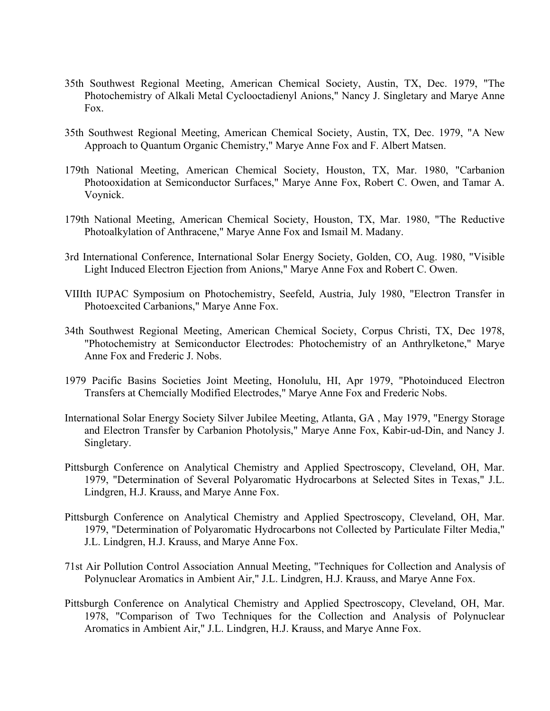- 35th Southwest Regional Meeting, American Chemical Society, Austin, TX, Dec. 1979, "The Photochemistry of Alkali Metal Cyclooctadienyl Anions," Nancy J. Singletary and Marye Anne Fox.
- 35th Southwest Regional Meeting, American Chemical Society, Austin, TX, Dec. 1979, "A New Approach to Quantum Organic Chemistry," Marye Anne Fox and F. Albert Matsen.
- 179th National Meeting, American Chemical Society, Houston, TX, Mar. 1980, "Carbanion Photooxidation at Semiconductor Surfaces," Marye Anne Fox, Robert C. Owen, and Tamar A. Voynick.
- 179th National Meeting, American Chemical Society, Houston, TX, Mar. 1980, "The Reductive Photoalkylation of Anthracene," Marye Anne Fox and Ismail M. Madany.
- 3rd International Conference, International Solar Energy Society, Golden, CO, Aug. 1980, "Visible Light Induced Electron Ejection from Anions," Marye Anne Fox and Robert C. Owen.
- VIIIth IUPAC Symposium on Photochemistry, Seefeld, Austria, July 1980, "Electron Transfer in Photoexcited Carbanions," Marye Anne Fox.
- 34th Southwest Regional Meeting, American Chemical Society, Corpus Christi, TX, Dec 1978, "Photochemistry at Semiconductor Electrodes: Photochemistry of an Anthrylketone," Marye Anne Fox and Frederic J. Nobs.
- 1979 Pacific Basins Societies Joint Meeting, Honolulu, HI, Apr 1979, "Photoinduced Electron Transfers at Chemcially Modified Electrodes," Marye Anne Fox and Frederic Nobs.
- International Solar Energy Society Silver Jubilee Meeting, Atlanta, GA , May 1979, "Energy Storage and Electron Transfer by Carbanion Photolysis," Marye Anne Fox, Kabir-ud-Din, and Nancy J. Singletary.
- Pittsburgh Conference on Analytical Chemistry and Applied Spectroscopy, Cleveland, OH, Mar. 1979, "Determination of Several Polyaromatic Hydrocarbons at Selected Sites in Texas," J.L. Lindgren, H.J. Krauss, and Marye Anne Fox.
- Pittsburgh Conference on Analytical Chemistry and Applied Spectroscopy, Cleveland, OH, Mar. 1979, "Determination of Polyaromatic Hydrocarbons not Collected by Particulate Filter Media," J.L. Lindgren, H.J. Krauss, and Marye Anne Fox.
- 71st Air Pollution Control Association Annual Meeting, "Techniques for Collection and Analysis of Polynuclear Aromatics in Ambient Air," J.L. Lindgren, H.J. Krauss, and Marye Anne Fox.
- Pittsburgh Conference on Analytical Chemistry and Applied Spectroscopy, Cleveland, OH, Mar. 1978, "Comparison of Two Techniques for the Collection and Analysis of Polynuclear Aromatics in Ambient Air," J.L. Lindgren, H.J. Krauss, and Marye Anne Fox.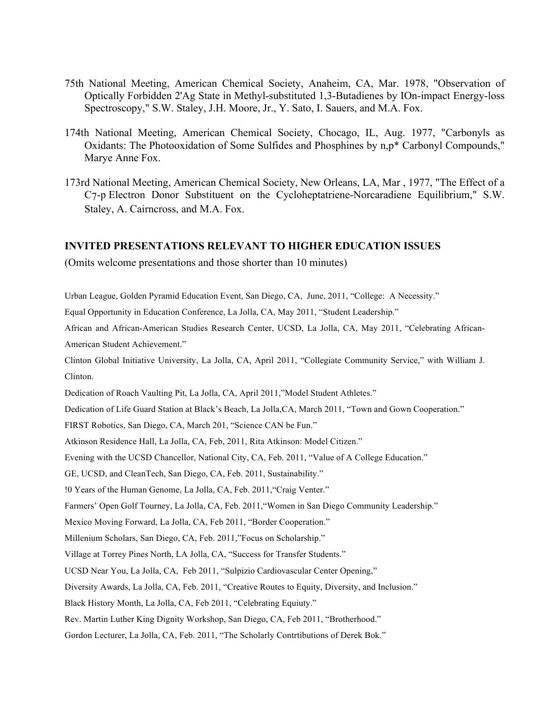- 75th National Meeting, American Chemical Society, Anaheim, CA, Mar. 1978, "Observation of Optically Forbidden 2'Ag State in Methyl-substituted 1,3-Butadienes by IOn-impact Energy-loss Spectroscopy," S.W. Staley, J.H. Moore, Jr., Y. Sato, I. Sauers, and M.A. Fox.
- 174th National Meeting, American Chemical Society, Chocago, IL, Aug. 1977, "Carbonyls as Oxidants: The Photooxidation of Some Sulfides and Phosphines by n,p\* Carbonyl Compounds," Marye Anne Fox.
- 173rd National Meeting, American Chemical Society, New Orleans, LA, Mar , 1977, "The Effect of a C7-p Electron Donor Substituent on the Cycloheptatriene-Norcaradiene Equilibrium," S.W. Staley, A. Cairncross, and M.A. Fox.

## **INVITED PRESENTATIONS RELEVANT TO HIGHER EDUCATION ISSUES**

(Omits welcome presentations and those shorter than 10 minutes)

Urban League, Golden Pyramid Education Event, San Diego, CA, June, 2011, "College: A Necessity."

Equal Opportunity in Education Conference, La Jolla, CA, May 2011, "Student Leadership."

African and African-American Studies Research Center, UCSD, La Jolla, CA, May 2011, "Celebrating African-American Student Achievement."

Clinton Global Initiative University, La Jolla, CA, April 2011, "Collegiate Community Service," with William J. Clinton.

Dedication of Roach Vaulting Pit, La Jolla, CA, April 2011,"Model Student Athletes."

Dedication of Life Guard Station at Black's Beach, La Jolla,CA, March 2011, "Town and Gown Cooperation."

FIRST Robotics, San Diego, CA, March 201, "Science CAN be Fun."

Atkinson Residence Hall, La Jolla, CA, Feb, 2011, Rita Atkinson: Model Citizen."

Evening with the UCSD Chancellor, National City, CA, Feb. 2011, "Value of A College Education."

GE, UCSD, and CleanTech, San Diego, CA, Feb. 2011, Sustainability."

!0 Years of the Human Genome, La Jolla, CA, Feb. 2011,"Craig Venter."

Farmers' Open Golf Tourney, La Jolla, CA, Feb. 2011,"Women in San Diego Community Leadership."

Mexico Moving Forward, La Jolla, CA, Feb 2011, "Border Cooperation."

Millenium Scholars, San Diego, CA, Feb. 2011,"Focus on Scholarship."

Village at Torrey Pines North, LA Jolla, CA, "Success for Transfer Students."

UCSD Near You, La Jolla, CA, Feb 2011, "Sulpizio Cardiovascular Center Opening,"

Diversity Awards, La Jolla, CA, Feb. 2011, "Creative Routes to Equity, Diversity, and Inclusion."

Black History Month, La Jolla, CA, Feb 2011, "Celebrating Equiuty."

Rev. Martin Luther King Dignity Workshop, San Diego, CA, Feb 2011, "Brotherhood."

Gordon Lecturer, La Jolla, CA, Feb. 2011, "The Scholarly Contrtibutions of Derek Bok."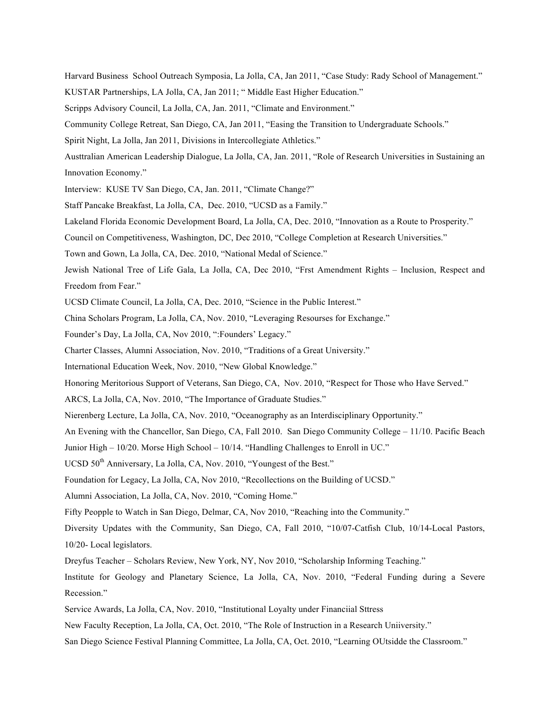Harvard Business School Outreach Symposia, La Jolla, CA, Jan 2011, "Case Study: Rady School of Management."

KUSTAR Partnerships, LA Jolla, CA, Jan 2011; " Middle East Higher Education."

Scripps Advisory Council, La Jolla, CA, Jan. 2011, "Climate and Environment."

Community College Retreat, San Diego, CA, Jan 2011, "Easing the Transition to Undergraduate Schools."

Spirit Night, La Jolla, Jan 2011, Divisions in Intercollegiate Athletics."

Austtralian American Leadership Dialogue, La Jolla, CA, Jan. 2011, "Role of Research Universities in Sustaining an Innovation Economy."

Interview: KUSE TV San Diego, CA, Jan. 2011, "Climate Change?"

Staff Pancake Breakfast, La Jolla, CA, Dec. 2010, "UCSD as a Family."

Lakeland Florida Economic Development Board, La Jolla, CA, Dec. 2010, "Innovation as a Route to Prosperity."

Council on Competitiveness, Washington, DC, Dec 2010, "College Completion at Research Universities."

Town and Gown, La Jolla, CA, Dec. 2010, "National Medal of Science."

Jewish National Tree of Life Gala, La Jolla, CA, Dec 2010, "Frst Amendment Rights – Inclusion, Respect and Freedom from Fear."

UCSD Climate Council, La Jolla, CA, Dec. 2010, "Science in the Public Interest."

China Scholars Program, La Jolla, CA, Nov. 2010, "Leveraging Resourses for Exchange."

Founder's Day, La Jolla, CA, Nov 2010, ":Founders' Legacy."

Charter Classes, Alumni Association, Nov. 2010, "Traditions of a Great University."

International Education Week, Nov. 2010, "New Global Knowledge."

Honoring Meritorious Support of Veterans, San Diego, CA, Nov. 2010, "Respect for Those who Have Served."

ARCS, La Jolla, CA, Nov. 2010, "The Importance of Graduate Studies."

Nierenberg Lecture, La Jolla, CA, Nov. 2010, "Oceanography as an Interdisciplinary Opportunity."

An Evening with the Chancellor, San Diego, CA, Fall 2010. San Diego Community College – 11/10. Pacific Beach

Junior High – 10/20. Morse High School – 10/14. "Handling Challenges to Enroll in UC."

UCSD 50<sup>th</sup> Anniversary, La Jolla, CA, Nov. 2010, "Youngest of the Best."

Foundation for Legacy, La Jolla, CA, Nov 2010, "Recollections on the Building of UCSD."

Alumni Association, La Jolla, CA, Nov. 2010, "Coming Home."

Fifty Peopple to Watch in San Diego, Delmar, CA, Nov 2010, "Reaching into the Community."

Diversity Updates with the Community, San Diego, CA, Fall 2010, "10/07-Catfish Club, 10/14-Local Pastors, 10/20- Local legislators.

Dreyfus Teacher – Scholars Review, New York, NY, Nov 2010, "Scholarship Informing Teaching."

Institute for Geology and Planetary Science, La Jolla, CA, Nov. 2010, "Federal Funding during a Severe Recession."

Service Awards, La Jolla, CA, Nov. 2010, "Institutional Loyalty under Financiial Sttress

New Faculty Reception, La Jolla, CA, Oct. 2010, "The Role of Instruction in a Research Uniiversity."

San Diego Science Festival Planning Committee, La Jolla, CA, Oct. 2010, "Learning OUtsidde the Classroom."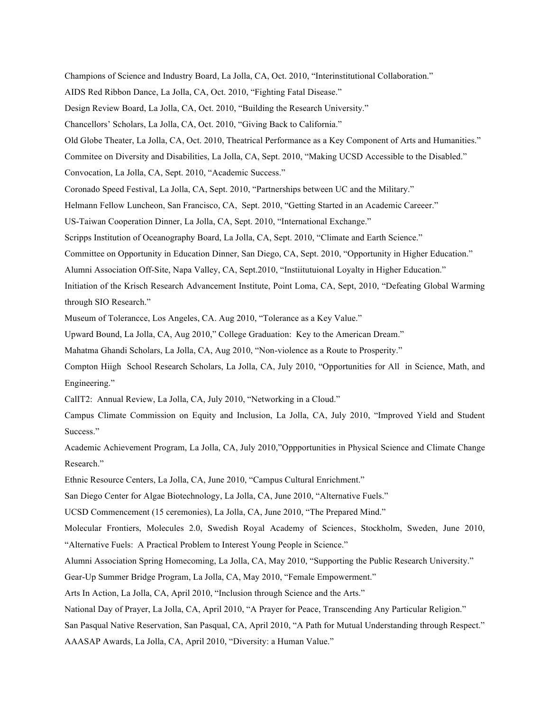Champions of Science and Industry Board, La Jolla, CA, Oct. 2010, "Interinstitutional Collaboration."

AIDS Red Ribbon Dance, La Jolla, CA, Oct. 2010, "Fighting Fatal Disease."

Design Review Board, La Jolla, CA, Oct. 2010, "Building the Research University."

Chancellors' Scholars, La Jolla, CA, Oct. 2010, "Giving Back to California."

Old Globe Theater, La Jolla, CA, Oct. 2010, Theatrical Performance as a Key Component of Arts and Humanities."

Commitee on Diversity and Disabilities, La Jolla, CA, Sept. 2010, "Making UCSD Accessible to the Disabled."

Convocation, La Jolla, CA, Sept. 2010, "Academic Success."

Coronado Speed Festival, La Jolla, CA, Sept. 2010, "Partnerships between UC and the Military."

Helmann Fellow Luncheon, San Francisco, CA, Sept. 2010, "Getting Started in an Academic Careeer."

US-Taiwan Cooperation Dinner, La Jolla, CA, Sept. 2010, "International Exchange."

Scripps Institution of Oceanography Board, La Jolla, CA, Sept. 2010, "Climate and Earth Science."

Committee on Opportunity in Education Dinner, San Diego, CA, Sept. 2010, "Opportunity in Higher Education."

Alumni Association Off-Site, Napa Valley, CA, Sept.2010, "Instiitutuional Loyalty in Higher Education."

Initiation of the Krisch Research Advancement Institute, Point Loma, CA, Sept, 2010, "Defeating Global Warming through SIO Research."

Museum of Tolerancce, Los Angeles, CA. Aug 2010, "Tolerance as a Key Value."

Upward Bound, La Jolla, CA, Aug 2010," College Graduation: Key to the American Dream."

Mahatma Ghandi Scholars, La Jolla, CA, Aug 2010, "Non-violence as a Route to Prosperity."

Compton Hiigh School Research Scholars, La Jolla, CA, July 2010, "Opportunities for All in Science, Math, and Engineering."

CalIT2: Annual Review, La Jolla, CA, July 2010, "Networking in a Cloud."

Campus Climate Commission on Equity and Inclusion, La Jolla, CA, July 2010, "Improved Yield and Student Success."

Academic Achievement Program, La Jolla, CA, July 2010,"Oppportunities in Physical Science and Climate Change Research."

Ethnic Resource Centers, La Jolla, CA, June 2010, "Campus Cultural Enrichment."

San Diego Center for Algae Biotechnology, La Jolla, CA, June 2010, "Alternative Fuels."

UCSD Commencement (15 ceremonies), La Jolla, CA, June 2010, "The Prepared Mind."

Molecular Frontiers, Molecules 2.0, Swedish Royal Academy of Sciences, Stockholm, Sweden, June 2010, "Alternative Fuels: A Practical Problem to Interest Young People in Science."

Alumni Association Spring Homecoming, La Jolla, CA, May 2010, "Supporting the Public Research University."

Gear-Up Summer Bridge Program, La Jolla, CA, May 2010, "Female Empowerment."

Arts In Action, La Jolla, CA, April 2010, "Inclusion through Science and the Arts."

National Day of Prayer, La Jolla, CA, April 2010, "A Prayer for Peace, Transcending Any Particular Religion."

San Pasqual Native Reservation, San Pasqual, CA, April 2010, "A Path for Mutual Understanding through Respect."

AAASAP Awards, La Jolla, CA, April 2010, "Diversity: a Human Value."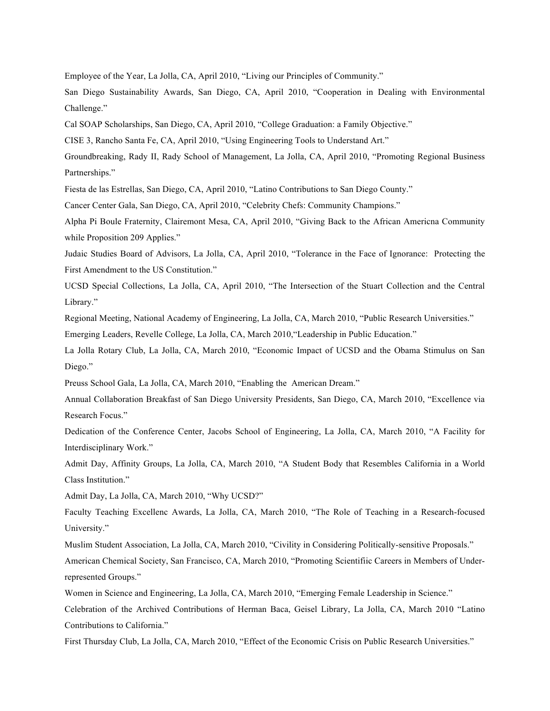Employee of the Year, La Jolla, CA, April 2010, "Living our Principles of Community."

San Diego Sustainability Awards, San Diego, CA, April 2010, "Cooperation in Dealing with Environmental Challenge."

Cal SOAP Scholarships, San Diego, CA, April 2010, "College Graduation: a Family Objective."

CISE 3, Rancho Santa Fe, CA, April 2010, "Using Engineering Tools to Understand Art."

Groundbreaking, Rady II, Rady School of Management, La Jolla, CA, April 2010, "Promoting Regional Business Partnerships."

Fiesta de las Estrellas, San Diego, CA, April 2010, "Latino Contributions to San Diego County."

Cancer Center Gala, San Diego, CA, April 2010, "Celebrity Chefs: Community Champions."

Alpha Pi Boule Fraternity, Clairemont Mesa, CA, April 2010, "Giving Back to the African Americna Community while Proposition 209 Applies."

Judaic Studies Board of Advisors, La Jolla, CA, April 2010, "Tolerance in the Face of Ignorance: Protecting the First Amendment to the US Constitution."

UCSD Special Collections, La Jolla, CA, April 2010, "The Intersection of the Stuart Collection and the Central Library."

Regional Meeting, National Academy of Engineering, La Jolla, CA, March 2010, "Public Research Universities."

Emerging Leaders, Revelle College, La Jolla, CA, March 2010,"Leadership in Public Education."

La Jolla Rotary Club, La Jolla, CA, March 2010, "Economic Impact of UCSD and the Obama Stimulus on San Diego."

Preuss School Gala, La Jolla, CA, March 2010, "Enabling the American Dream."

Annual Collaboration Breakfast of San Diego University Presidents, San Diego, CA, March 2010, "Excellence via Research Focus."

Dedication of the Conference Center, Jacobs School of Engineering, La Jolla, CA, March 2010, "A Facility for Interdisciplinary Work."

Admit Day, Affinity Groups, La Jolla, CA, March 2010, "A Student Body that Resembles California in a World Class Institution."

Admit Day, La Jolla, CA, March 2010, "Why UCSD?"

Faculty Teaching Excellenc Awards, La Jolla, CA, March 2010, "The Role of Teaching in a Research-focused University."

Muslim Student Association, La Jolla, CA, March 2010, "Civility in Considering Politically-sensitive Proposals."

American Chemical Society, San Francisco, CA, March 2010, "Promoting Scientifiic Careers in Members of Underrepresented Groups."

Women in Science and Engineering, La Jolla, CA, March 2010, "Emerging Female Leadership in Science."

Celebration of the Archived Contributions of Herman Baca, Geisel Library, La Jolla, CA, March 2010 "Latino Contributions to California."

First Thursday Club, La Jolla, CA, March 2010, "Effect of the Economic Crisis on Public Research Universities."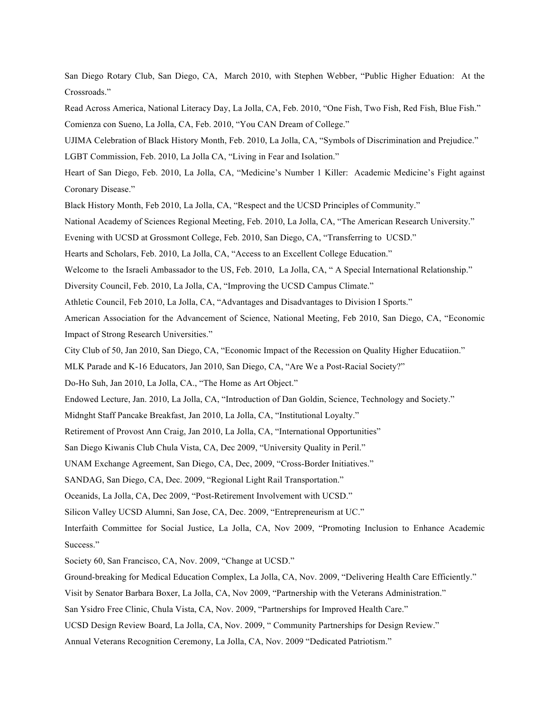San Diego Rotary Club, San Diego, CA, March 2010, with Stephen Webber, "Public Higher Eduation: At the Crossroads."

Read Across America, National Literacy Day, La Jolla, CA, Feb. 2010, "One Fish, Two Fish, Red Fish, Blue Fish." Comienza con Sueno, La Jolla, CA, Feb. 2010, "You CAN Dream of College."

UJIMA Celebration of Black History Month, Feb. 2010, La Jolla, CA, "Symbols of Discrimination and Prejudice."

LGBT Commission, Feb. 2010, La Jolla CA, "Living in Fear and Isolation."

Heart of San Diego, Feb. 2010, La Jolla, CA, "Medicine's Number 1 Killer: Academic Medicine's Fight against Coronary Disease."

Black History Month, Feb 2010, La Jolla, CA, "Respect and the UCSD Principles of Community."

National Academy of Sciences Regional Meeting, Feb. 2010, La Jolla, CA, "The American Research University."

Evening with UCSD at Grossmont College, Feb. 2010, San Diego, CA, "Transferring to UCSD."

Hearts and Scholars, Feb. 2010, La Jolla, CA, "Access to an Excellent College Education."

Welcome to the Israeli Ambassador to the US, Feb. 2010, La Jolla, CA, "A Special International Relationship."

Diversity Council, Feb. 2010, La Jolla, CA, "Improving the UCSD Campus Climate."

Athletic Council, Feb 2010, La Jolla, CA, "Advantages and Disadvantages to Division I Sports."

American Association for the Advancement of Science, National Meeting, Feb 2010, San Diego, CA, "Economic Impact of Strong Research Universities."

City Club of 50, Jan 2010, San Diego, CA, "Economic Impact of the Recession on Quality Higher Educatiion."

MLK Parade and K-16 Educators, Jan 2010, San Diego, CA, "Are We a Post-Racial Society?"

Do-Ho Suh, Jan 2010, La Jolla, CA., "The Home as Art Object."

Endowed Lecture, Jan. 2010, La Jolla, CA, "Introduction of Dan Goldin, Science, Technology and Society."

Midnght Staff Pancake Breakfast, Jan 2010, La Jolla, CA, "Institutional Loyalty."

Retirement of Provost Ann Craig, Jan 2010, La Jolla, CA, "International Opportunities"

San Diego Kiwanis Club Chula Vista, CA, Dec 2009, "University Quality in Peril."

UNAM Exchange Agreement, San Diego, CA, Dec, 2009, "Cross-Border Initiatives."

SANDAG, San Diego, CA, Dec. 2009, "Regional Light Rail Transportation."

Oceanids, La Jolla, CA, Dec 2009, "Post-Retirement Involvement with UCSD."

Silicon Valley UCSD Alumni, San Jose, CA, Dec. 2009, "Entrepreneurism at UC."

Interfaith Committee for Social Justice, La Jolla, CA, Nov 2009, "Promoting Inclusion to Enhance Academic Success."

Society 60, San Francisco, CA, Nov. 2009, "Change at UCSD."

Ground-breaking for Medical Education Complex, La Jolla, CA, Nov. 2009, "Delivering Health Care Efficiently."

Visit by Senator Barbara Boxer, La Jolla, CA, Nov 2009, "Partnership with the Veterans Administration."

San Ysidro Free Clinic, Chula Vista, CA, Nov. 2009, "Partnerships for Improved Health Care."

UCSD Design Review Board, La Jolla, CA, Nov. 2009, " Community Partnerships for Design Review."

Annual Veterans Recognition Ceremony, La Jolla, CA, Nov. 2009 "Dedicated Patriotism."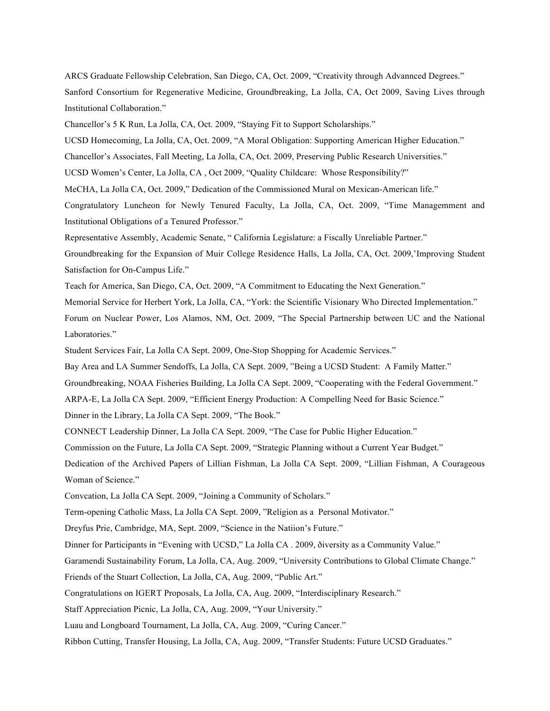ARCS Graduate Fellowship Celebration, San Diego, CA, Oct. 2009, "Creativity through Advannced Degrees." Sanford Consortium for Regenerative Medicine, Groundbreaking, La Jolla, CA, Oct 2009, Saving Lives through Institutional Collaboration."

Chancellor's 5 K Run, La Jolla, CA, Oct. 2009, "Staying Fit to Support Scholarships."

UCSD Homecoming, La Jolla, CA, Oct. 2009, "A Moral Obligation: Supporting American Higher Education."

Chancellor's Associates, Fall Meeting, La Jolla, CA, Oct. 2009, Preserving Public Research Universities."

UCSD Women's Center, La Jolla, CA , Oct 2009, "Quality Childcare: Whose Responsibility?"

MeCHA, La Jolla CA, Oct. 2009," Dedication of the Commissioned Mural on Mexican-American life."

Congratulatory Luncheon for Newly Tenured Faculty, La Jolla, CA, Oct. 2009, "Time Managemment and Institutional Obligations of a Tenured Professor."

Representative Assembly, Academic Senate, " California Legislature: a Fiscally Unreliable Partner."

Groundbreaking for the Expansion of Muir College Residence Halls, La Jolla, CA, Oct. 2009,'Improving Student Satisfaction for On-Campus Life."

Teach for America, San Diego, CA, Oct. 2009, "A Commitment to Educating the Next Generation."

Memorial Service for Herbert York, La Jolla, CA, "York: the Scientific Visionary Who Directed Implementation."

Forum on Nuclear Power, Los Alamos, NM, Oct. 2009, "The Special Partnership between UC and the National Laboratories."

Student Services Fair, La Jolla CA Sept. 2009, One-Stop Shopping for Academic Services."

Bay Area and LA Summer Sendoffs, La Jolla, CA Sept. 2009, "Being a UCSD Student: A Family Matter."

Groundbreaking, NOAA Fisheries Building, La Jolla CA Sept. 2009, "Cooperating with the Federal Government."

ARPA-E, La Jolla CA Sept. 2009, "Efficient Energy Production: A Compelling Need for Basic Science."

Dinner in the Library, La Jolla CA Sept. 2009, "The Book."

CONNECT Leadership Dinner, La Jolla CA Sept. 2009, "The Case for Public Higher Education."

Commission on the Future, La Jolla CA Sept. 2009, "Strategic Planning without a Current Year Budget."

Dedication of the Archived Papers of Lillian Fishman, La Jolla CA Sept. 2009, "Lillian Fishman, A Courageous Woman of Science."

Convcation, La Jolla CA Sept. 2009, "Joining a Community of Scholars."

Term-opening Catholic Mass, La Jolla CA Sept. 2009, "Religion as a Personal Motivator."

Dreyfus Prie, Cambridge, MA, Sept. 2009, "Science in the Natiion's Future."

Dinner for Participants in "Evening with UCSD," La Jolla CA . 2009, ðiversity as a Community Value."

Garamendi Sustainability Forum, La Jolla, CA, Aug. 2009, "University Contributions to Global Climate Change."

Friends of the Stuart Collection, La Jolla, CA, Aug. 2009, "Public Art."

Congratulations on IGERT Proposals, La Jolla, CA, Aug. 2009, "Interdisciplinary Research."

Staff Appreciation Picnic, La Jolla, CA, Aug. 2009, "Your University."

Luau and Longboard Tournament, La Jolla, CA, Aug. 2009, "Curing Cancer."

Ribbon Cutting, Transfer Housing, La Jolla, CA, Aug. 2009, "Transfer Students: Future UCSD Graduates."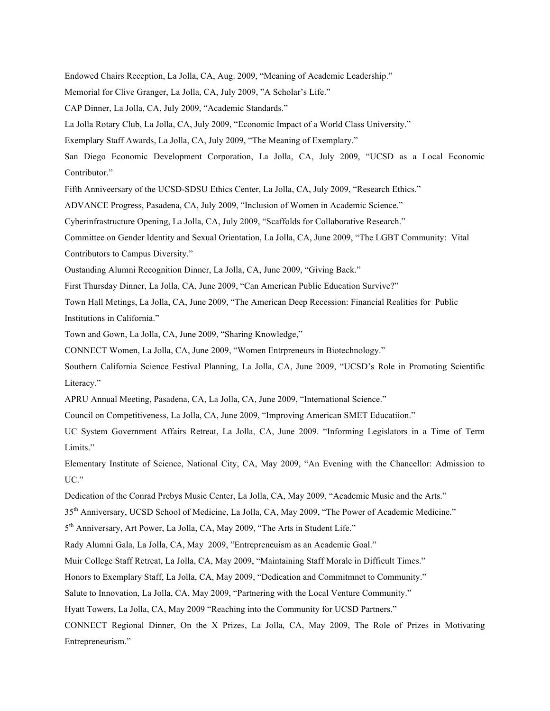Endowed Chairs Reception, La Jolla, CA, Aug. 2009, "Meaning of Academic Leadership."

Memorial for Clive Granger, La Jolla, CA, July 2009, "A Scholar's Life."

CAP Dinner, La Jolla, CA, July 2009, "Academic Standards."

La Jolla Rotary Club, La Jolla, CA, July 2009, "Economic Impact of a World Class University."

Exemplary Staff Awards, La Jolla, CA, July 2009, "The Meaning of Exemplary."

San Diego Economic Development Corporation, La Jolla, CA, July 2009, "UCSD as a Local Economic Contributor."

Fifth Anniveersary of the UCSD-SDSU Ethics Center, La Jolla, CA, July 2009, "Research Ethics."

ADVANCE Progress, Pasadena, CA, July 2009, "Inclusion of Women in Academic Science."

Cyberinfrastructure Opening, La Jolla, CA, July 2009, "Scaffolds for Collaborative Research."

Committee on Gender Identity and Sexual Orientation, La Jolla, CA, June 2009, "The LGBT Community: Vital Contributors to Campus Diversity."

Oustanding Alumni Recognition Dinner, La Jolla, CA, June 2009, "Giving Back."

First Thursday Dinner, La Jolla, CA, June 2009, "Can American Public Education Survive?"

Town Hall Metings, La Jolla, CA, June 2009, "The American Deep Recession: Financial Realities for Public Institutions in California."

Town and Gown, La Jolla, CA, June 2009, "Sharing Knowledge,"

CONNECT Women, La Jolla, CA, June 2009, "Women Entrpreneurs in Biotechnology."

Southern California Science Festival Planning, La Jolla, CA, June 2009, "UCSD's Role in Promoting Scientific Literacy."

APRU Annual Meeting, Pasadena, CA, La Jolla, CA, June 2009, "International Science."

Council on Competitiveness, La Jolla, CA, June 2009, "Improving American SMET Educatiion."

UC System Government Affairs Retreat, La Jolla, CA, June 2009. "Informing Legislators in a Time of Term Limits."

Elementary Institute of Science, National City, CA, May 2009, "An Evening with the Chancellor: Admission to UC."

Dedication of the Conrad Prebys Music Center, La Jolla, CA, May 2009, "Academic Music and the Arts."

35<sup>th</sup> Anniversary, UCSD School of Medicine, La Jolla, CA, May 2009, "The Power of Academic Medicine."

5<sup>th</sup> Anniversary, Art Power, La Jolla, CA, May 2009, "The Arts in Student Life."

Rady Alumni Gala, La Jolla, CA, May 2009, "Entrepreneuism as an Academic Goal."

Muir College Staff Retreat, La Jolla, CA, May 2009, "Maintaining Staff Morale in Difficult Times."

Honors to Exemplary Staff, La Jolla, CA, May 2009, "Dedication and Commitmnet to Community."

Salute to Innovation, La Jolla, CA, May 2009, "Partnering with the Local Venture Community."

Hyatt Towers, La Jolla, CA, May 2009 "Reaching into the Community for UCSD Partners."

CONNECT Regional Dinner, On the X Prizes, La Jolla, CA, May 2009, The Role of Prizes in Motivating Entrepreneurism."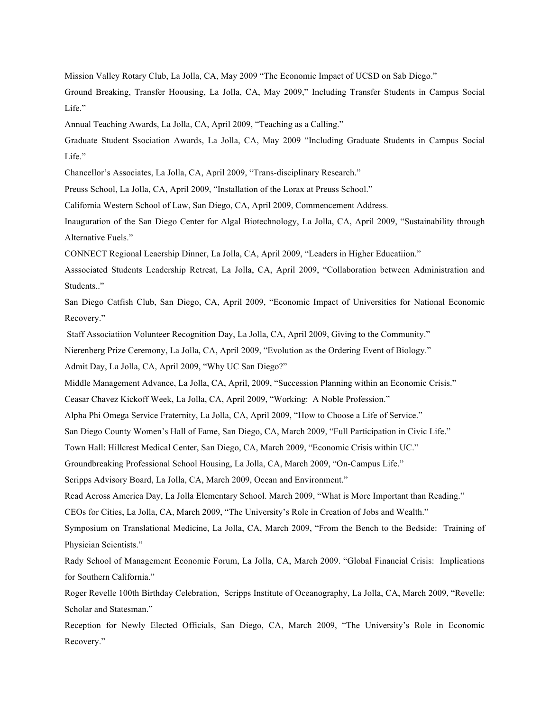Mission Valley Rotary Club, La Jolla, CA, May 2009 "The Economic Impact of UCSD on Sab Diego."

Ground Breaking, Transfer Hoousing, La Jolla, CA, May 2009," Including Transfer Students in Campus Social Life."

Annual Teaching Awards, La Jolla, CA, April 2009, "Teaching as a Calling."

Graduate Student Ssociation Awards, La Jolla, CA, May 2009 "Including Graduate Students in Campus Social Life."

Chancellor's Associates, La Jolla, CA, April 2009, "Trans-disciplinary Research."

Preuss School, La Jolla, CA, April 2009, "Installation of the Lorax at Preuss School."

California Western School of Law, San Diego, CA, April 2009, Commencement Address.

Inauguration of the San Diego Center for Algal Biotechnology, La Jolla, CA, April 2009, "Sustainability through Alternative Fuels."

CONNECT Regional Leaership Dinner, La Jolla, CA, April 2009, "Leaders in Higher Educatiion."

Asssociated Students Leadership Retreat, La Jolla, CA, April 2009, "Collaboration between Administration and Students.."

San Diego Catfish Club, San Diego, CA, April 2009, "Economic Impact of Universities for National Economic Recovery."

Staff Associatiion Volunteer Recognition Day, La Jolla, CA, April 2009, Giving to the Community."

Nierenberg Prize Ceremony, La Jolla, CA, April 2009, "Evolution as the Ordering Event of Biology."

Admit Day, La Jolla, CA, April 2009, "Why UC San Diego?"

Middle Management Advance, La Jolla, CA, April, 2009, "Succession Planning within an Economic Crisis."

Ceasar Chavez Kickoff Week, La Jolla, CA, April 2009, "Working: A Noble Profession."

Alpha Phi Omega Service Fraternity, La Jolla, CA, April 2009, "How to Choose a Life of Service."

San Diego County Women's Hall of Fame, San Diego, CA, March 2009, "Full Participation in Civic Life."

Town Hall: Hillcrest Medical Center, San Diego, CA, March 2009, "Economic Crisis within UC."

Groundbreaking Professional School Housing, La Jolla, CA, March 2009, "On-Campus Life."

Scripps Advisory Board, La Jolla, CA, March 2009, Ocean and Environment."

Read Across America Day, La Jolla Elementary School. March 2009, "What is More Important than Reading."

CEOs for Cities, La Jolla, CA, March 2009, "The University's Role in Creation of Jobs and Wealth."

Symposium on Translational Medicine, La Jolla, CA, March 2009, "From the Bench to the Bedside: Training of Physician Scientists."

Rady School of Management Economic Forum, La Jolla, CA, March 2009. "Global Financial Crisis: Implications for Southern California."

Roger Revelle 100th Birthday Celebration, Scripps Institute of Oceanography, La Jolla, CA, March 2009, "Revelle: Scholar and Statesman."

Reception for Newly Elected Officials, San Diego, CA, March 2009, "The University's Role in Economic Recovery."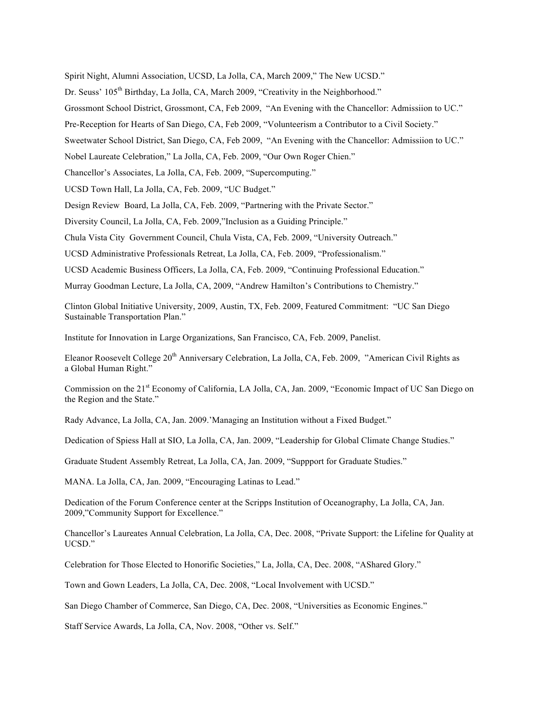Spirit Night, Alumni Association, UCSD, La Jolla, CA, March 2009," The New UCSD."

Dr. Seuss' 105<sup>th</sup> Birthday, La Jolla, CA, March 2009, "Creativity in the Neighborhood."

Grossmont School District, Grossmont, CA, Feb 2009, "An Evening with the Chancellor: Admissiion to UC."

Pre-Reception for Hearts of San Diego, CA, Feb 2009, "Volunteerism a Contributor to a Civil Society."

Sweetwater School District, San Diego, CA, Feb 2009, "An Evening with the Chancellor: Admissiion to UC."

Nobel Laureate Celebration," La Jolla, CA, Feb. 2009, "Our Own Roger Chien."

Chancellor's Associates, La Jolla, CA, Feb. 2009, "Supercomputing."

UCSD Town Hall, La Jolla, CA, Feb. 2009, "UC Budget."

Design Review Board, La Jolla, CA, Feb. 2009, "Partnering with the Private Sector."

Diversity Council, La Jolla, CA, Feb. 2009,"Inclusion as a Guiding Principle."

Chula Vista City Government Council, Chula Vista, CA, Feb. 2009, "University Outreach."

UCSD Administrative Professionals Retreat, La Jolla, CA, Feb. 2009, "Professionalism."

UCSD Academic Business Officers, La Jolla, CA, Feb. 2009, "Continuing Professional Education."

Murray Goodman Lecture, La Jolla, CA, 2009, "Andrew Hamilton's Contributions to Chemistry."

Clinton Global Initiative University, 2009, Austin, TX, Feb. 2009, Featured Commitment: "UC San Diego Sustainable Transportation Plan."

Institute for Innovation in Large Organizations, San Francisco, CA, Feb. 2009, Panelist.

Eleanor Roosevelt College 20<sup>th</sup> Anniversary Celebration, La Jolla, CA, Feb. 2009, "American Civil Rights as a Global Human Right."

Commission on the 21st Economy of California, LA Jolla, CA, Jan. 2009, "Economic Impact of UC San Diego on the Region and the State."

Rady Advance, La Jolla, CA, Jan. 2009.'Managing an Institution without a Fixed Budget."

Dedication of Spiess Hall at SIO, La Jolla, CA, Jan. 2009, "Leadership for Global Climate Change Studies."

Graduate Student Assembly Retreat, La Jolla, CA, Jan. 2009, "Suppport for Graduate Studies."

MANA. La Jolla, CA, Jan. 2009, "Encouraging Latinas to Lead."

Dedication of the Forum Conference center at the Scripps Institution of Oceanography, La Jolla, CA, Jan. 2009,"Community Support for Excellence."

Chancellor's Laureates Annual Celebration, La Jolla, CA, Dec. 2008, "Private Support: the Lifeline for Quality at UCSD."

Celebration for Those Elected to Honorific Societies," La, Jolla, CA, Dec. 2008, "AShared Glory."

Town and Gown Leaders, La Jolla, CA, Dec. 2008, "Local Involvement with UCSD."

San Diego Chamber of Commerce, San Diego, CA, Dec. 2008, "Universities as Economic Engines."

Staff Service Awards, La Jolla, CA, Nov. 2008, "Other vs. Self."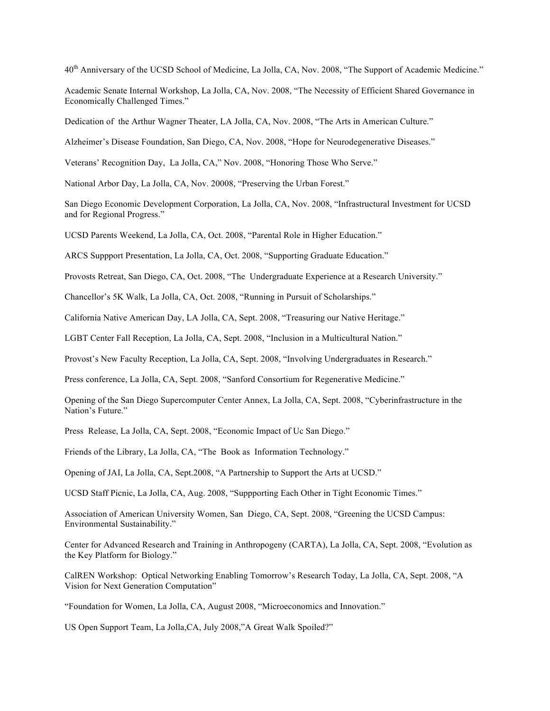40<sup>th</sup> Anniversary of the UCSD School of Medicine, La Jolla, CA, Nov. 2008, "The Support of Academic Medicine."

Academic Senate Internal Workshop, La Jolla, CA, Nov. 2008, "The Necessity of Efficient Shared Governance in Economically Challenged Times."

Dedication of the Arthur Wagner Theater, LA Jolla, CA, Nov. 2008, "The Arts in American Culture."

Alzheimer's Disease Foundation, San Diego, CA, Nov. 2008, "Hope for Neurodegenerative Diseases."

Veterans' Recognition Day, La Jolla, CA," Nov. 2008, "Honoring Those Who Serve."

National Arbor Day, La Jolla, CA, Nov. 20008, "Preserving the Urban Forest."

San Diego Economic Development Corporation, La Jolla, CA, Nov. 2008, "Infrastructural Investment for UCSD and for Regional Progress."

UCSD Parents Weekend, La Jolla, CA, Oct. 2008, "Parental Role in Higher Education."

ARCS Suppport Presentation, La Jolla, CA, Oct. 2008, "Supporting Graduate Education."

Provosts Retreat, San Diego, CA, Oct. 2008, "The Undergraduate Experience at a Research University."

Chancellor's 5K Walk, La Jolla, CA, Oct. 2008, "Running in Pursuit of Scholarships."

California Native American Day, LA Jolla, CA, Sept. 2008, "Treasuring our Native Heritage."

LGBT Center Fall Reception, La Jolla, CA, Sept. 2008, "Inclusion in a Multicultural Nation."

Provost's New Faculty Reception, La Jolla, CA, Sept. 2008, "Involving Undergraduates in Research."

Press conference, La Jolla, CA, Sept. 2008, "Sanford Consortium for Regenerative Medicine."

Opening of the San Diego Supercomputer Center Annex, La Jolla, CA, Sept. 2008, "Cyberinfrastructure in the Nation's Future."

Press Release, La Jolla, CA, Sept. 2008, "Economic Impact of Uc San Diego."

Friends of the Library, La Jolla, CA, "The Book as Information Technology."

Opening of JAI, La Jolla, CA, Sept.2008, "A Partnership to Support the Arts at UCSD."

UCSD Staff Picnic, La Jolla, CA, Aug. 2008, "Suppporting Each Other in Tight Economic Times."

Association of American University Women, San Diego, CA, Sept. 2008, "Greening the UCSD Campus: Environmental Sustainability."

Center for Advanced Research and Training in Anthropogeny (CARTA), La Jolla, CA, Sept. 2008, "Evolution as the Key Platform for Biology."

CalREN Workshop: Optical Networking Enabling Tomorrow's Research Today, La Jolla, CA, Sept. 2008, "A Vision for Next Generation Computation"

"Foundation for Women, La Jolla, CA, August 2008, "Microeconomics and Innovation."

US Open Support Team, La Jolla,CA, July 2008,"A Great Walk Spoiled?"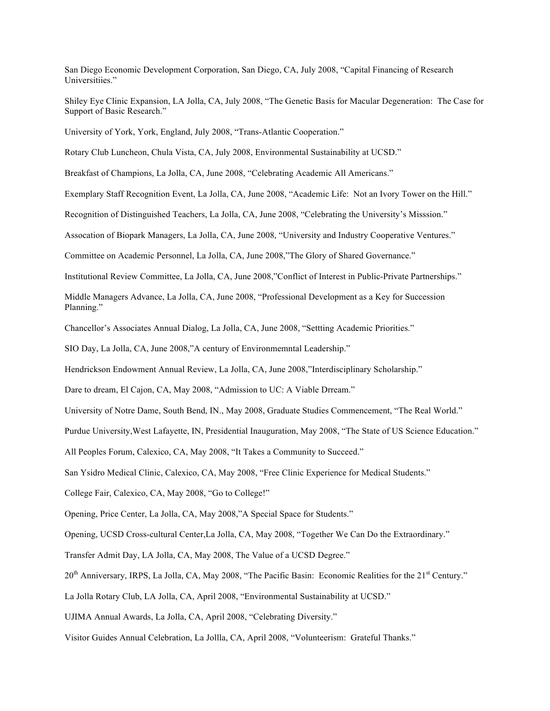San Diego Economic Development Corporation, San Diego, CA, July 2008, "Capital Financing of Research Universitiies."

Shiley Eye Clinic Expansion, LA Jolla, CA, July 2008, "The Genetic Basis for Macular Degeneration: The Case for Support of Basic Research."

University of York, York, England, July 2008, "Trans-Atlantic Cooperation."

Rotary Club Luncheon, Chula Vista, CA, July 2008, Environmental Sustainability at UCSD."

Breakfast of Champions, La Jolla, CA, June 2008, "Celebrating Academic All Americans."

Exemplary Staff Recognition Event, La Jolla, CA, June 2008, "Academic Life: Not an Ivory Tower on the Hill."

Recognition of Distinguished Teachers, La Jolla, CA, June 2008, "Celebrating the University's Misssion."

Assocation of Biopark Managers, La Jolla, CA, June 2008, "University and Industry Cooperative Ventures."

Committee on Academic Personnel, La Jolla, CA, June 2008,"The Glory of Shared Governance."

Institutional Review Committee, La Jolla, CA, June 2008,"Conflict of Interest in Public-Private Partnerships."

Middle Managers Advance, La Jolla, CA, June 2008, "Professional Development as a Key for Succession Planning."

Chancellor's Associates Annual Dialog, La Jolla, CA, June 2008, "Settting Academic Priorities."

SIO Day, La Jolla, CA, June 2008,"A century of Environmemntal Leadership."

Hendrickson Endowment Annual Review, La Jolla, CA, June 2008,"Interdisciplinary Scholarship."

Dare to dream, El Cajon, CA, May 2008, "Admission to UC: A Viable Drream."

University of Notre Dame, South Bend, IN., May 2008, Graduate Studies Commencement, "The Real World."

Purdue University,West Lafayette, IN, Presidential Inauguration, May 2008, "The State of US Science Education."

All Peoples Forum, Calexico, CA, May 2008, "It Takes a Community to Succeed."

San Ysidro Medical Clinic, Calexico, CA, May 2008, "Free Clinic Experience for Medical Students."

College Fair, Calexico, CA, May 2008, "Go to College!"

Opening, Price Center, La Jolla, CA, May 2008,"A Special Space for Students."

Opening, UCSD Cross-cultural Center,La Jolla, CA, May 2008, "Together We Can Do the Extraordinary."

Transfer Admit Day, LA Jolla, CA, May 2008, The Value of a UCSD Degree."

20<sup>th</sup> Anniversary, IRPS, La Jolla, CA, May 2008, "The Pacific Basin: Economic Realities for the 21<sup>st</sup> Century."

La Jolla Rotary Club, LA Jolla, CA, April 2008, "Environmental Sustainability at UCSD."

UJIMA Annual Awards, La Jolla, CA, April 2008, "Celebrating Diversity."

Visitor Guides Annual Celebration, La Jollla, CA, April 2008, "Volunteerism: Grateful Thanks."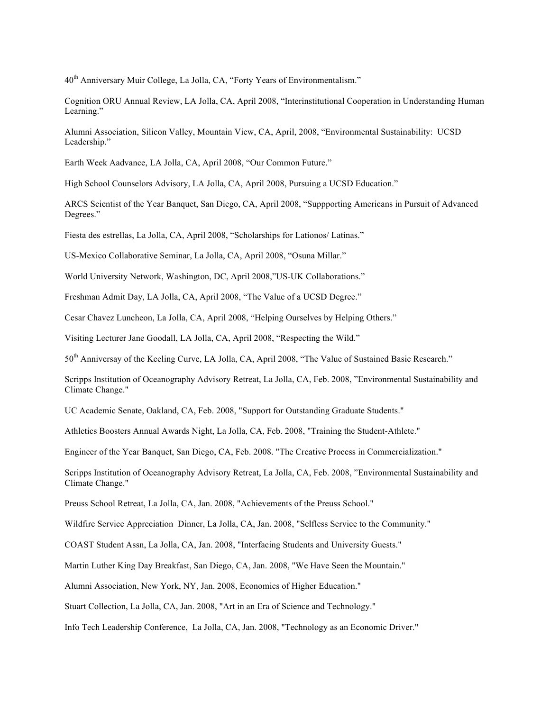40<sup>th</sup> Anniversary Muir College, La Jolla, CA, "Forty Years of Environmentalism."

Cognition ORU Annual Review, LA Jolla, CA, April 2008, "Interinstitutional Cooperation in Understanding Human Learning."

Alumni Association, Silicon Valley, Mountain View, CA, April, 2008, "Environmental Sustainability: UCSD Leadership."

Earth Week Aadvance, LA Jolla, CA, April 2008, "Our Common Future."

High School Counselors Advisory, LA Jolla, CA, April 2008, Pursuing a UCSD Education."

ARCS Scientist of the Year Banquet, San Diego, CA, April 2008, "Suppporting Americans in Pursuit of Advanced Degrees."

Fiesta des estrellas, La Jolla, CA, April 2008, "Scholarships for Lationos/ Latinas."

US-Mexico Collaborative Seminar, La Jolla, CA, April 2008, "Osuna Millar."

World University Network, Washington, DC, April 2008,"US-UK Collaborations."

Freshman Admit Day, LA Jolla, CA, April 2008, "The Value of a UCSD Degree."

Cesar Chavez Luncheon, La Jolla, CA, April 2008, "Helping Ourselves by Helping Others."

Visiting Lecturer Jane Goodall, LA Jolla, CA, April 2008, "Respecting the Wild."

50<sup>th</sup> Anniversay of the Keeling Curve, LA Jolla, CA, April 2008, "The Value of Sustained Basic Research."

Scripps Institution of Oceanography Advisory Retreat, La Jolla, CA, Feb. 2008, "Environmental Sustainability and Climate Change."

UC Academic Senate, Oakland, CA, Feb. 2008, "Support for Outstanding Graduate Students."

Athletics Boosters Annual Awards Night, La Jolla, CA, Feb. 2008, "Training the Student-Athlete."

Engineer of the Year Banquet, San Diego, CA, Feb. 2008. "The Creative Process in Commercialization."

Scripps Institution of Oceanography Advisory Retreat, La Jolla, CA, Feb. 2008, "Environmental Sustainability and Climate Change."

Preuss School Retreat, La Jolla, CA, Jan. 2008, "Achievements of the Preuss School."

Wildfire Service Appreciation Dinner, La Jolla, CA, Jan. 2008, "Selfless Service to the Community."

COAST Student Assn, La Jolla, CA, Jan. 2008, "Interfacing Students and University Guests."

Martin Luther King Day Breakfast, San Diego, CA, Jan. 2008, "We Have Seen the Mountain."

Alumni Association, New York, NY, Jan. 2008, Economics of Higher Education."

Stuart Collection, La Jolla, CA, Jan. 2008, "Art in an Era of Science and Technology."

Info Tech Leadership Conference, La Jolla, CA, Jan. 2008, "Technology as an Economic Driver."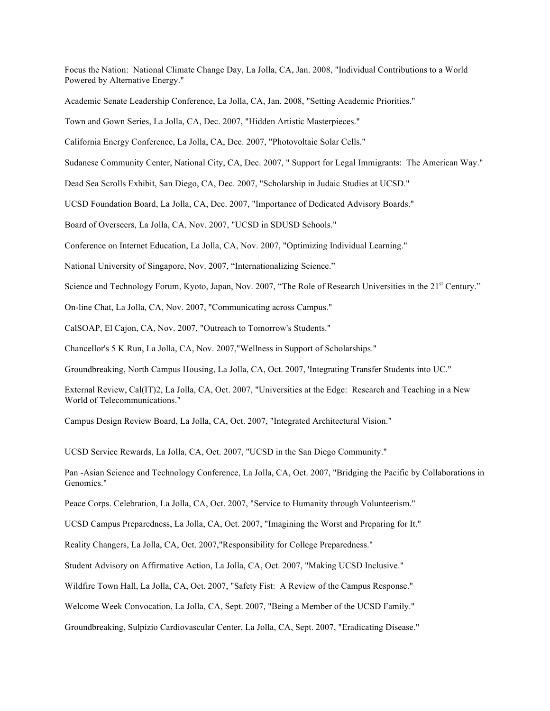Focus the Nation: National Climate Change Day, La Jolla, CA, Jan. 2008, "Individual Contributions to a World Powered by Alternative Energy."

Academic Senate Leadership Conference, La Jolla, CA, Jan. 2008, "Setting Academic Priorities."

Town and Gown Series, La Jolla, CA, Dec. 2007, "Hidden Artistic Masterpieces."

California Energy Conference, La Jolla, CA, Dec. 2007, "Photovoltaic Solar Cells."

Sudanese Community Center, National City, CA, Dec. 2007, " Support for Legal Immigrants: The American Way."

Dead Sea Scrolls Exhibit, San Diego, CA, Dec. 2007, "Scholarship in Judaic Studies at UCSD."

UCSD Foundation Board, La Jolla, CA, Dec. 2007, "Importance of Dedicated Advisory Boards."

Board of Overseers, La Jolla, CA, Nov. 2007, "UCSD in SDUSD Schools."

Conference on Internet Education, La Jolla, CA, Nov. 2007, "Optimizing Individual Learning."

National University of Singapore, Nov. 2007, "Internationalizing Science."

Science and Technology Forum, Kyoto, Japan, Nov. 2007, "The Role of Research Universities in the 21<sup>st</sup> Century."

On-line Chat, La Jolla, CA, Nov. 2007, "Communicating across Campus."

CalSOAP, El Cajon, CA, Nov. 2007, "Outreach to Tomorrow's Students."

Chancellor's 5 K Run, La Jolla, CA, Nov. 2007,"Wellness in Support of Scholarships."

Groundbreaking, North Campus Housing, La Jolla, CA, Oct. 2007, 'Integrating Transfer Students into UC."

External Review, Cal(IT)2, La Jolla, CA, Oct. 2007, "Universities at the Edge: Research and Teaching in a New World of Telecommunications."

Campus Design Review Board, La Jolla, CA, Oct. 2007, "Integrated Architectural Vision."

UCSD Service Rewards, La Jolla, CA, Oct. 2007, "UCSD in the San Diego Community."

Pan -Asian Science and Technology Conference, La Jolla, CA, Oct. 2007, "Bridging the Pacific by Collaborations in Genomics."

Peace Corps. Celebration, La Jolla, CA, Oct. 2007, "Service to Humanity through Volunteerism."

UCSD Campus Preparedness, La Jolla, CA, Oct. 2007, "Imagining the Worst and Preparing for It."

Reality Changers, La Jolla, CA, Oct. 2007,"Responsibility for College Preparedness."

Student Advisory on Affirmative Action, La Jolla, CA, Oct. 2007, "Making UCSD Inclusive."

Wildfire Town Hall, La Jolla, CA, Oct. 2007, "Safety Fist: A Review of the Campus Response."

Welcome Week Convocation, La Jolla, CA, Sept. 2007, "Being a Member of the UCSD Family."

Groundbreaking, Sulpizio Cardiovascular Center, La Jolla, CA, Sept. 2007, "Eradicating Disease."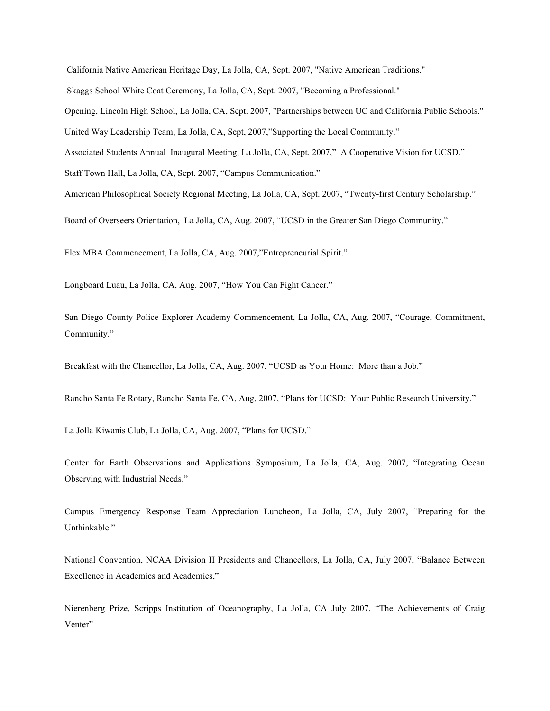California Native American Heritage Day, La Jolla, CA, Sept. 2007, "Native American Traditions." Skaggs School White Coat Ceremony, La Jolla, CA, Sept. 2007, "Becoming a Professional." Opening, Lincoln High School, La Jolla, CA, Sept. 2007, "Partnerships between UC and California Public Schools." United Way Leadership Team, La Jolla, CA, Sept, 2007,"Supporting the Local Community." Associated Students Annual Inaugural Meeting, La Jolla, CA, Sept. 2007," A Cooperative Vision for UCSD." Staff Town Hall, La Jolla, CA, Sept. 2007, "Campus Communication." American Philosophical Society Regional Meeting, La Jolla, CA, Sept. 2007, "Twenty-first Century Scholarship."

Board of Overseers Orientation, La Jolla, CA, Aug. 2007, "UCSD in the Greater San Diego Community."

Flex MBA Commencement, La Jolla, CA, Aug. 2007,"Entrepreneurial Spirit."

Longboard Luau, La Jolla, CA, Aug. 2007, "How You Can Fight Cancer."

San Diego County Police Explorer Academy Commencement, La Jolla, CA, Aug. 2007, "Courage, Commitment, Community."

Breakfast with the Chancellor, La Jolla, CA, Aug. 2007, "UCSD as Your Home: More than a Job."

Rancho Santa Fe Rotary, Rancho Santa Fe, CA, Aug, 2007, "Plans for UCSD: Your Public Research University."

La Jolla Kiwanis Club, La Jolla, CA, Aug. 2007, "Plans for UCSD."

Center for Earth Observations and Applications Symposium, La Jolla, CA, Aug. 2007, "Integrating Ocean Observing with Industrial Needs."

Campus Emergency Response Team Appreciation Luncheon, La Jolla, CA, July 2007, "Preparing for the Unthinkable."

National Convention, NCAA Division II Presidents and Chancellors, La Jolla, CA, July 2007, "Balance Between Excellence in Academics and Academics,"

Nierenberg Prize, Scripps Institution of Oceanography, La Jolla, CA July 2007, "The Achievements of Craig Venter"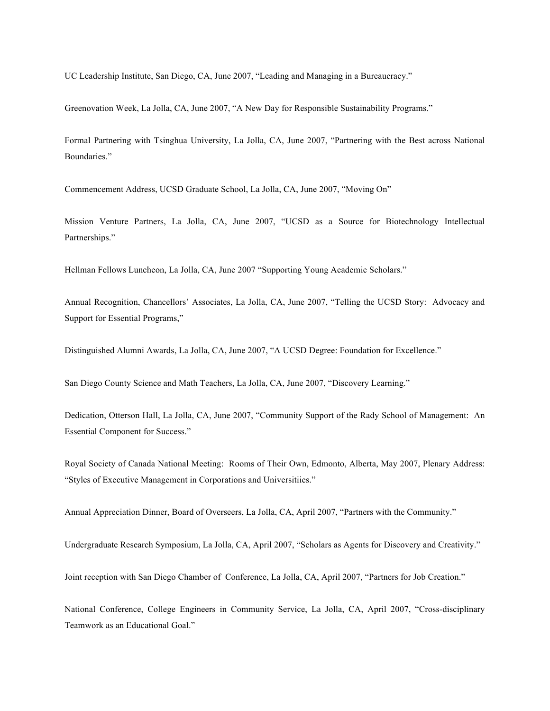UC Leadership Institute, San Diego, CA, June 2007, "Leading and Managing in a Bureaucracy."

Greenovation Week, La Jolla, CA, June 2007, "A New Day for Responsible Sustainability Programs."

Formal Partnering with Tsinghua University, La Jolla, CA, June 2007, "Partnering with the Best across National Boundaries."

Commencement Address, UCSD Graduate School, La Jolla, CA, June 2007, "Moving On"

Mission Venture Partners, La Jolla, CA, June 2007, "UCSD as a Source for Biotechnology Intellectual Partnerships."

Hellman Fellows Luncheon, La Jolla, CA, June 2007 "Supporting Young Academic Scholars."

Annual Recognition, Chancellors' Associates, La Jolla, CA, June 2007, "Telling the UCSD Story: Advocacy and Support for Essential Programs,"

Distinguished Alumni Awards, La Jolla, CA, June 2007, "A UCSD Degree: Foundation for Excellence."

San Diego County Science and Math Teachers, La Jolla, CA, June 2007, "Discovery Learning."

Dedication, Otterson Hall, La Jolla, CA, June 2007, "Community Support of the Rady School of Management: An Essential Component for Success."

Royal Society of Canada National Meeting: Rooms of Their Own, Edmonto, Alberta, May 2007, Plenary Address: "Styles of Executive Management in Corporations and Universitiies."

Annual Appreciation Dinner, Board of Overseers, La Jolla, CA, April 2007, "Partners with the Community."

Undergraduate Research Symposium, La Jolla, CA, April 2007, "Scholars as Agents for Discovery and Creativity."

Joint reception with San Diego Chamber of Conference, La Jolla, CA, April 2007, "Partners for Job Creation."

National Conference, College Engineers in Community Service, La Jolla, CA, April 2007, "Cross-disciplinary Teamwork as an Educational Goal."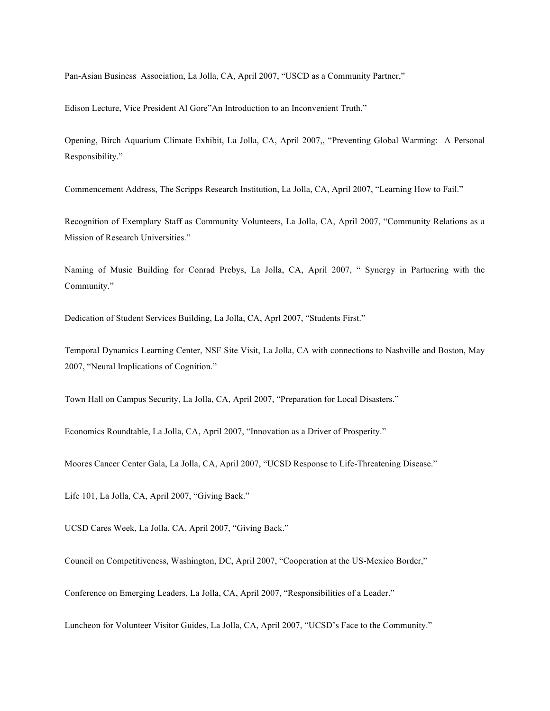Pan-Asian Business Association, La Jolla, CA, April 2007, "USCD as a Community Partner,"

Edison Lecture, Vice President Al Gore"An Introduction to an Inconvenient Truth."

Opening, Birch Aquarium Climate Exhibit, La Jolla, CA, April 2007,, "Preventing Global Warming: A Personal Responsibility."

Commencement Address, The Scripps Research Institution, La Jolla, CA, April 2007, "Learning How to Fail."

Recognition of Exemplary Staff as Community Volunteers, La Jolla, CA, April 2007, "Community Relations as a Mission of Research Universities."

Naming of Music Building for Conrad Prebys, La Jolla, CA, April 2007, " Synergy in Partnering with the Community."

Dedication of Student Services Building, La Jolla, CA, Aprl 2007, "Students First."

Temporal Dynamics Learning Center, NSF Site Visit, La Jolla, CA with connections to Nashville and Boston, May 2007, "Neural Implications of Cognition."

Town Hall on Campus Security, La Jolla, CA, April 2007, "Preparation for Local Disasters."

Economics Roundtable, La Jolla, CA, April 2007, "Innovation as a Driver of Prosperity."

Moores Cancer Center Gala, La Jolla, CA, April 2007, "UCSD Response to Life-Threatening Disease."

Life 101, La Jolla, CA, April 2007, "Giving Back."

UCSD Cares Week, La Jolla, CA, April 2007, "Giving Back."

Council on Competitiveness, Washington, DC, April 2007, "Cooperation at the US-Mexico Border,"

Conference on Emerging Leaders, La Jolla, CA, April 2007, "Responsibilities of a Leader."

Luncheon for Volunteer Visitor Guides, La Jolla, CA, April 2007, "UCSD's Face to the Community."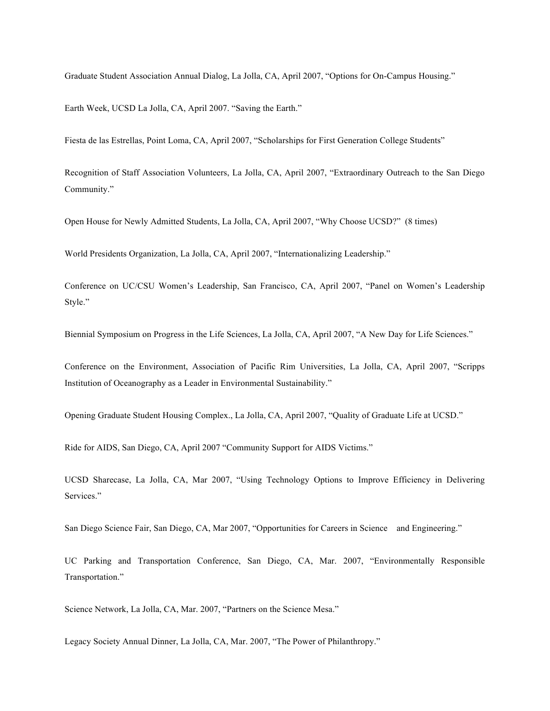Graduate Student Association Annual Dialog, La Jolla, CA, April 2007, "Options for On-Campus Housing."

Earth Week, UCSD La Jolla, CA, April 2007. "Saving the Earth."

Fiesta de las Estrellas, Point Loma, CA, April 2007, "Scholarships for First Generation College Students"

Recognition of Staff Association Volunteers, La Jolla, CA, April 2007, "Extraordinary Outreach to the San Diego Community."

Open House for Newly Admitted Students, La Jolla, CA, April 2007, "Why Choose UCSD?" (8 times)

World Presidents Organization, La Jolla, CA, April 2007, "Internationalizing Leadership."

Conference on UC/CSU Women's Leadership, San Francisco, CA, April 2007, "Panel on Women's Leadership Style."

Biennial Symposium on Progress in the Life Sciences, La Jolla, CA, April 2007, "A New Day for Life Sciences."

Conference on the Environment, Association of Pacific Rim Universities, La Jolla, CA, April 2007, "Scripps Institution of Oceanography as a Leader in Environmental Sustainability."

Opening Graduate Student Housing Complex., La Jolla, CA, April 2007, "Quality of Graduate Life at UCSD."

Ride for AIDS, San Diego, CA, April 2007 "Community Support for AIDS Victims."

UCSD Sharecase, La Jolla, CA, Mar 2007, "Using Technology Options to Improve Efficiency in Delivering Services."

San Diego Science Fair, San Diego, CA, Mar 2007, "Opportunities for Careers in Science and Engineering."

UC Parking and Transportation Conference, San Diego, CA, Mar. 2007, "Environmentally Responsible Transportation."

Science Network, La Jolla, CA, Mar. 2007, "Partners on the Science Mesa."

Legacy Society Annual Dinner, La Jolla, CA, Mar. 2007, "The Power of Philanthropy."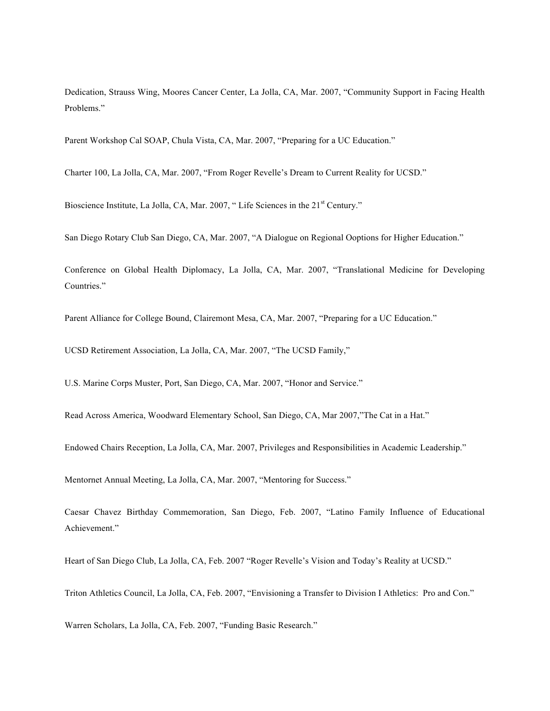Dedication, Strauss Wing, Moores Cancer Center, La Jolla, CA, Mar. 2007, "Community Support in Facing Health Problems."

Parent Workshop Cal SOAP, Chula Vista, CA, Mar. 2007, "Preparing for a UC Education."

Charter 100, La Jolla, CA, Mar. 2007, "From Roger Revelle's Dream to Current Reality for UCSD."

Bioscience Institute, La Jolla, CA, Mar. 2007, "Life Sciences in the 21<sup>st</sup> Century."

San Diego Rotary Club San Diego, CA, Mar. 2007, "A Dialogue on Regional Ooptions for Higher Education."

Conference on Global Health Diplomacy, La Jolla, CA, Mar. 2007, "Translational Medicine for Developing Countries."

Parent Alliance for College Bound, Clairemont Mesa, CA, Mar. 2007, "Preparing for a UC Education."

UCSD Retirement Association, La Jolla, CA, Mar. 2007, "The UCSD Family,"

U.S. Marine Corps Muster, Port, San Diego, CA, Mar. 2007, "Honor and Service."

Read Across America, Woodward Elementary School, San Diego, CA, Mar 2007,"The Cat in a Hat."

Endowed Chairs Reception, La Jolla, CA, Mar. 2007, Privileges and Responsibilities in Academic Leadership."

Mentornet Annual Meeting, La Jolla, CA, Mar. 2007, "Mentoring for Success."

Caesar Chavez Birthday Commemoration, San Diego, Feb. 2007, "Latino Family Influence of Educational Achievement."

Heart of San Diego Club, La Jolla, CA, Feb. 2007 "Roger Revelle's Vision and Today's Reality at UCSD."

Triton Athletics Council, La Jolla, CA, Feb. 2007, "Envisioning a Transfer to Division I Athletics: Pro and Con."

Warren Scholars, La Jolla, CA, Feb. 2007, "Funding Basic Research."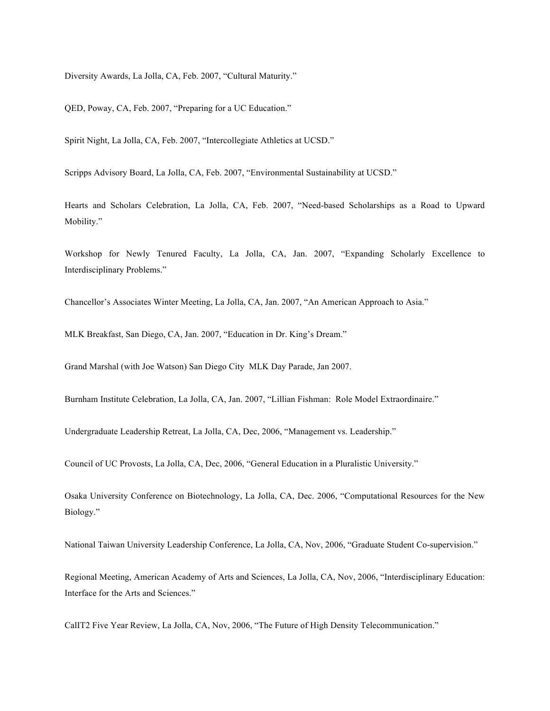Diversity Awards, La Jolla, CA, Feb. 2007, "Cultural Maturity."

QED, Poway, CA, Feb. 2007, "Preparing for a UC Education."

Spirit Night, La Jolla, CA, Feb. 2007, "Intercollegiate Athletics at UCSD."

Scripps Advisory Board, La Jolla, CA, Feb. 2007, "Environmental Sustainability at UCSD."

Hearts and Scholars Celebration, La Jolla, CA, Feb. 2007, "Need-based Scholarships as a Road to Upward Mobility."

Workshop for Newly Tenured Faculty, La Jolla, CA, Jan. 2007, "Expanding Scholarly Excellence to Interdisciplinary Problems."

Chancellor's Associates Winter Meeting, La Jolla, CA, Jan. 2007, "An American Approach to Asia."

MLK Breakfast, San Diego, CA, Jan. 2007, "Education in Dr. King's Dream."

Grand Marshal (with Joe Watson) San Diego City MLK Day Parade, Jan 2007.

Burnham Institute Celebration, La Jolla, CA, Jan. 2007, "Lillian Fishman: Role Model Extraordinaire."

Undergraduate Leadership Retreat, La Jolla, CA, Dec, 2006, "Management vs. Leadership."

Council of UC Provosts, La Jolla, CA, Dec, 2006, "General Education in a Pluralistic University."

Osaka University Conference on Biotechnology, La Jolla, CA, Dec. 2006, "Computational Resources for the New Biology."

National Taiwan University Leadership Conference, La Jolla, CA, Nov, 2006, "Graduate Student Co-supervision."

Regional Meeting, American Academy of Arts and Sciences, La Jolla, CA, Nov, 2006, "Interdisciplinary Education: Interface for the Arts and Sciences."

CalIT2 Five Year Review, La Jolla, CA, Nov, 2006, "The Future of High Density Telecommunication."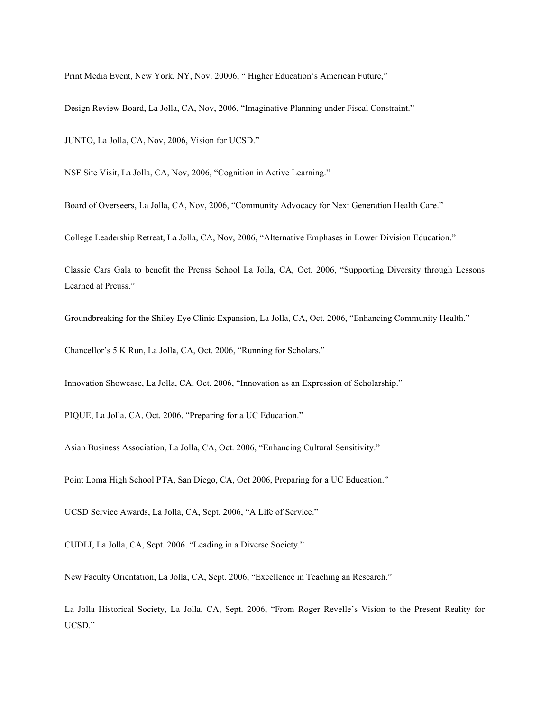Print Media Event, New York, NY, Nov. 20006, " Higher Education's American Future,"

Design Review Board, La Jolla, CA, Nov, 2006, "Imaginative Planning under Fiscal Constraint."

JUNTO, La Jolla, CA, Nov, 2006, Vision for UCSD."

NSF Site Visit, La Jolla, CA, Nov, 2006, "Cognition in Active Learning."

Board of Overseers, La Jolla, CA, Nov, 2006, "Community Advocacy for Next Generation Health Care."

College Leadership Retreat, La Jolla, CA, Nov, 2006, "Alternative Emphases in Lower Division Education."

Classic Cars Gala to benefit the Preuss School La Jolla, CA, Oct. 2006, "Supporting Diversity through Lessons Learned at Preuss."

Groundbreaking for the Shiley Eye Clinic Expansion, La Jolla, CA, Oct. 2006, "Enhancing Community Health."

Chancellor's 5 K Run, La Jolla, CA, Oct. 2006, "Running for Scholars."

Innovation Showcase, La Jolla, CA, Oct. 2006, "Innovation as an Expression of Scholarship."

PIQUE, La Jolla, CA, Oct. 2006, "Preparing for a UC Education."

Asian Business Association, La Jolla, CA, Oct. 2006, "Enhancing Cultural Sensitivity."

Point Loma High School PTA, San Diego, CA, Oct 2006, Preparing for a UC Education."

UCSD Service Awards, La Jolla, CA, Sept. 2006, "A Life of Service."

CUDLI, La Jolla, CA, Sept. 2006. "Leading in a Diverse Society."

New Faculty Orientation, La Jolla, CA, Sept. 2006, "Excellence in Teaching an Research."

La Jolla Historical Society, La Jolla, CA, Sept. 2006, "From Roger Revelle's Vision to the Present Reality for UCSD."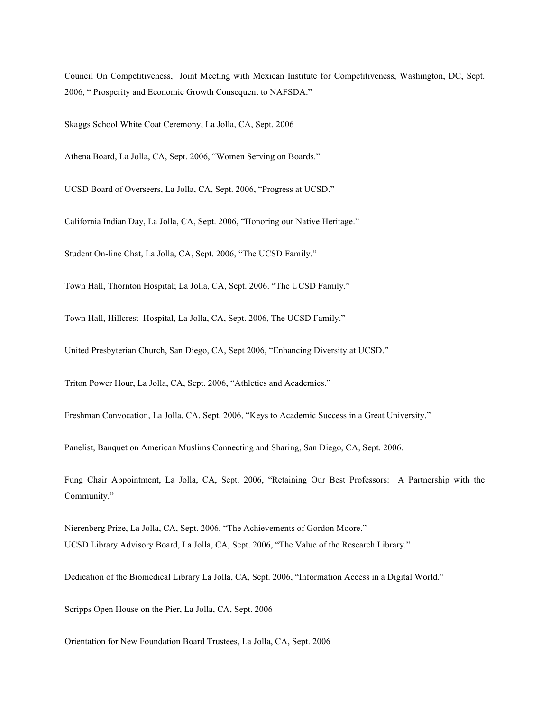Council On Competitiveness, Joint Meeting with Mexican Institute for Competitiveness, Washington, DC, Sept. 2006, " Prosperity and Economic Growth Consequent to NAFSDA."

Skaggs School White Coat Ceremony, La Jolla, CA, Sept. 2006

Athena Board, La Jolla, CA, Sept. 2006, "Women Serving on Boards."

UCSD Board of Overseers, La Jolla, CA, Sept. 2006, "Progress at UCSD."

California Indian Day, La Jolla, CA, Sept. 2006, "Honoring our Native Heritage."

Student On-line Chat, La Jolla, CA, Sept. 2006, "The UCSD Family."

Town Hall, Thornton Hospital; La Jolla, CA, Sept. 2006. "The UCSD Family."

Town Hall, Hillcrest Hospital, La Jolla, CA, Sept. 2006, The UCSD Family."

United Presbyterian Church, San Diego, CA, Sept 2006, "Enhancing Diversity at UCSD."

Triton Power Hour, La Jolla, CA, Sept. 2006, "Athletics and Academics."

Freshman Convocation, La Jolla, CA, Sept. 2006, "Keys to Academic Success in a Great University."

Panelist, Banquet on American Muslims Connecting and Sharing, San Diego, CA, Sept. 2006.

Fung Chair Appointment, La Jolla, CA, Sept. 2006, "Retaining Our Best Professors: A Partnership with the Community."

Nierenberg Prize, La Jolla, CA, Sept. 2006, "The Achievements of Gordon Moore." UCSD Library Advisory Board, La Jolla, CA, Sept. 2006, "The Value of the Research Library."

Dedication of the Biomedical Library La Jolla, CA, Sept. 2006, "Information Access in a Digital World."

Scripps Open House on the Pier, La Jolla, CA, Sept. 2006

Orientation for New Foundation Board Trustees, La Jolla, CA, Sept. 2006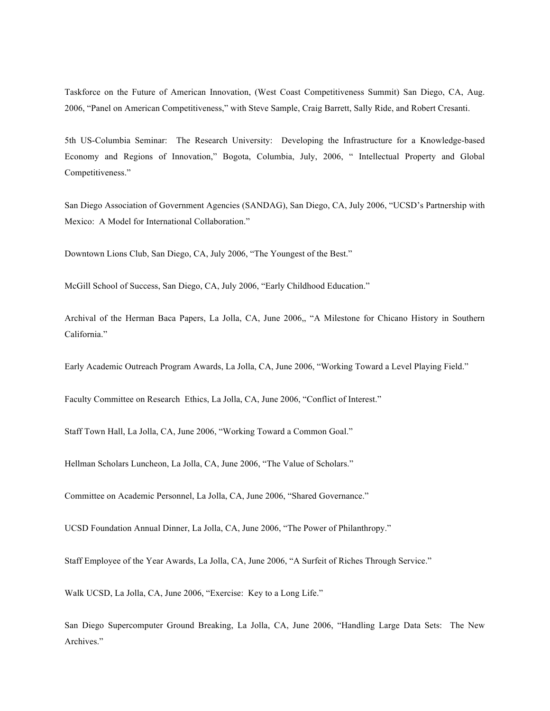Taskforce on the Future of American Innovation, (West Coast Competitiveness Summit) San Diego, CA, Aug. 2006, "Panel on American Competitiveness," with Steve Sample, Craig Barrett, Sally Ride, and Robert Cresanti.

5th US-Columbia Seminar: The Research University: Developing the Infrastructure for a Knowledge-based Economy and Regions of Innovation," Bogota, Columbia, July, 2006, " Intellectual Property and Global Competitiveness."

San Diego Association of Government Agencies (SANDAG), San Diego, CA, July 2006, "UCSD's Partnership with Mexico: A Model for International Collaboration."

Downtown Lions Club, San Diego, CA, July 2006, "The Youngest of the Best."

McGill School of Success, San Diego, CA, July 2006, "Early Childhood Education."

Archival of the Herman Baca Papers, La Jolla, CA, June 2006,, "A Milestone for Chicano History in Southern California."

Early Academic Outreach Program Awards, La Jolla, CA, June 2006, "Working Toward a Level Playing Field."

Faculty Committee on Research Ethics, La Jolla, CA, June 2006, "Conflict of Interest."

Staff Town Hall, La Jolla, CA, June 2006, "Working Toward a Common Goal."

Hellman Scholars Luncheon, La Jolla, CA, June 2006, "The Value of Scholars."

Committee on Academic Personnel, La Jolla, CA, June 2006, "Shared Governance."

UCSD Foundation Annual Dinner, La Jolla, CA, June 2006, "The Power of Philanthropy."

Staff Employee of the Year Awards, La Jolla, CA, June 2006, "A Surfeit of Riches Through Service."

Walk UCSD, La Jolla, CA, June 2006, "Exercise: Key to a Long Life."

San Diego Supercomputer Ground Breaking, La Jolla, CA, June 2006, "Handling Large Data Sets: The New Archives."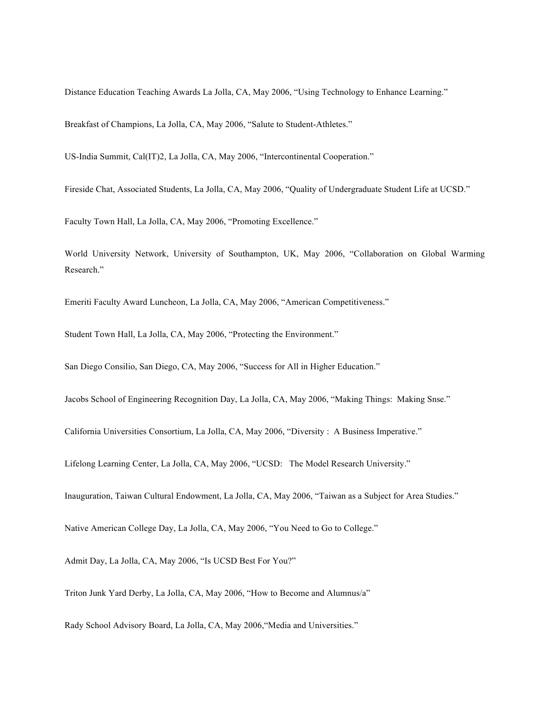Distance Education Teaching Awards La Jolla, CA, May 2006, "Using Technology to Enhance Learning."

Breakfast of Champions, La Jolla, CA, May 2006, "Salute to Student-Athletes."

US-India Summit, Cal(IT)2, La Jolla, CA, May 2006, "Intercontinental Cooperation."

Fireside Chat, Associated Students, La Jolla, CA, May 2006, "Quality of Undergraduate Student Life at UCSD."

Faculty Town Hall, La Jolla, CA, May 2006, "Promoting Excellence."

World University Network, University of Southampton, UK, May 2006, "Collaboration on Global Warming Research."

Emeriti Faculty Award Luncheon, La Jolla, CA, May 2006, "American Competitiveness."

Student Town Hall, La Jolla, CA, May 2006, "Protecting the Environment."

San Diego Consilio, San Diego, CA, May 2006, "Success for All in Higher Education."

Jacobs School of Engineering Recognition Day, La Jolla, CA, May 2006, "Making Things: Making Snse."

California Universities Consortium, La Jolla, CA, May 2006, "Diversity : A Business Imperative."

Lifelong Learning Center, La Jolla, CA, May 2006, "UCSD: The Model Research University."

Inauguration, Taiwan Cultural Endowment, La Jolla, CA, May 2006, "Taiwan as a Subject for Area Studies."

Native American College Day, La Jolla, CA, May 2006, "You Need to Go to College."

Admit Day, La Jolla, CA, May 2006, "Is UCSD Best For You?"

Triton Junk Yard Derby, La Jolla, CA, May 2006, "How to Become and Alumnus/a"

Rady School Advisory Board, La Jolla, CA, May 2006,"Media and Universities."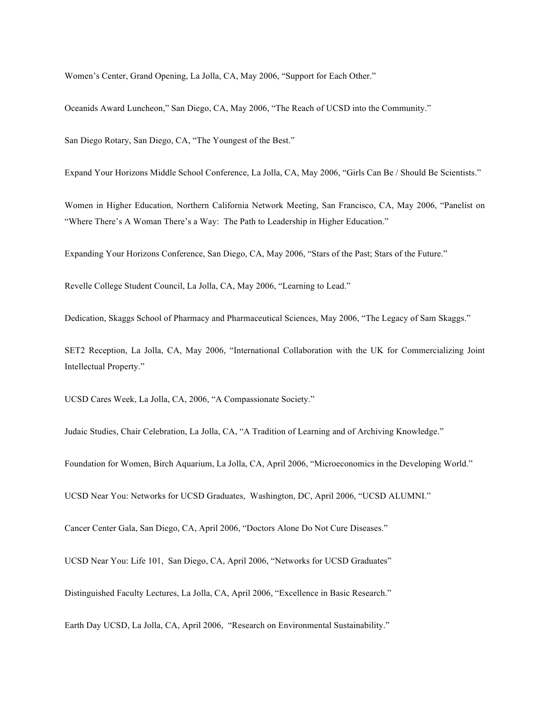Women's Center, Grand Opening, La Jolla, CA, May 2006, "Support for Each Other."

Oceanids Award Luncheon," San Diego, CA, May 2006, "The Reach of UCSD into the Community."

San Diego Rotary, San Diego, CA, "The Youngest of the Best."

Expand Your Horizons Middle School Conference, La Jolla, CA, May 2006, "Girls Can Be / Should Be Scientists."

Women in Higher Education, Northern California Network Meeting, San Francisco, CA, May 2006, "Panelist on "Where There's A Woman There's a Way: The Path to Leadership in Higher Education."

Expanding Your Horizons Conference, San Diego, CA, May 2006, "Stars of the Past; Stars of the Future."

Revelle College Student Council, La Jolla, CA, May 2006, "Learning to Lead."

Dedication, Skaggs School of Pharmacy and Pharmaceutical Sciences, May 2006, "The Legacy of Sam Skaggs."

SET2 Reception, La Jolla, CA, May 2006, "International Collaboration with the UK for Commercializing Joint Intellectual Property."

UCSD Cares Week, La Jolla, CA, 2006, "A Compassionate Society."

Judaic Studies, Chair Celebration, La Jolla, CA, "A Tradition of Learning and of Archiving Knowledge."

Foundation for Women, Birch Aquarium, La Jolla, CA, April 2006, "Microeconomics in the Developing World."

UCSD Near You: Networks for UCSD Graduates, Washington, DC, April 2006, "UCSD ALUMNI."

Cancer Center Gala, San Diego, CA, April 2006, "Doctors Alone Do Not Cure Diseases."

UCSD Near You: Life 101, San Diego, CA, April 2006, "Networks for UCSD Graduates"

Distinguished Faculty Lectures, La Jolla, CA, April 2006, "Excellence in Basic Research."

Earth Day UCSD, La Jolla, CA, April 2006, "Research on Environmental Sustainability."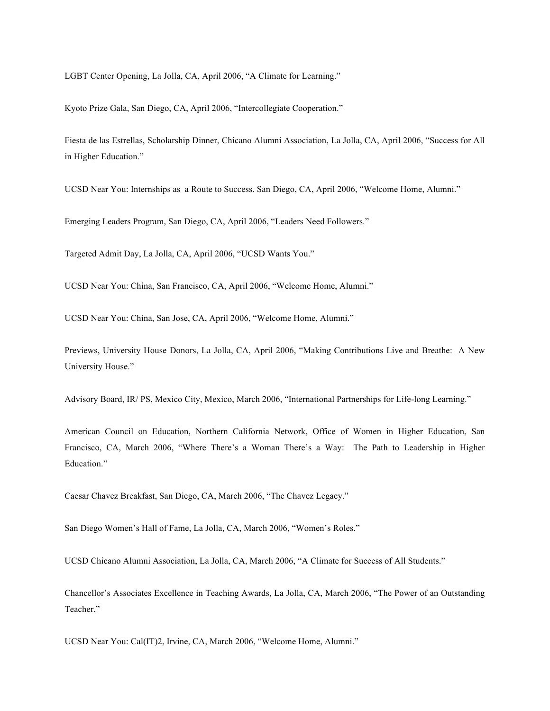LGBT Center Opening, La Jolla, CA, April 2006, "A Climate for Learning."

Kyoto Prize Gala, San Diego, CA, April 2006, "Intercollegiate Cooperation."

Fiesta de las Estrellas, Scholarship Dinner, Chicano Alumni Association, La Jolla, CA, April 2006, "Success for All in Higher Education."

UCSD Near You: Internships as a Route to Success. San Diego, CA, April 2006, "Welcome Home, Alumni."

Emerging Leaders Program, San Diego, CA, April 2006, "Leaders Need Followers."

Targeted Admit Day, La Jolla, CA, April 2006, "UCSD Wants You."

UCSD Near You: China, San Francisco, CA, April 2006, "Welcome Home, Alumni."

UCSD Near You: China, San Jose, CA, April 2006, "Welcome Home, Alumni."

Previews, University House Donors, La Jolla, CA, April 2006, "Making Contributions Live and Breathe: A New University House."

Advisory Board, IR/ PS, Mexico City, Mexico, March 2006, "International Partnerships for Life-long Learning."

American Council on Education, Northern California Network, Office of Women in Higher Education, San Francisco, CA, March 2006, "Where There's a Woman There's a Way: The Path to Leadership in Higher Education."

Caesar Chavez Breakfast, San Diego, CA, March 2006, "The Chavez Legacy."

San Diego Women's Hall of Fame, La Jolla, CA, March 2006, "Women's Roles."

UCSD Chicano Alumni Association, La Jolla, CA, March 2006, "A Climate for Success of All Students."

Chancellor's Associates Excellence in Teaching Awards, La Jolla, CA, March 2006, "The Power of an Outstanding Teacher."

UCSD Near You: Cal(IT)2, Irvine, CA, March 2006, "Welcome Home, Alumni."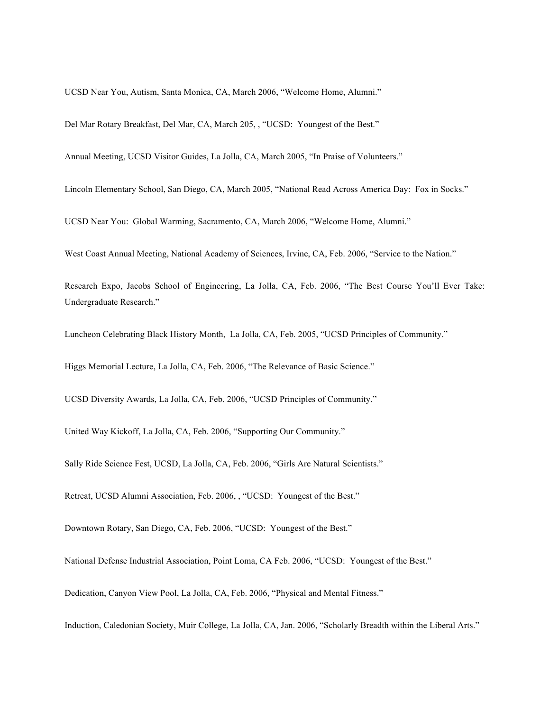UCSD Near You, Autism, Santa Monica, CA, March 2006, "Welcome Home, Alumni."

Del Mar Rotary Breakfast, Del Mar, CA, March 205, , "UCSD: Youngest of the Best."

Annual Meeting, UCSD Visitor Guides, La Jolla, CA, March 2005, "In Praise of Volunteers."

Lincoln Elementary School, San Diego, CA, March 2005, "National Read Across America Day: Fox in Socks."

UCSD Near You: Global Warming, Sacramento, CA, March 2006, "Welcome Home, Alumni."

West Coast Annual Meeting, National Academy of Sciences, Irvine, CA, Feb. 2006, "Service to the Nation."

Research Expo, Jacobs School of Engineering, La Jolla, CA, Feb. 2006, "The Best Course You'll Ever Take: Undergraduate Research."

Luncheon Celebrating Black History Month, La Jolla, CA, Feb. 2005, "UCSD Principles of Community."

Higgs Memorial Lecture, La Jolla, CA, Feb. 2006, "The Relevance of Basic Science."

UCSD Diversity Awards, La Jolla, CA, Feb. 2006, "UCSD Principles of Community."

United Way Kickoff, La Jolla, CA, Feb. 2006, "Supporting Our Community."

Sally Ride Science Fest, UCSD, La Jolla, CA, Feb. 2006, "Girls Are Natural Scientists."

Retreat, UCSD Alumni Association, Feb. 2006, , "UCSD: Youngest of the Best."

Downtown Rotary, San Diego, CA, Feb. 2006, "UCSD: Youngest of the Best."

National Defense Industrial Association, Point Loma, CA Feb. 2006, "UCSD: Youngest of the Best."

Dedication, Canyon View Pool, La Jolla, CA, Feb. 2006, "Physical and Mental Fitness."

Induction, Caledonian Society, Muir College, La Jolla, CA, Jan. 2006, "Scholarly Breadth within the Liberal Arts."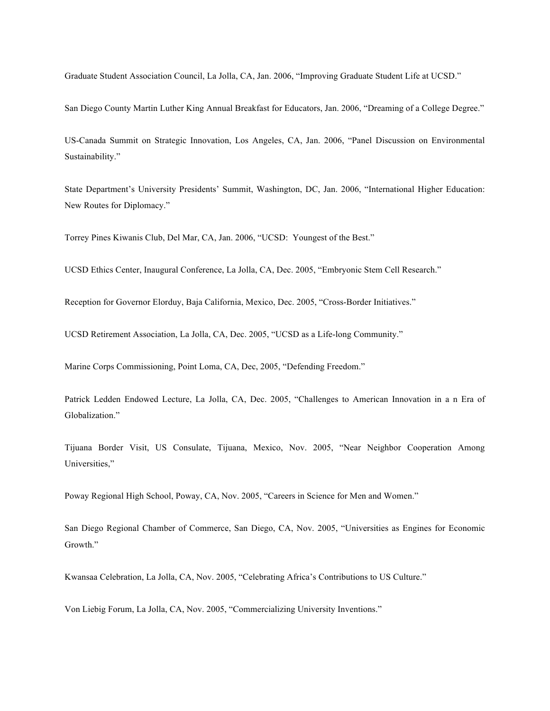Graduate Student Association Council, La Jolla, CA, Jan. 2006, "Improving Graduate Student Life at UCSD."

San Diego County Martin Luther King Annual Breakfast for Educators, Jan. 2006, "Dreaming of a College Degree."

US-Canada Summit on Strategic Innovation, Los Angeles, CA, Jan. 2006, "Panel Discussion on Environmental Sustainability."

State Department's University Presidents' Summit, Washington, DC, Jan. 2006, "International Higher Education: New Routes for Diplomacy."

Torrey Pines Kiwanis Club, Del Mar, CA, Jan. 2006, "UCSD: Youngest of the Best."

UCSD Ethics Center, Inaugural Conference, La Jolla, CA, Dec. 2005, "Embryonic Stem Cell Research."

Reception for Governor Elorduy, Baja California, Mexico, Dec. 2005, "Cross-Border Initiatives."

UCSD Retirement Association, La Jolla, CA, Dec. 2005, "UCSD as a Life-long Community."

Marine Corps Commissioning, Point Loma, CA, Dec, 2005, "Defending Freedom."

Patrick Ledden Endowed Lecture, La Jolla, CA, Dec. 2005, "Challenges to American Innovation in a n Era of Globalization."

Tijuana Border Visit, US Consulate, Tijuana, Mexico, Nov. 2005, "Near Neighbor Cooperation Among Universities,"

Poway Regional High School, Poway, CA, Nov. 2005, "Careers in Science for Men and Women."

San Diego Regional Chamber of Commerce, San Diego, CA, Nov. 2005, "Universities as Engines for Economic Growth."

Kwansaa Celebration, La Jolla, CA, Nov. 2005, "Celebrating Africa's Contributions to US Culture."

Von Liebig Forum, La Jolla, CA, Nov. 2005, "Commercializing University Inventions."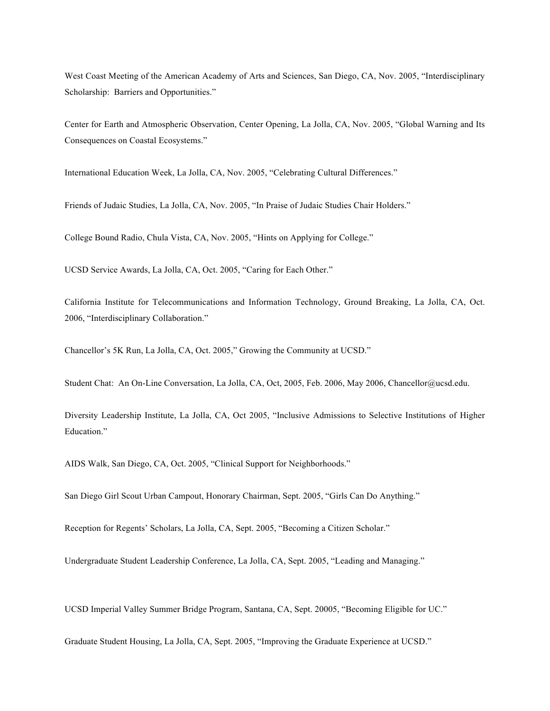West Coast Meeting of the American Academy of Arts and Sciences, San Diego, CA, Nov. 2005, "Interdisciplinary Scholarship: Barriers and Opportunities."

Center for Earth and Atmospheric Observation, Center Opening, La Jolla, CA, Nov. 2005, "Global Warning and Its Consequences on Coastal Ecosystems."

International Education Week, La Jolla, CA, Nov. 2005, "Celebrating Cultural Differences."

Friends of Judaic Studies, La Jolla, CA, Nov. 2005, "In Praise of Judaic Studies Chair Holders."

College Bound Radio, Chula Vista, CA, Nov. 2005, "Hints on Applying for College."

UCSD Service Awards, La Jolla, CA, Oct. 2005, "Caring for Each Other."

California Institute for Telecommunications and Information Technology, Ground Breaking, La Jolla, CA, Oct. 2006, "Interdisciplinary Collaboration."

Chancellor's 5K Run, La Jolla, CA, Oct. 2005," Growing the Community at UCSD."

Student Chat: An On-Line Conversation, La Jolla, CA, Oct, 2005, Feb. 2006, May 2006, Chancellor@ucsd.edu.

Diversity Leadership Institute, La Jolla, CA, Oct 2005, "Inclusive Admissions to Selective Institutions of Higher Education."

AIDS Walk, San Diego, CA, Oct. 2005, "Clinical Support for Neighborhoods."

San Diego Girl Scout Urban Campout, Honorary Chairman, Sept. 2005, "Girls Can Do Anything."

Reception for Regents' Scholars, La Jolla, CA, Sept. 2005, "Becoming a Citizen Scholar."

Undergraduate Student Leadership Conference, La Jolla, CA, Sept. 2005, "Leading and Managing."

UCSD Imperial Valley Summer Bridge Program, Santana, CA, Sept. 20005, "Becoming Eligible for UC."

Graduate Student Housing, La Jolla, CA, Sept. 2005, "Improving the Graduate Experience at UCSD."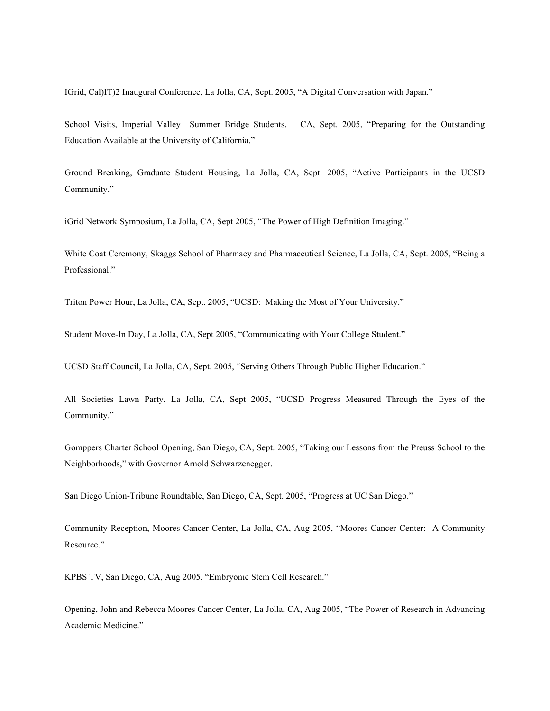IGrid, Cal)IT)2 Inaugural Conference, La Jolla, CA, Sept. 2005, "A Digital Conversation with Japan."

School Visits, Imperial Valley Summer Bridge Students, CA, Sept. 2005, "Preparing for the Outstanding Education Available at the University of California."

Ground Breaking, Graduate Student Housing, La Jolla, CA, Sept. 2005, "Active Participants in the UCSD Community."

iGrid Network Symposium, La Jolla, CA, Sept 2005, "The Power of High Definition Imaging."

White Coat Ceremony, Skaggs School of Pharmacy and Pharmaceutical Science, La Jolla, CA, Sept. 2005, "Being a Professional."

Triton Power Hour, La Jolla, CA, Sept. 2005, "UCSD: Making the Most of Your University."

Student Move-In Day, La Jolla, CA, Sept 2005, "Communicating with Your College Student."

UCSD Staff Council, La Jolla, CA, Sept. 2005, "Serving Others Through Public Higher Education."

All Societies Lawn Party, La Jolla, CA, Sept 2005, "UCSD Progress Measured Through the Eyes of the Community."

Gomppers Charter School Opening, San Diego, CA, Sept. 2005, "Taking our Lessons from the Preuss School to the Neighborhoods," with Governor Arnold Schwarzenegger.

San Diego Union-Tribune Roundtable, San Diego, CA, Sept. 2005, "Progress at UC San Diego."

Community Reception, Moores Cancer Center, La Jolla, CA, Aug 2005, "Moores Cancer Center: A Community Resource."

KPBS TV, San Diego, CA, Aug 2005, "Embryonic Stem Cell Research."

Opening, John and Rebecca Moores Cancer Center, La Jolla, CA, Aug 2005, "The Power of Research in Advancing Academic Medicine."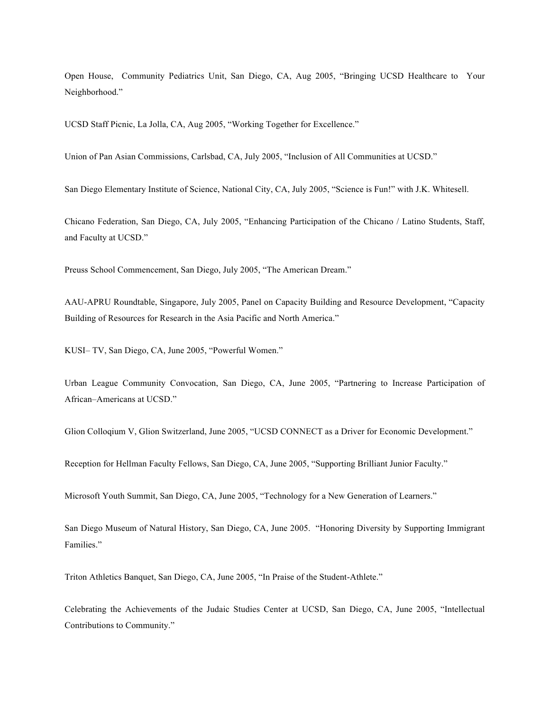Open House, Community Pediatrics Unit, San Diego, CA, Aug 2005, "Bringing UCSD Healthcare to Your Neighborhood."

UCSD Staff Picnic, La Jolla, CA, Aug 2005, "Working Together for Excellence."

Union of Pan Asian Commissions, Carlsbad, CA, July 2005, "Inclusion of All Communities at UCSD."

San Diego Elementary Institute of Science, National City, CA, July 2005, "Science is Fun!" with J.K. Whitesell.

Chicano Federation, San Diego, CA, July 2005, "Enhancing Participation of the Chicano / Latino Students, Staff, and Faculty at UCSD."

Preuss School Commencement, San Diego, July 2005, "The American Dream."

AAU-APRU Roundtable, Singapore, July 2005, Panel on Capacity Building and Resource Development, "Capacity Building of Resources for Research in the Asia Pacific and North America."

KUSI– TV, San Diego, CA, June 2005, "Powerful Women."

Urban League Community Convocation, San Diego, CA, June 2005, "Partnering to Increase Participation of African–Americans at UCSD."

Glion Colloqium V, Glion Switzerland, June 2005, "UCSD CONNECT as a Driver for Economic Development."

Reception for Hellman Faculty Fellows, San Diego, CA, June 2005, "Supporting Brilliant Junior Faculty."

Microsoft Youth Summit, San Diego, CA, June 2005, "Technology for a New Generation of Learners."

San Diego Museum of Natural History, San Diego, CA, June 2005. "Honoring Diversity by Supporting Immigrant Families."

Triton Athletics Banquet, San Diego, CA, June 2005, "In Praise of the Student-Athlete."

Celebrating the Achievements of the Judaic Studies Center at UCSD, San Diego, CA, June 2005, "Intellectual Contributions to Community."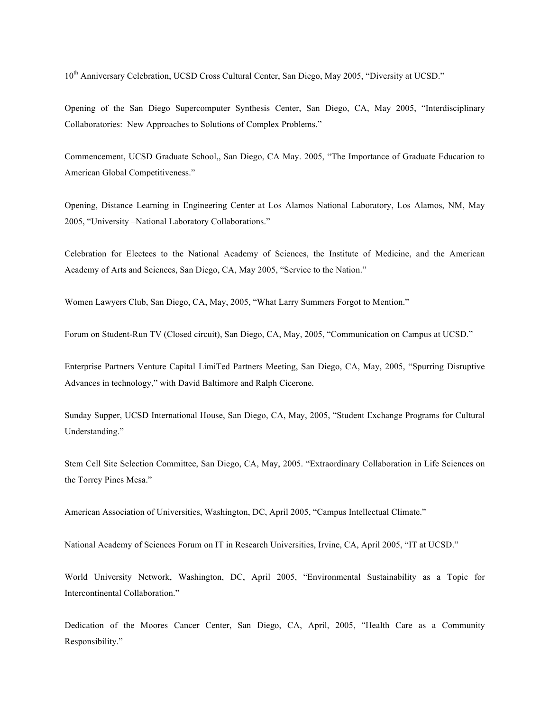10<sup>th</sup> Anniversary Celebration, UCSD Cross Cultural Center, San Diego, May 2005, "Diversity at UCSD."

Opening of the San Diego Supercomputer Synthesis Center, San Diego, CA, May 2005, "Interdisciplinary Collaboratories: New Approaches to Solutions of Complex Problems."

Commencement, UCSD Graduate School,, San Diego, CA May. 2005, "The Importance of Graduate Education to American Global Competitiveness."

Opening, Distance Learning in Engineering Center at Los Alamos National Laboratory, Los Alamos, NM, May 2005, "University –National Laboratory Collaborations."

Celebration for Electees to the National Academy of Sciences, the Institute of Medicine, and the American Academy of Arts and Sciences, San Diego, CA, May 2005, "Service to the Nation."

Women Lawyers Club, San Diego, CA, May, 2005, "What Larry Summers Forgot to Mention."

Forum on Student-Run TV (Closed circuit), San Diego, CA, May, 2005, "Communication on Campus at UCSD."

Enterprise Partners Venture Capital LimiTed Partners Meeting, San Diego, CA, May, 2005, "Spurring Disruptive Advances in technology," with David Baltimore and Ralph Cicerone.

Sunday Supper, UCSD International House, San Diego, CA, May, 2005, "Student Exchange Programs for Cultural Understanding."

Stem Cell Site Selection Committee, San Diego, CA, May, 2005. "Extraordinary Collaboration in Life Sciences on the Torrey Pines Mesa."

American Association of Universities, Washington, DC, April 2005, "Campus Intellectual Climate."

National Academy of Sciences Forum on IT in Research Universities, Irvine, CA, April 2005, "IT at UCSD."

World University Network, Washington, DC, April 2005, "Environmental Sustainability as a Topic for Intercontinental Collaboration."

Dedication of the Moores Cancer Center, San Diego, CA, April, 2005, "Health Care as a Community Responsibility."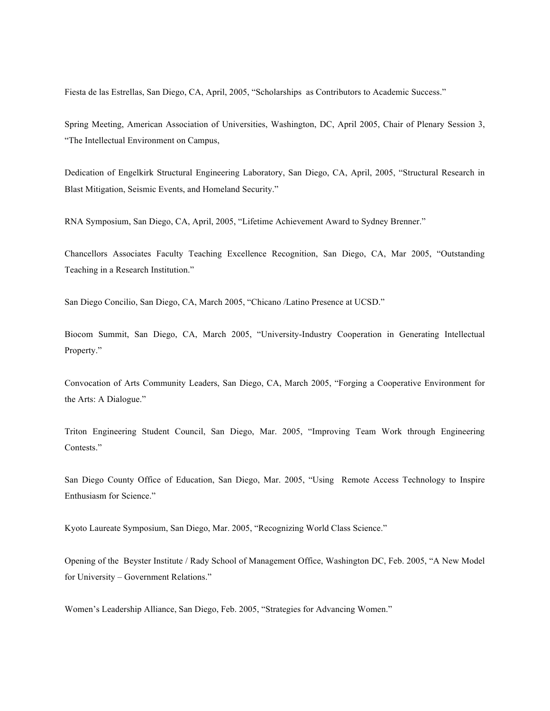Fiesta de las Estrellas, San Diego, CA, April, 2005, "Scholarships as Contributors to Academic Success."

Spring Meeting, American Association of Universities, Washington, DC, April 2005, Chair of Plenary Session 3, "The Intellectual Environment on Campus,

Dedication of Engelkirk Structural Engineering Laboratory, San Diego, CA, April, 2005, "Structural Research in Blast Mitigation, Seismic Events, and Homeland Security."

RNA Symposium, San Diego, CA, April, 2005, "Lifetime Achievement Award to Sydney Brenner."

Chancellors Associates Faculty Teaching Excellence Recognition, San Diego, CA, Mar 2005, "Outstanding Teaching in a Research Institution."

San Diego Concilio, San Diego, CA, March 2005, "Chicano /Latino Presence at UCSD."

Biocom Summit, San Diego, CA, March 2005, "University-Industry Cooperation in Generating Intellectual Property."

Convocation of Arts Community Leaders, San Diego, CA, March 2005, "Forging a Cooperative Environment for the Arts: A Dialogue."

Triton Engineering Student Council, San Diego, Mar. 2005, "Improving Team Work through Engineering Contests."

San Diego County Office of Education, San Diego, Mar. 2005, "Using Remote Access Technology to Inspire Enthusiasm for Science."

Kyoto Laureate Symposium, San Diego, Mar. 2005, "Recognizing World Class Science."

Opening of the Beyster Institute / Rady School of Management Office, Washington DC, Feb. 2005, "A New Model for University – Government Relations."

Women's Leadership Alliance, San Diego, Feb. 2005, "Strategies for Advancing Women."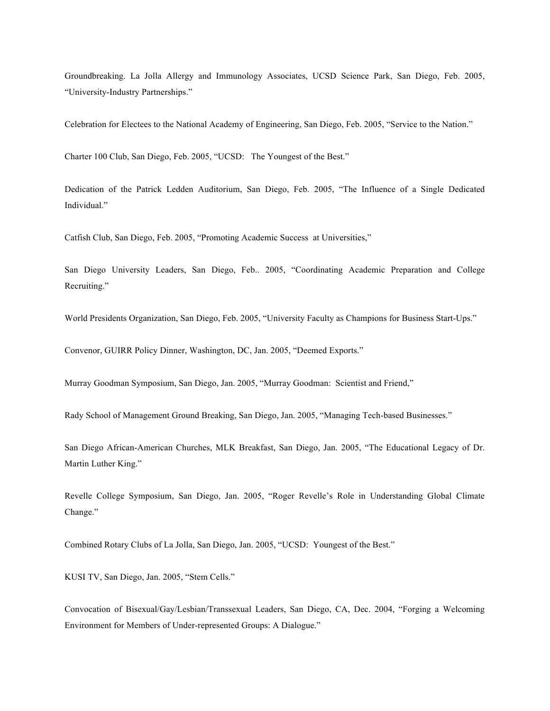Groundbreaking. La Jolla Allergy and Immunology Associates, UCSD Science Park, San Diego, Feb. 2005, "University-Industry Partnerships."

Celebration for Electees to the National Academy of Engineering, San Diego, Feb. 2005, "Service to the Nation."

Charter 100 Club, San Diego, Feb. 2005, "UCSD: The Youngest of the Best."

Dedication of the Patrick Ledden Auditorium, San Diego, Feb. 2005, "The Influence of a Single Dedicated Individual."

Catfish Club, San Diego, Feb. 2005, "Promoting Academic Success at Universities,"

San Diego University Leaders, San Diego, Feb.. 2005, "Coordinating Academic Preparation and College Recruiting."

World Presidents Organization, San Diego, Feb. 2005, "University Faculty as Champions for Business Start-Ups."

Convenor, GUIRR Policy Dinner, Washington, DC, Jan. 2005, "Deemed Exports."

Murray Goodman Symposium, San Diego, Jan. 2005, "Murray Goodman: Scientist and Friend,"

Rady School of Management Ground Breaking, San Diego, Jan. 2005, "Managing Tech-based Businesses."

San Diego African-American Churches, MLK Breakfast, San Diego, Jan. 2005, "The Educational Legacy of Dr. Martin Luther King."

Revelle College Symposium, San Diego, Jan. 2005, "Roger Revelle's Role in Understanding Global Climate Change."

Combined Rotary Clubs of La Jolla, San Diego, Jan. 2005, "UCSD: Youngest of the Best."

KUSI TV, San Diego, Jan. 2005, "Stem Cells."

Convocation of Bisexual/Gay/Lesbian/Transsexual Leaders, San Diego, CA, Dec. 2004, "Forging a Welcoming Environment for Members of Under-represented Groups: A Dialogue."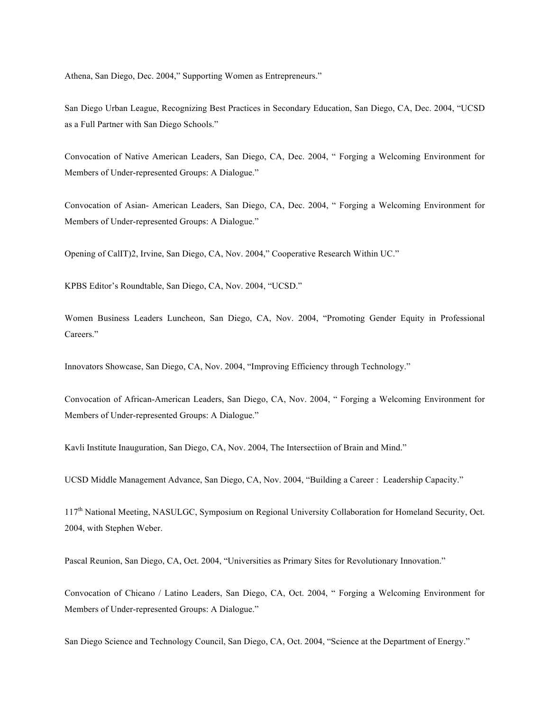Athena, San Diego, Dec. 2004," Supporting Women as Entrepreneurs."

San Diego Urban League, Recognizing Best Practices in Secondary Education, San Diego, CA, Dec. 2004, "UCSD as a Full Partner with San Diego Schools."

Convocation of Native American Leaders, San Diego, CA, Dec. 2004, " Forging a Welcoming Environment for Members of Under-represented Groups: A Dialogue."

Convocation of Asian- American Leaders, San Diego, CA, Dec. 2004, " Forging a Welcoming Environment for Members of Under-represented Groups: A Dialogue."

Opening of CalIT)2, Irvine, San Diego, CA, Nov. 2004," Cooperative Research Within UC."

KPBS Editor's Roundtable, San Diego, CA, Nov. 2004, "UCSD."

Women Business Leaders Luncheon, San Diego, CA, Nov. 2004, "Promoting Gender Equity in Professional Careers."

Innovators Showcase, San Diego, CA, Nov. 2004, "Improving Efficiency through Technology."

Convocation of African-American Leaders, San Diego, CA, Nov. 2004, " Forging a Welcoming Environment for Members of Under-represented Groups: A Dialogue."

Kavli Institute Inauguration, San Diego, CA, Nov. 2004, The Intersectiion of Brain and Mind."

UCSD Middle Management Advance, San Diego, CA, Nov. 2004, "Building a Career : Leadership Capacity."

117<sup>th</sup> National Meeting, NASULGC, Symposium on Regional University Collaboration for Homeland Security, Oct. 2004, with Stephen Weber.

Pascal Reunion, San Diego, CA, Oct. 2004, "Universities as Primary Sites for Revolutionary Innovation."

Convocation of Chicano / Latino Leaders, San Diego, CA, Oct. 2004, " Forging a Welcoming Environment for Members of Under-represented Groups: A Dialogue."

San Diego Science and Technology Council, San Diego, CA, Oct. 2004, "Science at the Department of Energy."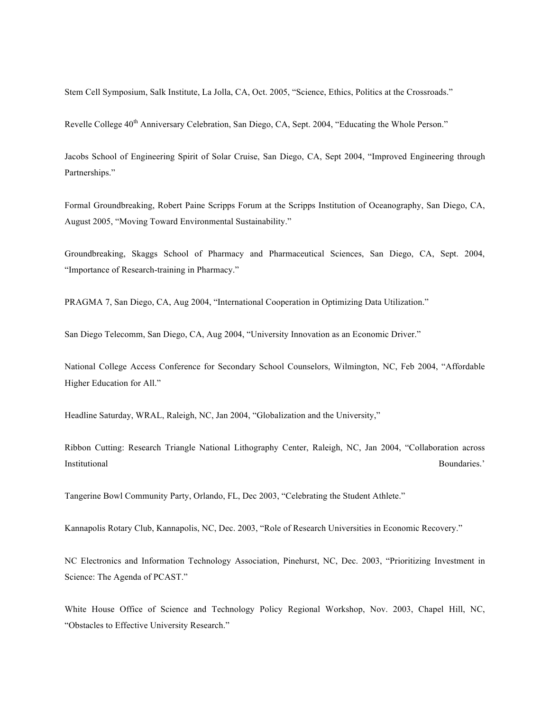Stem Cell Symposium, Salk Institute, La Jolla, CA, Oct. 2005, "Science, Ethics, Politics at the Crossroads."

Revelle College 40<sup>th</sup> Anniversary Celebration, San Diego, CA, Sept. 2004, "Educating the Whole Person."

Jacobs School of Engineering Spirit of Solar Cruise, San Diego, CA, Sept 2004, "Improved Engineering through Partnerships."

Formal Groundbreaking, Robert Paine Scripps Forum at the Scripps Institution of Oceanography, San Diego, CA, August 2005, "Moving Toward Environmental Sustainability."

Groundbreaking, Skaggs School of Pharmacy and Pharmaceutical Sciences, San Diego, CA, Sept. 2004, "Importance of Research-training in Pharmacy."

PRAGMA 7, San Diego, CA, Aug 2004, "International Cooperation in Optimizing Data Utilization."

San Diego Telecomm, San Diego, CA, Aug 2004, "University Innovation as an Economic Driver."

National College Access Conference for Secondary School Counselors, Wilmington, NC, Feb 2004, "Affordable Higher Education for All."

Headline Saturday, WRAL, Raleigh, NC, Jan 2004, "Globalization and the University,"

Ribbon Cutting: Research Triangle National Lithography Center, Raleigh, NC, Jan 2004, "Collaboration across **Institutional** Boundaries.' **Boundaries** 

Tangerine Bowl Community Party, Orlando, FL, Dec 2003, "Celebrating the Student Athlete."

Kannapolis Rotary Club, Kannapolis, NC, Dec. 2003, "Role of Research Universities in Economic Recovery."

NC Electronics and Information Technology Association, Pinehurst, NC, Dec. 2003, "Prioritizing Investment in Science: The Agenda of PCAST."

White House Office of Science and Technology Policy Regional Workshop, Nov. 2003, Chapel Hill, NC, "Obstacles to Effective University Research."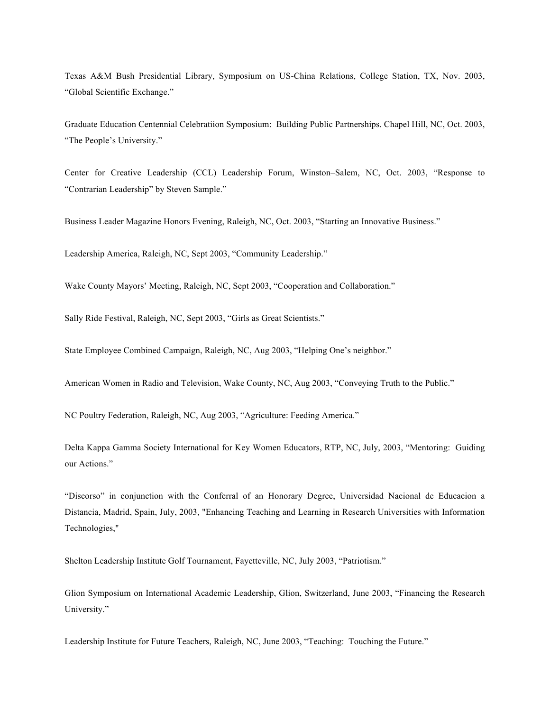Texas A&M Bush Presidential Library, Symposium on US-China Relations, College Station, TX, Nov. 2003, "Global Scientific Exchange."

Graduate Education Centennial Celebratiion Symposium: Building Public Partnerships. Chapel Hill, NC, Oct. 2003, "The People's University."

Center for Creative Leadership (CCL) Leadership Forum, Winston–Salem, NC, Oct. 2003, "Response to "Contrarian Leadership" by Steven Sample."

Business Leader Magazine Honors Evening, Raleigh, NC, Oct. 2003, "Starting an Innovative Business."

Leadership America, Raleigh, NC, Sept 2003, "Community Leadership."

Wake County Mayors' Meeting, Raleigh, NC, Sept 2003, "Cooperation and Collaboration."

Sally Ride Festival, Raleigh, NC, Sept 2003, "Girls as Great Scientists."

State Employee Combined Campaign, Raleigh, NC, Aug 2003, "Helping One's neighbor."

American Women in Radio and Television, Wake County, NC, Aug 2003, "Conveying Truth to the Public."

NC Poultry Federation, Raleigh, NC, Aug 2003, "Agriculture: Feeding America."

Delta Kappa Gamma Society International for Key Women Educators, RTP, NC, July, 2003, "Mentoring: Guiding our Actions."

"Discorso" in conjunction with the Conferral of an Honorary Degree, Universidad Nacional de Educacion a Distancia, Madrid, Spain, July, 2003, "Enhancing Teaching and Learning in Research Universities with Information Technologies,"

Shelton Leadership Institute Golf Tournament, Fayetteville, NC, July 2003, "Patriotism."

Glion Symposium on International Academic Leadership, Glion, Switzerland, June 2003, "Financing the Research University."

Leadership Institute for Future Teachers, Raleigh, NC, June 2003, "Teaching: Touching the Future."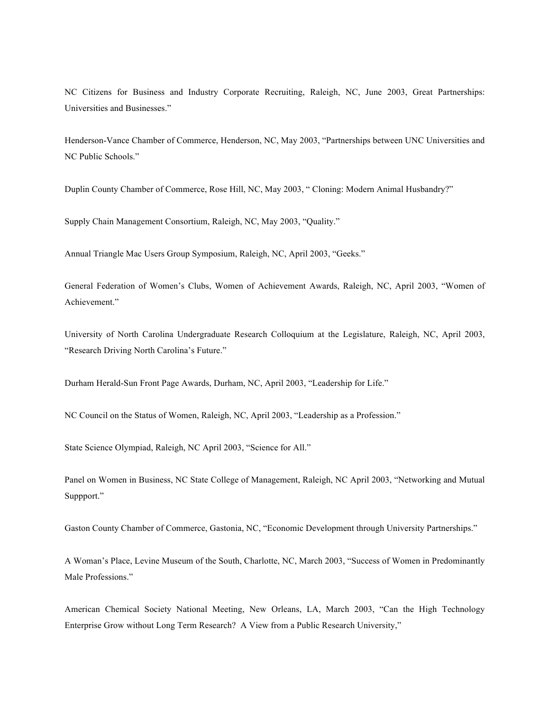NC Citizens for Business and Industry Corporate Recruiting, Raleigh, NC, June 2003, Great Partnerships: Universities and Businesses."

Henderson-Vance Chamber of Commerce, Henderson, NC, May 2003, "Partnerships between UNC Universities and NC Public Schools."

Duplin County Chamber of Commerce, Rose Hill, NC, May 2003, " Cloning: Modern Animal Husbandry?"

Supply Chain Management Consortium, Raleigh, NC, May 2003, "Quality."

Annual Triangle Mac Users Group Symposium, Raleigh, NC, April 2003, "Geeks."

General Federation of Women's Clubs, Women of Achievement Awards, Raleigh, NC, April 2003, "Women of Achievement."

University of North Carolina Undergraduate Research Colloquium at the Legislature, Raleigh, NC, April 2003, "Research Driving North Carolina's Future."

Durham Herald-Sun Front Page Awards, Durham, NC, April 2003, "Leadership for Life."

NC Council on the Status of Women, Raleigh, NC, April 2003, "Leadership as a Profession."

State Science Olympiad, Raleigh, NC April 2003, "Science for All."

Panel on Women in Business, NC State College of Management, Raleigh, NC April 2003, "Networking and Mutual Suppport."

Gaston County Chamber of Commerce, Gastonia, NC, "Economic Development through University Partnerships."

A Woman's Place, Levine Museum of the South, Charlotte, NC, March 2003, "Success of Women in Predominantly Male Professions."

American Chemical Society National Meeting, New Orleans, LA, March 2003, "Can the High Technology Enterprise Grow without Long Term Research? A View from a Public Research University,"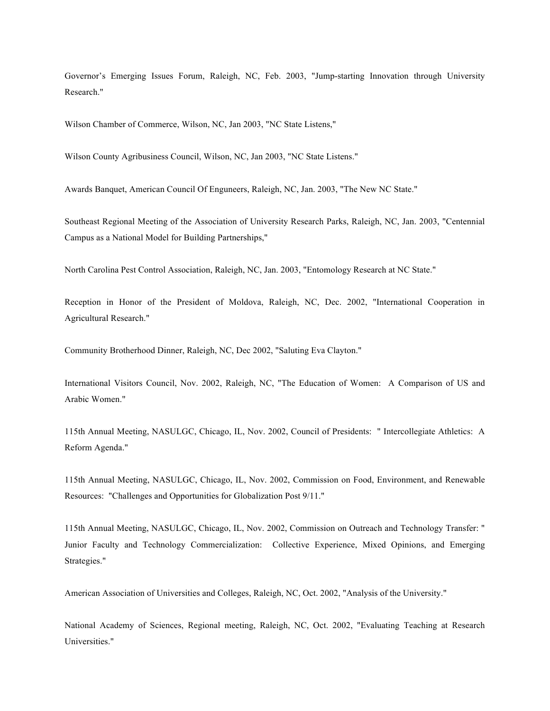Governor's Emerging Issues Forum, Raleigh, NC, Feb. 2003, "Jump-starting Innovation through University Research."

Wilson Chamber of Commerce, Wilson, NC, Jan 2003, "NC State Listens,"

Wilson County Agribusiness Council, Wilson, NC, Jan 2003, "NC State Listens."

Awards Banquet, American Council Of Enguneers, Raleigh, NC, Jan. 2003, "The New NC State."

Southeast Regional Meeting of the Association of University Research Parks, Raleigh, NC, Jan. 2003, "Centennial Campus as a National Model for Building Partnerships,"

North Carolina Pest Control Association, Raleigh, NC, Jan. 2003, "Entomology Research at NC State."

Reception in Honor of the President of Moldova, Raleigh, NC, Dec. 2002, "International Cooperation in Agricultural Research."

Community Brotherhood Dinner, Raleigh, NC, Dec 2002, "Saluting Eva Clayton."

International Visitors Council, Nov. 2002, Raleigh, NC, "The Education of Women: A Comparison of US and Arabic Women."

115th Annual Meeting, NASULGC, Chicago, IL, Nov. 2002, Council of Presidents: " Intercollegiate Athletics: A Reform Agenda."

115th Annual Meeting, NASULGC, Chicago, IL, Nov. 2002, Commission on Food, Environment, and Renewable Resources: "Challenges and Opportunities for Globalization Post 9/11."

115th Annual Meeting, NASULGC, Chicago, IL, Nov. 2002, Commission on Outreach and Technology Transfer: " Junior Faculty and Technology Commercialization: Collective Experience, Mixed Opinions, and Emerging Strategies."

American Association of Universities and Colleges, Raleigh, NC, Oct. 2002, "Analysis of the University."

National Academy of Sciences, Regional meeting, Raleigh, NC, Oct. 2002, "Evaluating Teaching at Research Universities."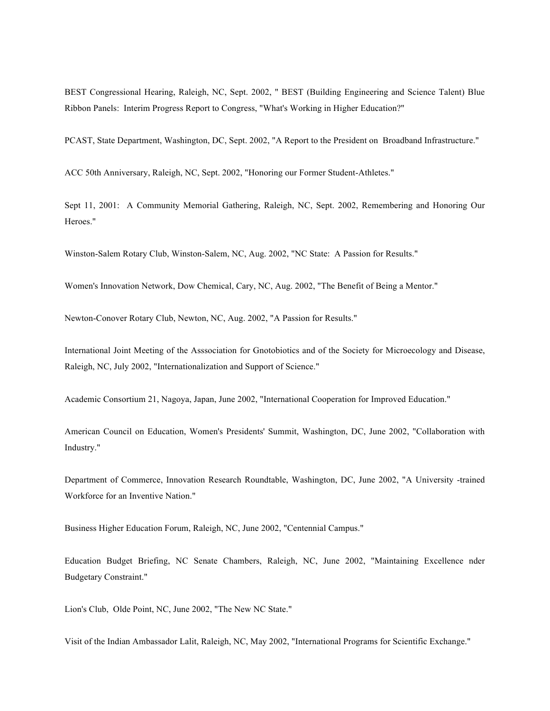BEST Congressional Hearing, Raleigh, NC, Sept. 2002, " BEST (Building Engineering and Science Talent) Blue Ribbon Panels: Interim Progress Report to Congress, "What's Working in Higher Education?"

PCAST, State Department, Washington, DC, Sept. 2002, "A Report to the President on Broadband Infrastructure."

ACC 50th Anniversary, Raleigh, NC, Sept. 2002, "Honoring our Former Student-Athletes."

Sept 11, 2001: A Community Memorial Gathering, Raleigh, NC, Sept. 2002, Remembering and Honoring Our Heroes."

Winston-Salem Rotary Club, Winston-Salem, NC, Aug. 2002, "NC State: A Passion for Results."

Women's Innovation Network, Dow Chemical, Cary, NC, Aug. 2002, "The Benefit of Being a Mentor."

Newton-Conover Rotary Club, Newton, NC, Aug. 2002, "A Passion for Results."

International Joint Meeting of the Asssociation for Gnotobiotics and of the Society for Microecology and Disease, Raleigh, NC, July 2002, "Internationalization and Support of Science."

Academic Consortium 21, Nagoya, Japan, June 2002, "International Cooperation for Improved Education."

American Council on Education, Women's Presidents' Summit, Washington, DC, June 2002, "Collaboration with Industry."

Department of Commerce, Innovation Research Roundtable, Washington, DC, June 2002, "A University -trained Workforce for an Inventive Nation."

Business Higher Education Forum, Raleigh, NC, June 2002, "Centennial Campus."

Education Budget Briefing, NC Senate Chambers, Raleigh, NC, June 2002, "Maintaining Excellence nder Budgetary Constraint."

Lion's Club, Olde Point, NC, June 2002, "The New NC State."

Visit of the Indian Ambassador Lalit, Raleigh, NC, May 2002, "International Programs for Scientific Exchange."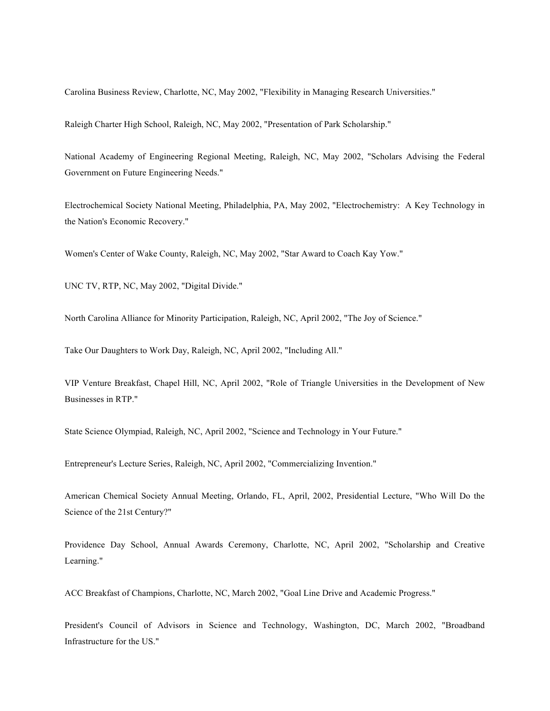Carolina Business Review, Charlotte, NC, May 2002, "Flexibility in Managing Research Universities."

Raleigh Charter High School, Raleigh, NC, May 2002, "Presentation of Park Scholarship."

National Academy of Engineering Regional Meeting, Raleigh, NC, May 2002, "Scholars Advising the Federal Government on Future Engineering Needs."

Electrochemical Society National Meeting, Philadelphia, PA, May 2002, "Electrochemistry: A Key Technology in the Nation's Economic Recovery."

Women's Center of Wake County, Raleigh, NC, May 2002, "Star Award to Coach Kay Yow."

UNC TV, RTP, NC, May 2002, "Digital Divide."

North Carolina Alliance for Minority Participation, Raleigh, NC, April 2002, "The Joy of Science."

Take Our Daughters to Work Day, Raleigh, NC, April 2002, "Including All."

VIP Venture Breakfast, Chapel Hill, NC, April 2002, "Role of Triangle Universities in the Development of New Businesses in RTP."

State Science Olympiad, Raleigh, NC, April 2002, "Science and Technology in Your Future."

Entrepreneur's Lecture Series, Raleigh, NC, April 2002, "Commercializing Invention."

American Chemical Society Annual Meeting, Orlando, FL, April, 2002, Presidential Lecture, "Who Will Do the Science of the 21st Century?"

Providence Day School, Annual Awards Ceremony, Charlotte, NC, April 2002, "Scholarship and Creative Learning."

ACC Breakfast of Champions, Charlotte, NC, March 2002, "Goal Line Drive and Academic Progress."

President's Council of Advisors in Science and Technology, Washington, DC, March 2002, "Broadband Infrastructure for the US."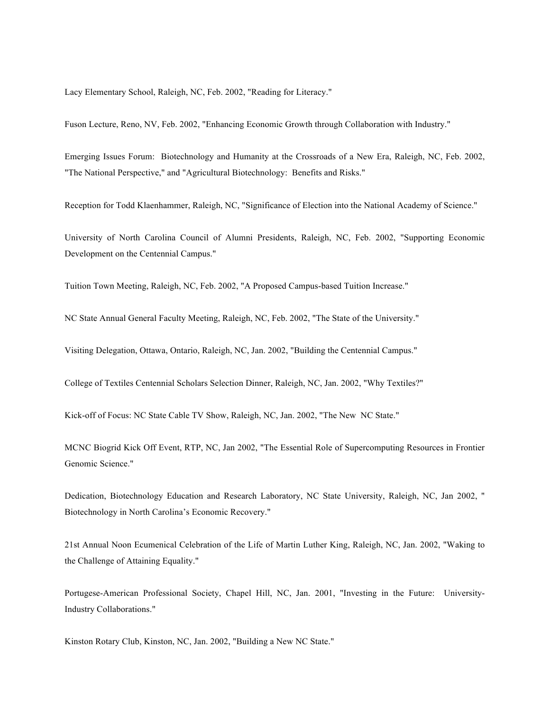Lacy Elementary School, Raleigh, NC, Feb. 2002, "Reading for Literacy."

Fuson Lecture, Reno, NV, Feb. 2002, "Enhancing Economic Growth through Collaboration with Industry."

Emerging Issues Forum: Biotechnology and Humanity at the Crossroads of a New Era, Raleigh, NC, Feb. 2002, "The National Perspective," and "Agricultural Biotechnology: Benefits and Risks."

Reception for Todd Klaenhammer, Raleigh, NC, "Significance of Election into the National Academy of Science."

University of North Carolina Council of Alumni Presidents, Raleigh, NC, Feb. 2002, "Supporting Economic Development on the Centennial Campus."

Tuition Town Meeting, Raleigh, NC, Feb. 2002, "A Proposed Campus-based Tuition Increase."

NC State Annual General Faculty Meeting, Raleigh, NC, Feb. 2002, "The State of the University."

Visiting Delegation, Ottawa, Ontario, Raleigh, NC, Jan. 2002, "Building the Centennial Campus."

College of Textiles Centennial Scholars Selection Dinner, Raleigh, NC, Jan. 2002, "Why Textiles?"

Kick-off of Focus: NC State Cable TV Show, Raleigh, NC, Jan. 2002, "The New NC State."

MCNC Biogrid Kick Off Event, RTP, NC, Jan 2002, "The Essential Role of Supercomputing Resources in Frontier Genomic Science."

Dedication, Biotechnology Education and Research Laboratory, NC State University, Raleigh, NC, Jan 2002, " Biotechnology in North Carolina's Economic Recovery."

21st Annual Noon Ecumenical Celebration of the Life of Martin Luther King, Raleigh, NC, Jan. 2002, "Waking to the Challenge of Attaining Equality."

Portugese-American Professional Society, Chapel Hill, NC, Jan. 2001, "Investing in the Future: University-Industry Collaborations."

Kinston Rotary Club, Kinston, NC, Jan. 2002, "Building a New NC State."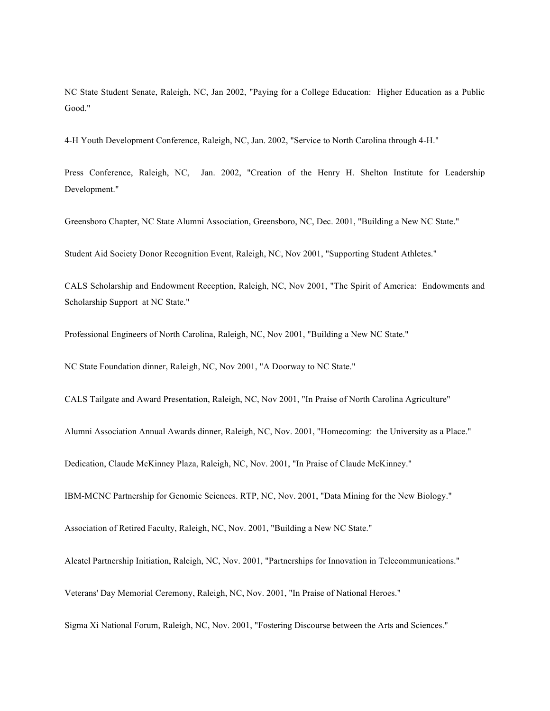NC State Student Senate, Raleigh, NC, Jan 2002, "Paying for a College Education: Higher Education as a Public Good."

4-H Youth Development Conference, Raleigh, NC, Jan. 2002, "Service to North Carolina through 4-H."

Press Conference, Raleigh, NC, Jan. 2002, "Creation of the Henry H. Shelton Institute for Leadership Development."

Greensboro Chapter, NC State Alumni Association, Greensboro, NC, Dec. 2001, "Building a New NC State."

Student Aid Society Donor Recognition Event, Raleigh, NC, Nov 2001, "Supporting Student Athletes."

CALS Scholarship and Endowment Reception, Raleigh, NC, Nov 2001, "The Spirit of America: Endowments and Scholarship Support at NC State."

Professional Engineers of North Carolina, Raleigh, NC, Nov 2001, "Building a New NC State."

NC State Foundation dinner, Raleigh, NC, Nov 2001, "A Doorway to NC State."

CALS Tailgate and Award Presentation, Raleigh, NC, Nov 2001, "In Praise of North Carolina Agriculture"

Alumni Association Annual Awards dinner, Raleigh, NC, Nov. 2001, "Homecoming: the University as a Place."

Dedication, Claude McKinney Plaza, Raleigh, NC, Nov. 2001, "In Praise of Claude McKinney."

IBM-MCNC Partnership for Genomic Sciences. RTP, NC, Nov. 2001, "Data Mining for the New Biology."

Association of Retired Faculty, Raleigh, NC, Nov. 2001, "Building a New NC State."

Alcatel Partnership Initiation, Raleigh, NC, Nov. 2001, "Partnerships for Innovation in Telecommunications."

Veterans' Day Memorial Ceremony, Raleigh, NC, Nov. 2001, "In Praise of National Heroes."

Sigma Xi National Forum, Raleigh, NC, Nov. 2001, "Fostering Discourse between the Arts and Sciences."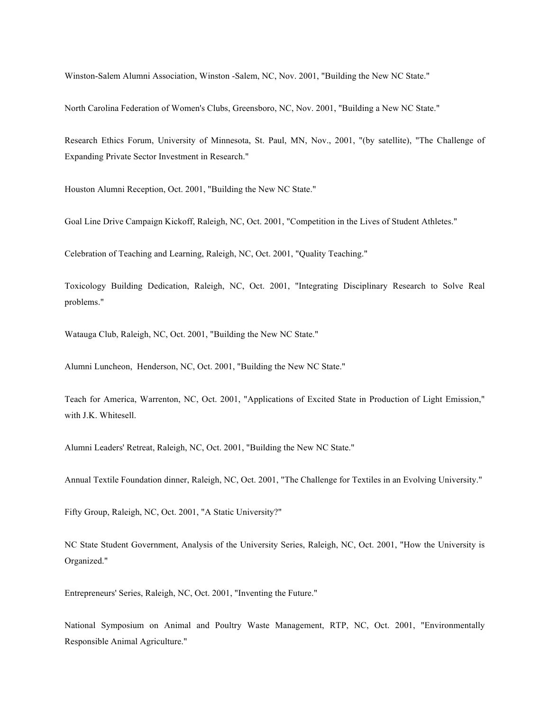Winston-Salem Alumni Association, Winston -Salem, NC, Nov. 2001, "Building the New NC State."

North Carolina Federation of Women's Clubs, Greensboro, NC, Nov. 2001, "Building a New NC State."

Research Ethics Forum, University of Minnesota, St. Paul, MN, Nov., 2001, "(by satellite), "The Challenge of Expanding Private Sector Investment in Research."

Houston Alumni Reception, Oct. 2001, "Building the New NC State."

Goal Line Drive Campaign Kickoff, Raleigh, NC, Oct. 2001, "Competition in the Lives of Student Athletes."

Celebration of Teaching and Learning, Raleigh, NC, Oct. 2001, "Quality Teaching."

Toxicology Building Dedication, Raleigh, NC, Oct. 2001, "Integrating Disciplinary Research to Solve Real problems."

Watauga Club, Raleigh, NC, Oct. 2001, "Building the New NC State."

Alumni Luncheon, Henderson, NC, Oct. 2001, "Building the New NC State."

Teach for America, Warrenton, NC, Oct. 2001, "Applications of Excited State in Production of Light Emission," with J.K. Whitesell.

Alumni Leaders' Retreat, Raleigh, NC, Oct. 2001, "Building the New NC State."

Annual Textile Foundation dinner, Raleigh, NC, Oct. 2001, "The Challenge for Textiles in an Evolving University."

Fifty Group, Raleigh, NC, Oct. 2001, "A Static University?"

NC State Student Government, Analysis of the University Series, Raleigh, NC, Oct. 2001, "How the University is Organized."

Entrepreneurs' Series, Raleigh, NC, Oct. 2001, "Inventing the Future."

National Symposium on Animal and Poultry Waste Management, RTP, NC, Oct. 2001, "Environmentally Responsible Animal Agriculture."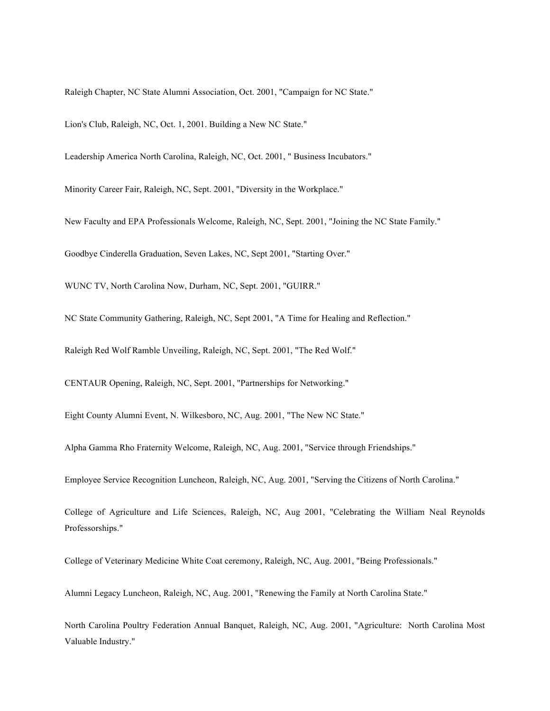Raleigh Chapter, NC State Alumni Association, Oct. 2001, "Campaign for NC State."

Lion's Club, Raleigh, NC, Oct. 1, 2001. Building a New NC State."

Leadership America North Carolina, Raleigh, NC, Oct. 2001, " Business Incubators."

Minority Career Fair, Raleigh, NC, Sept. 2001, "Diversity in the Workplace."

New Faculty and EPA Professionals Welcome, Raleigh, NC, Sept. 2001, "Joining the NC State Family."

Goodbye Cinderella Graduation, Seven Lakes, NC, Sept 2001, "Starting Over."

WUNC TV, North Carolina Now, Durham, NC, Sept. 2001, "GUIRR."

NC State Community Gathering, Raleigh, NC, Sept 2001, "A Time for Healing and Reflection."

Raleigh Red Wolf Ramble Unveiling, Raleigh, NC, Sept. 2001, "The Red Wolf."

CENTAUR Opening, Raleigh, NC, Sept. 2001, "Partnerships for Networking."

Eight County Alumni Event, N. Wilkesboro, NC, Aug. 2001, "The New NC State."

Alpha Gamma Rho Fraternity Welcome, Raleigh, NC, Aug. 2001, "Service through Friendships."

Employee Service Recognition Luncheon, Raleigh, NC, Aug. 2001, "Serving the Citizens of North Carolina."

College of Agriculture and Life Sciences, Raleigh, NC, Aug 2001, "Celebrating the William Neal Reynolds Professorships."

College of Veterinary Medicine White Coat ceremony, Raleigh, NC, Aug. 2001, "Being Professionals."

Alumni Legacy Luncheon, Raleigh, NC, Aug. 2001, "Renewing the Family at North Carolina State."

North Carolina Poultry Federation Annual Banquet, Raleigh, NC, Aug. 2001, "Agriculture: North Carolina Most Valuable Industry."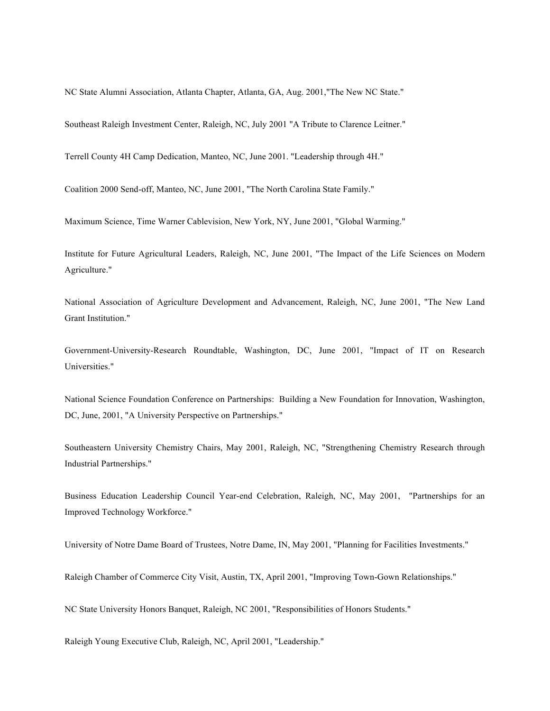NC State Alumni Association, Atlanta Chapter, Atlanta, GA, Aug. 2001,"The New NC State."

Southeast Raleigh Investment Center, Raleigh, NC, July 2001 "A Tribute to Clarence Leitner."

Terrell County 4H Camp Dedication, Manteo, NC, June 2001. "Leadership through 4H."

Coalition 2000 Send-off, Manteo, NC, June 2001, "The North Carolina State Family."

Maximum Science, Time Warner Cablevision, New York, NY, June 2001, "Global Warming."

Institute for Future Agricultural Leaders, Raleigh, NC, June 2001, "The Impact of the Life Sciences on Modern Agriculture."

National Association of Agriculture Development and Advancement, Raleigh, NC, June 2001, "The New Land Grant Institution."

Government-University-Research Roundtable, Washington, DC, June 2001, "Impact of IT on Research Universities."

National Science Foundation Conference on Partnerships: Building a New Foundation for Innovation, Washington, DC, June, 2001, "A University Perspective on Partnerships."

Southeastern University Chemistry Chairs, May 2001, Raleigh, NC, "Strengthening Chemistry Research through Industrial Partnerships."

Business Education Leadership Council Year-end Celebration, Raleigh, NC, May 2001, "Partnerships for an Improved Technology Workforce."

University of Notre Dame Board of Trustees, Notre Dame, IN, May 2001, "Planning for Facilities Investments."

Raleigh Chamber of Commerce City Visit, Austin, TX, April 2001, "Improving Town-Gown Relationships."

NC State University Honors Banquet, Raleigh, NC 2001, "Responsibilities of Honors Students."

Raleigh Young Executive Club, Raleigh, NC, April 2001, "Leadership."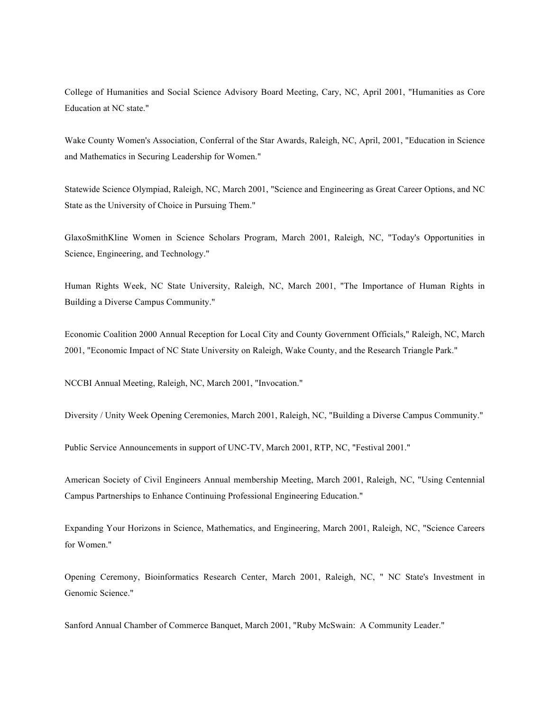College of Humanities and Social Science Advisory Board Meeting, Cary, NC, April 2001, "Humanities as Core Education at NC state."

Wake County Women's Association, Conferral of the Star Awards, Raleigh, NC, April, 2001, "Education in Science and Mathematics in Securing Leadership for Women."

Statewide Science Olympiad, Raleigh, NC, March 2001, "Science and Engineering as Great Career Options, and NC State as the University of Choice in Pursuing Them."

GlaxoSmithKline Women in Science Scholars Program, March 2001, Raleigh, NC, "Today's Opportunities in Science, Engineering, and Technology."

Human Rights Week, NC State University, Raleigh, NC, March 2001, "The Importance of Human Rights in Building a Diverse Campus Community."

Economic Coalition 2000 Annual Reception for Local City and County Government Officials," Raleigh, NC, March 2001, "Economic Impact of NC State University on Raleigh, Wake County, and the Research Triangle Park."

NCCBI Annual Meeting, Raleigh, NC, March 2001, "Invocation."

Diversity / Unity Week Opening Ceremonies, March 2001, Raleigh, NC, "Building a Diverse Campus Community."

Public Service Announcements in support of UNC-TV, March 2001, RTP, NC, "Festival 2001."

American Society of Civil Engineers Annual membership Meeting, March 2001, Raleigh, NC, "Using Centennial Campus Partnerships to Enhance Continuing Professional Engineering Education."

Expanding Your Horizons in Science, Mathematics, and Engineering, March 2001, Raleigh, NC, "Science Careers for Women."

Opening Ceremony, Bioinformatics Research Center, March 2001, Raleigh, NC, " NC State's Investment in Genomic Science."

Sanford Annual Chamber of Commerce Banquet, March 2001, "Ruby McSwain: A Community Leader."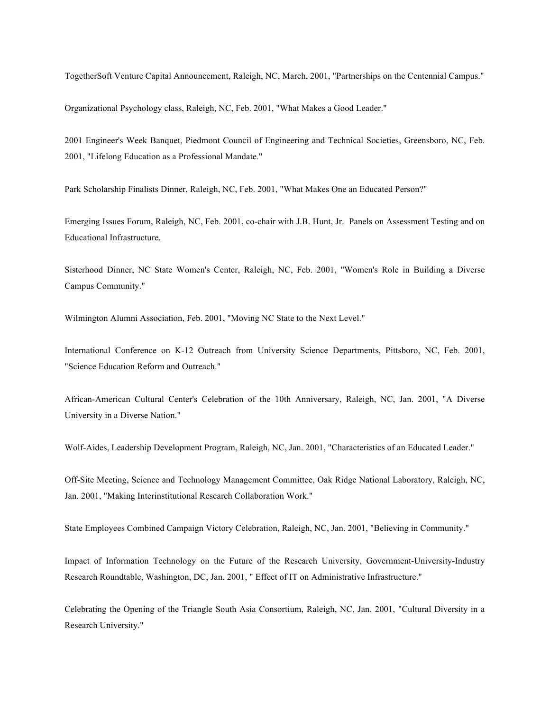TogetherSoft Venture Capital Announcement, Raleigh, NC, March, 2001, "Partnerships on the Centennial Campus."

Organizational Psychology class, Raleigh, NC, Feb. 2001, "What Makes a Good Leader."

2001 Engineer's Week Banquet, Piedmont Council of Engineering and Technical Societies, Greensboro, NC, Feb. 2001, "Lifelong Education as a Professional Mandate."

Park Scholarship Finalists Dinner, Raleigh, NC, Feb. 2001, "What Makes One an Educated Person?"

Emerging Issues Forum, Raleigh, NC, Feb. 2001, co-chair with J.B. Hunt, Jr. Panels on Assessment Testing and on Educational Infrastructure.

Sisterhood Dinner, NC State Women's Center, Raleigh, NC, Feb. 2001, "Women's Role in Building a Diverse Campus Community."

Wilmington Alumni Association, Feb. 2001, "Moving NC State to the Next Level."

International Conference on K-12 Outreach from University Science Departments, Pittsboro, NC, Feb. 2001, "Science Education Reform and Outreach."

African-American Cultural Center's Celebration of the 10th Anniversary, Raleigh, NC, Jan. 2001, "A Diverse University in a Diverse Nation."

Wolf-Aides, Leadership Development Program, Raleigh, NC, Jan. 2001, "Characteristics of an Educated Leader."

Off-Site Meeting, Science and Technology Management Committee, Oak Ridge National Laboratory, Raleigh, NC, Jan. 2001, "Making Interinstitutional Research Collaboration Work."

State Employees Combined Campaign Victory Celebration, Raleigh, NC, Jan. 2001, "Believing in Community."

Impact of Information Technology on the Future of the Research University, Government-University-Industry Research Roundtable, Washington, DC, Jan. 2001, " Effect of IT on Administrative Infrastructure."

Celebrating the Opening of the Triangle South Asia Consortium, Raleigh, NC, Jan. 2001, "Cultural Diversity in a Research University."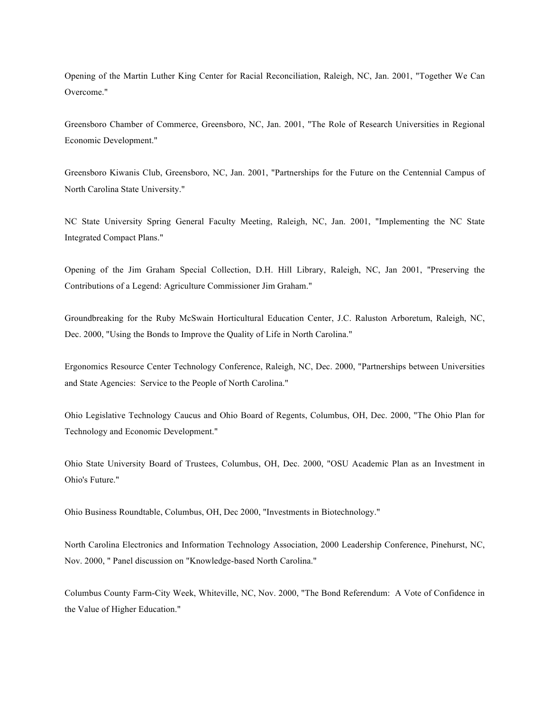Opening of the Martin Luther King Center for Racial Reconciliation, Raleigh, NC, Jan. 2001, "Together We Can Overcome."

Greensboro Chamber of Commerce, Greensboro, NC, Jan. 2001, "The Role of Research Universities in Regional Economic Development."

Greensboro Kiwanis Club, Greensboro, NC, Jan. 2001, "Partnerships for the Future on the Centennial Campus of North Carolina State University."

NC State University Spring General Faculty Meeting, Raleigh, NC, Jan. 2001, "Implementing the NC State Integrated Compact Plans."

Opening of the Jim Graham Special Collection, D.H. Hill Library, Raleigh, NC, Jan 2001, "Preserving the Contributions of a Legend: Agriculture Commissioner Jim Graham."

Groundbreaking for the Ruby McSwain Horticultural Education Center, J.C. Raluston Arboretum, Raleigh, NC, Dec. 2000, "Using the Bonds to Improve the Quality of Life in North Carolina."

Ergonomics Resource Center Technology Conference, Raleigh, NC, Dec. 2000, "Partnerships between Universities and State Agencies: Service to the People of North Carolina."

Ohio Legislative Technology Caucus and Ohio Board of Regents, Columbus, OH, Dec. 2000, "The Ohio Plan for Technology and Economic Development."

Ohio State University Board of Trustees, Columbus, OH, Dec. 2000, "OSU Academic Plan as an Investment in Ohio's Future."

Ohio Business Roundtable, Columbus, OH, Dec 2000, "Investments in Biotechnology."

North Carolina Electronics and Information Technology Association, 2000 Leadership Conference, Pinehurst, NC, Nov. 2000, " Panel discussion on "Knowledge-based North Carolina."

Columbus County Farm-City Week, Whiteville, NC, Nov. 2000, "The Bond Referendum: A Vote of Confidence in the Value of Higher Education."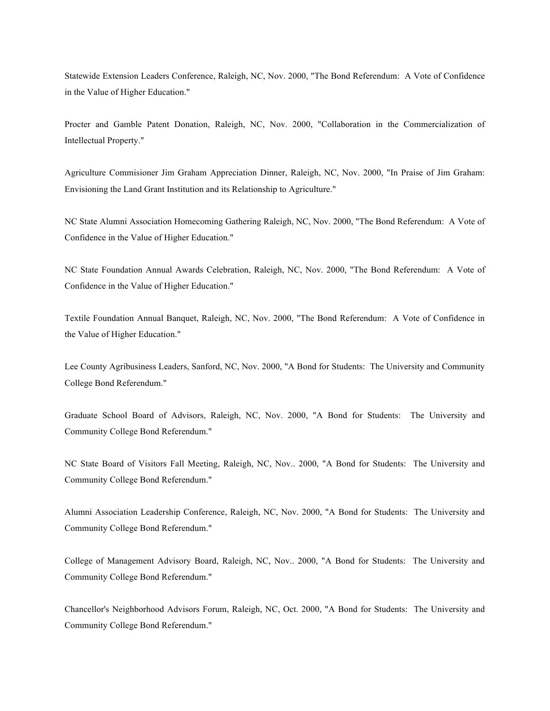Statewide Extension Leaders Conference, Raleigh, NC, Nov. 2000, "The Bond Referendum: A Vote of Confidence in the Value of Higher Education."

Procter and Gamble Patent Donation, Raleigh, NC, Nov. 2000, "Collaboration in the Commercialization of Intellectual Property."

Agriculture Commisioner Jim Graham Appreciation Dinner, Raleigh, NC, Nov. 2000, "In Praise of Jim Graham: Envisioning the Land Grant Institution and its Relationship to Agriculture."

NC State Alumni Association Homecoming Gathering Raleigh, NC, Nov. 2000, "The Bond Referendum: A Vote of Confidence in the Value of Higher Education."

NC State Foundation Annual Awards Celebration, Raleigh, NC, Nov. 2000, "The Bond Referendum: A Vote of Confidence in the Value of Higher Education."

Textile Foundation Annual Banquet, Raleigh, NC, Nov. 2000, "The Bond Referendum: A Vote of Confidence in the Value of Higher Education."

Lee County Agribusiness Leaders, Sanford, NC, Nov. 2000, "A Bond for Students: The University and Community College Bond Referendum."

Graduate School Board of Advisors, Raleigh, NC, Nov. 2000, "A Bond for Students: The University and Community College Bond Referendum."

NC State Board of Visitors Fall Meeting, Raleigh, NC, Nov.. 2000, "A Bond for Students: The University and Community College Bond Referendum."

Alumni Association Leadership Conference, Raleigh, NC, Nov. 2000, "A Bond for Students: The University and Community College Bond Referendum."

College of Management Advisory Board, Raleigh, NC, Nov.. 2000, "A Bond for Students: The University and Community College Bond Referendum."

Chancellor's Neighborhood Advisors Forum, Raleigh, NC, Oct. 2000, "A Bond for Students: The University and Community College Bond Referendum."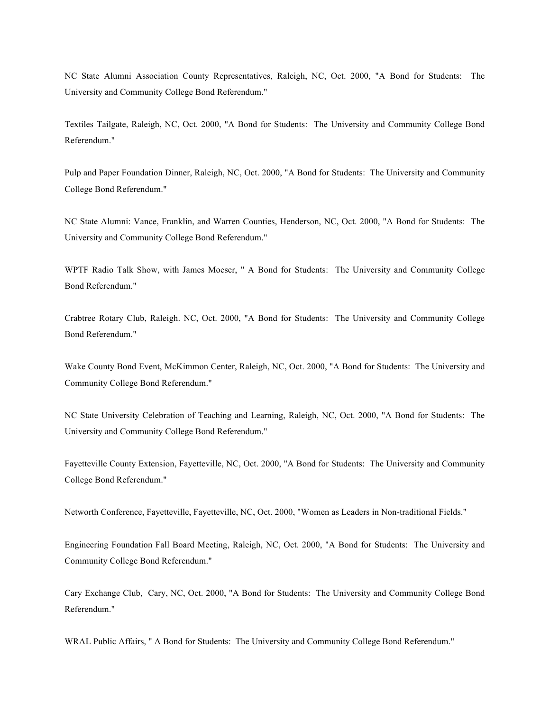NC State Alumni Association County Representatives, Raleigh, NC, Oct. 2000, "A Bond for Students: The University and Community College Bond Referendum."

Textiles Tailgate, Raleigh, NC, Oct. 2000, "A Bond for Students: The University and Community College Bond Referendum."

Pulp and Paper Foundation Dinner, Raleigh, NC, Oct. 2000, "A Bond for Students: The University and Community College Bond Referendum."

NC State Alumni: Vance, Franklin, and Warren Counties, Henderson, NC, Oct. 2000, "A Bond for Students: The University and Community College Bond Referendum."

WPTF Radio Talk Show, with James Moeser, " A Bond for Students: The University and Community College Bond Referendum."

Crabtree Rotary Club, Raleigh. NC, Oct. 2000, "A Bond for Students: The University and Community College Bond Referendum."

Wake County Bond Event, McKimmon Center, Raleigh, NC, Oct. 2000, "A Bond for Students: The University and Community College Bond Referendum."

NC State University Celebration of Teaching and Learning, Raleigh, NC, Oct. 2000, "A Bond for Students: The University and Community College Bond Referendum."

Fayetteville County Extension, Fayetteville, NC, Oct. 2000, "A Bond for Students: The University and Community College Bond Referendum."

Networth Conference, Fayetteville, Fayetteville, NC, Oct. 2000, "Women as Leaders in Non-traditional Fields."

Engineering Foundation Fall Board Meeting, Raleigh, NC, Oct. 2000, "A Bond for Students: The University and Community College Bond Referendum."

Cary Exchange Club, Cary, NC, Oct. 2000, "A Bond for Students: The University and Community College Bond Referendum."

WRAL Public Affairs, " A Bond for Students: The University and Community College Bond Referendum."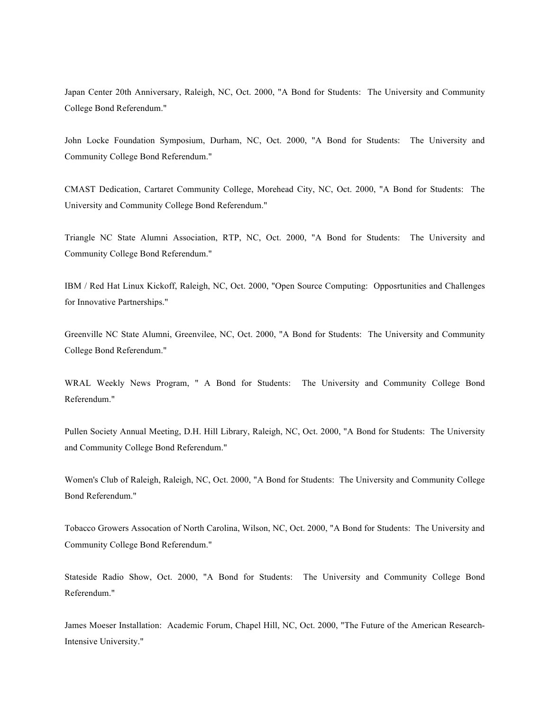Japan Center 20th Anniversary, Raleigh, NC, Oct. 2000, "A Bond for Students: The University and Community College Bond Referendum."

John Locke Foundation Symposium, Durham, NC, Oct. 2000, "A Bond for Students: The University and Community College Bond Referendum."

CMAST Dedication, Cartaret Community College, Morehead City, NC, Oct. 2000, "A Bond for Students: The University and Community College Bond Referendum."

Triangle NC State Alumni Association, RTP, NC, Oct. 2000, "A Bond for Students: The University and Community College Bond Referendum."

IBM / Red Hat Linux Kickoff, Raleigh, NC, Oct. 2000, "Open Source Computing: Opposrtunities and Challenges for Innovative Partnerships."

Greenville NC State Alumni, Greenvilee, NC, Oct. 2000, "A Bond for Students: The University and Community College Bond Referendum."

WRAL Weekly News Program, " A Bond for Students: The University and Community College Bond Referendum."

Pullen Society Annual Meeting, D.H. Hill Library, Raleigh, NC, Oct. 2000, "A Bond for Students: The University and Community College Bond Referendum."

Women's Club of Raleigh, Raleigh, NC, Oct. 2000, "A Bond for Students: The University and Community College Bond Referendum."

Tobacco Growers Assocation of North Carolina, Wilson, NC, Oct. 2000, "A Bond for Students: The University and Community College Bond Referendum."

Stateside Radio Show, Oct. 2000, "A Bond for Students: The University and Community College Bond Referendum."

James Moeser Installation: Academic Forum, Chapel Hill, NC, Oct. 2000, "The Future of the American Research-Intensive University."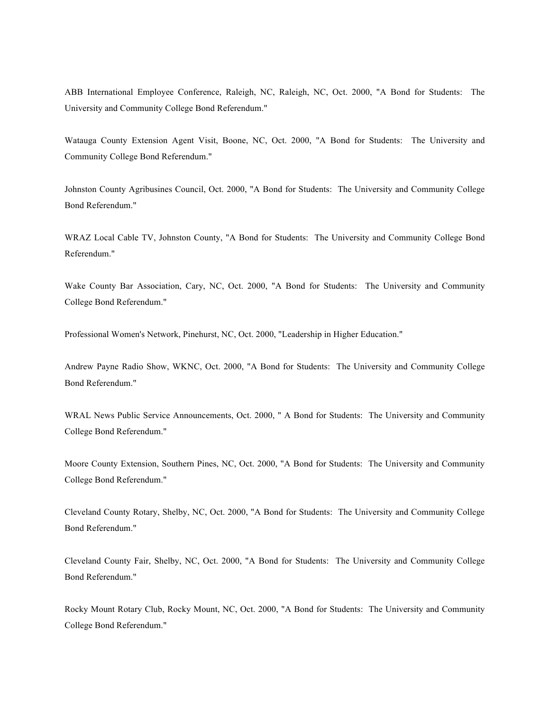ABB International Employee Conference, Raleigh, NC, Raleigh, NC, Oct. 2000, "A Bond for Students: The University and Community College Bond Referendum."

Watauga County Extension Agent Visit, Boone, NC, Oct. 2000, "A Bond for Students: The University and Community College Bond Referendum."

Johnston County Agribusines Council, Oct. 2000, "A Bond for Students: The University and Community College Bond Referendum."

WRAZ Local Cable TV, Johnston County, "A Bond for Students: The University and Community College Bond Referendum."

Wake County Bar Association, Cary, NC, Oct. 2000, "A Bond for Students: The University and Community College Bond Referendum."

Professional Women's Network, Pinehurst, NC, Oct. 2000, "Leadership in Higher Education."

Andrew Payne Radio Show, WKNC, Oct. 2000, "A Bond for Students: The University and Community College Bond Referendum."

WRAL News Public Service Announcements, Oct. 2000, " A Bond for Students: The University and Community College Bond Referendum."

Moore County Extension, Southern Pines, NC, Oct. 2000, "A Bond for Students: The University and Community College Bond Referendum."

Cleveland County Rotary, Shelby, NC, Oct. 2000, "A Bond for Students: The University and Community College Bond Referendum."

Cleveland County Fair, Shelby, NC, Oct. 2000, "A Bond for Students: The University and Community College Bond Referendum."

Rocky Mount Rotary Club, Rocky Mount, NC, Oct. 2000, "A Bond for Students: The University and Community College Bond Referendum."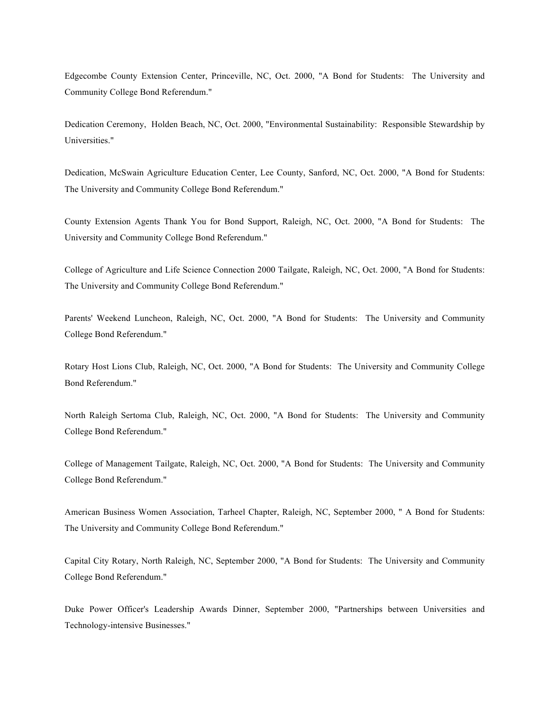Edgecombe County Extension Center, Princeville, NC, Oct. 2000, "A Bond for Students: The University and Community College Bond Referendum."

Dedication Ceremony, Holden Beach, NC, Oct. 2000, "Environmental Sustainability: Responsible Stewardship by Universities."

Dedication, McSwain Agriculture Education Center, Lee County, Sanford, NC, Oct. 2000, "A Bond for Students: The University and Community College Bond Referendum."

County Extension Agents Thank You for Bond Support, Raleigh, NC, Oct. 2000, "A Bond for Students: The University and Community College Bond Referendum."

College of Agriculture and Life Science Connection 2000 Tailgate, Raleigh, NC, Oct. 2000, "A Bond for Students: The University and Community College Bond Referendum."

Parents' Weekend Luncheon, Raleigh, NC, Oct. 2000, "A Bond for Students: The University and Community College Bond Referendum."

Rotary Host Lions Club, Raleigh, NC, Oct. 2000, "A Bond for Students: The University and Community College Bond Referendum."

North Raleigh Sertoma Club, Raleigh, NC, Oct. 2000, "A Bond for Students: The University and Community College Bond Referendum."

College of Management Tailgate, Raleigh, NC, Oct. 2000, "A Bond for Students: The University and Community College Bond Referendum."

American Business Women Association, Tarheel Chapter, Raleigh, NC, September 2000, " A Bond for Students: The University and Community College Bond Referendum."

Capital City Rotary, North Raleigh, NC, September 2000, "A Bond for Students: The University and Community College Bond Referendum."

Duke Power Officer's Leadership Awards Dinner, September 2000, "Partnerships between Universities and Technology-intensive Businesses."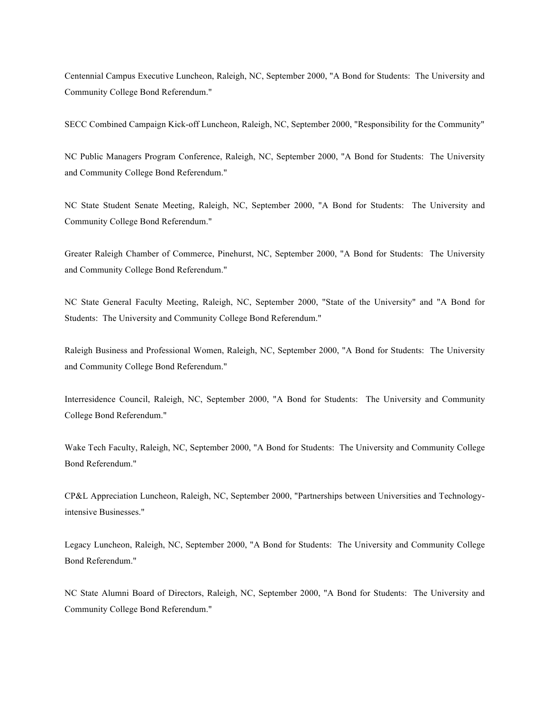Centennial Campus Executive Luncheon, Raleigh, NC, September 2000, "A Bond for Students: The University and Community College Bond Referendum."

SECC Combined Campaign Kick-off Luncheon, Raleigh, NC, September 2000, "Responsibility for the Community"

NC Public Managers Program Conference, Raleigh, NC, September 2000, "A Bond for Students: The University and Community College Bond Referendum."

NC State Student Senate Meeting, Raleigh, NC, September 2000, "A Bond for Students: The University and Community College Bond Referendum."

Greater Raleigh Chamber of Commerce, Pinehurst, NC, September 2000, "A Bond for Students: The University and Community College Bond Referendum."

NC State General Faculty Meeting, Raleigh, NC, September 2000, "State of the University" and "A Bond for Students: The University and Community College Bond Referendum."

Raleigh Business and Professional Women, Raleigh, NC, September 2000, "A Bond for Students: The University and Community College Bond Referendum."

Interresidence Council, Raleigh, NC, September 2000, "A Bond for Students: The University and Community College Bond Referendum."

Wake Tech Faculty, Raleigh, NC, September 2000, "A Bond for Students: The University and Community College Bond Referendum."

CP&L Appreciation Luncheon, Raleigh, NC, September 2000, "Partnerships between Universities and Technologyintensive Businesses."

Legacy Luncheon, Raleigh, NC, September 2000, "A Bond for Students: The University and Community College Bond Referendum."

NC State Alumni Board of Directors, Raleigh, NC, September 2000, "A Bond for Students: The University and Community College Bond Referendum."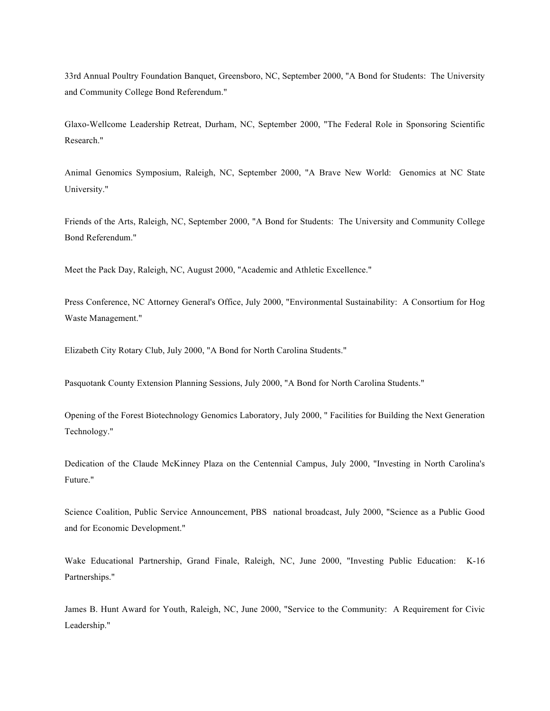33rd Annual Poultry Foundation Banquet, Greensboro, NC, September 2000, "A Bond for Students: The University and Community College Bond Referendum."

Glaxo-Wellcome Leadership Retreat, Durham, NC, September 2000, "The Federal Role in Sponsoring Scientific Research."

Animal Genomics Symposium, Raleigh, NC, September 2000, "A Brave New World: Genomics at NC State University."

Friends of the Arts, Raleigh, NC, September 2000, "A Bond for Students: The University and Community College Bond Referendum."

Meet the Pack Day, Raleigh, NC, August 2000, "Academic and Athletic Excellence."

Press Conference, NC Attorney General's Office, July 2000, "Environmental Sustainability: A Consortium for Hog Waste Management."

Elizabeth City Rotary Club, July 2000, "A Bond for North Carolina Students."

Pasquotank County Extension Planning Sessions, July 2000, "A Bond for North Carolina Students."

Opening of the Forest Biotechnology Genomics Laboratory, July 2000, " Facilities for Building the Next Generation Technology."

Dedication of the Claude McKinney Plaza on the Centennial Campus, July 2000, "Investing in North Carolina's Future."

Science Coalition, Public Service Announcement, PBS national broadcast, July 2000, "Science as a Public Good and for Economic Development."

Wake Educational Partnership, Grand Finale, Raleigh, NC, June 2000, "Investing Public Education: K-16 Partnerships."

James B. Hunt Award for Youth, Raleigh, NC, June 2000, "Service to the Community: A Requirement for Civic Leadership."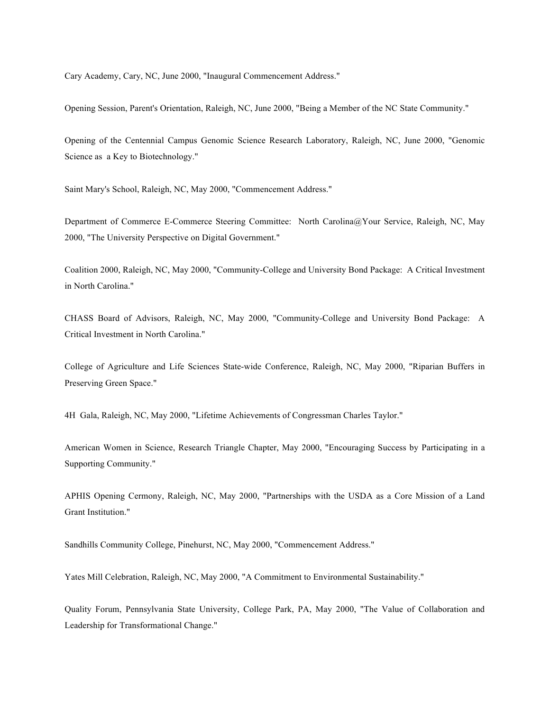Cary Academy, Cary, NC, June 2000, "Inaugural Commencement Address."

Opening Session, Parent's Orientation, Raleigh, NC, June 2000, "Being a Member of the NC State Community."

Opening of the Centennial Campus Genomic Science Research Laboratory, Raleigh, NC, June 2000, "Genomic Science as a Key to Biotechnology."

Saint Mary's School, Raleigh, NC, May 2000, "Commencement Address."

Department of Commerce E-Commerce Steering Committee: North Carolina@Your Service, Raleigh, NC, May 2000, "The University Perspective on Digital Government."

Coalition 2000, Raleigh, NC, May 2000, "Community-College and University Bond Package: A Critical Investment in North Carolina."

CHASS Board of Advisors, Raleigh, NC, May 2000, "Community-College and University Bond Package: A Critical Investment in North Carolina."

College of Agriculture and Life Sciences State-wide Conference, Raleigh, NC, May 2000, "Riparian Buffers in Preserving Green Space."

4H Gala, Raleigh, NC, May 2000, "Lifetime Achievements of Congressman Charles Taylor."

American Women in Science, Research Triangle Chapter, May 2000, "Encouraging Success by Participating in a Supporting Community."

APHIS Opening Cermony, Raleigh, NC, May 2000, "Partnerships with the USDA as a Core Mission of a Land Grant Institution."

Sandhills Community College, Pinehurst, NC, May 2000, "Commencement Address."

Yates Mill Celebration, Raleigh, NC, May 2000, "A Commitment to Environmental Sustainability."

Quality Forum, Pennsylvania State University, College Park, PA, May 2000, "The Value of Collaboration and Leadership for Transformational Change."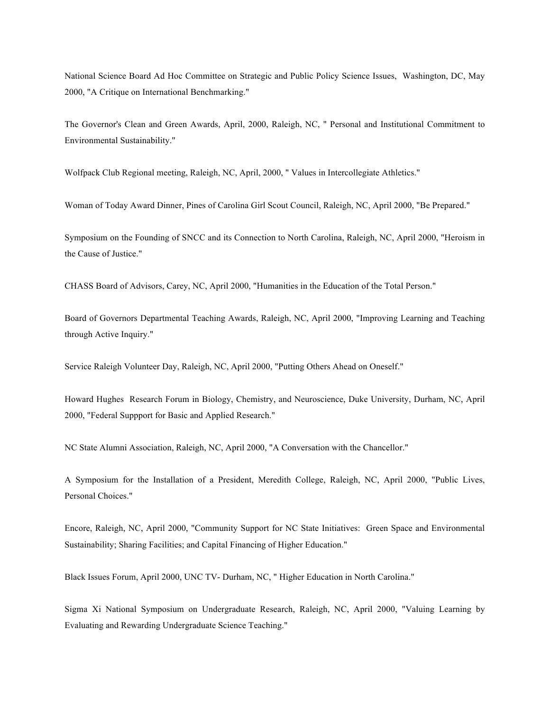National Science Board Ad Hoc Committee on Strategic and Public Policy Science Issues, Washington, DC, May 2000, "A Critique on International Benchmarking."

The Governor's Clean and Green Awards, April, 2000, Raleigh, NC, " Personal and Institutional Commitment to Environmental Sustainability."

Wolfpack Club Regional meeting, Raleigh, NC, April, 2000, " Values in Intercollegiate Athletics."

Woman of Today Award Dinner, Pines of Carolina Girl Scout Council, Raleigh, NC, April 2000, "Be Prepared."

Symposium on the Founding of SNCC and its Connection to North Carolina, Raleigh, NC, April 2000, "Heroism in the Cause of Justice."

CHASS Board of Advisors, Carey, NC, April 2000, "Humanities in the Education of the Total Person."

Board of Governors Departmental Teaching Awards, Raleigh, NC, April 2000, "Improving Learning and Teaching through Active Inquiry."

Service Raleigh Volunteer Day, Raleigh, NC, April 2000, "Putting Others Ahead on Oneself."

Howard Hughes Research Forum in Biology, Chemistry, and Neuroscience, Duke University, Durham, NC, April 2000, "Federal Suppport for Basic and Applied Research."

NC State Alumni Association, Raleigh, NC, April 2000, "A Conversation with the Chancellor."

A Symposium for the Installation of a President, Meredith College, Raleigh, NC, April 2000, "Public Lives, Personal Choices."

Encore, Raleigh, NC, April 2000, "Community Support for NC State Initiatives: Green Space and Environmental Sustainability; Sharing Facilities; and Capital Financing of Higher Education."

Black Issues Forum, April 2000, UNC TV- Durham, NC, " Higher Education in North Carolina."

Sigma Xi National Symposium on Undergraduate Research, Raleigh, NC, April 2000, "Valuing Learning by Evaluating and Rewarding Undergraduate Science Teaching."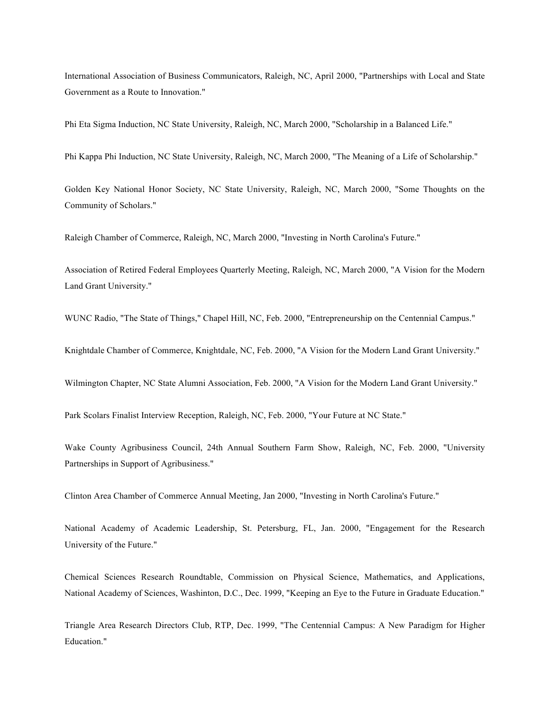International Association of Business Communicators, Raleigh, NC, April 2000, "Partnerships with Local and State Government as a Route to Innovation."

Phi Eta Sigma Induction, NC State University, Raleigh, NC, March 2000, "Scholarship in a Balanced Life."

Phi Kappa Phi Induction, NC State University, Raleigh, NC, March 2000, "The Meaning of a Life of Scholarship."

Golden Key National Honor Society, NC State University, Raleigh, NC, March 2000, "Some Thoughts on the Community of Scholars."

Raleigh Chamber of Commerce, Raleigh, NC, March 2000, "Investing in North Carolina's Future."

Association of Retired Federal Employees Quarterly Meeting, Raleigh, NC, March 2000, "A Vision for the Modern Land Grant University."

WUNC Radio, "The State of Things," Chapel Hill, NC, Feb. 2000, "Entrepreneurship on the Centennial Campus."

Knightdale Chamber of Commerce, Knightdale, NC, Feb. 2000, "A Vision for the Modern Land Grant University."

Wilmington Chapter, NC State Alumni Association, Feb. 2000, "A Vision for the Modern Land Grant University."

Park Scolars Finalist Interview Reception, Raleigh, NC, Feb. 2000, "Your Future at NC State."

Wake County Agribusiness Council, 24th Annual Southern Farm Show, Raleigh, NC, Feb. 2000, "University Partnerships in Support of Agribusiness."

Clinton Area Chamber of Commerce Annual Meeting, Jan 2000, "Investing in North Carolina's Future."

National Academy of Academic Leadership, St. Petersburg, FL, Jan. 2000, "Engagement for the Research University of the Future."

Chemical Sciences Research Roundtable, Commission on Physical Science, Mathematics, and Applications, National Academy of Sciences, Washinton, D.C., Dec. 1999, "Keeping an Eye to the Future in Graduate Education."

Triangle Area Research Directors Club, RTP, Dec. 1999, "The Centennial Campus: A New Paradigm for Higher Education."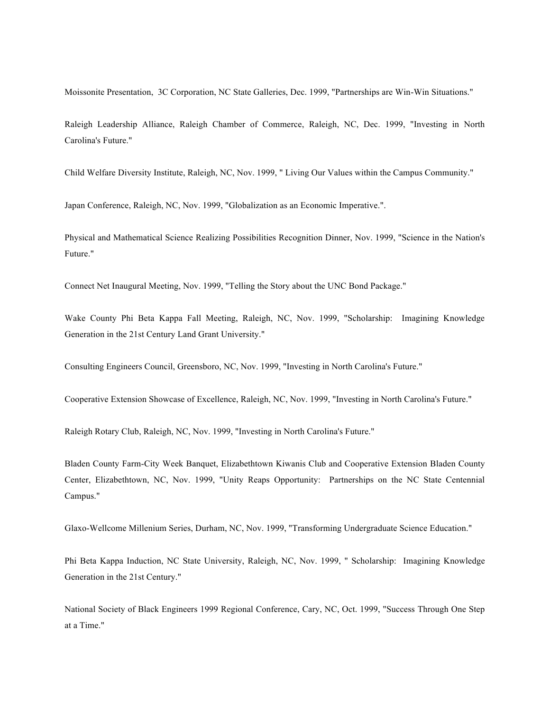Moissonite Presentation, 3C Corporation, NC State Galleries, Dec. 1999, "Partnerships are Win-Win Situations."

Raleigh Leadership Alliance, Raleigh Chamber of Commerce, Raleigh, NC, Dec. 1999, "Investing in North Carolina's Future."

Child Welfare Diversity Institute, Raleigh, NC, Nov. 1999, " Living Our Values within the Campus Community."

Japan Conference, Raleigh, NC, Nov. 1999, "Globalization as an Economic Imperative.".

Physical and Mathematical Science Realizing Possibilities Recognition Dinner, Nov. 1999, "Science in the Nation's Future."

Connect Net Inaugural Meeting, Nov. 1999, "Telling the Story about the UNC Bond Package."

Wake County Phi Beta Kappa Fall Meeting, Raleigh, NC, Nov. 1999, "Scholarship: Imagining Knowledge Generation in the 21st Century Land Grant University."

Consulting Engineers Council, Greensboro, NC, Nov. 1999, "Investing in North Carolina's Future."

Cooperative Extension Showcase of Excellence, Raleigh, NC, Nov. 1999, "Investing in North Carolina's Future."

Raleigh Rotary Club, Raleigh, NC, Nov. 1999, "Investing in North Carolina's Future."

Bladen County Farm-City Week Banquet, Elizabethtown Kiwanis Club and Cooperative Extension Bladen County Center, Elizabethtown, NC, Nov. 1999, "Unity Reaps Opportunity: Partnerships on the NC State Centennial Campus."

Glaxo-Wellcome Millenium Series, Durham, NC, Nov. 1999, "Transforming Undergraduate Science Education."

Phi Beta Kappa Induction, NC State University, Raleigh, NC, Nov. 1999, " Scholarship: Imagining Knowledge Generation in the 21st Century."

National Society of Black Engineers 1999 Regional Conference, Cary, NC, Oct. 1999, "Success Through One Step at a Time."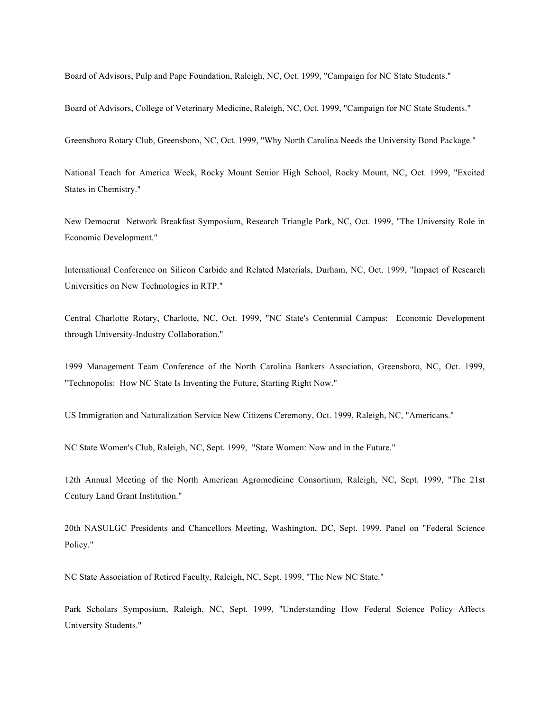Board of Advisors, Pulp and Pape Foundation, Raleigh, NC, Oct. 1999, "Campaign for NC State Students."

Board of Advisors, College of Veterinary Medicine, Raleigh, NC, Oct. 1999, "Campaign for NC State Students."

Greensboro Rotary Club, Greensboro, NC, Oct. 1999, "Why North Carolina Needs the University Bond Package."

National Teach for America Week, Rocky Mount Senior High School, Rocky Mount, NC, Oct. 1999, "Excited States in Chemistry."

New Democrat Network Breakfast Symposium, Research Triangle Park, NC, Oct. 1999, "The University Role in Economic Development."

International Conference on Silicon Carbide and Related Materials, Durham, NC, Oct. 1999, "Impact of Research Universities on New Technologies in RTP."

Central Charlotte Rotary, Charlotte, NC, Oct. 1999, "NC State's Centennial Campus: Economic Development through University-Industry Collaboration."

1999 Management Team Conference of the North Carolina Bankers Association, Greensboro, NC, Oct. 1999, "Technopolis: How NC State Is Inventing the Future, Starting Right Now."

US Immigration and Naturalization Service New Citizens Ceremony, Oct. 1999, Raleigh, NC, "Americans."

NC State Women's Club, Raleigh, NC, Sept. 1999, "State Women: Now and in the Future."

12th Annual Meeting of the North American Agromedicine Consortium, Raleigh, NC, Sept. 1999, "The 21st Century Land Grant Institution."

20th NASULGC Presidents and Chancellors Meeting, Washington, DC, Sept. 1999, Panel on "Federal Science Policy."

NC State Association of Retired Faculty, Raleigh, NC, Sept. 1999, "The New NC State."

Park Scholars Symposium, Raleigh, NC, Sept. 1999, "Understanding How Federal Science Policy Affects University Students."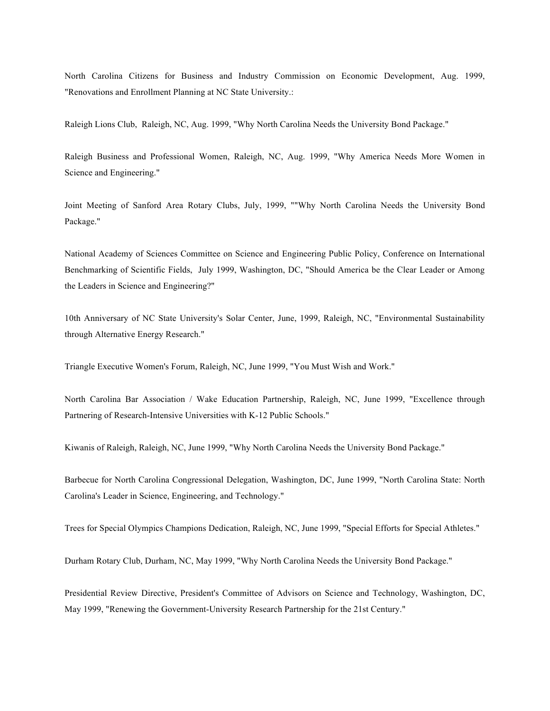North Carolina Citizens for Business and Industry Commission on Economic Development, Aug. 1999, "Renovations and Enrollment Planning at NC State University.:

Raleigh Lions Club, Raleigh, NC, Aug. 1999, "Why North Carolina Needs the University Bond Package."

Raleigh Business and Professional Women, Raleigh, NC, Aug. 1999, "Why America Needs More Women in Science and Engineering."

Joint Meeting of Sanford Area Rotary Clubs, July, 1999, ""Why North Carolina Needs the University Bond Package."

National Academy of Sciences Committee on Science and Engineering Public Policy, Conference on International Benchmarking of Scientific Fields, July 1999, Washington, DC, "Should America be the Clear Leader or Among the Leaders in Science and Engineering?"

10th Anniversary of NC State University's Solar Center, June, 1999, Raleigh, NC, "Environmental Sustainability through Alternative Energy Research."

Triangle Executive Women's Forum, Raleigh, NC, June 1999, "You Must Wish and Work."

North Carolina Bar Association / Wake Education Partnership, Raleigh, NC, June 1999, "Excellence through Partnering of Research-Intensive Universities with K-12 Public Schools."

Kiwanis of Raleigh, Raleigh, NC, June 1999, "Why North Carolina Needs the University Bond Package."

Barbecue for North Carolina Congressional Delegation, Washington, DC, June 1999, "North Carolina State: North Carolina's Leader in Science, Engineering, and Technology."

Trees for Special Olympics Champions Dedication, Raleigh, NC, June 1999, "Special Efforts for Special Athletes."

Durham Rotary Club, Durham, NC, May 1999, "Why North Carolina Needs the University Bond Package."

Presidential Review Directive, President's Committee of Advisors on Science and Technology, Washington, DC, May 1999, "Renewing the Government-University Research Partnership for the 21st Century."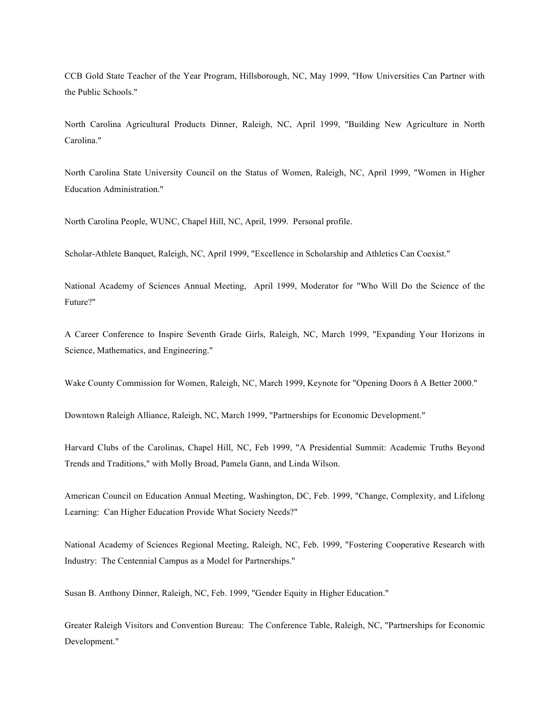CCB Gold State Teacher of the Year Program, Hillsborough, NC, May 1999, "How Universities Can Partner with the Public Schools."

North Carolina Agricultural Products Dinner, Raleigh, NC, April 1999, "Building New Agriculture in North Carolina."

North Carolina State University Council on the Status of Women, Raleigh, NC, April 1999, "Women in Higher Education Administration."

North Carolina People, WUNC, Chapel Hill, NC, April, 1999. Personal profile.

Scholar-Athlete Banquet, Raleigh, NC, April 1999, "Excellence in Scholarship and Athletics Can Coexist."

National Academy of Sciences Annual Meeting, April 1999, Moderator for "Who Will Do the Science of the Future?"

A Career Conference to Inspire Seventh Grade Girls, Raleigh, NC, March 1999, "Expanding Your Horizons in Science, Mathematics, and Engineering."

Wake County Commission for Women, Raleigh, NC, March 1999, Keynote for "Opening Doors ñ A Better 2000."

Downtown Raleigh Alliance, Raleigh, NC, March 1999, "Partnerships for Economic Development."

Harvard Clubs of the Carolinas, Chapel Hill, NC, Feb 1999, "A Presidential Summit: Academic Truths Beyond Trends and Traditions," with Molly Broad, Pamela Gann, and Linda Wilson.

American Council on Education Annual Meeting, Washington, DC, Feb. 1999, "Change, Complexity, and Lifelong Learning: Can Higher Education Provide What Society Needs?"

National Academy of Sciences Regional Meeting, Raleigh, NC, Feb. 1999, "Fostering Cooperative Research with Industry: The Centennial Campus as a Model for Partnerships."

Susan B. Anthony Dinner, Raleigh, NC, Feb. 1999, "Gender Equity in Higher Education."

Greater Raleigh Visitors and Convention Bureau: The Conference Table, Raleigh, NC, "Partnerships for Economic Development."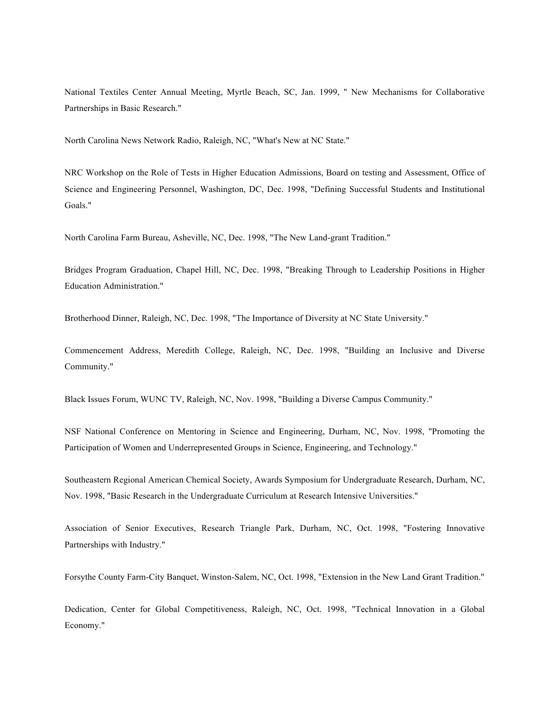National Textiles Center Annual Meeting, Myrtle Beach, SC, Jan. 1999, " New Mechanisms for Collaborative Partnerships in Basic Research."

North Carolina News Network Radio, Raleigh, NC, "What's New at NC State."

NRC Workshop on the Role of Tests in Higher Education Admissions, Board on testing and Assessment, Office of Science and Engineering Personnel, Washington, DC, Dec. 1998, "Defining Successful Students and Institutional Goals."

North Carolina Farm Bureau, Asheville, NC, Dec. 1998, "The New Land-grant Tradition."

Bridges Program Graduation, Chapel Hill, NC, Dec. 1998, "Breaking Through to Leadership Positions in Higher Education Administration."

Brotherhood Dinner, Raleigh, NC, Dec. 1998, "The Importance of Diversity at NC State University."

Commencement Address, Meredith College, Raleigh, NC, Dec. 1998, "Building an Inclusive and Diverse Community."

Black Issues Forum, WUNC TV, Raleigh, NC, Nov. 1998, "Building a Diverse Campus Community."

NSF National Conference on Mentoring in Science and Engineering, Durham, NC, Nov. 1998, "Promoting the Participation of Women and Underrepresented Groups in Science, Engineering, and Technology."

Southeastern Regional American Chemical Society, Awards Symposium for Undergraduate Research, Durham, NC, Nov. 1998, "Basic Research in the Undergraduate Curriculum at Research Intensive Universities."

Association of Senior Executives, Research Triangle Park, Durham, NC, Oct. 1998, "Fostering Innovative Partnerships with Industry."

Forsythe County Farm-City Banquet, Winston-Salem, NC, Oct. 1998, "Extension in the New Land Grant Tradition."

Dedication, Center for Global Competitiveness, Raleigh, NC, Oct. 1998, "Technical Innovation in a Global Economy."